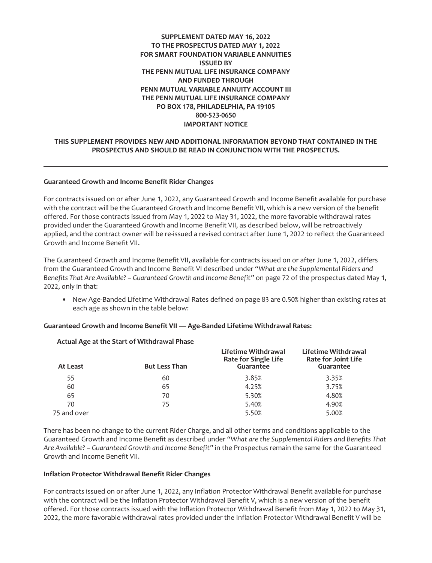# **SUPPLEMENT DATED MAY 16, 2022 TO THE PROSPECTUS DATED MAY 1, 2022 FOR SMART FOUNDATION VARIABLE ANNUITIES ISSUED BY THE PENN MUTUAL LIFE INSURANCE COMPANY AND FUNDED THROUGH PENN MUTUAL VARIABLE ANNUITY ACCOUNT III THE PENN MUTUAL LIFE INSURANCE COMPANY PO BOX 178, PHILADELPHIA, PA 19105 800-523-0650 IMPORTANT NOTICE**

# **THIS SUPPLEMENT PROVIDES NEW AND ADDITIONAL INFORMATION BEYOND THAT CONTAINED IN THE PROSPECTUS AND SHOULD BE READ IN CONJUNCTION WITH THE PROSPECTUS.**

### **Guaranteed Growth and Income Benefit Rider Changes**

For contracts issued on or after June 1, 2022, any Guaranteed Growth and Income Benefit available for purchase with the contract will be the Guaranteed Growth and Income Benefit VII, which is a new version of the benefit offered. For those contracts issued from May 1, 2022 to May 31, 2022, the more favorable withdrawal rates provided under the Guaranteed Growth and Income Benefit VII, as described below, will be retroactively applied, and the contract owner will be re-issued a revised contract after June 1, 2022 to reflect the Guaranteed Growth and Income Benefit VII.

The Guaranteed Growth and Income Benefit VII, available for contracts issued on or after June 1, 2022, differs from the Guaranteed Growth and Income Benefit VI described under *"What are the Supplemental Riders and Benefits That Are Available? – Guaranteed Growth and Income Benefit"* on page 72 of the prospectus dated May 1, 2022, only in that:

• New Age-Banded Lifetime Withdrawal Rates defined on page 83 are 0.50% higher than existing rates at each age as shown in the table below:

### **Guaranteed Growth and Income Benefit VII — Age-Banded Lifetime Withdrawal Rates:**

| At Least    | <b>But Less Than</b> | Lifetime Withdrawal<br><b>Rate for Single Life</b><br>Guarantee | Lifetime Withdrawal<br><b>Rate for Joint Life</b><br>Guarantee |
|-------------|----------------------|-----------------------------------------------------------------|----------------------------------------------------------------|
| 55          | 60                   | 3.85%                                                           | 3.35%                                                          |
| 60          | 65                   | 4.25%                                                           | 3.75%                                                          |
| 65          | 70                   | 5.30%                                                           | 4.80%                                                          |
| 70          | 75                   | 5.40%                                                           | 4.90%                                                          |
| 75 and over |                      | 5.50%                                                           | 5.00%                                                          |

# **Actual Age at the Start of Withdrawal Phase**

There has been no change to the current Rider Charge, and all other terms and conditions applicable to the Guaranteed Growth and Income Benefit as described under *"What are the Supplemental Riders and Benefits That Are Available? – Guaranteed Growth and Income Benefit"* in the Prospectus remain the same for the Guaranteed Growth and Income Benefit VII.

# **Inflation Protector Withdrawal Benefit Rider Changes**

For contracts issued on or after June 1, 2022, any Inflation Protector Withdrawal Benefit available for purchase with the contract will be the Inflation Protector Withdrawal Benefit V, which is a new version of the benefit offered. For those contracts issued with the Inflation Protector Withdrawal Benefit from May 1, 2022 to May 31, 2022, the more favorable withdrawal rates provided under the Inflation Protector Withdrawal Benefit V will be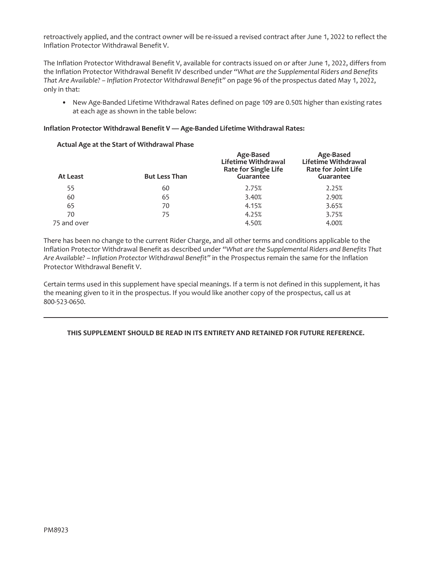retroactively applied, and the contract owner will be re-issued a revised contract after June 1, 2022 to reflect the Inflation Protector Withdrawal Benefit V.

The Inflation Protector Withdrawal Benefit V, available for contracts issued on or after June 1, 2022, differs from the Inflation Protector Withdrawal Benefit IV described under *"What are the Supplemental Riders and Benefits That Are Available? – Inflation Protector Withdrawal Benefit"* on page 96 of the prospectus dated May 1, 2022, only in that:

• New Age-Banded Lifetime Withdrawal Rates defined on page 109 are 0.50% higher than existing rates at each age as shown in the table below:

# **Inflation Protector Withdrawal Benefit V — Age-Banded Lifetime Withdrawal Rates:**

### **Actual Age at the Start of Withdrawal Phase**

| At Least    | <b>But Less Than</b> | Age-Based<br>Lifetime Withdrawal<br>Rate for Single Life<br>Guarantee | Age-Based<br>Lifetime Withdrawal<br><b>Rate for Joint Life</b><br>Guarantee |
|-------------|----------------------|-----------------------------------------------------------------------|-----------------------------------------------------------------------------|
| 55          | 60                   | 2.75%                                                                 | 2.25%                                                                       |
| 60          | 65                   | 3.40%                                                                 | 2.90%                                                                       |
| 65          | 70                   | 4.15%                                                                 | 3.65%                                                                       |
| 70          | 75                   | 4.25%                                                                 | 3.75%                                                                       |
| 75 and over |                      | 4.50%                                                                 | 4.00%                                                                       |

There has been no change to the current Rider Charge, and all other terms and conditions applicable to the Inflation Protector Withdrawal Benefit as described under *"What are the Supplemental Riders and Benefits That Are Available? – Inflation Protector Withdrawal Benefit"* in the Prospectus remain the same for the Inflation Protector Withdrawal Benefit V.

Certain terms used in this supplement have special meanings. If a term is not defined in this supplement, it has the meaning given to it in the prospectus. If you would like another copy of the prospectus, call us at 800-523-0650.

# **THIS SUPPLEMENT SHOULD BE READ IN ITS ENTIRETY AND RETAINED FOR FUTURE REFERENCE.**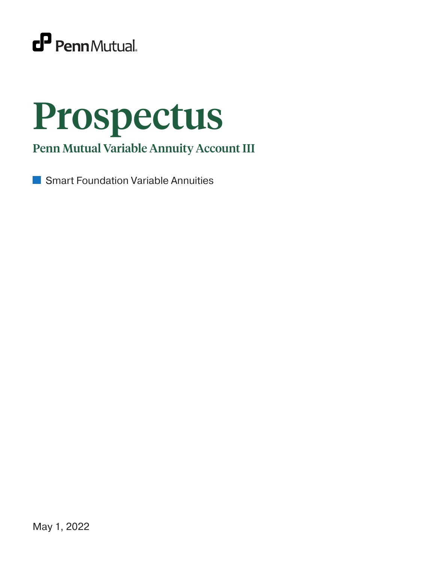

# Prospectus

Penn Mutual Variable Annuity Account III

Smart Foundation Variable Annuitiesm.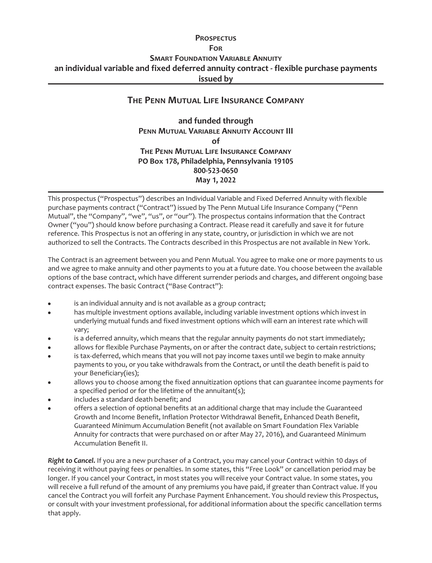# **PROSPECTUS FOR SMART FOUNDATION VARIABLE ANNUITY an individual variable and fixed deferred annuity contract - flexible purchase payments issued by**

# **THE PENN MUTUAL LIFE INSURANCE COMPANY**

**and funded through PENN MUTUAL VARIABLE ANNUITY ACCOUNT III of THE PENN MUTUAL LIFE INSURANCE COMPANY PO Box 178, Philadelphia, Pennsylvania 19105 800-523-0650 May 1, 2022**

This prospectus ("Prospectus") describes an Individual Variable and Fixed Deferred Annuity with flexible purchase payments contract ("Contract") issued by The Penn Mutual Life Insurance Company ("Penn Mutual", the "Company", "we", "us", or "our"). The prospectus contains information that the Contract Owner ("you") should know before purchasing a Contract. Please read it carefully and save it for future reference. This Prospectus is not an offering in any state, country, or jurisdiction in which we are not authorized to sell the Contracts. The Contracts described in this Prospectus are not available in New York.

The Contract is an agreement between you and Penn Mutual. You agree to make one or more payments to us and we agree to make annuity and other payments to you at a future date. You choose between the available options of the base contract, which have different surrender periods and charges, and different ongoing base contract expenses. The basic Contract ("Base Contract"):

- is an individual annuity and is not available as a group contract;
- has multiple investment options available, including variable investment options which invest in underlying mutual funds and fixed investment options which will earn an interest rate which will vary;
- is a deferred annuity, which means that the regular annuity payments do not start immediately;
- allows for flexible Purchase Payments, on or after the contract date, subject to certain restrictions;
- is tax-deferred, which means that you will not pay income taxes until we begin to make annuity payments to you, or you take withdrawals from the Contract, or until the death benefit is paid to your Beneficiary(ies);
- allows you to choose among the fixed annuitization options that can guarantee income payments for a specified period or for the lifetime of the annuitant(s);
- includes a standard death benefit; and
- offers a selection of optional benefits at an additional charge that may include the Guaranteed Growth and Income Benefit, Inflation Protector Withdrawal Benefit, Enhanced Death Benefit, Guaranteed Minimum Accumulation Benefit (not available on Smart Foundation Flex Variable Annuity for contracts that were purchased on or after May 27, 2016), and Guaranteed Minimum Accumulation Benefit II.

*Right to Cancel.* If you are a new purchaser of a Contract, you may cancel your Contract within 10 days of receiving it without paying fees or penalties. In some states, this "Free Look" or cancellation period may be longer. If you cancel your Contract, in most states you will receive your Contract value. In some states, you will receive a full refund of the amount of any premiums you have paid, if greater than Contract value. If you cancel the Contract you will forfeit any Purchase Payment Enhancement. You should review this Prospectus, or consult with your investment professional, for additional information about the specific cancellation terms that apply.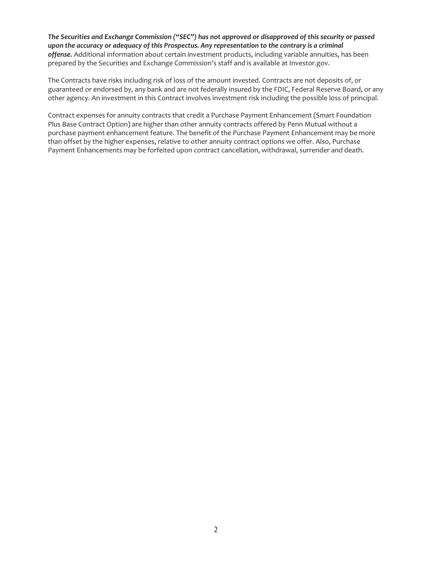*The Securities and Exchange Commission ("SEC") has not approved or disapproved of this security or passed upon the accuracy or adequacy of this Prospectus. Any representation to the contrary is a criminal offense.* Additional information about certain investment products, including variable annuities, has been prepared by the Securities and Exchange Commission's staff and is available at Investor.gov.

The Contracts have risks including risk of loss of the amount invested. Contracts are not deposits of, or guaranteed or endorsed by, any bank and are not federally insured by the FDIC, Federal Reserve Board, or any other agency. An investment in this Contract involves investment risk including the possible loss of principal.

Contract expenses for annuity contracts that credit a Purchase Payment Enhancement (Smart Foundation Plus Base Contract Option) are higher than other annuity contracts offered by Penn Mutual without a purchase payment enhancement feature. The benefit of the Purchase Payment Enhancement may be more than offset by the higher expenses, relative to other annuity contract options we offer. Also, Purchase Payment Enhancements may be forfeited upon contract cancellation, withdrawal, surrender and death.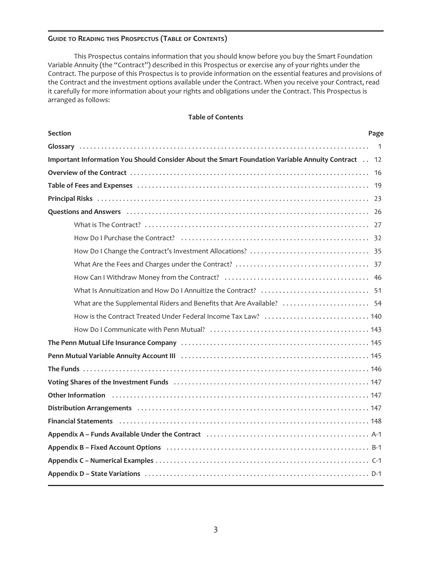# **GUIDE TO READING THIS PROSPECTUS (TABLE OF CONTENTS)**

This Prospectus contains information that you should know before you buy the Smart Foundation Variable Annuity (the "Contract") described in this Prospectus or exercise any of your rights under the Contract. The purpose of this Prospectus is to provide information on the essential features and provisions of the Contract and the investment options available under the Contract. When you receive your Contract, read it carefully for more information about your rights and obligations under the Contract. This Prospectus is arranged as follows:

### **Table of Contents**

| <b>Section</b>                                                                                                                                                                                                                 | Page |
|--------------------------------------------------------------------------------------------------------------------------------------------------------------------------------------------------------------------------------|------|
|                                                                                                                                                                                                                                |      |
| Important Information You Should Consider About the Smart Foundation Variable Annuity Contract 12                                                                                                                              |      |
|                                                                                                                                                                                                                                |      |
| Table of Fees and Expenses (and the contract of the contract of the contract of the contract of the contract o                                                                                                                 |      |
|                                                                                                                                                                                                                                |      |
| Questions and Answers (and according to the control of the control of the control of the control of the control of the control of the control of the control of the control of the control of the control of the control of th |      |
|                                                                                                                                                                                                                                |      |
|                                                                                                                                                                                                                                |      |
|                                                                                                                                                                                                                                |      |
|                                                                                                                                                                                                                                |      |
|                                                                                                                                                                                                                                |      |
|                                                                                                                                                                                                                                |      |
| What are the Supplemental Riders and Benefits that Are Available?  54                                                                                                                                                          |      |
| How is the Contract Treated Under Federal Income Tax Law?  140                                                                                                                                                                 |      |
|                                                                                                                                                                                                                                |      |
|                                                                                                                                                                                                                                |      |
|                                                                                                                                                                                                                                |      |
|                                                                                                                                                                                                                                |      |
|                                                                                                                                                                                                                                |      |
| Other Information (and the contract of the contract of the contract of the contract of the contract of the contract of the contract of the contract of the contract of the contract of the contract of the contract of the con |      |
|                                                                                                                                                                                                                                |      |
|                                                                                                                                                                                                                                |      |
| Appendix A - Funds Available Under the Contract (and accommunitative system of A-1                                                                                                                                             |      |
|                                                                                                                                                                                                                                |      |
|                                                                                                                                                                                                                                |      |
|                                                                                                                                                                                                                                |      |
|                                                                                                                                                                                                                                |      |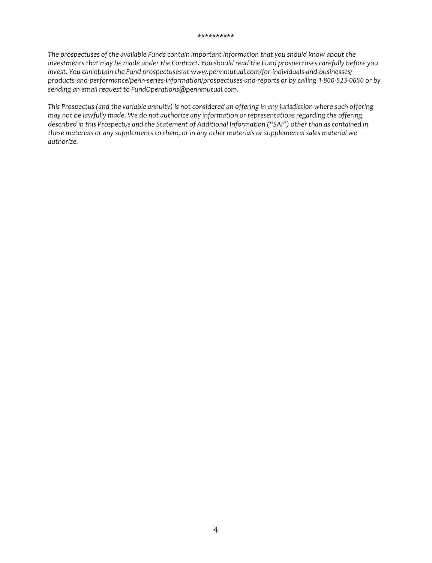### **\*\*\*\*\*\*\*\*\*\***

*The prospectuses of the available Funds contain important information that you should know about the investments that may be made under the Contract. You should read the Fund prospectuses carefully before you invest. You can obtain the Fund prospectuses at www.pennmutual.com/for-individuals-and-businesses/ products-and-performance/penn-series-information/prospectuses-and-reports or by calling 1-800-523-0650 or by sending an email request to FundOperations@pennmutual.com.*

*This Prospectus (and the variable annuity) is not considered an offering in any jurisdiction where such offering may not be lawfully made. We do not authorize any information or representations regarding the offering described in this Prospectus and the Statement of Additional Information ("SAI") other than as contained in these materials or any supplements to them, or in any other materials or supplemental sales material we authorize.*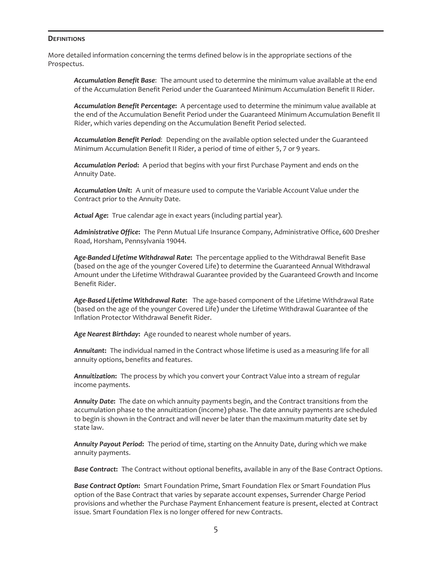### **DEFINITIONS**

More detailed information concerning the terms defined below is in the appropriate sections of the Prospectus.

*Accumulation Benefit Base*: The amount used to determine the minimum value available at the end of the Accumulation Benefit Period under the Guaranteed Minimum Accumulation Benefit II Rider.

*Accumulation Benefit Percentage***:** A percentage used to determine the minimum value available at the end of the Accumulation Benefit Period under the Guaranteed Minimum Accumulation Benefit II Rider, which varies depending on the Accumulation Benefit Period selected.

*Accumulation Benefit Period*: Depending on the available option selected under the Guaranteed Minimum Accumulation Benefit II Rider, a period of time of either 5, 7 or 9 years.

*Accumulation Period***:** A period that begins with your first Purchase Payment and ends on the Annuity Date.

*Accumulation Unit***:** A unit of measure used to compute the Variable Account Value under the Contract prior to the Annuity Date.

*Actual Age***:** True calendar age in exact years (including partial year).

*Administrative Office***:** The Penn Mutual Life Insurance Company, Administrative Office, 600 Dresher Road, Horsham, Pennsylvania 19044.

*Age-Banded Lifetime Withdrawal Rate***:** The percentage applied to the Withdrawal Benefit Base (based on the age of the younger Covered Life) to determine the Guaranteed Annual Withdrawal Amount under the Lifetime Withdrawal Guarantee provided by the Guaranteed Growth and Income Benefit Rider.

*Age-Based Lifetime Withdrawal Rate***:** The age-based component of the Lifetime Withdrawal Rate (based on the age of the younger Covered Life) under the Lifetime Withdrawal Guarantee of the Inflation Protector Withdrawal Benefit Rider.

*Age Nearest Birthday***:** Age rounded to nearest whole number of years.

*Annuitant***:** The individual named in the Contract whose lifetime is used as a measuring life for all annuity options, benefits and features.

*Annuitization***:** The process by which you convert your Contract Value into a stream of regular income payments.

*Annuity Date***:** The date on which annuity payments begin, and the Contract transitions from the accumulation phase to the annuitization (income) phase. The date annuity payments are scheduled to begin is shown in the Contract and will never be later than the maximum maturity date set by state law.

*Annuity Payout Period***:** The period of time, starting on the Annuity Date, during which we make annuity payments.

*Base Contract***:** The Contract without optional benefits, available in any of the Base Contract Options.

*Base Contract Option***:** Smart Foundation Prime, Smart Foundation Flex or Smart Foundation Plus option of the Base Contract that varies by separate account expenses, Surrender Charge Period provisions and whether the Purchase Payment Enhancement feature is present, elected at Contract issue. Smart Foundation Flex is no longer offered for new Contracts.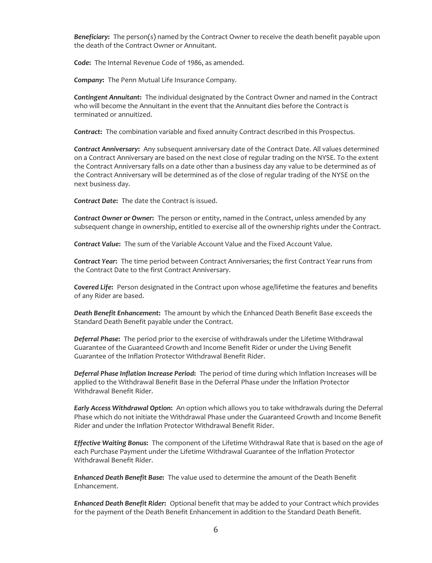*Beneficiary***:** The person(s) named by the Contract Owner to receive the death benefit payable upon the death of the Contract Owner or Annuitant.

*Code***:** The Internal Revenue Code of 1986, as amended.

*Company***:** The Penn Mutual Life Insurance Company.

*Contingent Annuitant***:** The individual designated by the Contract Owner and named in the Contract who will become the Annuitant in the event that the Annuitant dies before the Contract is terminated or annuitized.

*Contract***:** The combination variable and fixed annuity Contract described in this Prospectus.

*Contract Anniversary***:** Any subsequent anniversary date of the Contract Date. All values determined on a Contract Anniversary are based on the next close of regular trading on the NYSE. To the extent the Contract Anniversary falls on a date other than a business day any value to be determined as of the Contract Anniversary will be determined as of the close of regular trading of the NYSE on the next business day.

*Contract Date***:** The date the Contract is issued.

*Contract Owner or Owner***:** The person or entity, named in the Contract, unless amended by any subsequent change in ownership, entitled to exercise all of the ownership rights under the Contract.

*Contract Value***:** The sum of the Variable Account Value and the Fixed Account Value.

*Contract Year***:** The time period between Contract Anniversaries; the first Contract Year runs from the Contract Date to the first Contract Anniversary.

*Covered Life***:** Person designated in the Contract upon whose age/lifetime the features and benefits of any Rider are based.

*Death Benefit Enhancement***:** The amount by which the Enhanced Death Benefit Base exceeds the Standard Death Benefit payable under the Contract.

*Deferral Phase***:** The period prior to the exercise of withdrawals under the Lifetime Withdrawal Guarantee of the Guaranteed Growth and Income Benefit Rider or under the Living Benefit Guarantee of the Inflation Protector Withdrawal Benefit Rider.

*Deferral Phase Inflation Increase Period***:** The period of time during which Inflation Increases will be applied to the Withdrawal Benefit Base in the Deferral Phase under the Inflation Protector Withdrawal Benefit Rider.

*Early Access Withdrawal Option***:** An option which allows you to take withdrawals during the Deferral Phase which do not initiate the Withdrawal Phase under the Guaranteed Growth and Income Benefit Rider and under the Inflation Protector Withdrawal Benefit Rider.

*Effective Waiting Bonus***:** The component of the Lifetime Withdrawal Rate that is based on the age of each Purchase Payment under the Lifetime Withdrawal Guarantee of the Inflation Protector Withdrawal Benefit Rider.

*Enhanced Death Benefit Base***:** The value used to determine the amount of the Death Benefit Enhancement.

*Enhanced Death Benefit Rider***:** Optional benefit that may be added to your Contract which provides for the payment of the Death Benefit Enhancement in addition to the Standard Death Benefit.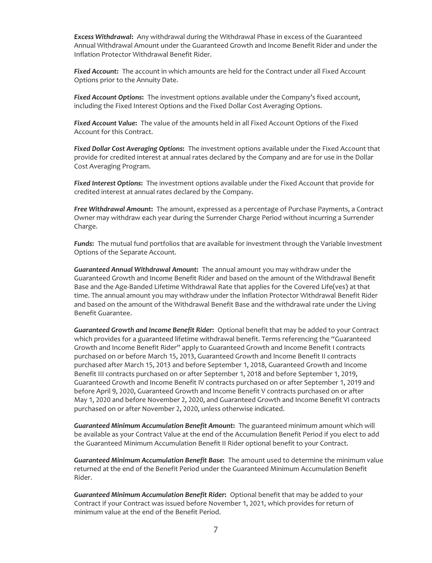*Excess Withdrawal***:** Any withdrawal during the Withdrawal Phase in excess of the Guaranteed Annual Withdrawal Amount under the Guaranteed Growth and Income Benefit Rider and under the Inflation Protector Withdrawal Benefit Rider.

*Fixed Account***:** The account in which amounts are held for the Contract under all Fixed Account Options prior to the Annuity Date.

*Fixed Account Options***:** The investment options available under the Company's fixed account, including the Fixed Interest Options and the Fixed Dollar Cost Averaging Options.

*Fixed Account Value***:** The value of the amounts held in all Fixed Account Options of the Fixed Account for this Contract.

*Fixed Dollar Cost Averaging Options***:** The investment options available under the Fixed Account that provide for credited interest at annual rates declared by the Company and are for use in the Dollar Cost Averaging Program.

*Fixed Interest Options***:** The investment options available under the Fixed Account that provide for credited interest at annual rates declared by the Company.

*Free Withdrawal Amount***:** The amount, expressed as a percentage of Purchase Payments, a Contract Owner may withdraw each year during the Surrender Charge Period without incurring a Surrender Charge.

*Funds***:** The mutual fund portfolios that are available for investment through the Variable Investment Options of the Separate Account.

*Guaranteed Annual Withdrawal Amount***:** The annual amount you may withdraw under the Guaranteed Growth and Income Benefit Rider and based on the amount of the Withdrawal Benefit Base and the Age-Banded Lifetime Withdrawal Rate that applies for the Covered Life(ves) at that time. The annual amount you may withdraw under the Inflation Protector Withdrawal Benefit Rider and based on the amount of the Withdrawal Benefit Base and the withdrawal rate under the Living Benefit Guarantee.

*Guaranteed Growth and Income Benefit Rider***:** Optional benefit that may be added to your Contract which provides for a guaranteed lifetime withdrawal benefit. Terms referencing the "Guaranteed Growth and Income Benefit Rider" apply to Guaranteed Growth and Income Benefit I contracts purchased on or before March 15, 2013, Guaranteed Growth and Income Benefit II contracts purchased after March 15, 2013 and before September 1, 2018, Guaranteed Growth and Income Benefit III contracts purchased on or after September 1, 2018 and before September 1, 2019, Guaranteed Growth and Income Benefit IV contracts purchased on or after September 1, 2019 and before April 9, 2020, Guaranteed Growth and Income Benefit V contracts purchased on or after May 1, 2020 and before November 2, 2020, and Guaranteed Growth and Income Benefit VI contracts purchased on or after November 2, 2020, unless otherwise indicated.

*Guaranteed Minimum Accumulation Benefit Amount***:** The guaranteed minimum amount which will be available as your Contract Value at the end of the Accumulation Benefit Period if you elect to add the Guaranteed Minimum Accumulation Benefit II Rider optional benefit to your Contract.

*Guaranteed Minimum Accumulation Benefit Base***:** The amount used to determine the minimum value returned at the end of the Benefit Period under the Guaranteed Minimum Accumulation Benefit Rider.

*Guaranteed Minimum Accumulation Benefit Rider***:** Optional benefit that may be added to your Contract if your Contract was issued before November 1, 2021, which provides for return of minimum value at the end of the Benefit Period.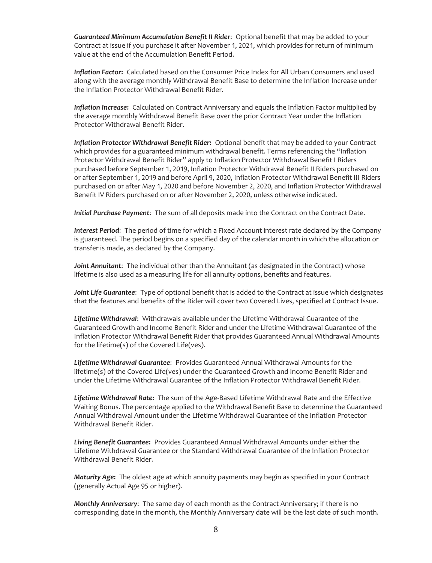*Guaranteed Minimum Accumulation Benefit II Rider*: Optional benefit that may be added to your Contract at issue if you purchase it after November 1, 2021, which provides for return of minimum value at the end of the Accumulation Benefit Period.

*Inflation Factor***:** Calculated based on the Consumer Price Index for All Urban Consumers and used along with the average monthly Withdrawal Benefit Base to determine the Inflation Increase under the Inflation Protector Withdrawal Benefit Rider.

*Inflation Increase***:** Calculated on Contract Anniversary and equals the Inflation Factor multiplied by the average monthly Withdrawal Benefit Base over the prior Contract Year under the Inflation Protector Withdrawal Benefit Rider.

*Inflation Protector Withdrawal Benefit Rider***:** Optional benefit that may be added to your Contract which provides for a guaranteed minimum withdrawal benefit. Terms referencing the "Inflation Protector Withdrawal Benefit Rider" apply to Inflation Protector Withdrawal Benefit I Riders purchased before September 1, 2019, Inflation Protector Withdrawal Benefit II Riders purchased on or after September 1, 2019 and before April 9, 2020, Inflation Protector Withdrawal Benefit III Riders purchased on or after May 1, 2020 and before November 2, 2020, and Inflation Protector Withdrawal Benefit IV Riders purchased on or after November 2, 2020, unless otherwise indicated.

*Initial Purchase Payment*: The sum of all deposits made into the Contract on the Contract Date.

*Interest Period*: The period of time for which a Fixed Account interest rate declared by the Company is guaranteed. The period begins on a specified day of the calendar month in which the allocation or transfer is made, as declared by the Company.

*Joint Annuitant*: The individual other than the Annuitant (as designated in the Contract) whose lifetime is also used as a measuring life for all annuity options, benefits and features.

*Joint Life Guarantee*: Type of optional benefit that is added to the Contract at issue which designates that the features and benefits of the Rider will cover two Covered Lives, specified at Contract Issue.

*Lifetime Withdrawal*: Withdrawals available under the Lifetime Withdrawal Guarantee of the Guaranteed Growth and Income Benefit Rider and under the Lifetime Withdrawal Guarantee of the Inflation Protector Withdrawal Benefit Rider that provides Guaranteed Annual Withdrawal Amounts for the lifetime(s) of the Covered Life(ves).

*Lifetime Withdrawal Guarantee*: Provides Guaranteed Annual Withdrawal Amounts for the lifetime(s) of the Covered Life(ves) under the Guaranteed Growth and Income Benefit Rider and under the Lifetime Withdrawal Guarantee of the Inflation Protector Withdrawal Benefit Rider.

*Lifetime Withdrawal Rate***:** The sum of the Age-Based Lifetime Withdrawal Rate and the Effective Waiting Bonus. The percentage applied to the Withdrawal Benefit Base to determine the Guaranteed Annual Withdrawal Amount under the Lifetime Withdrawal Guarantee of the Inflation Protector Withdrawal Benefit Rider.

*Living Benefit Guarantee***:** Provides Guaranteed Annual Withdrawal Amounts under either the Lifetime Withdrawal Guarantee or the Standard Withdrawal Guarantee of the Inflation Protector Withdrawal Benefit Rider.

*Maturity Age***:** The oldest age at which annuity payments may begin as specified in your Contract (generally Actual Age 95 or higher).

*Monthly Anniversary*: The same day of each month as the Contract Anniversary; if there is no corresponding date in the month, the Monthly Anniversary date will be the last date of such month.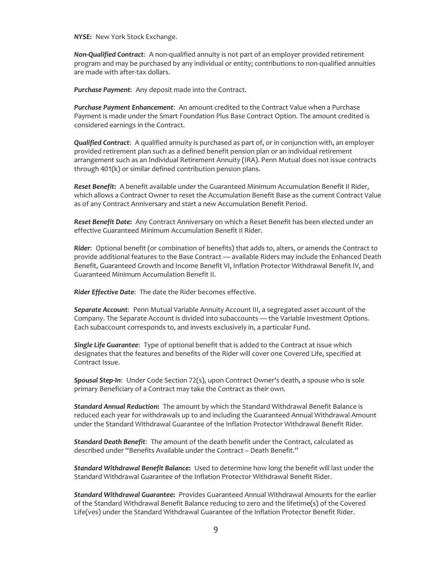*NYSE***:** New York Stock Exchange.

*Non-Qualified Contract*: A non-qualified annuity is not part of an employer provided retirement program and may be purchased by any individual or entity; contributions to non-qualified annuities are made with after-tax dollars.

*Purchase Payment*: Any deposit made into the Contract.

*Purchase Payment Enhancement*: An amount credited to the Contract Value when a Purchase Payment is made under the Smart Foundation Plus Base Contract Option. The amount credited is considered earnings in the Contract.

*Qualified Contract*: A qualified annuity is purchased as part of, or in conjunction with, an employer provided retirement plan such as a defined benefit pension plan or an individual retirement arrangement such as an Individual Retirement Annuity (IRA). Penn Mutual does not issue contracts through 401(k) or similar defined contribution pension plans.

*Reset Benefit***:** A benefit available under the Guaranteed Minimum Accumulation Benefit II Rider, which allows a Contract Owner to reset the Accumulation Benefit Base as the current Contract Value as of any Contract Anniversary and start a new Accumulation Benefit Period.

*Reset Benefit Date***:** Any Contract Anniversary on which a Reset Benefit has been elected under an effective Guaranteed Minimum Accumulation Benefit II Rider.

*Rider*: Optional benefit (or combination of benefits) that adds to, alters, or amends the Contract to provide additional features to the Base Contract — available Riders may include the Enhanced Death Benefit, Guaranteed Growth and Income Benefit VI, Inflation Protector Withdrawal Benefit IV, and Guaranteed Minimum Accumulation Benefit II.

*Rider Effective Date*: The date the Rider becomes effective.

*Separate Account*: Penn Mutual Variable Annuity Account III, a segregated asset account of the Company. The Separate Account is divided into subaccounts — the Variable Investment Options. Each subaccount corresponds to, and invests exclusively in, a particular Fund.

*Single Life Guarantee*: Type of optional benefit that is added to the Contract at issue which designates that the features and benefits of the Rider will cover one Covered Life, specified at Contract Issue.

*Spousal Step-In*: Under Code Section 72(s), upon Contract Owner's death, a spouse who is sole primary Beneficiary of a Contract may take the Contract as their own.

*Standard Annual Reduction***:** The amount by which the Standard Withdrawal Benefit Balance is reduced each year for withdrawals up to and including the Guaranteed Annual Withdrawal Amount under the Standard Withdrawal Guarantee of the Inflation Protector Withdrawal Benefit Rider.

*Standard Death Benefit*: The amount of the death benefit under the Contract, calculated as described under "Benefits Available under the Contract – Death Benefit."

*Standard Withdrawal Benefit Balance***:** Used to determine how long the benefit will last under the Standard Withdrawal Guarantee of the Inflation Protector Withdrawal Benefit Rider.

*Standard Withdrawal Guarantee***:** Provides Guaranteed Annual Withdrawal Amounts for the earlier of the Standard Withdrawal Benefit Balance reducing to zero and the lifetime(s) of the Covered Life(ves) under the Standard Withdrawal Guarantee of the Inflation Protector Benefit Rider.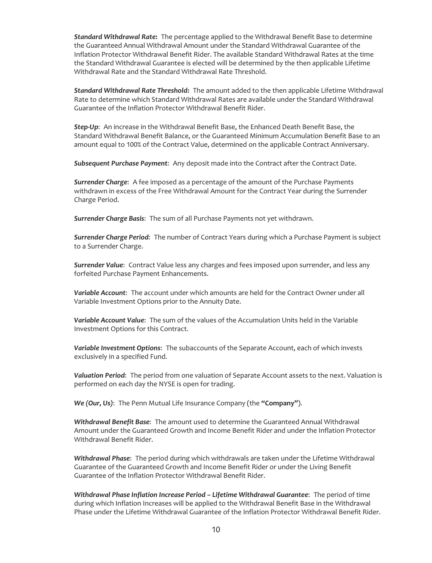*Standard Withdrawal Rate***:** The percentage applied to the Withdrawal Benefit Base to determine the Guaranteed Annual Withdrawal Amount under the Standard Withdrawal Guarantee of the Inflation Protector Withdrawal Benefit Rider. The available Standard Withdrawal Rates at the time the Standard Withdrawal Guarantee is elected will be determined by the then applicable Lifetime Withdrawal Rate and the Standard Withdrawal Rate Threshold.

*Standard Withdrawal Rate Threshold***:** The amount added to the then applicable Lifetime Withdrawal Rate to determine which Standard Withdrawal Rates are available under the Standard Withdrawal Guarantee of the Inflation Protector Withdrawal Benefit Rider.

*Step-Up*: An increase in the Withdrawal Benefit Base, the Enhanced Death Benefit Base, the Standard Withdrawal Benefit Balance, or the Guaranteed Minimum Accumulation Benefit Base to an amount equal to 100% of the Contract Value, determined on the applicable Contract Anniversary.

*Subsequent Purchase Payment*: Any deposit made into the Contract after the Contract Date.

*Surrender Charge*: A fee imposed as a percentage of the amount of the Purchase Payments withdrawn in excess of the Free Withdrawal Amount for the Contract Year during the Surrender Charge Period.

*Surrender Charge Basis*: The sum of all Purchase Payments not yet withdrawn.

*Surrender Charge Period*: The number of Contract Years during which a Purchase Payment is subject to a Surrender Charge.

*Surrender Value*: Contract Value less any charges and fees imposed upon surrender, and less any forfeited Purchase Payment Enhancements.

*Variable Account*: The account under which amounts are held for the Contract Owner under all Variable Investment Options prior to the Annuity Date.

*Variable Account Value*: The sum of the values of the Accumulation Units held in the Variable Investment Options for this Contract.

*Variable Investment Options*: The subaccounts of the Separate Account, each of which invests exclusively in a specified Fund.

*Valuation Period*: The period from one valuation of Separate Account assets to the next. Valuation is performed on each day the NYSE is open for trading.

*We (Our, Us)*: The Penn Mutual Life Insurance Company (the **"Company"**).

*Withdrawal Benefit Base*: The amount used to determine the Guaranteed Annual Withdrawal Amount under the Guaranteed Growth and Income Benefit Rider and under the Inflation Protector Withdrawal Benefit Rider.

*Withdrawal Phase*: The period during which withdrawals are taken under the Lifetime Withdrawal Guarantee of the Guaranteed Growth and Income Benefit Rider or under the Living Benefit Guarantee of the Inflation Protector Withdrawal Benefit Rider.

*Withdrawal Phase Inflation Increase Period – Lifetime Withdrawal Guarantee*: The period of time during which Inflation Increases will be applied to the Withdrawal Benefit Base in the Withdrawal Phase under the Lifetime Withdrawal Guarantee of the Inflation Protector Withdrawal Benefit Rider.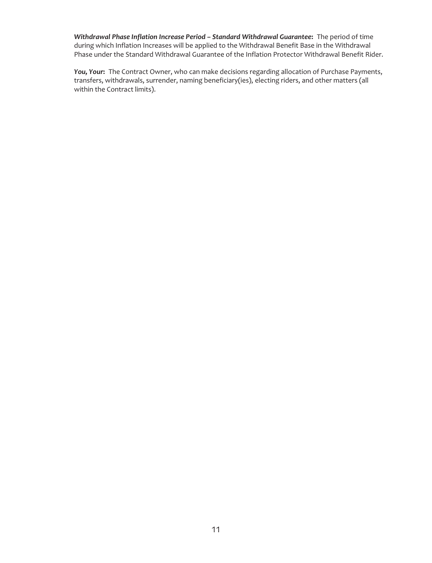*Withdrawal Phase Inflation Increase Period – Standard Withdrawal Guarantee***:** The period of time during which Inflation Increases will be applied to the Withdrawal Benefit Base in the Withdrawal Phase under the Standard Withdrawal Guarantee of the Inflation Protector Withdrawal Benefit Rider.

*You, Your***:** The Contract Owner, who can make decisions regarding allocation of Purchase Payments, transfers, withdrawals, surrender, naming beneficiary(ies), electing riders, and other matters (all within the Contract limits).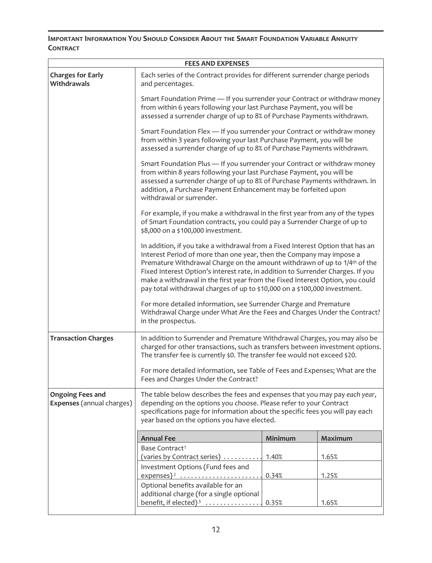# <span id="page-14-0"></span>**IMPORTANT INFORMATION YOU SHOULD CONSIDER ABOUT THE SMART FOUNDATION VARIABLE ANNUITY CONTRACT**

| <b>FEES AND EXPENSES</b>                                    |                                                                                                                                                                                                                                                                                                                                                                                                                                                                                                  |         |                |  |
|-------------------------------------------------------------|--------------------------------------------------------------------------------------------------------------------------------------------------------------------------------------------------------------------------------------------------------------------------------------------------------------------------------------------------------------------------------------------------------------------------------------------------------------------------------------------------|---------|----------------|--|
| <b>Charges for Early</b><br>Withdrawals                     | Each series of the Contract provides for different surrender charge periods<br>and percentages.                                                                                                                                                                                                                                                                                                                                                                                                  |         |                |  |
|                                                             | Smart Foundation Prime - If you surrender your Contract or withdraw money<br>from within 6 years following your last Purchase Payment, you will be<br>assessed a surrender charge of up to 8% of Purchase Payments withdrawn.                                                                                                                                                                                                                                                                    |         |                |  |
|                                                             | Smart Foundation Flex - If you surrender your Contract or withdraw money<br>from within 3 years following your last Purchase Payment, you will be<br>assessed a surrender charge of up to 8% of Purchase Payments withdrawn.                                                                                                                                                                                                                                                                     |         |                |  |
|                                                             | Smart Foundation Plus - If you surrender your Contract or withdraw money<br>from within 8 years following your last Purchase Payment, you will be<br>assessed a surrender charge of up to 8% of Purchase Payments withdrawn. In<br>addition, a Purchase Payment Enhancement may be forfeited upon<br>withdrawal or surrender.                                                                                                                                                                    |         |                |  |
|                                                             | For example, if you make a withdrawal in the first year from any of the types<br>of Smart Foundation contracts, you could pay a Surrender Charge of up to<br>\$8,000 on a \$100,000 investment.                                                                                                                                                                                                                                                                                                  |         |                |  |
|                                                             | In addition, if you take a withdrawal from a Fixed Interest Option that has an<br>Interest Period of more than one year, then the Company may impose a<br>Premature Withdrawal Charge on the amount withdrawn of up to 1/4 <sup>th</sup> of the<br>Fixed Interest Option's interest rate, in addition to Surrender Charges. If you<br>make a withdrawal in the first year from the Fixed Interest Option, you could<br>pay total withdrawal charges of up to \$10,000 on a \$100,000 investment. |         |                |  |
|                                                             | For more detailed information, see Surrender Charge and Premature<br>Withdrawal Charge under What Are the Fees and Charges Under the Contract?<br>in the prospectus.                                                                                                                                                                                                                                                                                                                             |         |                |  |
| <b>Transaction Charges</b>                                  | In addition to Surrender and Premature Withdrawal Charges, you may also be<br>charged for other transactions, such as transfers between investment options.<br>The transfer fee is currently \$0. The transfer fee would not exceed \$20.                                                                                                                                                                                                                                                        |         |                |  |
|                                                             | For more detailed information, see Table of Fees and Expenses; What are the<br>Fees and Charges Under the Contract?                                                                                                                                                                                                                                                                                                                                                                              |         |                |  |
| <b>Ongoing Fees and</b><br><b>Expenses</b> (annual charges) | The table below describes the fees and expenses that you may pay each year,<br>depending on the options you choose. Please refer to your Contract<br>specifications page for information about the specific fees you will pay each<br>year based on the options you have elected.                                                                                                                                                                                                                |         |                |  |
|                                                             | <b>Annual Fee</b>                                                                                                                                                                                                                                                                                                                                                                                                                                                                                | Minimum | <b>Maximum</b> |  |
|                                                             | Base Contract <sup>1</sup><br>(varies by Contract series)                                                                                                                                                                                                                                                                                                                                                                                                                                        | 1.40%   | 1.65%          |  |
|                                                             | Investment Options (Fund fees and<br>$expenses)^2$                                                                                                                                                                                                                                                                                                                                                                                                                                               | 0.34%   | 1.25%          |  |
|                                                             | Optional benefits available for an<br>additional charge (for a single optional<br>benefit, if elected) <sup>3</sup> $\dots$                                                                                                                                                                                                                                                                                                                                                                      | 0.35%   | 1.65%          |  |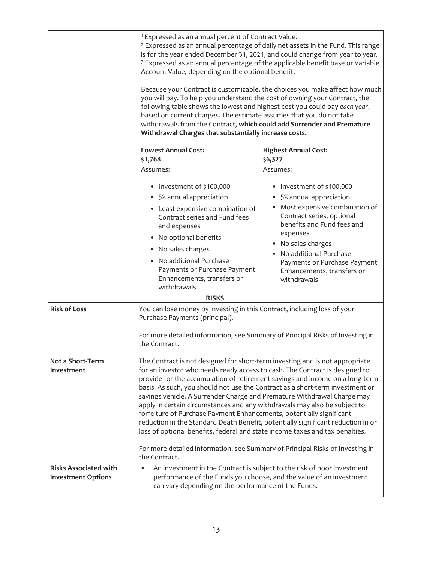|                                                           | <sup>1</sup> Expressed as an annual percent of Contract Value.<br><sup>2</sup> Expressed as an annual percentage of daily net assets in the Fund. This range<br>is for the year ended December 31, 2021, and could change from year to year.<br><sup>3</sup> Expressed as an annual percentage of the applicable benefit base or Variable<br>Account Value, depending on the optional benefit.<br>Because your Contract is customizable, the choices you make affect how much<br>you will pay. To help you understand the cost of owning your Contract, the<br>following table shows the lowest and highest cost you could pay each year,<br>based on current charges. The estimate assumes that you do not take<br>withdrawals from the Contract, which could add Surrender and Premature<br>Withdrawal Charges that substantially increase costs. |                                                                                                                                                                                                                                                                                                |  |
|-----------------------------------------------------------|-----------------------------------------------------------------------------------------------------------------------------------------------------------------------------------------------------------------------------------------------------------------------------------------------------------------------------------------------------------------------------------------------------------------------------------------------------------------------------------------------------------------------------------------------------------------------------------------------------------------------------------------------------------------------------------------------------------------------------------------------------------------------------------------------------------------------------------------------------|------------------------------------------------------------------------------------------------------------------------------------------------------------------------------------------------------------------------------------------------------------------------------------------------|--|
|                                                           | <b>Lowest Annual Cost:</b>                                                                                                                                                                                                                                                                                                                                                                                                                                                                                                                                                                                                                                                                                                                                                                                                                          | <b>Highest Annual Cost:</b>                                                                                                                                                                                                                                                                    |  |
|                                                           | \$1,768<br>Assumes:                                                                                                                                                                                                                                                                                                                                                                                                                                                                                                                                                                                                                                                                                                                                                                                                                                 | \$6,327<br>Assumes:                                                                                                                                                                                                                                                                            |  |
|                                                           |                                                                                                                                                                                                                                                                                                                                                                                                                                                                                                                                                                                                                                                                                                                                                                                                                                                     |                                                                                                                                                                                                                                                                                                |  |
| <b>Risk of Loss</b>                                       | • Investment of \$100,000<br>• 5% annual appreciation<br>• Least expensive combination of<br>Contract series and Fund fees<br>and expenses<br>• No optional benefits<br>• No sales charges<br>• No additional Purchase<br>Payments or Purchase Payment<br>Enhancements, transfers or<br>withdrawals<br><b>RISKS</b><br>You can lose money by investing in this Contract, including loss of your                                                                                                                                                                                                                                                                                                                                                                                                                                                     | • Investment of \$100,000<br>• 5% annual appreciation<br>• Most expensive combination of<br>Contract series, optional<br>benefits and Fund fees and<br>expenses<br>• No sales charges<br>• No additional Purchase<br>Payments or Purchase Payment<br>Enhancements, transfers or<br>withdrawals |  |
|                                                           | Purchase Payments (principal).<br>For more detailed information, see Summary of Principal Risks of Investing in<br>the Contract.                                                                                                                                                                                                                                                                                                                                                                                                                                                                                                                                                                                                                                                                                                                    |                                                                                                                                                                                                                                                                                                |  |
| Not a Short-Term<br>Investment                            | The Contract is not designed for short-term investing and is not appropriate<br>for an investor who needs ready access to cash. The Contract is designed to<br>provide for the accumulation of retirement savings and income on a long-term<br>basis. As such, you should not use the Contract as a short-term investment or<br>savings vehicle. A Surrender Charge and Premature Withdrawal Charge may<br>apply in certain circumstances and any withdrawals may also be subject to<br>forfeiture of Purchase Payment Enhancements, potentially significant<br>reduction in the Standard Death Benefit, potentially significant reduction in or<br>loss of optional benefits, federal and state income taxes and tax penalties.<br>For more detailed information, see Summary of Principal Risks of Investing in<br>the Contract.                  |                                                                                                                                                                                                                                                                                                |  |
| <b>Risks Associated with</b><br><b>Investment Options</b> | can vary depending on the performance of the Funds.                                                                                                                                                                                                                                                                                                                                                                                                                                                                                                                                                                                                                                                                                                                                                                                                 | An investment in the Contract is subject to the risk of poor investment<br>performance of the Funds you choose, and the value of an investment                                                                                                                                                 |  |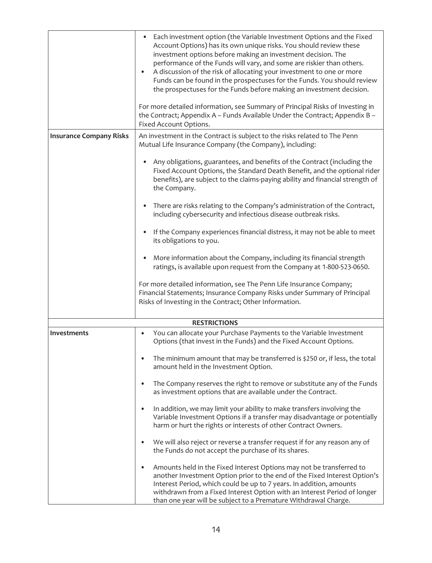|                                | Each investment option (the Variable Investment Options and the Fixed<br>Account Options) has its own unique risks. You should review these<br>investment options before making an investment decision. The<br>performance of the Funds will vary, and some are riskier than others.<br>A discussion of the risk of allocating your investment to one or more<br>$\bullet$<br>Funds can be found in the prospectuses for the Funds. You should review<br>the prospectuses for the Funds before making an investment decision.                                                                                                                                                                                                                                                                                                                                                                                         |
|--------------------------------|-----------------------------------------------------------------------------------------------------------------------------------------------------------------------------------------------------------------------------------------------------------------------------------------------------------------------------------------------------------------------------------------------------------------------------------------------------------------------------------------------------------------------------------------------------------------------------------------------------------------------------------------------------------------------------------------------------------------------------------------------------------------------------------------------------------------------------------------------------------------------------------------------------------------------|
|                                | For more detailed information, see Summary of Principal Risks of Investing in<br>the Contract; Appendix A - Funds Available Under the Contract; Appendix B -<br>Fixed Account Options.                                                                                                                                                                                                                                                                                                                                                                                                                                                                                                                                                                                                                                                                                                                                |
| <b>Insurance Company Risks</b> | An investment in the Contract is subject to the risks related to The Penn<br>Mutual Life Insurance Company (the Company), including:<br>Any obligations, guarantees, and benefits of the Contract (including the<br>Fixed Account Options, the Standard Death Benefit, and the optional rider<br>benefits), are subject to the claims-paying ability and financial strength of<br>the Company.<br>There are risks relating to the Company's administration of the Contract,<br>$\bullet$<br>including cybersecurity and infectious disease outbreak risks.<br>If the Company experiences financial distress, it may not be able to meet<br>$\bullet$<br>its obligations to you.<br>More information about the Company, including its financial strength<br>$\bullet$<br>ratings, is available upon request from the Company at 1-800-523-0650.<br>For more detailed information, see The Penn Life Insurance Company; |
|                                | Financial Statements; Insurance Company Risks under Summary of Principal<br>Risks of Investing in the Contract; Other Information.                                                                                                                                                                                                                                                                                                                                                                                                                                                                                                                                                                                                                                                                                                                                                                                    |
|                                | <b>RESTRICTIONS</b>                                                                                                                                                                                                                                                                                                                                                                                                                                                                                                                                                                                                                                                                                                                                                                                                                                                                                                   |
| <b>Investments</b>             | You can allocate your Purchase Payments to the Variable Investment<br>٠<br>Options (that invest in the Funds) and the Fixed Account Options.                                                                                                                                                                                                                                                                                                                                                                                                                                                                                                                                                                                                                                                                                                                                                                          |
|                                | The minimum amount that may be transferred is \$250 or, if less, the total<br>amount held in the Investment Option.                                                                                                                                                                                                                                                                                                                                                                                                                                                                                                                                                                                                                                                                                                                                                                                                   |
|                                | The Company reserves the right to remove or substitute any of the Funds<br>٠<br>as investment options that are available under the Contract.                                                                                                                                                                                                                                                                                                                                                                                                                                                                                                                                                                                                                                                                                                                                                                          |
|                                | In addition, we may limit your ability to make transfers involving the<br>$\bullet$<br>Variable Investment Options if a transfer may disadvantage or potentially<br>harm or hurt the rights or interests of other Contract Owners.                                                                                                                                                                                                                                                                                                                                                                                                                                                                                                                                                                                                                                                                                    |
|                                | We will also reject or reverse a transfer request if for any reason any of<br>the Funds do not accept the purchase of its shares.                                                                                                                                                                                                                                                                                                                                                                                                                                                                                                                                                                                                                                                                                                                                                                                     |
|                                | Amounts held in the Fixed Interest Options may not be transferred to<br>٠<br>another Investment Option prior to the end of the Fixed Interest Option's<br>Interest Period, which could be up to 7 years. In addition, amounts<br>withdrawn from a Fixed Interest Option with an Interest Period of longer<br>than one year will be subject to a Premature Withdrawal Charge.                                                                                                                                                                                                                                                                                                                                                                                                                                                                                                                                          |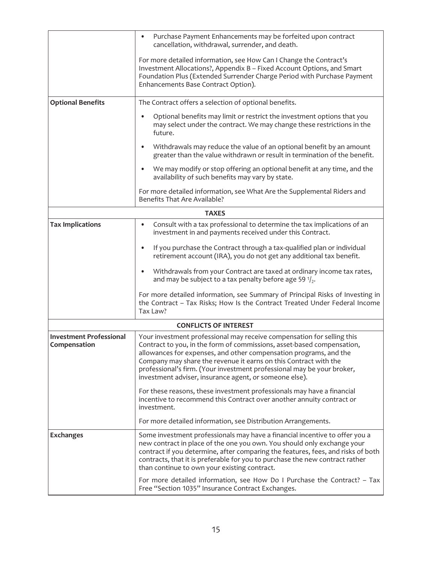|                                                | Purchase Payment Enhancements may be forfeited upon contract<br>$\bullet$<br>cancellation, withdrawal, surrender, and death.                                                                                                                                                                                                                                                                                                  |
|------------------------------------------------|-------------------------------------------------------------------------------------------------------------------------------------------------------------------------------------------------------------------------------------------------------------------------------------------------------------------------------------------------------------------------------------------------------------------------------|
|                                                | For more detailed information, see How Can I Change the Contract's<br>Investment Allocations?, Appendix B - Fixed Account Options, and Smart<br>Foundation Plus (Extended Surrender Charge Period with Purchase Payment<br>Enhancements Base Contract Option).                                                                                                                                                                |
| <b>Optional Benefits</b>                       | The Contract offers a selection of optional benefits.                                                                                                                                                                                                                                                                                                                                                                         |
|                                                | Optional benefits may limit or restrict the investment options that you<br>may select under the contract. We may change these restrictions in the<br>future.                                                                                                                                                                                                                                                                  |
|                                                | Withdrawals may reduce the value of an optional benefit by an amount<br>$\bullet$<br>greater than the value withdrawn or result in termination of the benefit.                                                                                                                                                                                                                                                                |
|                                                | We may modify or stop offering an optional benefit at any time, and the<br>$\bullet$<br>availability of such benefits may vary by state.                                                                                                                                                                                                                                                                                      |
|                                                | For more detailed information, see What Are the Supplemental Riders and<br>Benefits That Are Available?                                                                                                                                                                                                                                                                                                                       |
|                                                | <b>TAXES</b>                                                                                                                                                                                                                                                                                                                                                                                                                  |
| <b>Tax Implications</b>                        | Consult with a tax professional to determine the tax implications of an<br>$\bullet$<br>investment in and payments received under this Contract.                                                                                                                                                                                                                                                                              |
|                                                | If you purchase the Contract through a tax-qualified plan or individual<br>$\bullet$<br>retirement account (IRA), you do not get any additional tax benefit.                                                                                                                                                                                                                                                                  |
|                                                | Withdrawals from your Contract are taxed at ordinary income tax rates,<br>$\bullet$<br>and may be subject to a tax penalty before age 59 $\frac{1}{2}$ .                                                                                                                                                                                                                                                                      |
|                                                | For more detailed information, see Summary of Principal Risks of Investing in<br>the Contract - Tax Risks; How Is the Contract Treated Under Federal Income<br>Tax Law?                                                                                                                                                                                                                                                       |
|                                                | <b>CONFLICTS OF INTEREST</b>                                                                                                                                                                                                                                                                                                                                                                                                  |
| <b>Investment Professional</b><br>Compensation | Your investment professional may receive compensation for selling this<br>Contract to you, in the form of commissions, asset-based compensation,<br>allowances for expenses, and other compensation programs, and the<br>Company may share the revenue it earns on this Contract with the<br>professional's firm. (Your investment professional may be your broker,<br>investment adviser, insurance agent, or someone else). |
|                                                | For these reasons, these investment professionals may have a financial<br>incentive to recommend this Contract over another annuity contract or<br>investment.                                                                                                                                                                                                                                                                |
|                                                | For more detailed information, see Distribution Arrangements.                                                                                                                                                                                                                                                                                                                                                                 |
| <b>Exchanges</b>                               | Some investment professionals may have a financial incentive to offer you a<br>new contract in place of the one you own. You should only exchange your<br>contract if you determine, after comparing the features, fees, and risks of both<br>contracts, that it is preferable for you to purchase the new contract rather<br>than continue to own your existing contract.                                                    |
|                                                | For more detailed information, see How Do I Purchase the Contract? - Tax<br>Free "Section 1035" Insurance Contract Exchanges.                                                                                                                                                                                                                                                                                                 |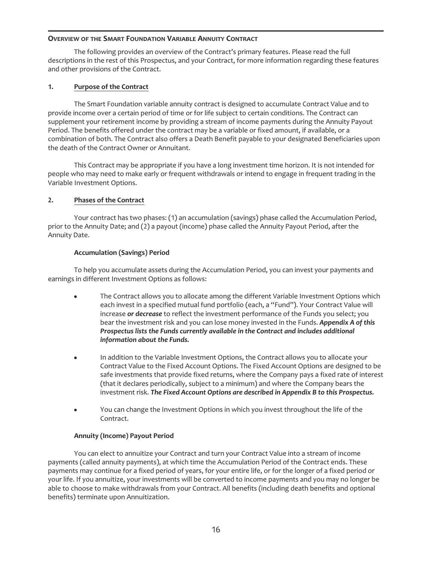# <span id="page-18-0"></span>**OVERVIEW OF THE SMART FOUNDATION VARIABLE ANNUITY CONTRACT**

The following provides an overview of the Contract's primary features. Please read the full descriptions in the rest of this Prospectus, and your Contract, for more information regarding these features and other provisions of the Contract.

# **1. Purpose of the Contract**

The Smart Foundation variable annuity contract is designed to accumulate Contract Value and to provide income over a certain period of time or for life subject to certain conditions. The Contract can supplement your retirement income by providing a stream of income payments during the Annuity Payout Period. The benefits offered under the contract may be a variable or fixed amount, if available, or a combination of both. The Contract also offers a Death Benefit payable to your designated Beneficiaries upon the death of the Contract Owner or Annuitant.

This Contract may be appropriate if you have a long investment time horizon. It is not intended for people who may need to make early or frequent withdrawals or intend to engage in frequent trading in the Variable Investment Options.

# **2. Phases of the Contract**

Your contract has two phases: (1) an accumulation (savings) phase called the Accumulation Period, prior to the Annuity Date; and (2) a payout (income) phase called the Annuity Payout Period, after the Annuity Date.

# **Accumulation (Savings) Period**

To help you accumulate assets during the Accumulation Period, you can invest your payments and earnings in different Investment Options as follows:

- The Contract allows you to allocate among the different Variable Investment Options which each invest in a specified mutual fund portfolio (each, a "Fund"). Your Contract Value will increase *or decrease* to reflect the investment performance of the Funds you select; you bear the investment risk and you can lose money invested in the Funds. *Appendix A of this Prospectus lists the Funds currently available in the Contract and includes additional information about the Funds.*
- In addition to the Variable Investment Options, the Contract allows you to allocate your Contract Value to the Fixed Account Options. The Fixed Account Options are designed to be safe investments that provide fixed returns, where the Company pays a fixed rate of interest (that it declares periodically, subject to a minimum) and where the Company bears the investment risk. *The Fixed Account Options are described in Appendix B to this Prospectus.*
- You can change the Investment Options in which you invest throughout the life of the Contract.

# **Annuity (Income) Payout Period**

You can elect to annuitize your Contract and turn your Contract Value into a stream of income payments (called annuity payments), at which time the Accumulation Period of the Contract ends. These payments may continue for a fixed period of years, for your entire life, or for the longer of a fixed period or your life. If you annuitize, your investments will be converted to income payments and you may no longer be able to choose to make withdrawals from your Contract. All benefits (including death benefits and optional benefits) terminate upon Annuitization.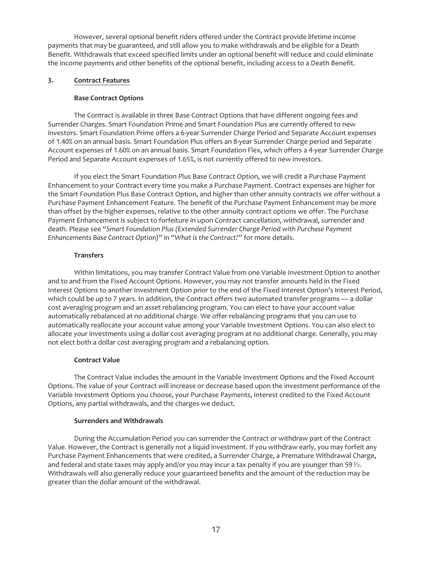However, several optional benefit riders offered under the Contract provide lifetime income payments that may be guaranteed, and still allow you to make withdrawals and be eligible for a Death Benefit. Withdrawals that exceed specified limits under an optional benefit will reduce and could eliminate the income payments and other benefits of the optional benefit, including access to a Death Benefit.

# **3. Contract Features**

# **Base Contract Options**

The Contract is available in three Base Contract Options that have different ongoing fees and Surrender Charges. Smart Foundation Prime and Smart Foundation Plus are currently offered to new investors. Smart Foundation Prime offers a 6-year Surrender Charge Period and Separate Account expenses of 1.40% on an annual basis. Smart Foundation Plus offers an 8-year Surrender Charge period and Separate Account expenses of 1.60% on an annual basis. Smart Foundation Flex, which offers a 4-year Surrender Charge Period and Separate Account expenses of 1.65%, is not currently offered to new investors.

If you elect the Smart Foundation Plus Base Contract Option, we will credit a Purchase Payment Enhancement to your Contract every time you make a Purchase Payment. Contract expenses are higher for the Smart Foundation Plus Base Contract Option, and higher than other annuity contracts we offer without a Purchase Payment Enhancement Feature. The benefit of the Purchase Payment Enhancement may be more than offset by the higher expenses, relative to the other annuity contract options we offer. The Purchase Payment Enhancement is subject to forfeiture in upon Contract cancellation, withdrawal, surrender and death. Please see "*Smart Foundation Plus (Extended Surrender Charge Period with Purchase Payment Enhancements Base Contract Option)*" in "*What is the Contract?*" for more details.

# **Transfers**

Within limitations, you may transfer Contract Value from one Variable Investment Option to another and to and from the Fixed Account Options. However, you may not transfer amounts held in the Fixed Interest Options to another Investment Option prior to the end of the Fixed Interest Option's Interest Period, which could be up to 7 years. In addition, the Contract offers two automated transfer programs — a dollar cost averaging program and an asset rebalancing program. You can elect to have your account value automatically rebalanced at no additional charge. We offer rebalancing programs that you can use to automatically reallocate your account value among your Variable Investment Options. You can also elect to allocate your investments using a dollar cost averaging program at no additional charge. Generally, you may not elect both a dollar cost averaging program and a rebalancing option.

## **Contract Value**

The Contract Value includes the amount in the Variable Investment Options and the Fixed Account Options. The value of your Contract will increase or decrease based upon the investment performance of the Variable Investment Options you choose, your Purchase Payments, interest credited to the Fixed Account Options, any partial withdrawals, and the charges we deduct.

# **Surrenders and Withdrawals**

During the Accumulation Period you can surrender the Contract or withdraw part of the Contract Value. However, the Contract is generally not a liquid investment. If you withdraw early, you may forfeit any Purchase Payment Enhancements that were credited, a Surrender Charge, a Premature Withdrawal Charge, and federal and state taxes may apply and/or you may incur a tax penalty if you are younger than 59 $\frac{y_2}{z_1}$ . Withdrawals will also generally reduce your guaranteed benefits and the amount of the reduction may be greater than the dollar amount of the withdrawal.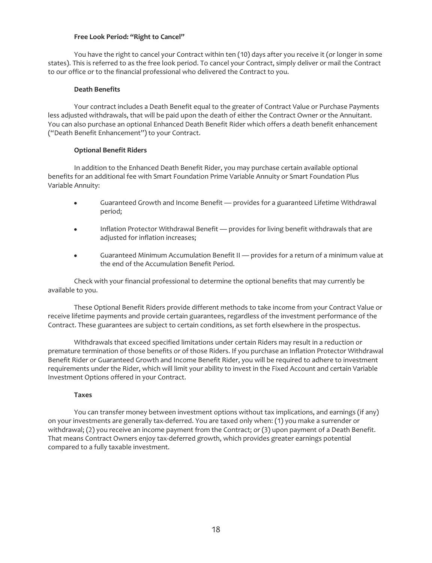### **Free Look Period: "Right to Cancel"**

You have the right to cancel your Contract within ten (10) days after you receive it (or longer in some states). This is referred to as the free look period. To cancel your Contract, simply deliver or mail the Contract to our office or to the financial professional who delivered the Contract to you.

### **Death Benefits**

Your contract includes a Death Benefit equal to the greater of Contract Value or Purchase Payments less adjusted withdrawals, that will be paid upon the death of either the Contract Owner or the Annuitant. You can also purchase an optional Enhanced Death Benefit Rider which offers a death benefit enhancement ("Death Benefit Enhancement") to your Contract.

# **Optional Benefit Riders**

In addition to the Enhanced Death Benefit Rider, you may purchase certain available optional benefits for an additional fee with Smart Foundation Prime Variable Annuity or Smart Foundation Plus Variable Annuity:

- Guaranteed Growth and Income Benefit provides for a guaranteed Lifetime Withdrawal period;
- Inflation Protector Withdrawal Benefit provides for living benefit withdrawals that are adjusted for inflation increases;
- Guaranteed Minimum Accumulation Benefit II provides for a return of a minimum value at the end of the Accumulation Benefit Period.

Check with your financial professional to determine the optional benefits that may currently be available to you.

These Optional Benefit Riders provide different methods to take income from your Contract Value or receive lifetime payments and provide certain guarantees, regardless of the investment performance of the Contract. These guarantees are subject to certain conditions, as set forth elsewhere in the prospectus.

Withdrawals that exceed specified limitations under certain Riders may result in a reduction or premature termination of those benefits or of those Riders. If you purchase an Inflation Protector Withdrawal Benefit Rider or Guaranteed Growth and Income Benefit Rider, you will be required to adhere to investment requirements under the Rider, which will limit your ability to invest in the Fixed Account and certain Variable Investment Options offered in your Contract.

### **Taxes**

You can transfer money between investment options without tax implications, and earnings (if any) on your investments are generally tax-deferred. You are taxed only when: (1) you make a surrender or withdrawal; (2) you receive an income payment from the Contract; or (3) upon payment of a Death Benefit. That means Contract Owners enjoy tax-deferred growth, which provides greater earnings potential compared to a fully taxable investment.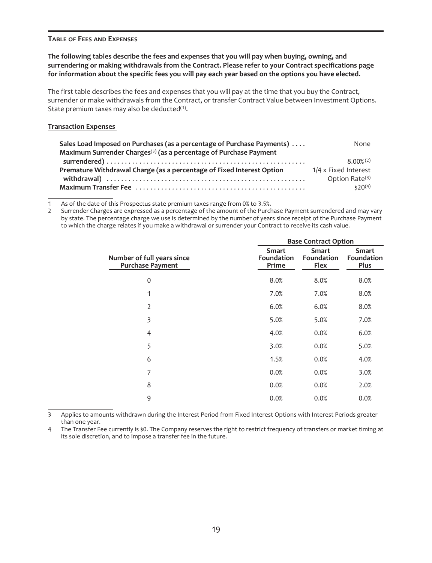### <span id="page-21-0"></span>**TABLE OF FEES AND EXPENSES**

# **The following tables describe the fees and expenses that you will pay when buying, owning, and surrendering or making withdrawals from the Contract. Please refer to your Contract specifications page for information about the specific fees you will pay each year based on the options you have elected.**

The first table describes the fees and expenses that you will pay at the time that you buy the Contract, surrender or make withdrawals from the Contract, or transfer Contract Value between Investment Options. State premium taxes may also be deducted $(1)$ .

### **Transaction Expenses**

| Sales Load Imposed on Purchases (as a percentage of Purchase Payments)        | None                       |
|-------------------------------------------------------------------------------|----------------------------|
| Maximum Surrender Charges <sup>(3)</sup> (as a percentage of Purchase Payment |                            |
|                                                                               | $8.00\%$ (2)               |
| Premature Withdrawal Charge (as a percentage of Fixed Interest Option         | 1/4 x Fixed Interest       |
|                                                                               | Option Rate <sup>(3)</sup> |
|                                                                               | $520^{(4)}$                |

1 As of the date of this Prospectus state premium taxes range from 0% to 3.5%.<br>2 Surrender Charges are expressed as a percentage of the amount of the Purch

2 Surrender Charges are expressed as a percentage of the amount of the Purchase Payment surrendered and may vary by state. The percentage charge we use is determined by the number of years since receipt of the Purchase Payment to which the charge relates if you make a withdrawal or surrender your Contract to receive its cash value.

|                                                       |                              | <b>Base Contract Option</b>        |                                           |  |
|-------------------------------------------------------|------------------------------|------------------------------------|-------------------------------------------|--|
| Number of full years since<br><b>Purchase Payment</b> | Smart<br>Foundation<br>Prime | <b>Smart</b><br>Foundation<br>Flex | <b>Smart</b><br>Foundation<br><b>Plus</b> |  |
| 0                                                     | 8.0%                         | 8.0%                               | 8.0%                                      |  |
| 1                                                     | 7.0%                         | 7.0%                               | 8.0%                                      |  |
| $\overline{2}$                                        | 6.0%                         | 6.0%                               | 8.0%                                      |  |
| 3                                                     | 5.0%                         | 5.0%                               | 7.0%                                      |  |
| 4                                                     | 4.0%                         | 0.0%                               | 6.0%                                      |  |
| 5                                                     | 3.0%                         | 0.0%                               | 5.0%                                      |  |
| 6                                                     | 1.5%                         | 0.0%                               | 4.0%                                      |  |
| 7                                                     | 0.0%                         | 0.0%                               | 3.0%                                      |  |
| 8                                                     | 0.0%                         | 0.0%                               | 2.0%                                      |  |
| 9                                                     | 0.0%                         | 0.0%                               | 0.0%                                      |  |

3 Applies to amounts withdrawn during the Interest Period from Fixed Interest Options with Interest Periods greater than one year.

4 The Transfer Fee currently is \$0. The Company reserves the right to restrict frequency of transfers or market timing at its sole discretion, and to impose a transfer fee in the future.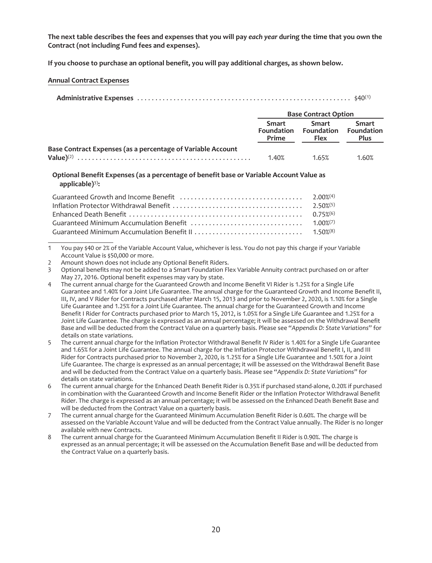**The next table describes the fees and expenses that you will pay** *each year* **during the time that you own the Contract (not including Fund fees and expenses).**

**If you choose to purchase an optional benefit, you will pay additional charges, as shown below.**

**Annual Contract Expenses**

| <b>Base Contract Option</b> |  |
|-----------------------------|--|

|                                                             | <b>DUSC COTTLE QUE ODERT</b> |                                                   |                      |
|-------------------------------------------------------------|------------------------------|---------------------------------------------------|----------------------|
|                                                             | Smart<br>Prime               | Smart<br>Foundation Foundation Foundation<br>Flex | Smart<br><b>Plus</b> |
| Base Contract Expenses (as a percentage of Variable Account |                              |                                                   |                      |
|                                                             | 1.40%                        | 1.65%                                             | 1.60%                |

**Optional Benefit Expenses (as a percentage of benefit base or Variable Account Value as applicable)**3)**:**

1 You pay \$40 or 2% of the Variable Account Value, whichever is less. You do not pay this charge if your Variable Account Value is \$50,000 or more.

2 Amount shown does not include any Optional Benefit Riders.

3 Optional benefits may not be added to a Smart Foundation Flex Variable Annuity contract purchased on or after May 27, 2016. Optional benefit expenses may vary by state.

<sup>4</sup> The current annual charge for the Guaranteed Growth and Income Benefit VI Rider is 1.25% for a Single Life Guarantee and 1.40% for a Joint Life Guarantee. The annual charge for the Guaranteed Growth and Income Benefit II, III, IV, and V Rider for Contracts purchased after March 15, 2013 and prior to November 2, 2020, is 1.10% for a Single Life Guarantee and 1.25% for a Joint Life Guarantee. The annual charge for the Guaranteed Growth and Income Benefit I Rider for Contracts purchased prior to March 15, 2012, is 1.05% for a Single Life Guarantee and 1.25% for a Joint Life Guarantee. The charge is expressed as an annual percentage; it will be assessed on the Withdrawal Benefit Base and will be deducted from the Contract Value on a quarterly basis. Please see "*Appendix D: State Variations*" for details on state variations.

<sup>5</sup> The current annual charge for the Inflation Protector Withdrawal Benefit IV Rider is 1.40% for a Single Life Guarantee and 1.65% for a Joint Life Guarantee. The annual charge for the Inflation Protector Withdrawal Benefit I, II, and III Rider for Contracts purchased prior to November 2, 2020, is 1.25% for a Single Life Guarantee and 1.50% for a Joint Life Guarantee. The charge is expressed as an annual percentage; it will be assessed on the Withdrawal Benefit Base and will be deducted from the Contract Value on a quarterly basis. Please see "*Appendix D: State Variations*" for details on state variations.

<sup>6</sup> The current annual charge for the Enhanced Death Benefit Rider is 0.35% if purchased stand-alone, 0.20% if purchased in combination with the Guaranteed Growth and Income Benefit Rider or the Inflation Protector Withdrawal Benefit Rider. The charge is expressed as an annual percentage; it will be assessed on the Enhanced Death Benefit Base and will be deducted from the Contract Value on a quarterly basis.

<sup>7</sup> The current annual charge for the Guaranteed Minimum Accumulation Benefit Rider is 0.60%. The charge will be assessed on the Variable Account Value and will be deducted from the Contract Value annually. The Rider is no longer available with new Contracts.

<sup>8</sup> The current annual charge for the Guaranteed Minimum Accumulation Benefit II Rider is 0.90%. The charge is expressed as an annual percentage; it will be assessed on the Accumulation Benefit Base and will be deducted from the Contract Value on a quarterly basis.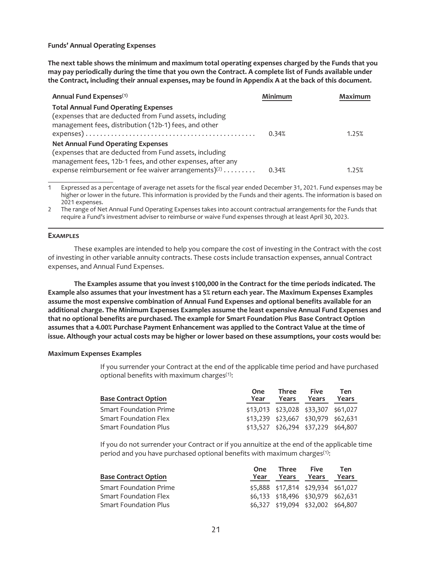**Funds' Annual Operating Expenses**

**The next table shows the minimum and maximum total operating expenses charged by the Funds that you may pay periodically during the time that you own the Contract. A complete list of Funds available under the Contract, including their annual expenses, may be found in Appendix A at the back of this document.**

| Annual Fund Expenses <sup>(1)</sup>                        | Minimum | Maximum |
|------------------------------------------------------------|---------|---------|
| <b>Total Annual Fund Operating Expenses</b>                |         |         |
| (expenses that are deducted from Fund assets, including    |         |         |
| management fees, distribution (12b-1) fees, and other      |         |         |
|                                                            | 0.34%   | 1.25%   |
| <b>Net Annual Fund Operating Expenses</b>                  |         |         |
| (expenses that are deducted from Fund assets, including    |         |         |
| management fees, 12b-1 fees, and other expenses, after any |         |         |
| expense reimbursement or fee waiver arrangements) $(2)$    | 0.34%   | 1.25%   |

Expressed as a percentage of average net assets for the fiscal year ended December 31, 2021. Fund expenses may be higher or lower in the future. This information is provided by the Funds and their agents. The information is based on 2021 expenses.

2 The range of Net Annual Fund Operating Expenses takes into account contractual arrangements for the Funds that require a Fund's investment adviser to reimburse or waive Fund expenses through at least April 30, 2023.

### **EXAMPLES**

These examples are intended to help you compare the cost of investing in the Contract with the cost of investing in other variable annuity contracts. These costs include transaction expenses, annual Contract expenses, and Annual Fund Expenses.

**The Examples assume that you invest \$100,000 in the Contract for the time periods indicated. The Example also assumes that your investment has a 5% return each year. The Maximum Expenses Examples assume the most expensive combination of Annual Fund Expenses and optional benefits available for an additional charge. The Minimum Expenses Examples assume the least expensive Annual Fund Expenses and that no optional benefits are purchased. The example for Smart Foundation Plus Base Contract Option assumes that a 4.00% Purchase Payment Enhancement was applied to the Contract Value at the time of issue. Although your actual costs may be higher or lower based on these assumptions, your costs would be:**

### **Maximum Expenses Examples**

If you surrender your Contract at the end of the applicable time period and have purchased optional benefits with maximum charges(1):

| <b>Base Contract Option</b>   | One<br>Year | Three<br>Years                          | <b>Five</b><br>Years | Ten<br>Years |
|-------------------------------|-------------|-----------------------------------------|----------------------|--------------|
| <b>Smart Foundation Prime</b> |             | \$13,013 \$23,028 \$33,307 \$61,027     |                      |              |
| <b>Smart Foundation Flex</b>  |             | \$13,239 \$23,667 \$30,979 \$62,631     |                      |              |
| <b>Smart Foundation Plus</b>  |             | $$13,527$ $$26,294$ $$37,229$ $$64,807$ |                      |              |

If you do not surrender your Contract or if you annuitize at the end of the applicable time period and you have purchased optional benefits with maximum charges<sup>(1)</sup>:

| <b>Base Contract Option</b> | One<br>Year | Three<br>Years                     | <b>Five</b><br>Years | Ten<br>Years |
|-----------------------------|-------------|------------------------------------|----------------------|--------------|
| Smart Foundation Prime      |             | \$5,888 \$17,814 \$29,934 \$61,027 |                      |              |
| Smart Foundation Flex       |             | \$6,133 \$18,496 \$30,979 \$62,631 |                      |              |
| Smart Foundation Plus       |             | \$6,327 \$19,094 \$32,002 \$64,807 |                      |              |
|                             |             |                                    |                      |              |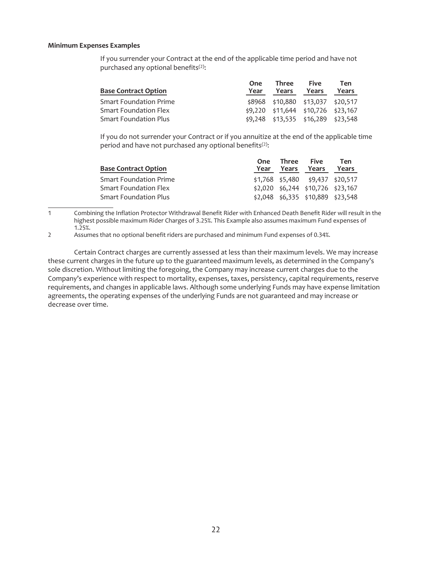### **Minimum Expenses Examples**

If you surrender your Contract at the end of the applicable time period and have not purchased any optional benefits<sup>(2)</sup>:

| <b>Base Contract Option</b>   | One<br>Year | Three<br>Years | <b>Five</b><br>Years                   | Ten<br>Years |
|-------------------------------|-------------|----------------|----------------------------------------|--------------|
| <b>Smart Foundation Prime</b> |             |                | \$8968 \$10,880 \$13,037 \$20,517      |              |
| <b>Smart Foundation Flex</b>  |             |                | $$9,220$ $$11,644$ $$10,726$ $$23,167$ |              |
| <b>Smart Foundation Plus</b>  |             |                | \$9,248 \$13,535 \$16,289 \$23,548     |              |

If you do not surrender your Contract or if you annuitize at the end of the applicable time period and have not purchased any optional benefits<sup>(2)</sup>:

| <b>Base Contract Option</b>   | One<br>Year | Three<br>Years | <b>Five</b><br>Years                  | Ten<br>Years |
|-------------------------------|-------------|----------------|---------------------------------------|--------------|
| <b>Smart Foundation Prime</b> |             |                | $$1,768$ $$5,480$ $$9,437$ $$20,517$  |              |
| Smart Foundation Flex         |             |                | $$2,020$ $$6,244$ $$10,726$ $$23,167$ |              |
| <b>Smart Foundation Plus</b>  |             |                | $$2,048$ $$6,335$ $$10,889$ $$23,548$ |              |

1 Combining the Inflation Protector Withdrawal Benefit Rider with Enhanced Death Benefit Rider will result in the highest possible maximum Rider Charges of 3.25%. This Example also assumes maximum Fund expenses of 1.25%.

2 Assumes that no optional benefit riders are purchased and minimum Fund expenses of 0.34%.

Certain Contract charges are currently assessed at less than their maximum levels. We may increase these current charges in the future up to the guaranteed maximum levels, as determined in the Company's sole discretion. Without limiting the foregoing, the Company may increase current charges due to the Company's experience with respect to mortality, expenses, taxes, persistency, capital requirements, reserve requirements, and changes in applicable laws. Although some underlying Funds may have expense limitation agreements, the operating expenses of the underlying Funds are not guaranteed and may increase or decrease over time.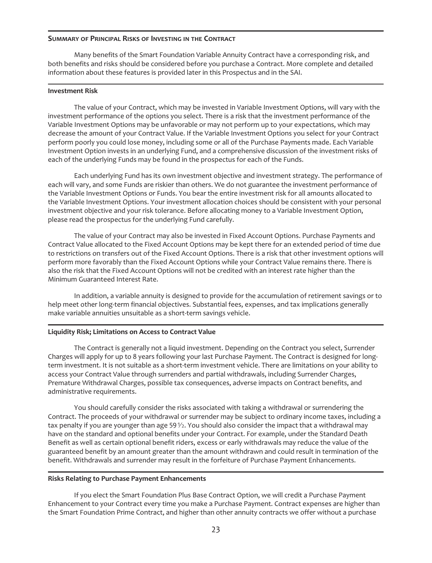### <span id="page-25-0"></span>**SUMMARY OF PRINCIPAL RISKS OF INVESTING IN THE CONTRACT**

Many benefits of the Smart Foundation Variable Annuity Contract have a corresponding risk, and both benefits and risks should be considered before you purchase a Contract. More complete and detailed information about these features is provided later in this Prospectus and in the SAI.

### **Investment Risk**

The value of your Contract, which may be invested in Variable Investment Options, will vary with the investment performance of the options you select. There is a risk that the investment performance of the Variable Investment Options may be unfavorable or may not perform up to your expectations, which may decrease the amount of your Contract Value. If the Variable Investment Options you select for your Contract perform poorly you could lose money, including some or all of the Purchase Payments made. Each Variable Investment Option invests in an underlying Fund, and a comprehensive discussion of the investment risks of each of the underlying Funds may be found in the prospectus for each of the Funds.

Each underlying Fund has its own investment objective and investment strategy. The performance of each will vary, and some Funds are riskier than others. We do not guarantee the investment performance of the Variable Investment Options or Funds. You bear the entire investment risk for all amounts allocated to the Variable Investment Options. Your investment allocation choices should be consistent with your personal investment objective and your risk tolerance. Before allocating money to a Variable Investment Option, please read the prospectus for the underlying Fund carefully.

The value of your Contract may also be invested in Fixed Account Options. Purchase Payments and Contract Value allocated to the Fixed Account Options may be kept there for an extended period of time due to restrictions on transfers out of the Fixed Account Options. There is a risk that other investment options will perform more favorably than the Fixed Account Options while your Contract Value remains there. There is also the risk that the Fixed Account Options will not be credited with an interest rate higher than the Minimum Guaranteed Interest Rate.

In addition, a variable annuity is designed to provide for the accumulation of retirement savings or to help meet other long-term financial objectives. Substantial fees, expenses, and tax implications generally make variable annuities unsuitable as a short-term savings vehicle.

### **Liquidity Risk; Limitations on Access to Contract Value**

The Contract is generally not a liquid investment. Depending on the Contract you select, Surrender Charges will apply for up to 8 years following your last Purchase Payment. The Contract is designed for longterm investment. It is not suitable as a short-term investment vehicle. There are limitations on your ability to access your Contract Value through surrenders and partial withdrawals, including Surrender Charges, Premature Withdrawal Charges, possible tax consequences, adverse impacts on Contract benefits, and administrative requirements.

You should carefully consider the risks associated with taking a withdrawal or surrendering the Contract. The proceeds of your withdrawal or surrender may be subject to ordinary income taxes, including a tax penalty if you are younger than age 59 $\frac{1}{2}$ . You should also consider the impact that a withdrawal may have on the standard and optional benefits under your Contract. For example, under the Standard Death Benefit as well as certain optional benefit riders, excess or early withdrawals may reduce the value of the guaranteed benefit by an amount greater than the amount withdrawn and could result in termination of the benefit. Withdrawals and surrender may result in the forfeiture of Purchase Payment Enhancements.

### **Risks Relating to Purchase Payment Enhancements**

If you elect the Smart Foundation Plus Base Contract Option, we will credit a Purchase Payment Enhancement to your Contract every time you make a Purchase Payment. Contract expenses are higher than the Smart Foundation Prime Contract, and higher than other annuity contracts we offer without a purchase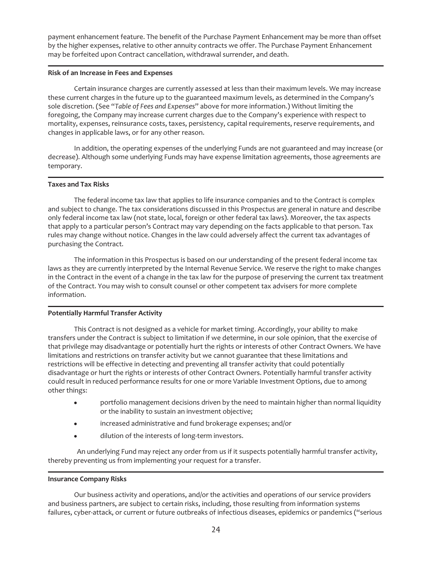payment enhancement feature. The benefit of the Purchase Payment Enhancement may be more than offset by the higher expenses, relative to other annuity contracts we offer. The Purchase Payment Enhancement may be forfeited upon Contract cancellation, withdrawal surrender, and death.

### **Risk of an Increase in Fees and Expenses**

Certain insurance charges are currently assessed at less than their maximum levels. We may increase these current charges in the future up to the guaranteed maximum levels, as determined in the Company's sole discretion. (See "*Table of Fees and Expenses*" above for more information.) Without limiting the foregoing, the Company may increase current charges due to the Company's experience with respect to mortality, expenses, reinsurance costs, taxes, persistency, capital requirements, reserve requirements, and changes in applicable laws, or for any other reason.

In addition, the operating expenses of the underlying Funds are not guaranteed and may increase (or decrease). Although some underlying Funds may have expense limitation agreements, those agreements are temporary.

# **Taxes and Tax Risks**

The federal income tax law that applies to life insurance companies and to the Contract is complex and subject to change. The tax considerations discussed in this Prospectus are general in nature and describe only federal income tax law (not state, local, foreign or other federal tax laws). Moreover, the tax aspects that apply to a particular person's Contract may vary depending on the facts applicable to that person. Tax rules may change without notice. Changes in the law could adversely affect the current tax advantages of purchasing the Contract.

The information in this Prospectus is based on our understanding of the present federal income tax laws as they are currently interpreted by the Internal Revenue Service. We reserve the right to make changes in the Contract in the event of a change in the tax law for the purpose of preserving the current tax treatment of the Contract. You may wish to consult counsel or other competent tax advisers for more complete information.

# **Potentially Harmful Transfer Activity**

This Contract is not designed as a vehicle for market timing. Accordingly, your ability to make transfers under the Contract is subject to limitation if we determine, in our sole opinion, that the exercise of that privilege may disadvantage or potentially hurt the rights or interests of other Contract Owners. We have limitations and restrictions on transfer activity but we cannot guarantee that these limitations and restrictions will be effective in detecting and preventing all transfer activity that could potentially disadvantage or hurt the rights or interests of other Contract Owners. Potentially harmful transfer activity could result in reduced performance results for one or more Variable Investment Options, due to among other things:

- portfolio management decisions driven by the need to maintain higher than normal liquidity or the inability to sustain an investment objective;
- increased administrative and fund brokerage expenses; and/or
- dilution of the interests of long-term investors.

An underlying Fund may reject any order from us if it suspects potentially harmful transfer activity, thereby preventing us from implementing your request for a transfer.

### **Insurance Company Risks**

Our business activity and operations, and/or the activities and operations of our service providers and business partners, are subject to certain risks, including, those resulting from information systems failures, cyber-attack, or current or future outbreaks of infectious diseases, epidemics or pandemics ("serious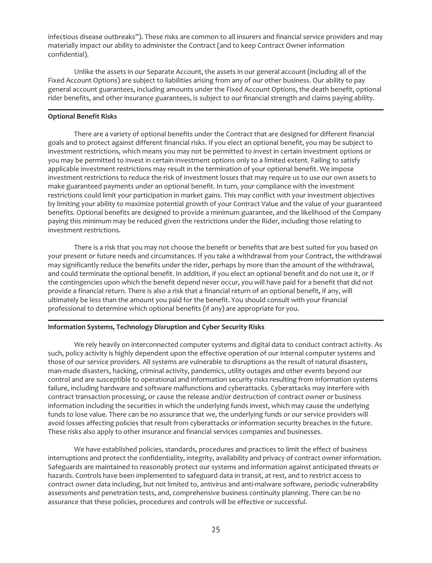infectious disease outbreaks"). These risks are common to all insurers and financial service providers and may materially impact our ability to administer the Contract (and to keep Contract Owner information confidential).

Unlike the assets in our Separate Account, the assets in our general account (including all of the Fixed Account Options) are subject to liabilities arising from any of our other business. Our ability to pay general account guarantees, including amounts under the Fixed Account Options, the death benefit, optional rider benefits, and other insurance guarantees, is subject to our financial strength and claims paying ability.

# **Optional Benefit Risks**

There are a variety of optional benefits under the Contract that are designed for different financial goals and to protect against different financial risks. If you elect an optional benefit, you may be subject to investment restrictions, which means you may not be permitted to invest in certain investment options or you may be permitted to invest in certain investment options only to a limited extent. Failing to satisfy applicable investment restrictions may result in the termination of your optional benefit. We impose investment restrictions to reduce the risk of investment losses that may require us to use our own assets to make guaranteed payments under an optional benefit. In turn, your compliance with the investment restrictions could limit your participation in market gains. This may conflict with your investment objectives by limiting your ability to maximize potential growth of your Contract Value and the value of your guaranteed benefits. Optional benefits are designed to provide a minimum guarantee, and the likelihood of the Company paying this minimum may be reduced given the restrictions under the Rider, including those relating to investment restrictions.

There is a risk that you may not choose the benefit or benefits that are best suited for you based on your present or future needs and circumstances. If you take a withdrawal from your Contract, the withdrawal may significantly reduce the benefits under the rider, perhaps by more than the amount of the withdrawal, and could terminate the optional benefit. In addition, if you elect an optional benefit and do not use it, or if the contingencies upon which the benefit depend never occur, you will have paid for a benefit that did not provide a financial return. There is also a risk that a financial return of an optional benefit, if any, will ultimately be less than the amount you paid for the benefit. You should consult with your financial professional to determine which optional benefits (if any) are appropriate for you.

# **Information Systems, Technology Disruption and Cyber Security Risks**

We rely heavily on interconnected computer systems and digital data to conduct contract activity. As such, policy activity is highly dependent upon the effective operation of our internal computer systems and those of our service providers. All systems are vulnerable to disruptions as the result of natural disasters, man-made disasters, hacking, criminal activity, pandemics, utility outages and other events beyond our control and are susceptible to operational and information security risks resulting from information systems failure, including hardware and software malfunctions and cyberattacks. Cyberattacks may interfere with contract transaction processing, or cause the release and/or destruction of contract owner or business information including the securities in which the underlying funds invest, which may cause the underlying funds to lose value. There can be no assurance that we, the underlying funds or our service providers will avoid losses affecting policies that result from cyberattacks or information security breaches in the future. These risks also apply to other insurance and financial services companies and businesses.

We have established policies, standards, procedures and practices to limit the effect of business interruptions and protect the confidentiality, integrity, availability and privacy of contract owner information. Safeguards are maintained to reasonably protect our systems and information against anticipated threats or hazards. Controls have been implemented to safeguard data in transit, at rest, and to restrict access to contract owner data including, but not limited to, antivirus and anti-malware software, periodic vulnerability assessments and penetration tests, and, comprehensive business continuity planning. There can be no assurance that these policies, procedures and controls will be effective or successful.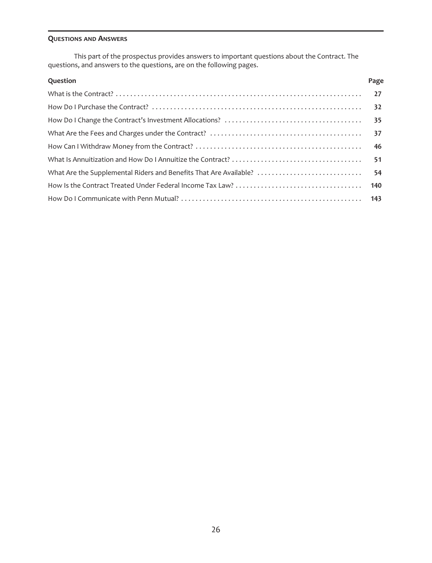# <span id="page-28-0"></span>**QUESTIONS AND ANSWERS**

This part of the prospectus provides answers to important questions about the Contract. The questions, and answers to the questions, are on the following pages.

| Question | Page |
|----------|------|
|          |      |
|          |      |
|          |      |
|          |      |
|          |      |
|          |      |
|          |      |
|          |      |
|          |      |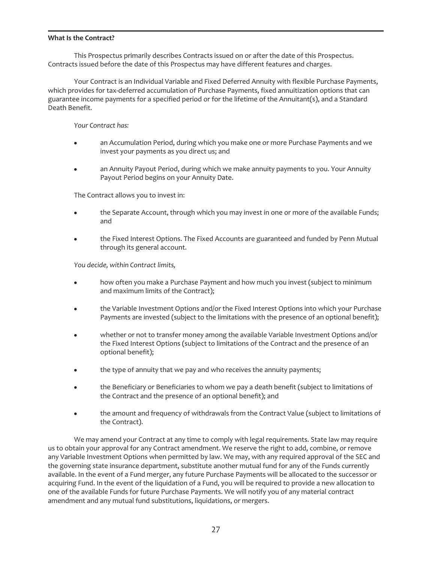### <span id="page-29-0"></span>**What Is the Contract?**

This Prospectus primarily describes Contracts issued on or after the date of this Prospectus. Contracts issued before the date of this Prospectus may have different features and charges.

Your Contract is an Individual Variable and Fixed Deferred Annuity with flexible Purchase Payments, which provides for tax-deferred accumulation of Purchase Payments, fixed annuitization options that can guarantee income payments for a specified period or for the lifetime of the Annuitant(s), and a Standard Death Benefit.

*Your Contract has:*

- an Accumulation Period, during which you make one or more Purchase Payments and we invest your payments as you direct us; and
- an Annuity Payout Period, during which we make annuity payments to you. Your Annuity Payout Period begins on your Annuity Date.

The Contract allows you to invest in:

- the Separate Account, through which you may invest in one or more of the available Funds; and
- the Fixed Interest Options. The Fixed Accounts are guaranteed and funded by Penn Mutual through its general account.

*You decide, within Contract limits,*

- how often you make a Purchase Payment and how much you invest (subject to minimum and maximum limits of the Contract);
- the Variable Investment Options and/or the Fixed Interest Options into which your Purchase Payments are invested (subject to the limitations with the presence of an optional benefit);
- whether or not to transfer money among the available Variable Investment Options and/or the Fixed Interest Options (subject to limitations of the Contract and the presence of an optional benefit);
- the type of annuity that we pay and who receives the annuity payments;
- the Beneficiary or Beneficiaries to whom we pay a death benefit (subject to limitations of the Contract and the presence of an optional benefit); and
- the amount and frequency of withdrawals from the Contract Value (subject to limitations of the Contract).

We may amend your Contract at any time to comply with legal requirements. State law may require us to obtain your approval for any Contract amendment. We reserve the right to add, combine, or remove any Variable Investment Options when permitted by law. We may, with any required approval of the SEC and the governing state insurance department, substitute another mutual fund for any of the Funds currently available. In the event of a Fund merger, any future Purchase Payments will be allocated to the successor or acquiring Fund. In the event of the liquidation of a Fund, you will be required to provide a new allocation to one of the available Funds for future Purchase Payments. We will notify you of any material contract amendment and any mutual fund substitutions, liquidations, or mergers.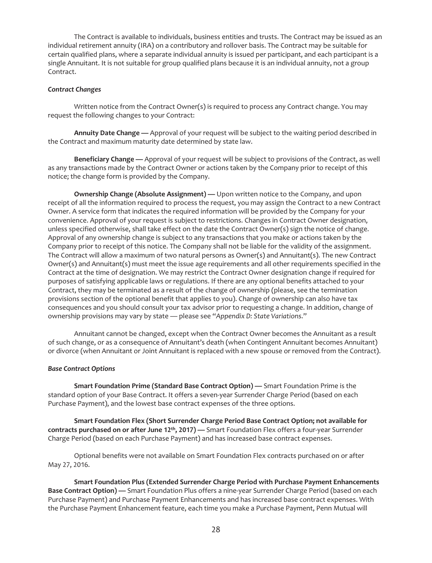The Contract is available to individuals, business entities and trusts. The Contract may be issued as an individual retirement annuity (IRA) on a contributory and rollover basis. The Contract may be suitable for certain qualified plans, where a separate individual annuity is issued per participant, and each participant is a single Annuitant. It is not suitable for group qualified plans because it is an individual annuity, not a group Contract.

### *Contract Changes*

Written notice from the Contract Owner(s) is required to process any Contract change. You may request the following changes to your Contract:

**Annuity Date Change —** Approval of your request will be subject to the waiting period described in the Contract and maximum maturity date determined by state law.

**Beneficiary Change —** Approval of your request will be subject to provisions of the Contract, as well as any transactions made by the Contract Owner or actions taken by the Company prior to receipt of this notice; the change form is provided by the Company.

**Ownership Change (Absolute Assignment) —** Upon written notice to the Company, and upon receipt of all the information required to process the request, you may assign the Contract to a new Contract Owner. A service form that indicates the required information will be provided by the Company for your convenience. Approval of your request is subject to restrictions. Changes in Contract Owner designation, unless specified otherwise, shall take effect on the date the Contract Owner(s) sign the notice of change. Approval of any ownership change is subject to any transactions that you make or actions taken by the Company prior to receipt of this notice. The Company shall not be liable for the validity of the assignment. The Contract will allow a maximum of two natural persons as Owner(s) and Annuitant(s). The new Contract Owner(s) and Annuitant(s) must meet the issue age requirements and all other requirements specified in the Contract at the time of designation. We may restrict the Contract Owner designation change if required for purposes of satisfying applicable laws or regulations. If there are any optional benefits attached to your Contract, they may be terminated as a result of the change of ownership (please, see the termination provisions section of the optional benefit that applies to you). Change of ownership can also have tax consequences and you should consult your tax advisor prior to requesting a change. In addition, change of ownership provisions may vary by state — please see "*Appendix D: State Variations*."

Annuitant cannot be changed, except when the Contract Owner becomes the Annuitant as a result of such change, or as a consequence of Annuitant's death (when Contingent Annuitant becomes Annuitant) or divorce (when Annuitant or Joint Annuitant is replaced with a new spouse or removed from the Contract).

### *Base Contract Options*

**Smart Foundation Prime (Standard Base Contract Option) —** Smart Foundation Prime is the standard option of your Base Contract. It offers a seven-year Surrender Charge Period (based on each Purchase Payment), and the lowest base contract expenses of the three options.

**Smart Foundation Flex (Short Surrender Charge Period Base Contract Option; not available for contracts purchased on or after June 12th, 2017) —** Smart Foundation Flex offers a four-year Surrender Charge Period (based on each Purchase Payment) and has increased base contract expenses.

Optional benefits were not available on Smart Foundation Flex contracts purchased on or after May 27, 2016.

**Smart Foundation Plus (Extended Surrender Charge Period with Purchase Payment Enhancements Base Contract Option) —** Smart Foundation Plus offers a nine-year Surrender Charge Period (based on each Purchase Payment) and Purchase Payment Enhancements and has increased base contract expenses. With the Purchase Payment Enhancement feature, each time you make a Purchase Payment, Penn Mutual will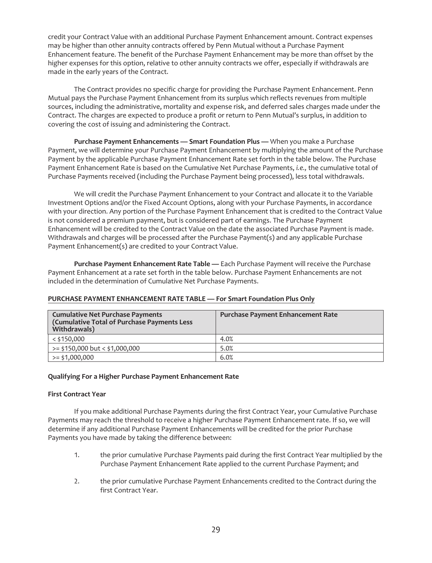credit your Contract Value with an additional Purchase Payment Enhancement amount. Contract expenses may be higher than other annuity contracts offered by Penn Mutual without a Purchase Payment Enhancement feature. The benefit of the Purchase Payment Enhancement may be more than offset by the higher expenses for this option, relative to other annuity contracts we offer, especially if withdrawals are made in the early years of the Contract.

The Contract provides no specific charge for providing the Purchase Payment Enhancement. Penn Mutual pays the Purchase Payment Enhancement from its surplus which reflects revenues from multiple sources, including the administrative, mortality and expense risk, and deferred sales charges made under the Contract. The charges are expected to produce a profit or return to Penn Mutual's surplus, in addition to covering the cost of issuing and administering the Contract.

**Purchase Payment Enhancements — Smart Foundation Plus —** When you make a Purchase Payment, we will determine your Purchase Payment Enhancement by multiplying the amount of the Purchase Payment by the applicable Purchase Payment Enhancement Rate set forth in the table below. The Purchase Payment Enhancement Rate is based on the Cumulative Net Purchase Payments, *i.e.,* the cumulative total of Purchase Payments received (including the Purchase Payment being processed), less total withdrawals.

We will credit the Purchase Payment Enhancement to your Contract and allocate it to the Variable Investment Options and/or the Fixed Account Options, along with your Purchase Payments, in accordance with your direction. Any portion of the Purchase Payment Enhancement that is credited to the Contract Value is not considered a premium payment, but is considered part of earnings. The Purchase Payment Enhancement will be credited to the Contract Value on the date the associated Purchase Payment is made. Withdrawals and charges will be processed after the Purchase Payment(s) and any applicable Purchase Payment Enhancement(s) are credited to your Contract Value.

**Purchase Payment Enhancement Rate Table —** Each Purchase Payment will receive the Purchase Payment Enhancement at a rate set forth in the table below. Purchase Payment Enhancements are not included in the determination of Cumulative Net Purchase Payments.

| <b>Cumulative Net Purchase Payments</b><br>(Cumulative Total of Purchase Payments Less<br>Withdrawals) | <b>Purchase Payment Enhancement Rate</b> |
|--------------------------------------------------------------------------------------------------------|------------------------------------------|
| $<$ \$150,000                                                                                          | 4.0%                                     |
| $>=$ \$150,000 but < \$1,000,000                                                                       | 5.0%                                     |
| $>=$ \$1,000,000                                                                                       | 6.0%                                     |

# **PURCHASE PAYMENT ENHANCEMENT RATE TABLE — For Smart Foundation Plus Only**

### **Qualifying For a Higher Purchase Payment Enhancement Rate**

### **First Contract Year**

If you make additional Purchase Payments during the first Contract Year, your Cumulative Purchase Payments may reach the threshold to receive a higher Purchase Payment Enhancement rate. If so, we will determine if any additional Purchase Payment Enhancements will be credited for the prior Purchase Payments you have made by taking the difference between:

- 1. the prior cumulative Purchase Payments paid during the first Contract Year multiplied by the Purchase Payment Enhancement Rate applied to the current Purchase Payment; and
- 2. the prior cumulative Purchase Payment Enhancements credited to the Contract during the first Contract Year.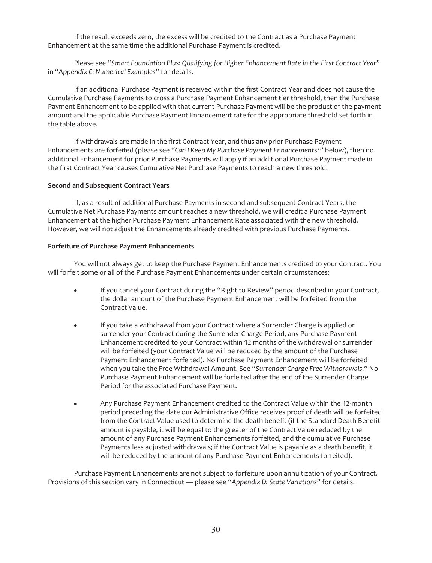If the result exceeds zero, the excess will be credited to the Contract as a Purchase Payment Enhancement at the same time the additional Purchase Payment is credited.

Please see "*Smart Foundation Plus: Qualifying for Higher Enhancement Rate in the First Contract Year*" in "*Appendix C: Numerical Examples*" for details.

If an additional Purchase Payment is received within the first Contract Year and does not cause the Cumulative Purchase Payments to cross a Purchase Payment Enhancement tier threshold, then the Purchase Payment Enhancement to be applied with that current Purchase Payment will be the product of the payment amount and the applicable Purchase Payment Enhancement rate for the appropriate threshold set forth in the table above.

If withdrawals are made in the first Contract Year, and thus any prior Purchase Payment Enhancements are forfeited (please see "*Can I Keep My Purchase Payment Enhancements?*" below), then no additional Enhancement for prior Purchase Payments will apply if an additional Purchase Payment made in the first Contract Year causes Cumulative Net Purchase Payments to reach a new threshold.

# **Second and Subsequent Contract Years**

If, as a result of additional Purchase Payments in second and subsequent Contract Years, the Cumulative Net Purchase Payments amount reaches a new threshold, we will credit a Purchase Payment Enhancement at the higher Purchase Payment Enhancement Rate associated with the new threshold. However, we will not adjust the Enhancements already credited with previous Purchase Payments.

# **Forfeiture of Purchase Payment Enhancements**

You will not always get to keep the Purchase Payment Enhancements credited to your Contract. You will forfeit some or all of the Purchase Payment Enhancements under certain circumstances:

- If you cancel your Contract during the "Right to Review" period described in your Contract, the dollar amount of the Purchase Payment Enhancement will be forfeited from the Contract Value.
- If you take a withdrawal from your Contract where a Surrender Charge is applied or surrender your Contract during the Surrender Charge Period, any Purchase Payment Enhancement credited to your Contract within 12 months of the withdrawal or surrender will be forfeited (your Contract Value will be reduced by the amount of the Purchase Payment Enhancement forfeited). No Purchase Payment Enhancement will be forfeited when you take the Free Withdrawal Amount. See "*Surrender-Charge Free Withdrawals*." No Purchase Payment Enhancement will be forfeited after the end of the Surrender Charge Period for the associated Purchase Payment.
- Any Purchase Payment Enhancement credited to the Contract Value within the 12-month period preceding the date our Administrative Office receives proof of death will be forfeited from the Contract Value used to determine the death benefit (if the Standard Death Benefit amount is payable, it will be equal to the greater of the Contract Value reduced by the amount of any Purchase Payment Enhancements forfeited, and the cumulative Purchase Payments less adjusted withdrawals; if the Contract Value is payable as a death benefit, it will be reduced by the amount of any Purchase Payment Enhancements forfeited).

Purchase Payment Enhancements are not subject to forfeiture upon annuitization of your Contract. Provisions of this section vary in Connecticut — please see "*Appendix D: State Variations*" for details.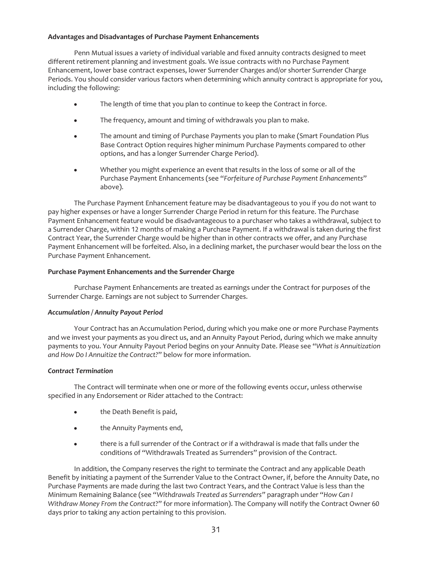# **Advantages and Disadvantages of Purchase Payment Enhancements**

Penn Mutual issues a variety of individual variable and fixed annuity contracts designed to meet different retirement planning and investment goals. We issue contracts with no Purchase Payment Enhancement, lower base contract expenses, lower Surrender Charges and/or shorter Surrender Charge Periods. You should consider various factors when determining which annuity contract is appropriate for you, including the following:

- The length of time that you plan to continue to keep the Contract in force.
- The frequency, amount and timing of withdrawals you plan to make.
- The amount and timing of Purchase Payments you plan to make (Smart Foundation Plus Base Contract Option requires higher minimum Purchase Payments compared to other options, and has a longer Surrender Charge Period).
- Whether you might experience an event that results in the loss of some or all of the Purchase Payment Enhancements (see "*Forfeiture of Purchase Payment Enhancements*" above).

The Purchase Payment Enhancement feature may be disadvantageous to you if you do not want to pay higher expenses or have a longer Surrender Charge Period in return for this feature. The Purchase Payment Enhancement feature would be disadvantageous to a purchaser who takes a withdrawal, subject to a Surrender Charge, within 12 months of making a Purchase Payment. If a withdrawal is taken during the first Contract Year, the Surrender Charge would be higher than in other contracts we offer, and any Purchase Payment Enhancement will be forfeited. Also, in a declining market, the purchaser would bear the loss on the Purchase Payment Enhancement.

# **Purchase Payment Enhancements and the Surrender Charge**

Purchase Payment Enhancements are treated as earnings under the Contract for purposes of the Surrender Charge. Earnings are not subject to Surrender Charges.

### *Accumulation / Annuity Payout Period*

Your Contract has an Accumulation Period, during which you make one or more Purchase Payments and we invest your payments as you direct us, and an Annuity Payout Period, during which we make annuity payments to you. Your Annuity Payout Period begins on your Annuity Date. Please see "*What is Annuitization and How Do I Annuitize the Contract?*" below for more information.

### *Contract Termination*

The Contract will terminate when one or more of the following events occur, unless otherwise specified in any Endorsement or Rider attached to the Contract:

- the Death Benefit is paid,
- the Annuity Payments end,
- there is a full surrender of the Contract or if a withdrawal is made that falls under the conditions of "Withdrawals Treated as Surrenders" provision of the Contract.

In addition, the Company reserves the right to terminate the Contract and any applicable Death Benefit by initiating a payment of the Surrender Value to the Contract Owner, if, before the Annuity Date, no Purchase Payments are made during the last two Contract Years, and the Contract Value is less than the Minimum Remaining Balance (see "*Withdrawals Treated as Surrenders"* paragraph under "*How Can I Withdraw Money From the Contract*?" for more information). The Company will notify the Contract Owner 60 days prior to taking any action pertaining to this provision.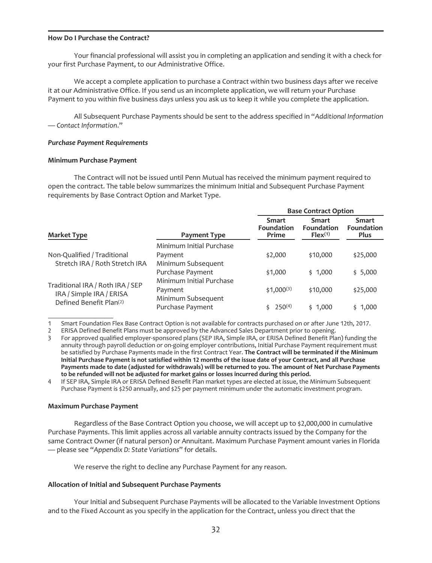### <span id="page-34-0"></span>**How Do I Purchase the Contract?**

Your financial professional will assist you in completing an application and sending it with a check for your first Purchase Payment, to our Administrative Office.

We accept a complete application to purchase a Contract within two business days after we receive it at our Administrative Office. If you send us an incomplete application, we will return your Purchase Payment to you within five business days unless you ask us to keep it while you complete the application.

All Subsequent Purchase Payments should be sent to the address specified in "*Additional Information — Contact Information*."

### *Purchase Payment Requirements*

### **Minimum Purchase Payment**

The Contract will not be issued until Penn Mutual has received the minimum payment required to open the contract. The table below summarizes the minimum Initial and Subsequent Purchase Payment requirements by Base Contract Option and Market Type.

|                                     |                          |                                            | <b>Base Contract Option</b>                       |                                           |  |
|-------------------------------------|--------------------------|--------------------------------------------|---------------------------------------------------|-------------------------------------------|--|
| <b>Market Type</b>                  | <b>Payment Type</b>      | <b>Smart</b><br><b>Foundation</b><br>Prime | <b>Smart</b><br><b>Foundation</b><br>$Flex^{(1)}$ | <b>Smart</b><br>Foundation<br><b>Plus</b> |  |
|                                     | Minimum Initial Purchase |                                            |                                                   |                                           |  |
| Non-Qualified / Traditional         | Payment                  | \$2,000                                    | \$10,000                                          | \$25,000                                  |  |
| Stretch IRA / Roth Stretch IRA      | Minimum Subsequent       |                                            |                                                   |                                           |  |
|                                     | Purchase Payment         | \$1,000                                    | \$1,000                                           | \$5,000                                   |  |
| Traditional IRA / Roth IRA / SEP    | Minimum Initial Purchase |                                            |                                                   |                                           |  |
| IRA / Simple IRA / ERISA            | Payment                  | $$1,000^{(3)}$                             | \$10,000                                          | \$25,000                                  |  |
| Defined Benefit Plan <sup>(2)</sup> | Minimum Subsequent       |                                            |                                                   |                                           |  |
|                                     | Purchase Payment         | $250^{(4)}$                                | \$1,000                                           | \$1,000                                   |  |

1 Smart Foundation Flex Base Contract Option is not available for contracts purchased on or after June 12th, 2017.

2 ERISA Defined Benefit Plans must be approved by the Advanced Sales Department prior to opening.

3 For approved qualified employer-sponsored plans (SEP IRA, Simple IRA, or ERISA Defined Benefit Plan) funding the annuity through payroll deduction or on-going employer contributions, Initial Purchase Payment requirement must be satisfied by Purchase Payments made in the first Contract Year. **The Contract will be terminated if the Minimum Initial Purchase Payment is not satisfied within 12 months of the issue date of your Contract, and all Purchase Payments made to date (adjusted for withdrawals) will be returned to you. The amount of Net Purchase Payments to be refunded will not be adjusted for market gains or losses incurred during this period.**

4 If SEP IRA, Simple IRA or ERISA Defined Benefit Plan market types are elected at issue, the Minimum Subsequent Purchase Payment is \$250 annually, and \$25 per payment minimum under the automatic investment program.

### **Maximum Purchase Payment**

Regardless of the Base Contract Option you choose, we will accept up to \$2,000,000 in cumulative Purchase Payments. This limit applies across all variable annuity contracts issued by the Company for the same Contract Owner (if natural person) or Annuitant. Maximum Purchase Payment amount varies in Florida — please see "*Appendix D: State Variations*" for details.

We reserve the right to decline any Purchase Payment for any reason.

### **Allocation of Initial and Subsequent Purchase Payments**

Your Initial and Subsequent Purchase Payments will be allocated to the Variable Investment Options and to the Fixed Account as you specify in the application for the Contract, unless you direct that the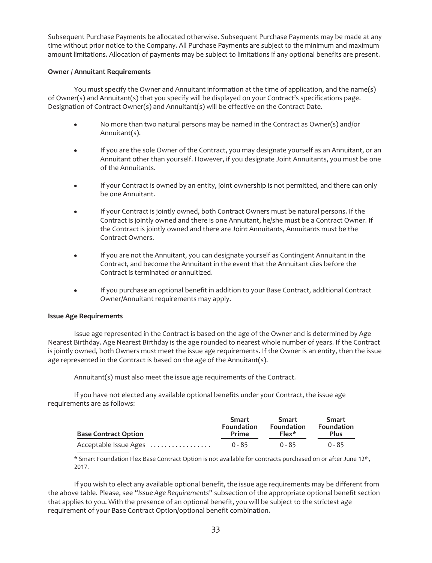Subsequent Purchase Payments be allocated otherwise. Subsequent Purchase Payments may be made at any time without prior notice to the Company. All Purchase Payments are subject to the minimum and maximum amount limitations. Allocation of payments may be subject to limitations if any optional benefits are present.

# **Owner / Annuitant Requirements**

You must specify the Owner and Annuitant information at the time of application, and the name(s) of Owner(s) and Annuitant(s) that you specify will be displayed on your Contract's specifications page. Designation of Contract Owner(s) and Annuitant(s) will be effective on the Contract Date.

- No more than two natural persons may be named in the Contract as Owner(s) and/or Annuitant(s).
- If you are the sole Owner of the Contract, you may designate yourself as an Annuitant, or an Annuitant other than yourself. However, if you designate Joint Annuitants, you must be one of the Annuitants.
- If your Contract is owned by an entity, joint ownership is not permitted, and there can only be one Annuitant.
- If your Contract is jointly owned, both Contract Owners must be natural persons. If the Contract is jointly owned and there is one Annuitant, he/she must be a Contract Owner. If the Contract is jointly owned and there are Joint Annuitants, Annuitants must be the Contract Owners.
- If you are not the Annuitant, you can designate yourself as Contingent Annuitant in the Contract, and become the Annuitant in the event that the Annuitant dies before the Contract is terminated or annuitized.
- If you purchase an optional benefit in addition to your Base Contract, additional Contract Owner/Annuitant requirements may apply.

# **Issue Age Requirements**

Issue age represented in the Contract is based on the age of the Owner and is determined by Age Nearest Birthday. Age Nearest Birthday is the age rounded to nearest whole number of years. If the Contract is jointly owned, both Owners must meet the issue age requirements. If the Owner is an entity, then the issue age represented in the Contract is based on the age of the Annuitant(s).

Annuitant(s) must also meet the issue age requirements of the Contract.

If you have not elected any available optional benefits under your Contract, the issue age requirements are as follows:

| <b>Base Contract Option</b> | Smart             | Smart             | Smart       |
|-----------------------------|-------------------|-------------------|-------------|
|                             | <b>Foundation</b> | <b>Foundation</b> | Foundation  |
|                             | Prime             | $Flex*$           | <b>Plus</b> |
| Acceptable Issue Ages       | 0 - 85            | 0 - 85            | $0 - 85$    |

\* Smart Foundation Flex Base Contract Option is not available for contracts purchased on or after June 12th, 2017.

If you wish to elect any available optional benefit, the issue age requirements may be different from the above table. Please, see "*Issue Age Requirements*" subsection of the appropriate optional benefit section that applies to you. With the presence of an optional benefit, you will be subject to the strictest age requirement of your Base Contract Option/optional benefit combination.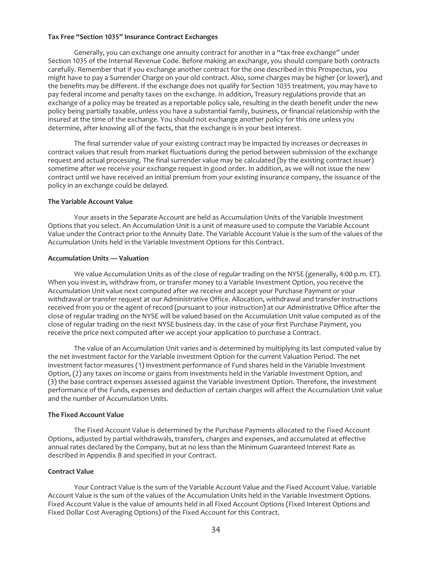#### **Tax Free "Section 1035" Insurance Contract Exchanges**

Generally, you can exchange one annuity contract for another in a "tax-free exchange" under Section 1035 of the Internal Revenue Code. Before making an exchange, you should compare both contracts carefully. Remember that if you exchange another contract for the one described in this Prospectus, you might have to pay a Surrender Charge on your old contract. Also, some charges may be higher (or lower), and the benefits may be different. If the exchange does not qualify for Section 1035 treatment, you may have to pay federal income and penalty taxes on the exchange. In addition, Treasury regulations provide that an exchange of a policy may be treated as a reportable policy sale, resulting in the death benefit under the new policy being partially taxable, unless you have a substantial family, business, or financial relationship with the insured at the time of the exchange. You should not exchange another policy for this one unless you determine, after knowing all of the facts, that the exchange is in your best interest.

The final surrender value of your existing contract may be impacted by increases or decreases in contract values that result from market fluctuations during the period between submission of the exchange request and actual processing. The final surrender value may be calculated (by the existing contract issuer) sometime after we receive your exchange request in good order. In addition, as we will not issue the new contract until we have received an initial premium from your existing insurance company, the issuance of the policy in an exchange could be delayed.

#### **The Variable Account Value**

Your assets in the Separate Account are held as Accumulation Units of the Variable Investment Options that you select. An Accumulation Unit is a unit of measure used to compute the Variable Account Value under the Contract prior to the Annuity Date. The Variable Account Value is the sum of the values of the Accumulation Units held in the Variable Investment Options for this Contract.

#### **Accumulation Units — Valuation**

We value Accumulation Units as of the close of regular trading on the NYSE (generally, 4:00 p.m. ET). When you invest in, withdraw from, or transfer money to a Variable Investment Option, you receive the Accumulation Unit value next computed after we receive and accept your Purchase Payment or your withdrawal or transfer request at our Administrative Office. Allocation, withdrawal and transfer instructions received from you or the agent of record (pursuant to your instruction) at our Administrative Office after the close of regular trading on the NYSE will be valued based on the Accumulation Unit value computed as of the close of regular trading on the next NYSE business day. In the case of your first Purchase Payment, you receive the price next computed after we accept your application to purchase a Contract.

The value of an Accumulation Unit varies and is determined by multiplying its last computed value by the net investment factor for the Variable Investment Option for the current Valuation Period. The net investment factor measures (1) investment performance of Fund shares held in the Variable Investment Option, (2) any taxes on income or gains from investments held in the Variable Investment Option, and (3) the base contract expenses assessed against the Variable Investment Option. Therefore, the investment performance of the Funds, expenses and deduction of certain charges will affect the Accumulation Unit value and the number of Accumulation Units.

#### **The Fixed Account Value**

The Fixed Account Value is determined by the Purchase Payments allocated to the Fixed Account Options, adjusted by partial withdrawals, transfers, charges and expenses, and accumulated at effective annual rates declared by the Company, but at no less than the Minimum Guaranteed Interest Rate as described in Appendix B and specified in your Contract.

#### **Contract Value**

Your Contract Value is the sum of the Variable Account Value and the Fixed Account Value. Variable Account Value is the sum of the values of the Accumulation Units held in the Variable Investment Options. Fixed Account Value is the value of amounts held in all Fixed Account Options (Fixed Interest Options and Fixed Dollar Cost Averaging Options) of the Fixed Account for this Contract.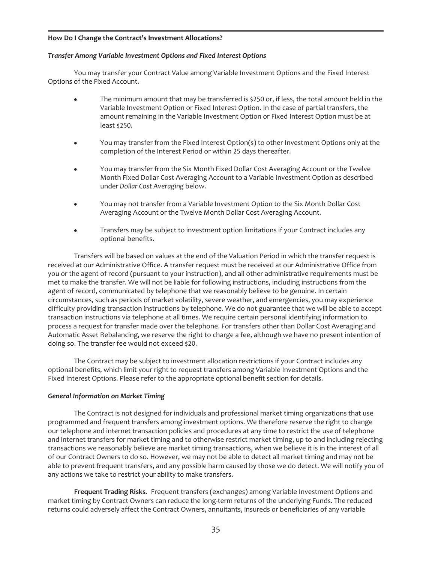## **How Do I Change the Contract's Investment Allocations?**

#### *Transfer Among Variable Investment Options and Fixed Interest Options*

You may transfer your Contract Value among Variable Investment Options and the Fixed Interest Options of the Fixed Account.

- The minimum amount that may be transferred is \$250 or, if less, the total amount held in the Variable Investment Option or Fixed Interest Option. In the case of partial transfers, the amount remaining in the Variable Investment Option or Fixed Interest Option must be at least \$250.
- You may transfer from the Fixed Interest Option(s) to other Investment Options only at the completion of the Interest Period or within 25 days thereafter.
- You may transfer from the Six Month Fixed Dollar Cost Averaging Account or the Twelve Month Fixed Dollar Cost Averaging Account to a Variable Investment Option as described under *Dollar Cost Averaging* below.
- You may not transfer from a Variable Investment Option to the Six Month Dollar Cost Averaging Account or the Twelve Month Dollar Cost Averaging Account.
- Transfers may be subject to investment option limitations if your Contract includes any optional benefits.

Transfers will be based on values at the end of the Valuation Period in which the transfer request is received at our Administrative Office. A transfer request must be received at our Administrative Office from you or the agent of record (pursuant to your instruction), and all other administrative requirements must be met to make the transfer. We will not be liable for following instructions, including instructions from the agent of record, communicated by telephone that we reasonably believe to be genuine. In certain circumstances, such as periods of market volatility, severe weather, and emergencies, you may experience difficulty providing transaction instructions by telephone. We do not guarantee that we will be able to accept transaction instructions via telephone at all times. We require certain personal identifying information to process a request for transfer made over the telephone. For transfers other than Dollar Cost Averaging and Automatic Asset Rebalancing, we reserve the right to charge a fee, although we have no present intention of doing so. The transfer fee would not exceed \$20.

The Contract may be subject to investment allocation restrictions if your Contract includes any optional benefits, which limit your right to request transfers among Variable Investment Options and the Fixed Interest Options. Please refer to the appropriate optional benefit section for details.

#### *General Information on Market Timing*

The Contract is not designed for individuals and professional market timing organizations that use programmed and frequent transfers among investment options. We therefore reserve the right to change our telephone and internet transaction policies and procedures at any time to restrict the use of telephone and internet transfers for market timing and to otherwise restrict market timing, up to and including rejecting transactions we reasonably believe are market timing transactions, when we believe it is in the interest of all of our Contract Owners to do so. However, we may not be able to detect all market timing and may not be able to prevent frequent transfers, and any possible harm caused by those we do detect. We will notify you of any actions we take to restrict your ability to make transfers.

**Frequent Trading Risks***.* Frequent transfers (exchanges) among Variable Investment Options and market timing by Contract Owners can reduce the long-term returns of the underlying Funds. The reduced returns could adversely affect the Contract Owners, annuitants, insureds or beneficiaries of any variable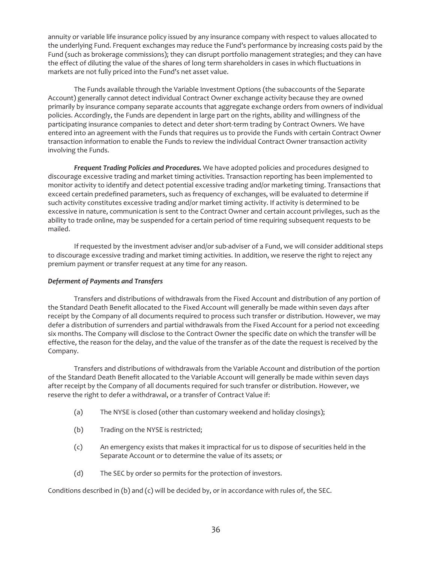annuity or variable life insurance policy issued by any insurance company with respect to values allocated to the underlying Fund. Frequent exchanges may reduce the Fund's performance by increasing costs paid by the Fund (such as brokerage commissions); they can disrupt portfolio management strategies; and they can have the effect of diluting the value of the shares of long term shareholders in cases in which fluctuations in markets are not fully priced into the Fund's net asset value.

The Funds available through the Variable Investment Options (the subaccounts of the Separate Account) generally cannot detect individual Contract Owner exchange activity because they are owned primarily by insurance company separate accounts that aggregate exchange orders from owners of individual policies. Accordingly, the Funds are dependent in large part on the rights, ability and willingness of the participating insurance companies to detect and deter short-term trading by Contract Owners. We have entered into an agreement with the Funds that requires us to provide the Funds with certain Contract Owner transaction information to enable the Funds to review the individual Contract Owner transaction activity involving the Funds.

*Frequent Trading Policies and Procedures.* We have adopted policies and procedures designed to discourage excessive trading and market timing activities. Transaction reporting has been implemented to monitor activity to identify and detect potential excessive trading and/or marketing timing. Transactions that exceed certain predefined parameters, such as frequency of exchanges, will be evaluated to determine if such activity constitutes excessive trading and/or market timing activity. If activity is determined to be excessive in nature, communication is sent to the Contract Owner and certain account privileges, such as the ability to trade online, may be suspended for a certain period of time requiring subsequent requests to be mailed.

If requested by the investment adviser and/or sub-adviser of a Fund, we will consider additional steps to discourage excessive trading and market timing activities. In addition, we reserve the right to reject any premium payment or transfer request at any time for any reason.

## *Deferment of Payments and Transfers*

Transfers and distributions of withdrawals from the Fixed Account and distribution of any portion of the Standard Death Benefit allocated to the Fixed Account will generally be made within seven days after receipt by the Company of all documents required to process such transfer or distribution. However, we may defer a distribution of surrenders and partial withdrawals from the Fixed Account for a period not exceeding six months. The Company will disclose to the Contract Owner the specific date on which the transfer will be effective, the reason for the delay, and the value of the transfer as of the date the request is received by the Company.

Transfers and distributions of withdrawals from the Variable Account and distribution of the portion of the Standard Death Benefit allocated to the Variable Account will generally be made within seven days after receipt by the Company of all documents required for such transfer or distribution. However, we reserve the right to defer a withdrawal, or a transfer of Contract Value if:

- (a) The NYSE is closed (other than customary weekend and holiday closings);
- (b) Trading on the NYSE is restricted;
- (c) An emergency exists that makes it impractical for us to dispose of securities held in the Separate Account or to determine the value of its assets; or
- (d) The SEC by order so permits for the protection of investors.

Conditions described in (b) and (c) will be decided by, or in accordance with rules of, the SEC.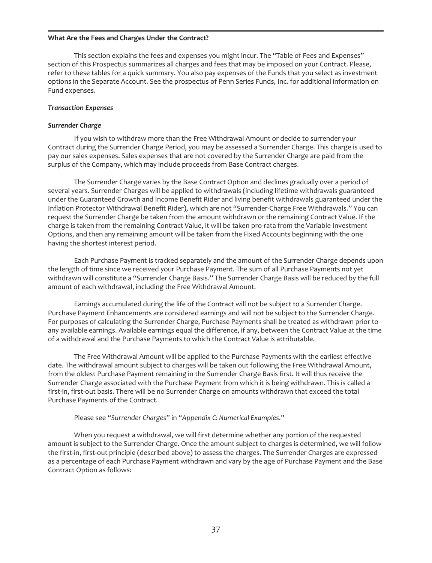#### **What Are the Fees and Charges Under the Contract?**

This section explains the fees and expenses you might incur. The "Table of Fees and Expenses" section of this Prospectus summarizes all charges and fees that may be imposed on your Contract. Please, refer to these tables for a quick summary. You also pay expenses of the Funds that you select as investment options in the Separate Account. See the prospectus of Penn Series Funds, Inc. for additional information on Fund expenses.

#### *Transaction Expenses*

#### *Surrender Charge*

If you wish to withdraw more than the Free Withdrawal Amount or decide to surrender your Contract during the Surrender Charge Period, you may be assessed a Surrender Charge. This charge is used to pay our sales expenses. Sales expenses that are not covered by the Surrender Charge are paid from the surplus of the Company, which may include proceeds from Base Contract charges.

The Surrender Charge varies by the Base Contract Option and declines gradually over a period of several years. Surrender Charges will be applied to withdrawals (including lifetime withdrawals guaranteed under the Guaranteed Growth and Income Benefit Rider and living benefit withdrawals guaranteed under the Inflation Protector Withdrawal Benefit Rider), which are not "Surrender-Charge Free Withdrawals." You can request the Surrender Charge be taken from the amount withdrawn or the remaining Contract Value. If the charge is taken from the remaining Contract Value, it will be taken pro-rata from the Variable Investment Options, and then any remaining amount will be taken from the Fixed Accounts beginning with the one having the shortest interest period.

Each Purchase Payment is tracked separately and the amount of the Surrender Charge depends upon the length of time since we received your Purchase Payment. The sum of all Purchase Payments not yet withdrawn will constitute a "Surrender Charge Basis." The Surrender Charge Basis will be reduced by the full amount of each withdrawal, including the Free Withdrawal Amount.

Earnings accumulated during the life of the Contract will not be subject to a Surrender Charge. Purchase Payment Enhancements are considered earnings and will not be subject to the Surrender Charge. For purposes of calculating the Surrender Charge, Purchase Payments shall be treated as withdrawn prior to any available earnings. Available earnings equal the difference, if any, between the Contract Value at the time of a withdrawal and the Purchase Payments to which the Contract Value is attributable.

The Free Withdrawal Amount will be applied to the Purchase Payments with the earliest effective date. The withdrawal amount subject to charges will be taken out following the Free Withdrawal Amount, from the oldest Purchase Payment remaining in the Surrender Charge Basis first. It will thus receive the Surrender Charge associated with the Purchase Payment from which it is being withdrawn. This is called a first-in, first-out basis. There will be no Surrender Charge on amounts withdrawn that exceed the total Purchase Payments of the Contract.

#### Please see "*Surrender Charges*" in "*Appendix C: Numerical Examples*."

When you request a withdrawal, we will first determine whether any portion of the requested amount is subject to the Surrender Charge. Once the amount subject to charges is determined, we will follow the first-in, first-out principle (described above) to assess the charges. The Surrender Charges are expressed as a percentage of each Purchase Payment withdrawn and vary by the age of Purchase Payment and the Base Contract Option as follows: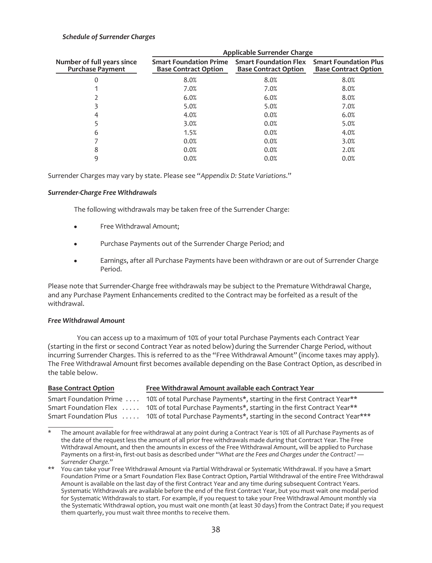## *Schedule of Surrender Charges*

|                                                       | <b>Applicable Surrender Charge</b>                           |                                                             |                                                             |  |
|-------------------------------------------------------|--------------------------------------------------------------|-------------------------------------------------------------|-------------------------------------------------------------|--|
| Number of full years since<br><b>Purchase Payment</b> | <b>Smart Foundation Prime</b><br><b>Base Contract Option</b> | <b>Smart Foundation Flex</b><br><b>Base Contract Option</b> | <b>Smart Foundation Plus</b><br><b>Base Contract Option</b> |  |
|                                                       | 8.0%                                                         | 8.0%                                                        | 8.0%                                                        |  |
|                                                       | 7.0%                                                         | 7.0%                                                        | 8.0%                                                        |  |
|                                                       | 6.0%                                                         | 6.0%                                                        | 8.0%                                                        |  |
|                                                       | 5.0%                                                         | 5.0%                                                        | 7.0%                                                        |  |
|                                                       | 4.0%                                                         | 0.0%                                                        | 6.0%                                                        |  |
|                                                       | 3.0%                                                         | 0.0%                                                        | 5.0%                                                        |  |
| 6                                                     | 1.5%                                                         | 0.0%                                                        | 4.0%                                                        |  |
|                                                       | 0.0%                                                         | 0.0%                                                        | 3.0%                                                        |  |
| 8                                                     | 0.0%                                                         | 0.0%                                                        | 2.0%                                                        |  |
| q                                                     | 0.0%                                                         | 0.0%                                                        | 0.0%                                                        |  |

Surrender Charges may vary by state. Please see "*Appendix D: State Variations*."

#### *Surrender-Charge Free Withdrawals*

The following withdrawals may be taken free of the Surrender Charge:

- Free Withdrawal Amount;
- Purchase Payments out of the Surrender Charge Period; and
- Earnings, after all Purchase Payments have been withdrawn or are out of Surrender Charge Period.

Please note that Surrender-Charge free withdrawals may be subject to the Premature Withdrawal Charge, and any Purchase Payment Enhancements credited to the Contract may be forfeited as a result of the withdrawal.

#### *Free Withdrawal Amount*

You can access up to a maximum of 10% of your total Purchase Payments each Contract Year (starting in the first or second Contract Year as noted below) during the Surrender Charge Period, without incurring Surrender Charges. This is referred to as the "Free Withdrawal Amount" (income taxes may apply). The Free Withdrawal Amount first becomes available depending on the Base Contract Option, as described in the table below.

| <b>Base Contract Option</b> | Free Withdrawal Amount available each Contract Year                                             |
|-----------------------------|-------------------------------------------------------------------------------------------------|
|                             | Smart Foundation Prime  10% of total Purchase Payments*, starting in the first Contract Year**  |
|                             | Smart Foundation Flex  10% of total Purchase Payments*, starting in the first Contract Year**   |
|                             | Smart Foundation Plus  10% of total Purchase Payments*, starting in the second Contract Year*** |

The amount available for free withdrawal at any point during a Contract Year is 10% of all Purchase Payments as of the date of the request less the amount of all prior free withdrawals made during that Contract Year. The Free Withdrawal Amount, and then the amounts in excess of the Free Withdrawal Amount, will be applied to Purchase Payments on a first-in, first-out basis as described under "*What are the Fees and Charges under the Contract? — Surrender Charge.*"

<sup>\*\*</sup> You can take your Free Withdrawal Amount via Partial Withdrawal or Systematic Withdrawal. If you have a Smart Foundation Prime or a Smart Foundation Flex Base Contract Option, Partial Withdrawal of the entire Free Withdrawal Amount is available on the last day of the first Contract Year and any time during subsequent Contract Years. Systematic Withdrawals are available before the end of the first Contract Year, but you must wait one modal period for Systematic Withdrawals to start. For example, if you request to take your Free Withdrawal Amount monthly via the Systematic Withdrawal option, you must wait one month (at least 30 days) from the Contract Date; if you request them quarterly, you must wait three months to receive them.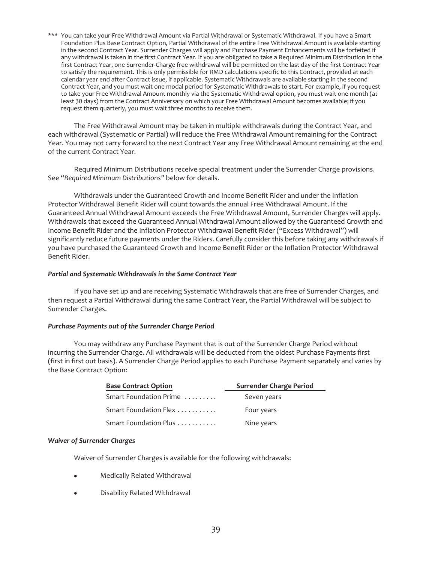\*\*\* You can take your Free Withdrawal Amount via Partial Withdrawal or Systematic Withdrawal. If you have a Smart Foundation Plus Base Contract Option, Partial Withdrawal of the entire Free Withdrawal Amount is available starting in the second Contract Year. Surrender Charges will apply and Purchase Payment Enhancements will be forfeited if any withdrawal is taken in the first Contract Year. If you are obligated to take a Required Minimum Distribution in the first Contract Year, one Surrender-Charge free withdrawal will be permitted on the last day of the first Contract Year to satisfy the requirement. This is only permissible for RMD calculations specific to this Contract, provided at each calendar year end after Contract issue, if applicable. Systematic Withdrawals are available starting in the second Contract Year, and you must wait one modal period for Systematic Withdrawals to start. For example, if you request to take your Free Withdrawal Amount monthly via the Systematic Withdrawal option, you must wait one month (at least 30 days) from the Contract Anniversary on which your Free Withdrawal Amount becomes available; if you request them quarterly, you must wait three months to receive them.

The Free Withdrawal Amount may be taken in multiple withdrawals during the Contract Year, and each withdrawal (Systematic or Partial) will reduce the Free Withdrawal Amount remaining for the Contract Year. You may not carry forward to the next Contract Year any Free Withdrawal Amount remaining at the end of the current Contract Year.

Required Minimum Distributions receive special treatment under the Surrender Charge provisions. See "*Required Minimum Distributions"* below for details.

Withdrawals under the Guaranteed Growth and Income Benefit Rider and under the Inflation Protector Withdrawal Benefit Rider will count towards the annual Free Withdrawal Amount. If the Guaranteed Annual Withdrawal Amount exceeds the Free Withdrawal Amount, Surrender Charges will apply. Withdrawals that exceed the Guaranteed Annual Withdrawal Amount allowed by the Guaranteed Growth and Income Benefit Rider and the Inflation Protector Withdrawal Benefit Rider ("Excess Withdrawal") will significantly reduce future payments under the Riders. Carefully consider this before taking any withdrawals if you have purchased the Guaranteed Growth and Income Benefit Rider or the Inflation Protector Withdrawal Benefit Rider.

#### *Partial and Systematic Withdrawals in the Same Contract Year*

If you have set up and are receiving Systematic Withdrawals that are free of Surrender Charges, and then request a Partial Withdrawal during the same Contract Year, the Partial Withdrawal will be subject to Surrender Charges.

#### *Purchase Payments out of the Surrender Charge Period*

You may withdraw any Purchase Payment that is out of the Surrender Charge Period without incurring the Surrender Charge. All withdrawals will be deducted from the oldest Purchase Payments first (first in first out basis). A Surrender Charge Period applies to each Purchase Payment separately and varies by the Base Contract Option:

| <b>Base Contract Option</b> | Surrender Charge Period |
|-----------------------------|-------------------------|
| Smart Foundation Prime      | Seven years             |
| Smart Foundation Flex       | Four years              |
| Smart Foundation Plus       | Nine years              |

#### *Waiver of Surrender Charges*

Waiver of Surrender Charges is available for the following withdrawals:

- Medically Related Withdrawal
- Disability Related Withdrawal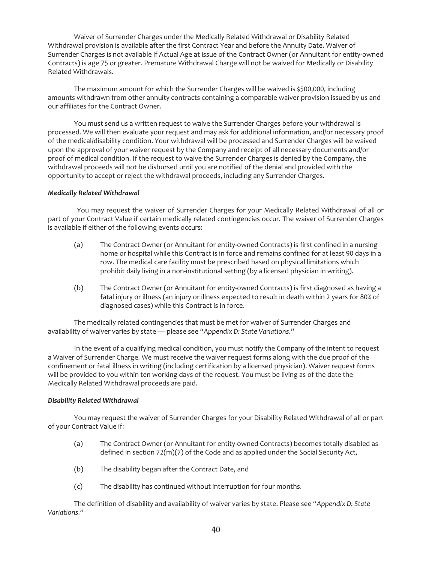Waiver of Surrender Charges under the Medically Related Withdrawal or Disability Related Withdrawal provision is available after the first Contract Year and before the Annuity Date. Waiver of Surrender Charges is not available if Actual Age at issue of the Contract Owner (or Annuitant for entity-owned Contracts) is age 75 or greater. Premature Withdrawal Charge will not be waived for Medically or Disability Related Withdrawals.

The maximum amount for which the Surrender Charges will be waived is \$500,000, including amounts withdrawn from other annuity contracts containing a comparable waiver provision issued by us and our affiliates for the Contract Owner.

You must send us a written request to waive the Surrender Charges before your withdrawal is processed. We will then evaluate your request and may ask for additional information, and/or necessary proof of the medical/disability condition. Your withdrawal will be processed and Surrender Charges will be waived upon the approval of your waiver request by the Company and receipt of all necessary documents and/or proof of medical condition. If the request to waive the Surrender Charges is denied by the Company, the withdrawal proceeds will not be disbursed until you are notified of the denial and provided with the opportunity to accept or reject the withdrawal proceeds, including any Surrender Charges.

## *Medically Related Withdrawal*

You may request the waiver of Surrender Charges for your Medically Related Withdrawal of all or part of your Contract Value if certain medically related contingencies occur. The waiver of Surrender Charges is available if either of the following events occurs:

- (a) The Contract Owner (or Annuitant for entity-owned Contracts) is first confined in a nursing home or hospital while this Contract is in force and remains confined for at least 90 days in a row. The medical care facility must be prescribed based on physical limitations which prohibit daily living in a non-institutional setting (by a licensed physician in writing).
- (b) The Contract Owner (or Annuitant for entity-owned Contracts) is first diagnosed as having a fatal injury or illness (an injury or illness expected to result in death within 2 years for 80% of diagnosed cases) while this Contract is in force.

The medically related contingencies that must be met for waiver of Surrender Charges and availability of waiver varies by state — please see "*Appendix D: State Variations*."

In the event of a qualifying medical condition, you must notify the Company of the intent to request a Waiver of Surrender Charge. We must receive the waiver request forms along with the due proof of the confinement or fatal illness in writing (including certification by a licensed physician). Waiver request forms will be provided to you within ten working days of the request. You must be living as of the date the Medically Related Withdrawal proceeds are paid.

#### *Disability Related Withdrawal*

You may request the waiver of Surrender Charges for your Disability Related Withdrawal of all or part of your Contract Value if:

- (a) The Contract Owner (or Annuitant for entity-owned Contracts) becomes totally disabled as defined in section 72(m)(7) of the Code and as applied under the Social Security Act,
- (b) The disability began after the Contract Date, and
- (c) The disability has continued without interruption for four months.

The definition of disability and availability of waiver varies by state. Please see "*Appendix D: State Variations*."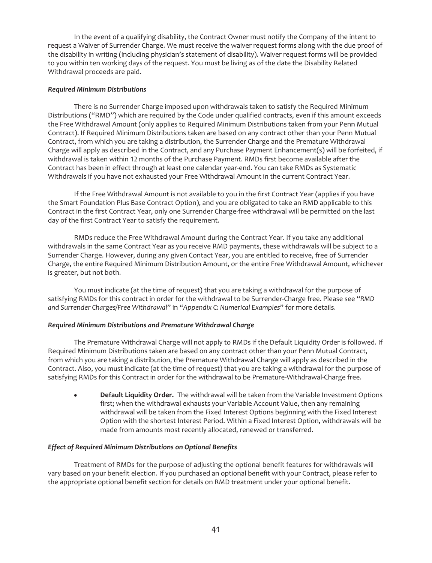In the event of a qualifying disability, the Contract Owner must notify the Company of the intent to request a Waiver of Surrender Charge. We must receive the waiver request forms along with the due proof of the disability in writing (including physician's statement of disability). Waiver request forms will be provided to you within ten working days of the request. You must be living as of the date the Disability Related Withdrawal proceeds are paid.

## *Required Minimum Distributions*

There is no Surrender Charge imposed upon withdrawals taken to satisfy the Required Minimum Distributions ("RMD") which are required by the Code under qualified contracts, even if this amount exceeds the Free Withdrawal Amount (only applies to Required Minimum Distributions taken from your Penn Mutual Contract). If Required Minimum Distributions taken are based on any contract other than your Penn Mutual Contract, from which you are taking a distribution, the Surrender Charge and the Premature Withdrawal Charge will apply as described in the Contract, and any Purchase Payment Enhancement(s) will be forfeited, if withdrawal is taken within 12 months of the Purchase Payment. RMDs first become available after the Contract has been in effect through at least one calendar year-end. You can take RMDs as Systematic Withdrawals if you have not exhausted your Free Withdrawal Amount in the current Contract Year.

If the Free Withdrawal Amount is not available to you in the first Contract Year (applies if you have the Smart Foundation Plus Base Contract Option), and you are obligated to take an RMD applicable to this Contract in the first Contract Year, only one Surrender Charge-free withdrawal will be permitted on the last day of the first Contract Year to satisfy the requirement.

RMDs reduce the Free Withdrawal Amount during the Contract Year. If you take any additional withdrawals in the same Contract Year as you receive RMD payments, these withdrawals will be subject to a Surrender Charge. However, during any given Contact Year, you are entitled to receive, free of Surrender Charge, the entire Required Minimum Distribution Amount, or the entire Free Withdrawal Amount, whichever is greater, but not both.

You must indicate (at the time of request) that you are taking a withdrawal for the purpose of satisfying RMDs for this contract in order for the withdrawal to be Surrender-Charge free. Please see "*RMD and Surrender Charges/Free Withdrawal*" in "*Appendix C: Numerical Examples*" for more details.

## *Required Minimum Distributions and Premature Withdrawal Charge*

The Premature Withdrawal Charge will not apply to RMDs if the Default Liquidity Order is followed. If Required Minimum Distributions taken are based on any contract other than your Penn Mutual Contract, from which you are taking a distribution, the Premature Withdrawal Charge will apply as described in the Contract. Also, you must indicate (at the time of request) that you are taking a withdrawal for the purpose of satisfying RMDs for this Contract in order for the withdrawal to be Premature-Withdrawal-Charge free.

Default Liquidity Order. The withdrawal will be taken from the Variable Investment Options first; when the withdrawal exhausts your Variable Account Value, then any remaining withdrawal will be taken from the Fixed Interest Options beginning with the Fixed Interest Option with the shortest Interest Period. Within a Fixed Interest Option, withdrawals will be made from amounts most recently allocated, renewed or transferred.

#### *Effect of Required Minimum Distributions on Optional Benefits*

Treatment of RMDs for the purpose of adjusting the optional benefit features for withdrawals will vary based on your benefit election. If you purchased an optional benefit with your Contract, please refer to the appropriate optional benefit section for details on RMD treatment under your optional benefit.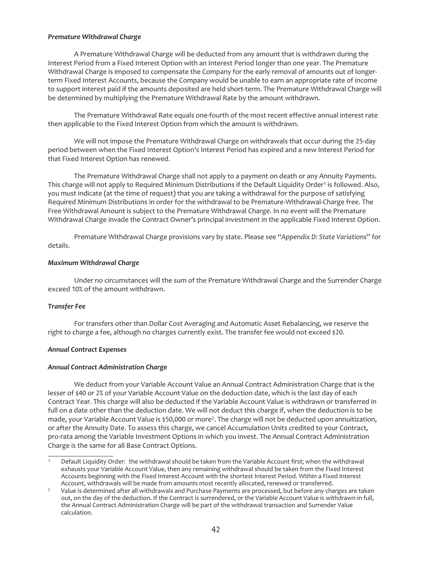### *Premature Withdrawal Charge*

A Premature Withdrawal Charge will be deducted from any amount that is withdrawn during the Interest Period from a Fixed Interest Option with an Interest Period longer than one year. The Premature Withdrawal Charge is imposed to compensate the Company for the early removal of amounts out of longerterm Fixed Interest Accounts, because the Company would be unable to earn an appropriate rate of income to support interest paid if the amounts deposited are held short-term. The Premature Withdrawal Charge will be determined by multiplying the Premature Withdrawal Rate by the amount withdrawn.

The Premature Withdrawal Rate equals one-fourth of the most recent effective annual interest rate then applicable to the Fixed Interest Option from which the amount is withdrawn.

We will not impose the Premature Withdrawal Charge on withdrawals that occur during the 25-day period between when the Fixed Interest Option's Interest Period has expired and a new Interest Period for that Fixed Interest Option has renewed.

The Premature Withdrawal Charge shall not apply to a payment on death or any Annuity Payments. This charge will not apply to Required Minimum Distributions if the Default Liquidity Order<sup>1</sup> is followed. Also, you must indicate (at the time of request) that you are taking a withdrawal for the purpose of satisfying Required Minimum Distributions in order for the withdrawal to be Premature-Withdrawal-Charge free. The Free Withdrawal Amount is subject to the Premature Withdrawal Charge. In no event will the Premature Withdrawal Charge invade the Contract Owner's principal investment in the applicable Fixed Interest Option.

Premature Withdrawal Charge provisions vary by state. Please see "*Appendix D: State Variations*" for details.

## *Maximum Withdrawal Charge*

Under no circumstances will the sum of the Premature Withdrawal Charge and the Surrender Charge exceed 10% of the amount withdrawn.

#### *Transfer Fee*

For transfers other than Dollar Cost Averaging and Automatic Asset Rebalancing, we reserve the right to charge a fee, although no charges currently exist. The transfer fee would not exceed \$20.

#### *Annual Contract Expenses*

#### *Annual Contract Administration Charge*

We deduct from your Variable Account Value an Annual Contract Administration Charge that is the lesser of \$40 or 2% of your Variable Account Value on the deduction date, which is the last day of each Contract Year. This charge will also be deducted if the Variable Account Value is withdrawn or transferred in full on a date other than the deduction date. We will not deduct this charge if, when the deduction is to be made, your Variable Account Value is \$50,000 or more2. The charge will not be deducted upon annuitization, or after the Annuity Date. To assess this charge, we cancel Accumulation Units credited to your Contract, pro-rata among the Variable Investment Options in which you invest. The Annual Contract Administration Charge is the same for all Base Contract Options.

<sup>1</sup> Default Liquidity Order: the withdrawal should be taken from the Variable Account first; when the withdrawal exhausts your Variable Account Value, then any remaining withdrawal should be taken from the Fixed Interest Accounts beginning with the Fixed Interest Account with the shortest Interest Period. Within a Fixed Interest Account, withdrawals will be made from amounts most recently allocated, renewed or transferred.

<sup>&</sup>lt;sup>2</sup> Value is determined after all withdrawals and Purchase Payments are processed, but before any charges are taken out, on the day of the deduction. If the Contract is surrendered, or the Variable Account Value is withdrawn in full, the Annual Contract Administration Charge will be part of the withdrawal transaction and Surrender Value calculation.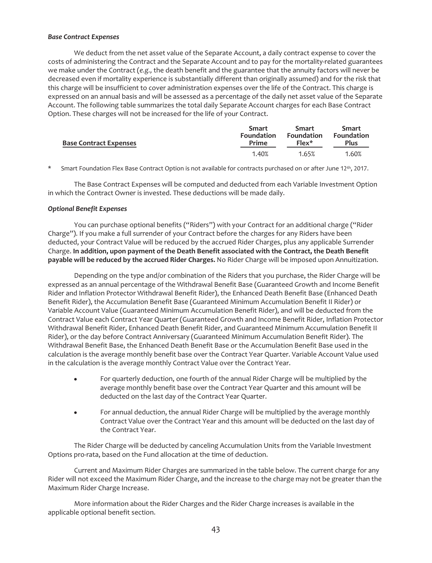## *Base Contract Expenses*

We deduct from the net asset value of the Separate Account, a daily contract expense to cover the costs of administering the Contract and the Separate Account and to pay for the mortality-related guarantees we make under the Contract (*e.g.,* the death benefit and the guarantee that the annuity factors will never be decreased even if mortality experience is substantially different than originally assumed) and for the risk that this charge will be insufficient to cover administration expenses over the life of the Contract. This charge is expressed on an annual basis and will be assessed as a percentage of the daily net asset value of the Separate Account. The following table summarizes the total daily Separate Account charges for each Base Contract Option. These charges will not be increased for the life of your Contract.

| <b>Base Contract Expenses</b> | Smart             | <b>Smart</b>      | <b>Smart</b>      |
|-------------------------------|-------------------|-------------------|-------------------|
|                               | <b>Foundation</b> | <b>Foundation</b> | <b>Foundation</b> |
|                               | Prime             | $Flex*$           | Plus              |
|                               | 1.40%             | 1.65%             | 1.60%             |

\* Smart Foundation Flex Base Contract Option is not available for contracts purchased on or after June 12th, 2017.

The Base Contract Expenses will be computed and deducted from each Variable Investment Option in which the Contract Owner is invested. These deductions will be made daily.

#### *Optional Benefit Expenses*

You can purchase optional benefits ("Riders") with your Contract for an additional charge ("Rider Charge"). If you make a full surrender of your Contract before the charges for any Riders have been deducted, your Contract Value will be reduced by the accrued Rider Charges, plus any applicable Surrender Charge. **In addition, upon payment of the Death Benefit associated with the Contract, the Death Benefit payable will be reduced by the accrued Rider Charges.** No Rider Charge will be imposed upon Annuitization.

Depending on the type and/or combination of the Riders that you purchase, the Rider Charge will be expressed as an annual percentage of the Withdrawal Benefit Base (Guaranteed Growth and Income Benefit Rider and Inflation Protector Withdrawal Benefit Rider), the Enhanced Death Benefit Base (Enhanced Death Benefit Rider), the Accumulation Benefit Base (Guaranteed Minimum Accumulation Benefit II Rider) or Variable Account Value (Guaranteed Minimum Accumulation Benefit Rider), and will be deducted from the Contract Value each Contract Year Quarter (Guaranteed Growth and Income Benefit Rider, Inflation Protector Withdrawal Benefit Rider, Enhanced Death Benefit Rider, and Guaranteed Minimum Accumulation Benefit II Rider), or the day before Contract Anniversary (Guaranteed Minimum Accumulation Benefit Rider). The Withdrawal Benefit Base, the Enhanced Death Benefit Base or the Accumulation Benefit Base used in the calculation is the average monthly benefit base over the Contract Year Quarter. Variable Account Value used in the calculation is the average monthly Contract Value over the Contract Year.

- For quarterly deduction, one fourth of the annual Rider Charge will be multiplied by the average monthly benefit base over the Contract Year Quarter and this amount will be deducted on the last day of the Contract Year Quarter.
- For annual deduction, the annual Rider Charge will be multiplied by the average monthly Contract Value over the Contract Year and this amount will be deducted on the last day of the Contract Year.

The Rider Charge will be deducted by canceling Accumulation Units from the Variable Investment Options pro-rata, based on the Fund allocation at the time of deduction.

Current and Maximum Rider Charges are summarized in the table below. The current charge for any Rider will not exceed the Maximum Rider Charge, and the increase to the charge may not be greater than the Maximum Rider Charge Increase.

More information about the Rider Charges and the Rider Charge increases is available in the applicable optional benefit section.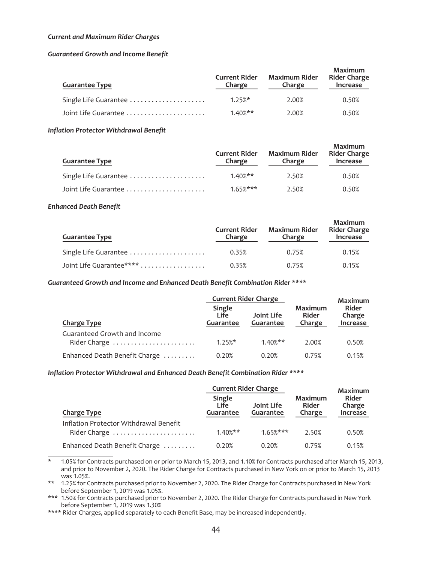#### *Current and Maximum Rider Charges*

#### *Guaranteed Growth and Income Benefit*

| <b>Guarantee Type</b> | <b>Current Rider</b><br>Charge | <b>Maximum Rider</b><br>Charge | Maximum<br><b>Rider Charge</b><br>Increase |
|-----------------------|--------------------------------|--------------------------------|--------------------------------------------|
| Single Life Guarantee | $1.25\%$ *                     | 2.00%                          | 0.50%                                      |
| Joint Life Guarantee  | $1.40\%**$                     | 2.00%                          | 0.50%                                      |

#### *Inflation Protector Withdrawal Benefit*

| <b>Guarantee Type</b> | <b>Current Rider</b><br>Charge | <b>Maximum Rider</b><br>Charge | Maximum<br><b>Rider Charge</b><br>Increase |
|-----------------------|--------------------------------|--------------------------------|--------------------------------------------|
| Single Life Guarantee | $1.40\%**$                     | 2.50%                          | 0.50%                                      |
|                       | $1.65%***$                     | 2.50%                          | 0.50%                                      |

#### *Enhanced Death Benefit*

| <b>Guarantee Type</b>    | <b>Current Rider</b><br>Charge | <b>Maximum Rider</b><br>Charge | Maximum<br><b>Rider Charge</b><br>Increase |
|--------------------------|--------------------------------|--------------------------------|--------------------------------------------|
| Single Life Guarantee    | 0.35%                          | 0.75%                          | 0.15%                                      |
| Joint Life Guarantee**** | 0.35%                          | 0.75%                          | 0.15%                                      |

#### *Guaranteed Growth and Income and Enhanced Death Benefit Combination Rider \*\*\*\**

|                                               |                                           | <b>Current Rider Charge</b>    |                                   | Maximum                            |
|-----------------------------------------------|-------------------------------------------|--------------------------------|-----------------------------------|------------------------------------|
| <b>Charge Type</b>                            | <b>Single</b><br>Life<br><b>Guarantee</b> | Joint Life<br><b>Guarantee</b> | <b>Maximum</b><br>Rider<br>Charge | Rider<br>Charge<br><b>Increase</b> |
| Guaranteed Growth and Income                  | $1.25%$ *                                 | $1.40%$ **                     | 2.00%                             |                                    |
| Rider Charge<br>Enhanced Death Benefit Charge | 0.20%                                     | 0.20%                          | 0.75%                             | 0.50%<br>0.15%                     |

#### *Inflation Protector Withdrawal and Enhanced Death Benefit Combination Rider \*\*\*\**

|                                        |                                    | <b>Current Rider Charge</b>    |                            | <b>Maximum</b>                     |
|----------------------------------------|------------------------------------|--------------------------------|----------------------------|------------------------------------|
| <b>Charge Type</b>                     | Single<br>Life<br><b>Guarantee</b> | Joint Life<br><b>Guarantee</b> | Maximum<br>Rider<br>Charge | Rider<br>Charge<br><b>Increase</b> |
| Inflation Protector Withdrawal Benefit |                                    |                                |                            |                                    |
| Rider Charge                           | $1.40\%**$                         | $1.65\%***$                    | 2.50%                      | 0.50%                              |
| Enhanced Death Benefit Charge          | 0.20%                              | 0.20%                          | 0.75%                      | 0.15%                              |

<sup>\* 1.05%</sup> for Contracts purchased on or prior to March 15, 2013, and 1.10% for Contracts purchased after March 15, 2013, and prior to November 2, 2020. The Rider Charge for Contracts purchased in New York on or prior to March 15, 2013 was 1.05%.

\*\* 1.25% for Contracts purchased prior to November 2, 2020. The Rider Charge for Contracts purchased in New York before September 1, 2019 was 1.05%.

\*\*\* 1.50% for Contracts purchased prior to November 2, 2020. The Rider Charge for Contracts purchased in New York before September 1, 2019 was 1.30%

\*\*\*\* Rider Charges, applied separately to each Benefit Base, may be increased independently.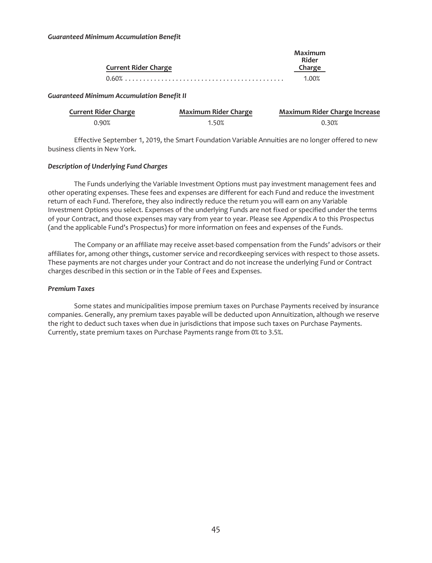| <b>Current Rider Charge</b> | Maximum<br>Rider<br>Charge |
|-----------------------------|----------------------------|
|                             | 1.00%                      |

### *Guaranteed Minimum Accumulation Benefit II*

| <b>Current Rider Charge</b> | <b>Maximum Rider Charge</b> | <b>Maximum Rider Charge Increase</b> |
|-----------------------------|-----------------------------|--------------------------------------|
| 0.90%                       | 1.50%                       | 0.30%                                |

Effective September 1, 2019, the Smart Foundation Variable Annuities are no longer offered to new business clients in New York.

## *Description of Underlying Fund Charges*

The Funds underlying the Variable Investment Options must pay investment management fees and other operating expenses. These fees and expenses are different for each Fund and reduce the investment return of each Fund. Therefore, they also indirectly reduce the return you will earn on any Variable Investment Options you select. Expenses of the underlying Funds are not fixed or specified under the terms of your Contract, and those expenses may vary from year to year. Please see *Appendix A* to this Prospectus (and the applicable Fund's Prospectus) for more information on fees and expenses of the Funds.

The Company or an affiliate may receive asset-based compensation from the Funds' advisors or their affiliates for, among other things, customer service and recordkeeping services with respect to those assets. These payments are not charges under your Contract and do not increase the underlying Fund or Contract charges described in this section or in the Table of Fees and Expenses.

#### *Premium Taxes*

Some states and municipalities impose premium taxes on Purchase Payments received by insurance companies. Generally, any premium taxes payable will be deducted upon Annuitization, although we reserve the right to deduct such taxes when due in jurisdictions that impose such taxes on Purchase Payments. Currently, state premium taxes on Purchase Payments range from 0% to 3.5%.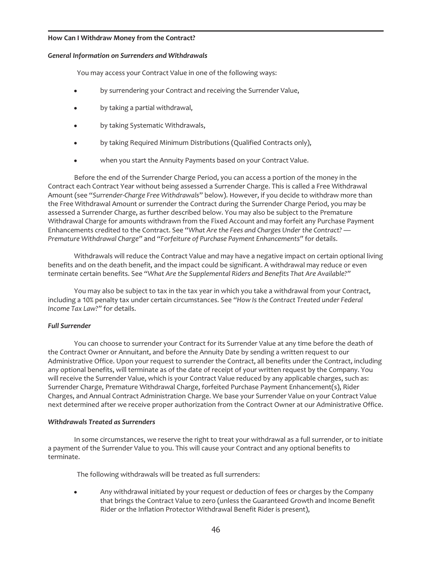#### **How Can I Withdraw Money from the Contract?**

#### *General Information on Surrenders and Withdrawals*

You may access your Contract Value in one of the following ways:

- by surrendering your Contract and receiving the Surrender Value,
- by taking a partial withdrawal,
- by taking Systematic Withdrawals,
- by taking Required Minimum Distributions (Qualified Contracts only),
- when you start the Annuity Payments based on your Contract Value.

Before the end of the Surrender Charge Period, you can access a portion of the money in the Contract each Contract Year without being assessed a Surrender Charge. This is called a Free Withdrawal Amount (see "*Surrender-Charge Free Withdrawals*" below). However, if you decide to withdraw more than the Free Withdrawal Amount or surrender the Contract during the Surrender Charge Period, you may be assessed a Surrender Charge, as further described below. You may also be subject to the Premature Withdrawal Charge for amounts withdrawn from the Fixed Account and may forfeit any Purchase Payment Enhancements credited to the Contract. See "*What Are the Fees and Charges Under the Contract? — Premature Withdrawal Charge"* and *"Forfeiture of Purchase Payment Enhancements"* for details.

Withdrawals will reduce the Contract Value and may have a negative impact on certain optional living benefits and on the death benefit, and the impact could be significant. A withdrawal may reduce or even terminate certain benefits. See *"What Are the Supplemental Riders and Benefits That Are Available?"*

You may also be subject to tax in the tax year in which you take a withdrawal from your Contract, including a 10% penalty tax under certain circumstances. See *"How Is the Contract Treated under Federal Income Tax Law?"* for details.

## *Full Surrender*

You can choose to surrender your Contract for its Surrender Value at any time before the death of the Contract Owner or Annuitant, and before the Annuity Date by sending a written request to our Administrative Office. Upon your request to surrender the Contract, all benefits under the Contract, including any optional benefits, will terminate as of the date of receipt of your written request by the Company. You will receive the Surrender Value, which is your Contract Value reduced by any applicable charges, such as: Surrender Charge, Premature Withdrawal Charge, forfeited Purchase Payment Enhancement(s), Rider Charges, and Annual Contract Administration Charge. We base your Surrender Value on your Contract Value next determined after we receive proper authorization from the Contract Owner at our Administrative Office.

#### *Withdrawals Treated as Surrenders*

In some circumstances, we reserve the right to treat your withdrawal as a full surrender, or to initiate a payment of the Surrender Value to you. This will cause your Contract and any optional benefits to terminate.

The following withdrawals will be treated as full surrenders:

Any withdrawal initiated by your request or deduction of fees or charges by the Company that brings the Contract Value to zero (unless the Guaranteed Growth and Income Benefit Rider or the Inflation Protector Withdrawal Benefit Rider is present),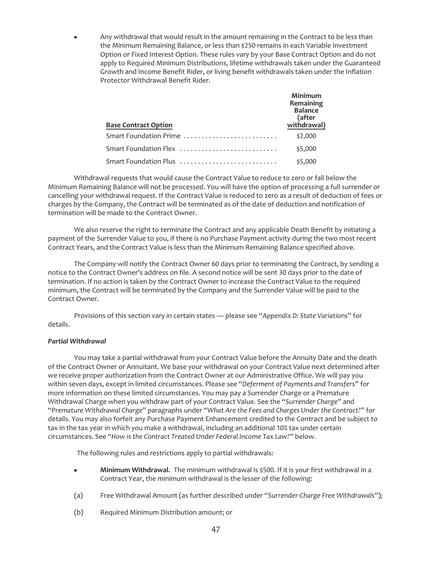Any withdrawal that would result in the amount remaining in the Contract to be less than the Minimum Remaining Balance, or less than \$250 remains in each Variable Investment Option or Fixed Interest Option. These rules vary by your Base Contract Option and do not apply to Required Minimum Distributions, lifetime withdrawals taken under the Guaranteed Growth and Income Benefit Rider, or living benefit withdrawals taken under the Inflation Protector Withdrawal Benefit Rider.

| <b>Base Contract Option</b>                                              | Minimum<br>Remaining<br><b>Balance</b><br>(after<br>withdrawal) |
|--------------------------------------------------------------------------|-----------------------------------------------------------------|
| Smart Foundation Prime                                                   | \$2,000                                                         |
| Smart Foundation Flex                                                    | \$5,000                                                         |
| Smart Foundation Plus $\ldots \ldots \ldots \ldots \ldots \ldots \ldots$ | \$5,000                                                         |

Withdrawal requests that would cause the Contract Value to reduce to zero or fall below the Minimum Remaining Balance will not be processed. You will have the option of processing a full surrender or cancelling your withdrawal request. If the Contract Value is reduced to zero as a result of deduction of fees or charges by the Company, the Contract will be terminated as of the date of deduction and notification of termination will be made to the Contract Owner.

We also reserve the right to terminate the Contract and any applicable Death Benefit by initiating a payment of the Surrender Value to you, if there is no Purchase Payment activity during the two most recent Contract Years, and the Contract Value is less than the Minimum Remaining Balance specified above.

The Company will notify the Contract Owner 60 days prior to terminating the Contract, by sending a notice to the Contract Owner's address on file. A second notice will be sent 30 days prior to the date of termination. If no action is taken by the Contract Owner to increase the Contract Value to the required minimum, the Contract will be terminated by the Company and the Surrender Value will be paid to the Contract Owner.

Provisions of this section vary in certain states — please see "*Appendix D: State Variations*" for details.

## *Partial Withdrawal*

You may take a partial withdrawal from your Contract Value before the Annuity Date and the death of the Contract Owner or Annuitant. We base your withdrawal on your Contract Value next determined after we receive proper authorization from the Contract Owner at our Administrative Office. We will pay you within seven days, except in limited circumstances. Please see "*Deferment of Payments and Transfers*" for more information on these limited circumstances. You may pay a Surrender Charge or a Premature Withdrawal Charge when you withdraw part of your Contract Value. See the "*Surrender Charge"* and "*Premature Withdrawal Charge"* paragraphs under *"What Are the Fees and Charges Under the Contract?"* for details. You may also forfeit any Purchase Payment Enhancement credited to the Contract and be subject to tax in the tax year in which you make a withdrawal, including an additional 10% tax under certain circumstances. See *"How is the Contract Treated Under Federal Income Tax Law?"* below.

The following rules and restrictions apply to partial withdrawals:

- Minimum Withdrawal. The minimum withdrawal is \$500. If it is your first withdrawal in a Contract Year, the minimum withdrawal is the lesser of the following:
- (a) Free Withdrawal Amount (as further described under *"Surrender-Charge Free Withdrawals"*);
- (b) Required Minimum Distribution amount; or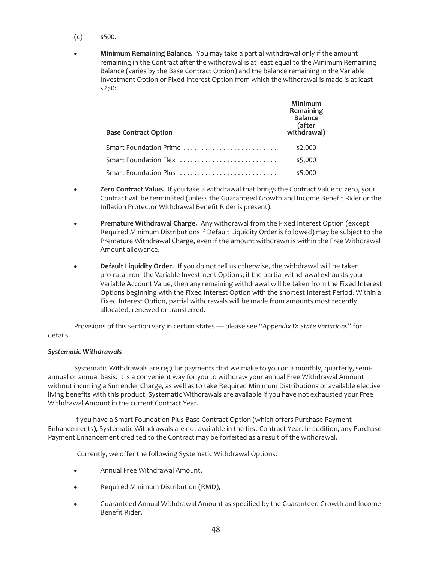- $(c)$  \$500.
- **Minimum Remaining Balance.** You may take a partial withdrawal only if the amount remaining in the Contract after the withdrawal is at least equal to the Minimum Remaining Balance (varies by the Base Contract Option) and the balance remaining in the Variable Investment Option or Fixed Interest Option from which the withdrawal is made is at least \$250:

| <b>Base Contract Option</b> | Minimum<br>Remaining<br><b>Balance</b><br>(after<br>withdrawal) |
|-----------------------------|-----------------------------------------------------------------|
| Smart Foundation Prime      | \$2,000                                                         |
| Smart Foundation Flex       | \$5,000                                                         |
| Smart Foundation Plus       | \$5,000                                                         |

- Zero Contract Value. If you take a withdrawal that brings the Contract Value to zero, your Contract will be terminated (unless the Guaranteed Growth and Income Benefit Rider or the Inflation Protector Withdrawal Benefit Rider is present).
- Premature Withdrawal Charge. Any withdrawal from the Fixed Interest Option (except Required Minimum Distributions if Default Liquidity Order is followed) may be subject to the Premature Withdrawal Charge, even if the amount withdrawn is within the Free Withdrawal Amount allowance.
- Default Liquidity Order. If you do not tell us otherwise, the withdrawal will be taken pro-rata from the Variable Investment Options; if the partial withdrawal exhausts your Variable Account Value, then any remaining withdrawal will be taken from the Fixed Interest Options beginning with the Fixed Interest Option with the shortest Interest Period. Within a Fixed Interest Option, partial withdrawals will be made from amounts most recently allocated, renewed or transferred.

Provisions of this section vary in certain states — please see "*Appendix D: State Variations*" for details.

#### *Systematic Withdrawals*

Systematic Withdrawals are regular payments that we make to you on a monthly, quarterly, semiannual or annual basis. It is a convenient way for you to withdraw your annual Free Withdrawal Amount without incurring a Surrender Charge, as well as to take Required Minimum Distributions or available elective living benefits with this product. Systematic Withdrawals are available if you have not exhausted your Free Withdrawal Amount in the current Contract Year.

If you have a Smart Foundation Plus Base Contract Option (which offers Purchase Payment Enhancements), Systematic Withdrawals are not available in the first Contract Year. In addition, any Purchase Payment Enhancement credited to the Contract may be forfeited as a result of the withdrawal.

Currently, we offer the following Systematic Withdrawal Options:

- Annual Free Withdrawal Amount,
- Required Minimum Distribution (RMD),
- Guaranteed Annual Withdrawal Amount as specified by the Guaranteed Growth and Income Benefit Rider,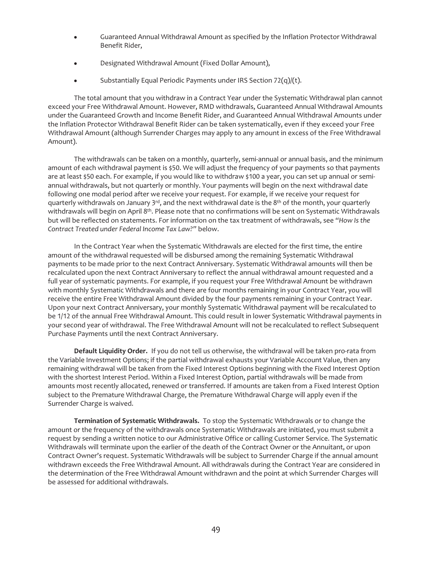- Guaranteed Annual Withdrawal Amount as specified by the Inflation Protector Withdrawal Benefit Rider,
- Designated Withdrawal Amount (Fixed Dollar Amount),
- Substantially Equal Periodic Payments under IRS Section  $72(q)/(t)$ .

The total amount that you withdraw in a Contract Year under the Systematic Withdrawal plan cannot exceed your Free Withdrawal Amount. However, RMD withdrawals, Guaranteed Annual Withdrawal Amounts under the Guaranteed Growth and Income Benefit Rider, and Guaranteed Annual Withdrawal Amounts under the Inflation Protector Withdrawal Benefit Rider can be taken systematically, even if they exceed your Free Withdrawal Amount (although Surrender Charges may apply to any amount in excess of the Free Withdrawal Amount).

The withdrawals can be taken on a monthly, quarterly, semi-annual or annual basis, and the minimum amount of each withdrawal payment is \$50. We will adjust the frequency of your payments so that payments are at least \$50 each. For example, if you would like to withdraw \$100 a year, you can set up annual or semiannual withdrawals, but not quarterly or monthly. Your payments will begin on the next withdrawal date following one modal period after we receive your request. For example, if we receive your request for quarterly withdrawals on January 3<sup>rd</sup>, and the next withdrawal date is the 8<sup>th</sup> of the month, your quarterly withdrawals will begin on April 8th. Please note that no confirmations will be sent on Systematic Withdrawals but will be reflected on statements. For information on the tax treatment of withdrawals, see *"How Is the Contract Treated under Federal Income Tax Law?"* below.

In the Contract Year when the Systematic Withdrawals are elected for the first time, the entire amount of the withdrawal requested will be disbursed among the remaining Systematic Withdrawal payments to be made prior to the next Contract Anniversary. Systematic Withdrawal amounts will then be recalculated upon the next Contract Anniversary to reflect the annual withdrawal amount requested and a full year of systematic payments. For example, if you request your Free Withdrawal Amount be withdrawn with monthly Systematic Withdrawals and there are four months remaining in your Contract Year, you will receive the entire Free Withdrawal Amount divided by the four payments remaining in your Contract Year. Upon your next Contract Anniversary, your monthly Systematic Withdrawal payment will be recalculated to be 1/12 of the annual Free Withdrawal Amount. This could result in lower Systematic Withdrawal payments in your second year of withdrawal. The Free Withdrawal Amount will not be recalculated to reflect Subsequent Purchase Payments until the next Contract Anniversary.

**Default Liquidity Order.** If you do not tell us otherwise, the withdrawal will be taken pro-rata from the Variable Investment Options; if the partial withdrawal exhausts your Variable Account Value, then any remaining withdrawal will be taken from the Fixed Interest Options beginning with the Fixed Interest Option with the shortest Interest Period. Within a Fixed Interest Option, partial withdrawals will be made from amounts most recently allocated, renewed or transferred. If amounts are taken from a Fixed Interest Option subject to the Premature Withdrawal Charge, the Premature Withdrawal Charge will apply even if the Surrender Charge is waived.

**Termination of Systematic Withdrawals.** To stop the Systematic Withdrawals or to change the amount or the frequency of the withdrawals once Systematic Withdrawals are initiated, you must submit a request by sending a written notice to our Administrative Office or calling Customer Service. The Systematic Withdrawals will terminate upon the earlier of the death of the Contract Owner or the Annuitant, or upon Contract Owner's request. Systematic Withdrawals will be subject to Surrender Charge if the annual amount withdrawn exceeds the Free Withdrawal Amount. All withdrawals during the Contract Year are considered in the determination of the Free Withdrawal Amount withdrawn and the point at which Surrender Charges will be assessed for additional withdrawals.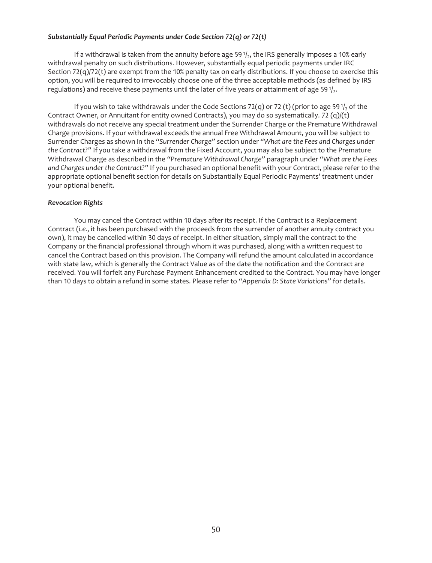#### *Substantially Equal Periodic Payments under Code Section 72(q) or 72(t)*

If a withdrawal is taken from the annuity before age 59 $1/2$ , the IRS generally imposes a 10% early withdrawal penalty on such distributions. However, substantially equal periodic payments under IRC Section 72(q)/72(t) are exempt from the 10% penalty tax on early distributions. If you choose to exercise this option, you will be required to irrevocably choose one of the three acceptable methods (as defined by IRS regulations) and receive these payments until the later of five years or attainment of age 59 $\frac{1}{2}$ .

If you wish to take withdrawals under the Code Sections 72(q) or 72 (t) (prior to age 59 $\frac{1}{2}$  of the Contract Owner, or Annuitant for entity owned Contracts), you may do so systematically. 72 (q)/(t) withdrawals do not receive any special treatment under the Surrender Charge or the Premature Withdrawal Charge provisions. If your withdrawal exceeds the annual Free Withdrawal Amount, you will be subject to Surrender Charges as shown in the *"Surrender Charge"* section under *"What are the Fees and Charges under the Contract?"* If you take a withdrawal from the Fixed Account, you may also be subject to the Premature Withdrawal Charge as described in the *"Premature Withdrawal Charge"* paragraph under *"What are the Fees and Charges under the Contract?"* If you purchased an optional benefit with your Contract, please refer to the appropriate optional benefit section for details on Substantially Equal Periodic Payments' treatment under your optional benefit.

#### *Revocation Rights*

You may cancel the Contract within 10 days after its receipt. If the Contract is a Replacement Contract (*i.e.*, it has been purchased with the proceeds from the surrender of another annuity contract you own), it may be cancelled within 30 days of receipt. In either situation, simply mail the contract to the Company or the financial professional through whom it was purchased, along with a written request to cancel the Contract based on this provision. The Company will refund the amount calculated in accordance with state law, which is generally the Contract Value as of the date the notification and the Contract are received. You will forfeit any Purchase Payment Enhancement credited to the Contract. You may have longer than 10 days to obtain a refund in some states. Please refer to *"Appendix D: State Variations"* for details.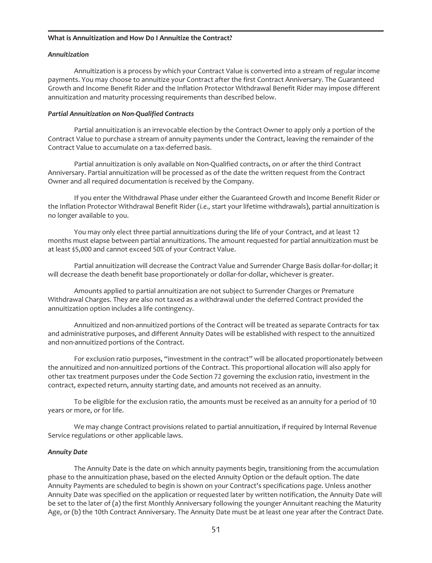#### **What is Annuitization and How Do I Annuitize the Contract?**

#### *Annuitization*

Annuitization is a process by which your Contract Value is converted into a stream of regular income payments. You may choose to annuitize your Contract after the first Contract Anniversary. The Guaranteed Growth and Income Benefit Rider and the Inflation Protector Withdrawal Benefit Rider may impose different annuitization and maturity processing requirements than described below.

### *Partial Annuitization on Non-Qualified Contracts*

Partial annuitization is an irrevocable election by the Contract Owner to apply only a portion of the Contract Value to purchase a stream of annuity payments under the Contract, leaving the remainder of the Contract Value to accumulate on a tax-deferred basis.

Partial annuitization is only available on Non-Qualified contracts, on or after the third Contract Anniversary. Partial annuitization will be processed as of the date the written request from the Contract Owner and all required documentation is received by the Company.

If you enter the Withdrawal Phase under either the Guaranteed Growth and Income Benefit Rider or the Inflation Protector Withdrawal Benefit Rider (*i.e.,* start your lifetime withdrawals), partial annuitization is no longer available to you.

You may only elect three partial annuitizations during the life of your Contract, and at least 12 months must elapse between partial annuitizations. The amount requested for partial annuitization must be at least \$5,000 and cannot exceed 50% of your Contract Value.

Partial annuitization will decrease the Contract Value and Surrender Charge Basis dollar-for-dollar; it will decrease the death benefit base proportionately or dollar-for-dollar, whichever is greater.

Amounts applied to partial annuitization are not subject to Surrender Charges or Premature Withdrawal Charges. They are also not taxed as a withdrawal under the deferred Contract provided the annuitization option includes a life contingency.

Annuitized and non-annuitized portions of the Contract will be treated as separate Contracts for tax and administrative purposes, and different Annuity Dates will be established with respect to the annuitized and non-annuitized portions of the Contract.

For exclusion ratio purposes, "investment in the contract" will be allocated proportionately between the annuitized and non-annuitized portions of the Contract. This proportional allocation will also apply for other tax treatment purposes under the Code Section 72 governing the exclusion ratio, investment in the contract, expected return, annuity starting date, and amounts not received as an annuity.

To be eligible for the exclusion ratio, the amounts must be received as an annuity for a period of 10 years or more, or for life.

We may change Contract provisions related to partial annuitization, if required by Internal Revenue Service regulations or other applicable laws.

#### *Annuity Date*

The Annuity Date is the date on which annuity payments begin, transitioning from the accumulation phase to the annuitization phase, based on the elected Annuity Option or the default option. The date Annuity Payments are scheduled to begin is shown on your Contract's specifications page. Unless another Annuity Date was specified on the application or requested later by written notification, the Annuity Date will be set to the later of (a) the first Monthly Anniversary following the younger Annuitant reaching the Maturity Age, or (b) the 10th Contract Anniversary. The Annuity Date must be at least one year after the Contract Date.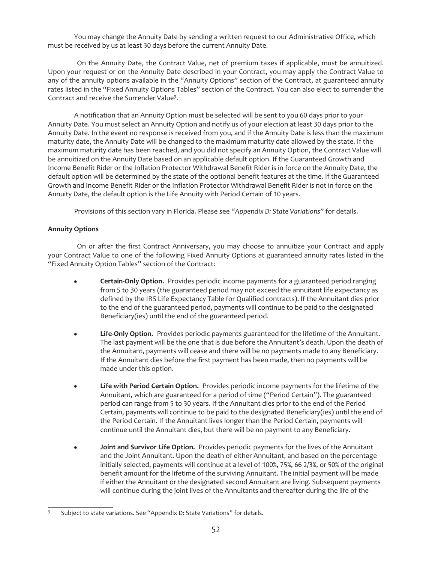You may change the Annuity Date by sending a written request to our Administrative Office, which must be received by us at least 30 days before the current Annuity Date.

On the Annuity Date, the Contract Value, net of premium taxes if applicable, must be annuitized. Upon your request or on the Annuity Date described in your Contract, you may apply the Contract Value to any of the annuity options available in the "Annuity Options" section of the Contract, at guaranteed annuity rates listed in the "Fixed Annuity Options Tables" section of the Contract. You can also elect to surrender the Contract and receive the Surrender Value3.

A notification that an Annuity Option must be selected will be sent to you 60 days prior to your Annuity Date. You must select an Annuity Option and notify us of your election at least 30 days prior to the Annuity Date. In the event no response is received from you, and if the Annuity Date is less than the maximum maturity date, the Annuity Date will be changed to the maximum maturity date allowed by the state. If the maximum maturity date has been reached, and you did not specify an Annuity Option, the Contract Value will be annuitized on the Annuity Date based on an applicable default option. If the Guaranteed Growth and Income Benefit Rider or the Inflation Protector Withdrawal Benefit Rider is in force on the Annuity Date, the default option will be determined by the state of the optional benefit features at the time. If the Guaranteed Growth and Income Benefit Rider or the Inflation Protector Withdrawal Benefit Rider is not in force on the Annuity Date, the default option is the Life Annuity with Period Certain of 10 years.

Provisions of this section vary in Florida. Please see "*Appendix D: State Variations*" for details.

## **Annuity Options**

On or after the first Contract Anniversary, you may choose to annuitize your Contract and apply your Contract Value to one of the following Fixed Annuity Options at guaranteed annuity rates listed in the "Fixed Annuity Option Tables" section of the Contract:

- **Certain-Only Option.** Provides periodic income payments for a guaranteed period ranging from 5 to 30 years (the guaranteed period may not exceed the annuitant life expectancy as defined by the IRS Life Expectancy Table for Qualified contracts). If the Annuitant dies prior to the end of the guaranteed period, payments will continue to be paid to the designated Beneficiary(ies) until the end of the guaranteed period.
- Life-Only Option. Provides periodic payments guaranteed for the lifetime of the Annuitant. The last payment will be the one that is due before the Annuitant's death. Upon the death of the Annuitant, payments will cease and there will be no payments made to any Beneficiary. If the Annuitant dies before the first payment has been made, then no payments will be made under this option.
- Life with Period Certain Option. Provides periodic income payments for the lifetime of the Annuitant, which are guaranteed for a period of time ("Period Certain"). The guaranteed period can range from 5 to 30 years. If the Annuitant dies prior to the end of the Period Certain, payments will continue to be paid to the designated Beneficiary(ies) until the end of the Period Certain. If the Annuitant lives longer than the Period Certain, payments will continue until the Annuitant dies, but there will be no payment to any Beneficiary.
- **•** Joint and Survivor Life Option. Provides periodic payments for the lives of the Annuitant and the Joint Annuitant. Upon the death of either Annuitant, and based on the percentage initially selected, payments will continue at a level of 100%, 75%, 66 2/3%, or 50% of the original benefit amount for the lifetime of the surviving Annuitant. The initial payment will be made if either the Annuitant or the designated second Annuitant are living. Subsequent payments will continue during the joint lives of the Annuitants and thereafter during the life of the

<sup>&</sup>lt;sup>3</sup> Subject to state variations. See "Appendix D: State Variations" for details.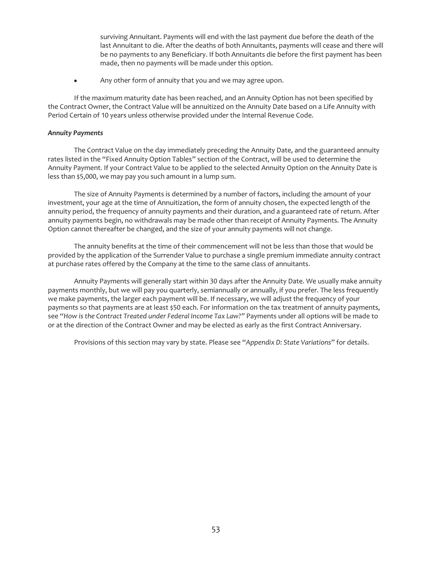surviving Annuitant. Payments will end with the last payment due before the death of the last Annuitant to die. After the deaths of both Annuitants, payments will cease and there will be no payments to any Beneficiary. If both Annuitants die before the first payment has been made, then no payments will be made under this option.

• Any other form of annuity that you and we may agree upon.

If the maximum maturity date has been reached, and an Annuity Option has not been specified by the Contract Owner, the Contract Value will be annuitized on the Annuity Date based on a Life Annuity with Period Certain of 10 years unless otherwise provided under the Internal Revenue Code.

## *Annuity Payments*

The Contract Value on the day immediately preceding the Annuity Date, and the guaranteed annuity rates listed in the "Fixed Annuity Option Tables" section of the Contract, will be used to determine the Annuity Payment. If your Contract Value to be applied to the selected Annuity Option on the Annuity Date is less than \$5,000, we may pay you such amount in a lump sum.

The size of Annuity Payments is determined by a number of factors, including the amount of your investment, your age at the time of Annuitization, the form of annuity chosen, the expected length of the annuity period, the frequency of annuity payments and their duration, and a guaranteed rate of return. After annuity payments begin, no withdrawals may be made other than receipt of Annuity Payments. The Annuity Option cannot thereafter be changed, and the size of your annuity payments will not change.

The annuity benefits at the time of their commencement will not be less than those that would be provided by the application of the Surrender Value to purchase a single premium immediate annuity contract at purchase rates offered by the Company at the time to the same class of annuitants.

Annuity Payments will generally start within 30 days after the Annuity Date. We usually make annuity payments monthly, but we will pay you quarterly, semiannually or annually, if you prefer. The less frequently we make payments, the larger each payment will be. If necessary, we will adjust the frequency of your payments so that payments are at least \$50 each. For information on the tax treatment of annuity payments, see "*How is the Contract Treated under Federal Income Tax Law?"* Payments under all options will be made to or at the direction of the Contract Owner and may be elected as early as the first Contract Anniversary.

Provisions of this section may vary by state. Please see "*Appendix D: State Variations*" for details.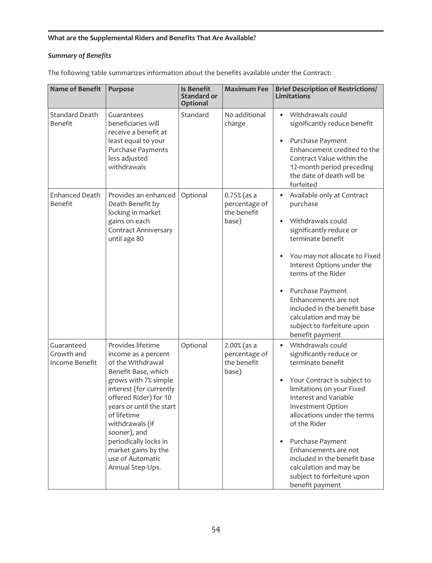# **What are the Supplemental Riders and Benefits That Are Available?**

# *Summary of Benefits*

| <b>Name of Benefit</b>                     | Purpose                                                                                                                                                                                                                                                                                                                                | <b>Is Benefit</b><br><b>Standard or</b><br><b>Optional</b> | <b>Maximum Fee</b>                                     | <b>Brief Description of Restrictions/</b><br><b>Limitations</b>                                                                                                                                                                                                                                                                                                                                             |
|--------------------------------------------|----------------------------------------------------------------------------------------------------------------------------------------------------------------------------------------------------------------------------------------------------------------------------------------------------------------------------------------|------------------------------------------------------------|--------------------------------------------------------|-------------------------------------------------------------------------------------------------------------------------------------------------------------------------------------------------------------------------------------------------------------------------------------------------------------------------------------------------------------------------------------------------------------|
| <b>Standard Death</b><br><b>Benefit</b>    | Guarantees<br>beneficiaries will<br>receive a benefit at<br>least equal to your<br>Purchase Payments<br>less adjusted<br>withdrawals                                                                                                                                                                                                   | Standard                                                   | No additional<br>charge                                | Withdrawals could<br>$\bullet$<br>significantly reduce benefit<br>Purchase Payment<br>$\bullet$<br>Enhancement credited to the<br>Contract Value within the<br>12-month period preceding<br>the date of death will be<br>forfeited                                                                                                                                                                          |
| <b>Enhanced Death</b><br>Benefit           | Provides an enhanced<br>Death Benefit by<br>locking in market<br>gains on each<br><b>Contract Anniversary</b><br>until age 80                                                                                                                                                                                                          | Optional                                                   | $0.75%$ (as a<br>percentage of<br>the benefit<br>base) | Available only at Contract<br>purchase<br>Withdrawals could<br>significantly reduce or<br>terminate benefit<br>You may not allocate to Fixed<br>Interest Options under the<br>terms of the Rider<br>Purchase Payment<br>Enhancements are not<br>included in the benefit base<br>calculation and may be<br>subject to forfeiture upon<br>benefit payment                                                     |
| Guaranteed<br>Growth and<br>Income Benefit | Provides lifetime<br>income as a percent<br>of the Withdrawal<br>Benefit Base, which<br>grows with 7% simple<br>interest (for currently<br>offered Rider) for 10<br>years or until the start<br>of lifetime<br>withdrawals (if<br>sooner), and<br>periodically locks in<br>market gains by the<br>use of Automatic<br>Annual Step-Ups. | Optional                                                   | $2.00%$ (as a<br>percentage of<br>the benefit<br>base) | Withdrawals could<br>$\bullet$<br>significantly reduce or<br>terminate benefit<br>Your Contract is subject to<br>$\bullet$<br>limitations on your Fixed<br>Interest and Variable<br>Investment Option<br>allocations under the terms<br>of the Rider<br>Purchase Payment<br>Enhancements are not<br>included in the benefit base<br>calculation and may be<br>subject to forfeiture upon<br>benefit payment |

The following table summarizes information about the benefits available under the Contract: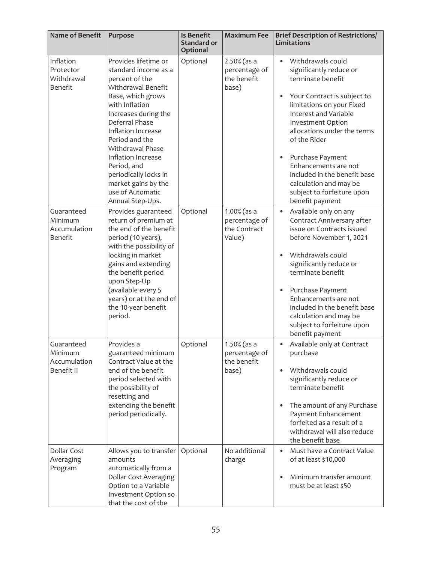| <b>Name of Benefit</b>                                  | Purpose                                                                                                                                                                                                                                                                                                                                                        | <b>Is Benefit</b><br><b>Standard or</b><br><b>Optional</b> | <b>Maximum Fee</b>                                        | <b>Brief Description of Restrictions/</b><br><b>Limitations</b>                                                                                                                                                                                                                                                                                                                                                                 |
|---------------------------------------------------------|----------------------------------------------------------------------------------------------------------------------------------------------------------------------------------------------------------------------------------------------------------------------------------------------------------------------------------------------------------------|------------------------------------------------------------|-----------------------------------------------------------|---------------------------------------------------------------------------------------------------------------------------------------------------------------------------------------------------------------------------------------------------------------------------------------------------------------------------------------------------------------------------------------------------------------------------------|
| Inflation<br>Protector<br>Withdrawal<br><b>Benefit</b>  | Provides lifetime or<br>standard income as a<br>percent of the<br>Withdrawal Benefit<br>Base, which grows<br>with Inflation<br>Increases during the<br>Deferral Phase<br>Inflation Increase<br>Period and the<br>Withdrawal Phase<br>Inflation Increase<br>Period, and<br>periodically locks in<br>market gains by the<br>use of Automatic<br>Annual Step-Ups. | Optional                                                   | $2.50%$ (as a<br>percentage of<br>the benefit<br>base)    | Withdrawals could<br>$\bullet$<br>significantly reduce or<br>terminate benefit<br>Your Contract is subject to<br>$\bullet$<br>limitations on your Fixed<br>Interest and Variable<br><b>Investment Option</b><br>allocations under the terms<br>of the Rider<br>Purchase Payment<br>$\bullet$<br>Enhancements are not<br>included in the benefit base<br>calculation and may be<br>subject to forfeiture upon<br>benefit payment |
| Guaranteed<br>Minimum<br>Accumulation<br><b>Benefit</b> | Provides guaranteed<br>return of premium at<br>the end of the benefit<br>period (10 years),<br>with the possibility of<br>locking in market<br>gains and extending<br>the benefit period<br>upon Step-Up<br>(available every 5<br>years) or at the end of<br>the 10-year benefit<br>period.                                                                    | Optional                                                   | $1.00\%$ (as a<br>percentage of<br>the Contract<br>Value) | Available only on any<br>Contract Anniversary after<br>issue on Contracts issued<br>before November 1, 2021<br>Withdrawals could<br>significantly reduce or<br>terminate benefit<br>Purchase Payment<br>$\bullet$<br>Enhancements are not<br>included in the benefit base<br>calculation and may be<br>subject to forfeiture upon<br>benefit payment                                                                            |
| Guaranteed<br>Minimum<br>Accumulation<br>Benefit II     | Provides a<br>guaranteed minimum<br>Contract Value at the<br>end of the benefit<br>period selected with<br>the possibility of<br>resetting and<br>extending the benefit<br>period periodically.                                                                                                                                                                | Optional                                                   | 1.50% (as a<br>percentage of<br>the benefit<br>base)      | Available only at Contract<br>purchase<br>Withdrawals could<br>significantly reduce or<br>terminate benefit<br>The amount of any Purchase<br>Payment Enhancement<br>forfeited as a result of a<br>withdrawal will also reduce<br>the benefit base                                                                                                                                                                               |
| Dollar Cost<br>Averaging<br>Program                     | Allows you to transfer<br>amounts<br>automatically from a<br><b>Dollar Cost Averaging</b><br>Option to a Variable<br>Investment Option so<br>that the cost of the                                                                                                                                                                                              | Optional                                                   | No additional<br>charge                                   | Must have a Contract Value<br>$\bullet$<br>of at least \$10,000<br>Minimum transfer amount<br>must be at least \$50                                                                                                                                                                                                                                                                                                             |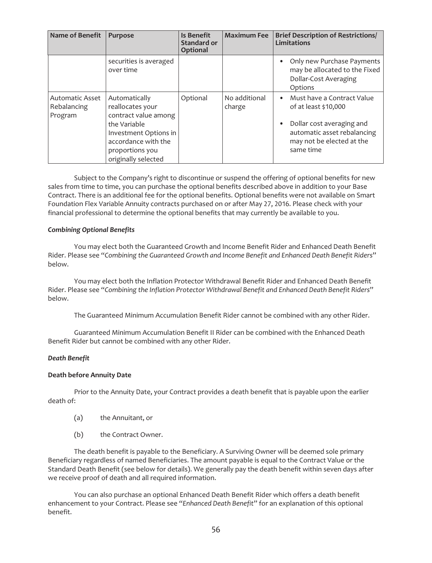| <b>Name of Benefit</b>                           | <b>Purpose</b>                                                                                                                                                      | Is Benefit<br><b>Standard or</b><br>Optional | <b>Maximum Fee</b>      | <b>Brief Description of Restrictions/</b><br><b>Limitations</b>                                                                                                       |
|--------------------------------------------------|---------------------------------------------------------------------------------------------------------------------------------------------------------------------|----------------------------------------------|-------------------------|-----------------------------------------------------------------------------------------------------------------------------------------------------------------------|
|                                                  | securities is averaged<br>over time                                                                                                                                 |                                              |                         | Only new Purchase Payments<br>may be allocated to the Fixed<br>Dollar-Cost Averaging<br>Options                                                                       |
| <b>Automatic Asset</b><br>Rebalancing<br>Program | Automatically<br>reallocates your<br>contract value among<br>the Variable<br>Investment Options in<br>accordance with the<br>proportions you<br>originally selected | Optional                                     | No additional<br>charge | Must have a Contract Value<br>$\bullet$<br>of at least \$10,000<br>Dollar cost averaging and<br>automatic asset rebalancing<br>may not be elected at the<br>same time |

Subject to the Company's right to discontinue or suspend the offering of optional benefits for new sales from time to time, you can purchase the optional benefits described above in addition to your Base Contract. There is an additional fee for the optional benefits. Optional benefits were not available on Smart Foundation Flex Variable Annuity contracts purchased on or after May 27, 2016. Please check with your financial professional to determine the optional benefits that may currently be available to you.

#### *Combining Optional Benefits*

You may elect both the Guaranteed Growth and Income Benefit Rider and Enhanced Death Benefit Rider. Please see "*Combining the Guaranteed Growth and Income Benefit and Enhanced Death Benefit Riders*" below.

You may elect both the Inflation Protector Withdrawal Benefit Rider and Enhanced Death Benefit Rider. Please see "*Combining the Inflation Protector Withdrawal Benefit and Enhanced Death Benefit Riders*" below.

The Guaranteed Minimum Accumulation Benefit Rider cannot be combined with any other Rider.

Guaranteed Minimum Accumulation Benefit II Rider can be combined with the Enhanced Death Benefit Rider but cannot be combined with any other Rider.

#### *Death Benefit*

#### **Death before Annuity Date**

Prior to the Annuity Date, your Contract provides a death benefit that is payable upon the earlier death of:

- (a) the Annuitant, or
- (b) the Contract Owner.

The death benefit is payable to the Beneficiary. A Surviving Owner will be deemed sole primary Beneficiary regardless of named Beneficiaries. The amount payable is equal to the Contract Value or the Standard Death Benefit (see below for details). We generally pay the death benefit within seven days after we receive proof of death and all required information.

You can also purchase an optional Enhanced Death Benefit Rider which offers a death benefit enhancement to your Contract. Please see "*Enhanced Death Benefit*" for an explanation of this optional benefit.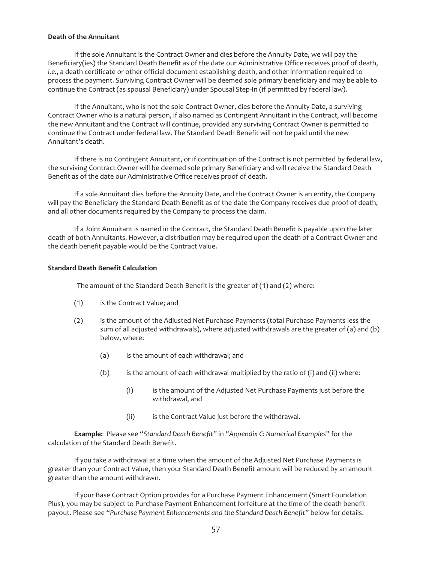#### **Death of the Annuitant**

If the sole Annuitant is the Contract Owner and dies before the Annuity Date, we will pay the Beneficiary(ies) the Standard Death Benefit as of the date our Administrative Office receives proof of death, *i.e.*, a death certificate or other official document establishing death, and other information required to process the payment. Surviving Contract Owner will be deemed sole primary beneficiary and may be able to continue the Contract (as spousal Beneficiary) under Spousal Step-In (if permitted by federal law).

If the Annuitant, who is not the sole Contract Owner, dies before the Annuity Date, a surviving Contract Owner who is a natural person, if also named as Contingent Annuitant in the Contract, will become the new Annuitant and the Contract will continue, provided any surviving Contract Owner is permitted to continue the Contract under federal law. The Standard Death Benefit will not be paid until the new Annuitant's death.

If there is no Contingent Annuitant, or if continuation of the Contract is not permitted by federal law, the surviving Contract Owner will be deemed sole primary Beneficiary and will receive the Standard Death Benefit as of the date our Administrative Office receives proof of death.

If a sole Annuitant dies before the Annuity Date, and the Contract Owner is an entity, the Company will pay the Beneficiary the Standard Death Benefit as of the date the Company receives due proof of death, and all other documents required by the Company to process the claim.

If a Joint Annuitant is named in the Contract, the Standard Death Benefit is payable upon the later death of both Annuitants. However, a distribution may be required upon the death of a Contract Owner and the death benefit payable would be the Contract Value.

#### **Standard Death Benefit Calculation**

The amount of the Standard Death Benefit is the greater of (1) and (2) where:

- (1) is the Contract Value; and
- (2) is the amount of the Adjusted Net Purchase Payments (total Purchase Payments less the sum of all adjusted withdrawals), where adjusted withdrawals are the greater of (a) and (b) below, where:
	- (a) is the amount of each withdrawal; and
	- (b) is the amount of each withdrawal multiplied by the ratio of (i) and (ii) where:
		- (i) is the amount of the Adjusted Net Purchase Payments just before the withdrawal, and
		- (ii) is the Contract Value just before the withdrawal.

**Example:** Please see "*Standard Death Benefit*" in "*Appendix C: Numerical Examples*" for the calculation of the Standard Death Benefit.

If you take a withdrawal at a time when the amount of the Adjusted Net Purchase Payments is greater than your Contract Value, then your Standard Death Benefit amount will be reduced by an amount greater than the amount withdrawn.

If your Base Contract Option provides for a Purchase Payment Enhancement (Smart Foundation Plus), you may be subject to Purchase Payment Enhancement forfeiture at the time of the death benefit payout. Please see "*Purchase Payment Enhancements and the Standard Death Benefit*" below for details.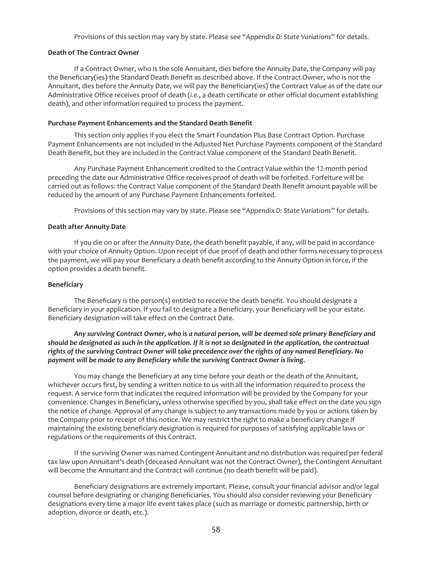Provisions of this section may vary by state. Please see "*Appendix D: State Variations*" for details.

#### **Death of The Contract Owner**

If a Contract Owner, who is the sole Annuitant, dies before the Annuity Date, the Company will pay the Beneficiary(ies) the Standard Death Benefit as described above. If the Contract Owner, who is not the Annuitant, dies before the Annuity Date, we will pay the Beneficiary(ies) the Contract Value as of the date our Administrative Office receives proof of death (*i.e.*, a death certificate or other official document establishing death), and other information required to process the payment.

#### **Purchase Payment Enhancements and the Standard Death Benefit**

This section only applies if you elect the Smart Foundation Plus Base Contract Option. Purchase Payment Enhancements are not included in the Adjusted Net Purchase Payments component of the Standard Death Benefit, but they are included in the Contract Value component of the Standard Death Benefit.

Any Purchase Payment Enhancement credited to the Contract Value within the 12-month period preceding the date our Administrative Office receives proof of death will be forfeited. Forfeiture will be carried out as follows: the Contract Value component of the Standard Death Benefit amount payable will be reduced by the amount of any Purchase Payment Enhancements forfeited.

Provisions of this section may vary by state. Please see "*Appendix D: State Variations*" for details.

## **Death after Annuity Date**

If you die on or after the Annuity Date, the death benefit payable, if any, will be paid in accordance with your choice of Annuity Option. Upon receipt of due proof of death and other forms necessary to process the payment, we will pay your Beneficiary a death benefit according to the Annuity Option in force, if the option provides a death benefit.

#### **Beneficiary**

The Beneficiary is the person(s) entitled to receive the death benefit. You should designate a Beneficiary in your application. If you fail to designate a Beneficiary, your Beneficiary will be your estate. Beneficiary designation will take effect on the Contract Date.

## *Any surviving Contract Owner, who is a natural person, will be deemed sole primary Beneficiary and should be designated as such in the application. If it is not so designated in the application, the contractual rights of the surviving Contract Owner will take precedence over the rights of any named Beneficiary. No payment will be made to any Beneficiary while the surviving Contract Owner is living.*

You may change the Beneficiary at any time before your death or the death of the Annuitant, whichever occurs first, by sending a written notice to us with all the information required to process the request. A service form that indicates the required information will be provided by the Company for your convenience. Changes in Beneficiary, unless otherwise specified by you, shall take effect on the date you sign the notice of change. Approval of any change is subject to any transactions made by you or actions taken by the Company prior to receipt of this notice. We may restrict the right to make a beneficiary change if maintaining the existing beneficiary designation is required for purposes of satisfying applicable laws or regulations or the requirements of this Contract.

If the surviving Owner was named Contingent Annuitant and no distribution was required per federal tax law upon Annuitant's death (deceased Annuitant was not the Contract Owner), the Contingent Annuitant will become the Annuitant and the Contract will continue (no death benefit will be paid).

Beneficiary designations are extremely important. Please, consult your financial advisor and/or legal counsel before designating or changing Beneficiaries. You should also consider reviewing your Beneficiary designations every time a major life event takes place (such as marriage or domestic partnership, birth or adoption, divorce or death, etc.).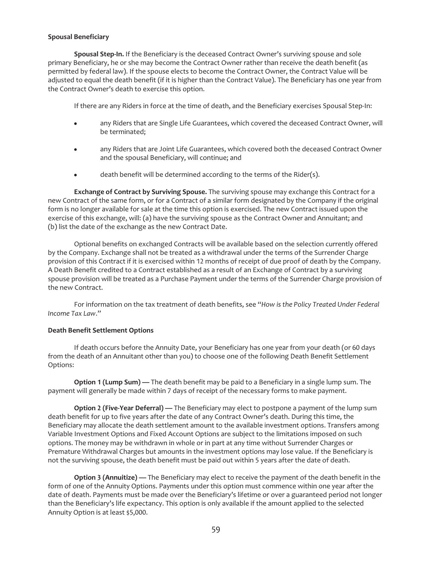## **Spousal Beneficiary**

**Spousal Step-In.** If the Beneficiary is the deceased Contract Owner's surviving spouse and sole primary Beneficiary, he or she may become the Contract Owner rather than receive the death benefit (as permitted by federal law). If the spouse elects to become the Contract Owner, the Contract Value will be adjusted to equal the death benefit (if it is higher than the Contract Value). The Beneficiary has one year from the Contract Owner's death to exercise this option.

If there are any Riders in force at the time of death, and the Beneficiary exercises Spousal Step-In:

- any Riders that are Single Life Guarantees, which covered the deceased Contract Owner, will be terminated;
- any Riders that are Joint Life Guarantees, which covered both the deceased Contract Owner and the spousal Beneficiary, will continue; and
- death benefit will be determined according to the terms of the Rider(s).

**Exchange of Contract by Surviving Spouse.** The surviving spouse may exchange this Contract for a new Contract of the same form, or for a Contract of a similar form designated by the Company if the original form is no longer available for sale at the time this option is exercised. The new Contract issued upon the exercise of this exchange, will: (a) have the surviving spouse as the Contract Owner and Annuitant; and (b) list the date of the exchange as the new Contract Date.

Optional benefits on exchanged Contracts will be available based on the selection currently offered by the Company. Exchange shall not be treated as a withdrawal under the terms of the Surrender Charge provision of this Contract if it is exercised within 12 months of receipt of due proof of death by the Company. A Death Benefit credited to a Contract established as a result of an Exchange of Contract by a surviving spouse provision will be treated as a Purchase Payment under the terms of the Surrender Charge provision of the new Contract.

For information on the tax treatment of death benefits, see "*How is the Policy Treated Under Federal Income Tax Law*."

#### **Death Benefit Settlement Options**

If death occurs before the Annuity Date, your Beneficiary has one year from your death (or 60 days from the death of an Annuitant other than you) to choose one of the following Death Benefit Settlement Options:

**Option 1 (Lump Sum) —** The death benefit may be paid to a Beneficiary in a single lump sum. The payment will generally be made within 7 days of receipt of the necessary forms to make payment.

**Option 2 (Five-Year Deferral) —** The Beneficiary may elect to postpone a payment of the lump sum death benefit for up to five years after the date of any Contract Owner's death. During this time, the Beneficiary may allocate the death settlement amount to the available investment options. Transfers among Variable Investment Options and Fixed Account Options are subject to the limitations imposed on such options. The money may be withdrawn in whole or in part at any time without Surrender Charges or Premature Withdrawal Charges but amounts in the investment options may lose value. If the Beneficiary is not the surviving spouse, the death benefit must be paid out within 5 years after the date of death.

**Option 3 (Annuitize) —** The Beneficiary may elect to receive the payment of the death benefit in the form of one of the Annuity Options. Payments under this option must commence within one year after the date of death. Payments must be made over the Beneficiary's lifetime or over a guaranteed period not longer than the Beneficiary's life expectancy. This option is only available if the amount applied to the selected Annuity Option is at least \$5,000.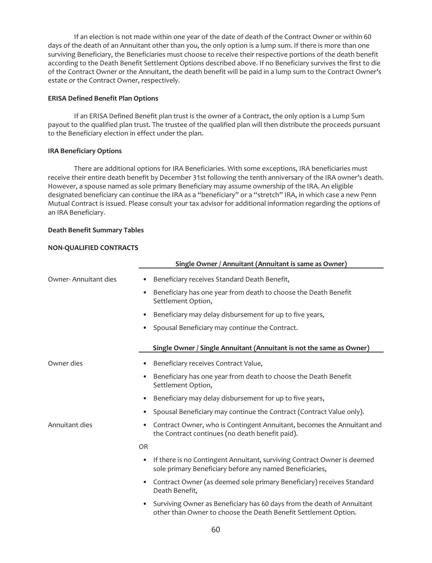If an election is not made within one year of the date of death of the Contract Owner or within 60 days of the death of an Annuitant other than you, the only option is a lump sum. If there is more than one surviving Beneficiary, the Beneficiaries must choose to receive their respective portions of the death benefit according to the Death Benefit Settlement Options described above. If no Beneficiary survives the first to die of the Contract Owner or the Annuitant, the death benefit will be paid in a lump sum to the Contract Owner's estate or the Contract Owner, respectively.

### **ERISA Defined Benefit Plan Options**

If an ERISA Defined Benefit plan trust is the owner of a Contract, the only option is a Lump Sum payout to the qualified plan trust. The trustee of the qualified plan will then distribute the proceeds pursuant to the Beneficiary election in effect under the plan.

## **IRA Beneficiary Options**

There are additional options for IRA Beneficiaries. With some exceptions, IRA beneficiaries must receive their entire death benefit by December 31st following the tenth anniversary of the IRA owner's death. However, a spouse named as sole primary Beneficiary may assume ownership of the IRA. An eligible designated beneficiary can continue the IRA as a "beneficiary" or a "stretch" IRA, in which case a new Penn Mutual Contract is issued. Please consult your tax advisor for additional information regarding the options of an IRA Beneficiary.

## **Death Benefit Summary Tables**

## **NON-QUALIFIED CONTRACTS**

|                      | Single Owner / Annuitant (Annuitant is same as Owner)                                                                                                  |  |  |  |
|----------------------|--------------------------------------------------------------------------------------------------------------------------------------------------------|--|--|--|
| Owner-Annuitant dies | Beneficiary receives Standard Death Benefit,                                                                                                           |  |  |  |
|                      | Beneficiary has one year from death to choose the Death Benefit<br>$\bullet$<br>Settlement Option,                                                     |  |  |  |
|                      | Beneficiary may delay disbursement for up to five years,<br>$\bullet$                                                                                  |  |  |  |
|                      | Spousal Beneficiary may continue the Contract.<br>$\bullet$                                                                                            |  |  |  |
|                      | Single Owner / Single Annuitant (Annuitant is not the same as Owner)                                                                                   |  |  |  |
| Owner dies           | Beneficiary receives Contract Value,<br>٠                                                                                                              |  |  |  |
|                      | Beneficiary has one year from death to choose the Death Benefit<br>$\bullet$<br>Settlement Option,                                                     |  |  |  |
|                      | Beneficiary may delay disbursement for up to five years,<br>$\bullet$                                                                                  |  |  |  |
|                      | Spousal Beneficiary may continue the Contract (Contract Value only).<br>$\bullet$                                                                      |  |  |  |
| Annuitant dies       | Contract Owner, who is Contingent Annuitant, becomes the Annuitant and<br>$\bullet$<br>the Contract continues (no death benefit paid).                 |  |  |  |
|                      | <b>OR</b>                                                                                                                                              |  |  |  |
|                      | If there is no Contingent Annuitant, surviving Contract Owner is deemed<br>$\bullet$<br>sole primary Beneficiary before any named Beneficiaries,       |  |  |  |
|                      | Contract Owner (as deemed sole primary Beneficiary) receives Standard<br>$\bullet$<br>Death Benefit,                                                   |  |  |  |
|                      | Surviving Owner as Beneficiary has 60 days from the death of Annuitant<br>$\bullet$<br>other than Owner to choose the Death Benefit Settlement Option. |  |  |  |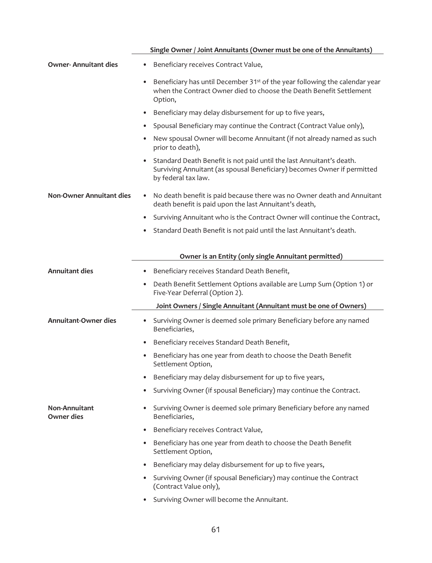|                                           | Single Owner / Joint Annuitants (Owner must be one of the Annuitants)                                                                                                                  |  |  |  |
|-------------------------------------------|----------------------------------------------------------------------------------------------------------------------------------------------------------------------------------------|--|--|--|
| <b>Owner-Annuitant dies</b>               | Beneficiary receives Contract Value,                                                                                                                                                   |  |  |  |
|                                           | Beneficiary has until December 31 <sup>st</sup> of the year following the calendar year<br>$\bullet$<br>when the Contract Owner died to choose the Death Benefit Settlement<br>Option, |  |  |  |
|                                           | Beneficiary may delay disbursement for up to five years,<br>$\bullet$                                                                                                                  |  |  |  |
|                                           | Spousal Beneficiary may continue the Contract (Contract Value only),<br>$\bullet$                                                                                                      |  |  |  |
|                                           | New spousal Owner will become Annuitant (if not already named as such<br>prior to death),                                                                                              |  |  |  |
|                                           | Standard Death Benefit is not paid until the last Annuitant's death.<br>$\bullet$<br>Surviving Annuitant (as spousal Beneficiary) becomes Owner if permitted<br>by federal tax law.    |  |  |  |
| <b>Non-Owner Annuitant dies</b>           | No death benefit is paid because there was no Owner death and Annuitant<br>death benefit is paid upon the last Annuitant's death,                                                      |  |  |  |
|                                           | Surviving Annuitant who is the Contract Owner will continue the Contract,<br>$\bullet$                                                                                                 |  |  |  |
|                                           | Standard Death Benefit is not paid until the last Annuitant's death.<br>٠                                                                                                              |  |  |  |
|                                           | Owner is an Entity (only single Annuitant permitted)                                                                                                                                   |  |  |  |
| <b>Annuitant dies</b>                     | Beneficiary receives Standard Death Benefit,                                                                                                                                           |  |  |  |
|                                           | Death Benefit Settlement Options available are Lump Sum (Option 1) or<br>$\bullet$<br>Five-Year Deferral (Option 2).                                                                   |  |  |  |
|                                           | Joint Owners / Single Annuitant (Annuitant must be one of Owners)                                                                                                                      |  |  |  |
| <b>Annuitant-Owner dies</b>               | Surviving Owner is deemed sole primary Beneficiary before any named<br>$\bullet$<br>Beneficiaries,                                                                                     |  |  |  |
|                                           | Beneficiary receives Standard Death Benefit,<br>$\bullet$                                                                                                                              |  |  |  |
|                                           | Beneficiary has one year from death to choose the Death Benefit<br>$\bullet$<br>Settlement Option,                                                                                     |  |  |  |
|                                           | Beneficiary may delay disbursement for up to five years,<br>٠                                                                                                                          |  |  |  |
|                                           | Surviving Owner (if spousal Beneficiary) may continue the Contract.                                                                                                                    |  |  |  |
| <b>Non-Annuitant</b><br><b>Owner dies</b> | Surviving Owner is deemed sole primary Beneficiary before any named<br>$\bullet$<br>Beneficiaries,                                                                                     |  |  |  |
|                                           | Beneficiary receives Contract Value,<br>$\bullet$                                                                                                                                      |  |  |  |
|                                           | Beneficiary has one year from death to choose the Death Benefit<br>$\bullet$<br>Settlement Option,                                                                                     |  |  |  |
|                                           | Beneficiary may delay disbursement for up to five years,<br>$\bullet$                                                                                                                  |  |  |  |
|                                           | Surviving Owner (if spousal Beneficiary) may continue the Contract<br>$\bullet$<br>(Contract Value only),                                                                              |  |  |  |
|                                           | Surviving Owner will become the Annuitant.<br>٠                                                                                                                                        |  |  |  |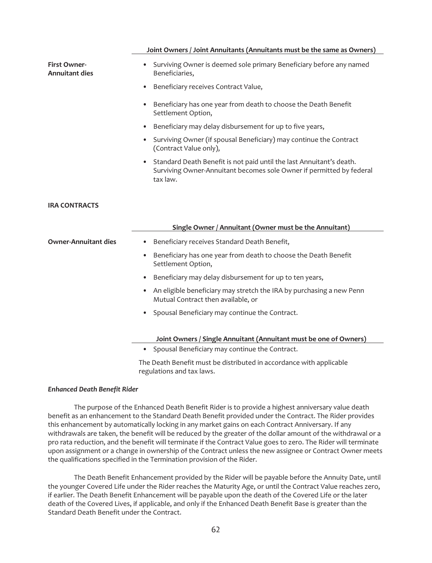#### **Joint Owners / Joint Annuitants (Annuitants must be the same as Owners)**

| <b>First Owner-</b><br><b>Annuitant dies</b> | Surviving Owner is deemed sole primary Beneficiary before any named<br>Beneficiaries,                                                                    |  |  |  |
|----------------------------------------------|----------------------------------------------------------------------------------------------------------------------------------------------------------|--|--|--|
|                                              | Beneficiary receives Contract Value,                                                                                                                     |  |  |  |
|                                              | Beneficiary has one year from death to choose the Death Benefit<br>Settlement Option,                                                                    |  |  |  |
|                                              | Beneficiary may delay disbursement for up to five years,                                                                                                 |  |  |  |
|                                              | Surviving Owner (if spousal Beneficiary) may continue the Contract<br>(Contract Value only),                                                             |  |  |  |
|                                              | Standard Death Benefit is not paid until the last Annuitant's death.<br>Surviving Owner-Annuitant becomes sole Owner if permitted by federal<br>tax law. |  |  |  |
| <b>IRA CONTRACTS</b>                         |                                                                                                                                                          |  |  |  |
|                                              |                                                                                                                                                          |  |  |  |
|                                              | Single Owner / Annuitant (Owner must be the Annuitant)                                                                                                   |  |  |  |
| <b>Owner-Annuitant dies</b>                  | Beneficiary receives Standard Death Benefit,<br>$\bullet$                                                                                                |  |  |  |
|                                              | Beneficiary has one year from death to choose the Death Benefit<br>$\bullet$<br>Settlement Option,                                                       |  |  |  |
|                                              | Beneficiary may delay disbursement for up to ten years,                                                                                                  |  |  |  |
|                                              | An eligible beneficiary may stretch the IRA by purchasing a new Penn<br>Mutual Contract then available, or                                               |  |  |  |
|                                              | Spousal Beneficiary may continue the Contract.                                                                                                           |  |  |  |
|                                              | Joint Owners / Single Annuitant (Annuitant must be one of Owners)                                                                                        |  |  |  |

The Death Benefit must be distributed in accordance with applicable regulations and tax laws.

#### *Enhanced Death Benefit Rider*

The purpose of the Enhanced Death Benefit Rider is to provide a highest anniversary value death benefit as an enhancement to the Standard Death Benefit provided under the Contract. The Rider provides this enhancement by automatically locking in any market gains on each Contract Anniversary. If any withdrawals are taken, the benefit will be reduced by the greater of the dollar amount of the withdrawal or a pro rata reduction, and the benefit will terminate if the Contract Value goes to zero. The Rider will terminate upon assignment or a change in ownership of the Contract unless the new assignee or Contract Owner meets the qualifications specified in the Termination provision of the Rider.

The Death Benefit Enhancement provided by the Rider will be payable before the Annuity Date, until the younger Covered Life under the Rider reaches the Maturity Age, or until the Contract Value reaches zero, if earlier. The Death Benefit Enhancement will be payable upon the death of the Covered Life or the later death of the Covered Lives, if applicable, and only if the Enhanced Death Benefit Base is greater than the Standard Death Benefit under the Contract.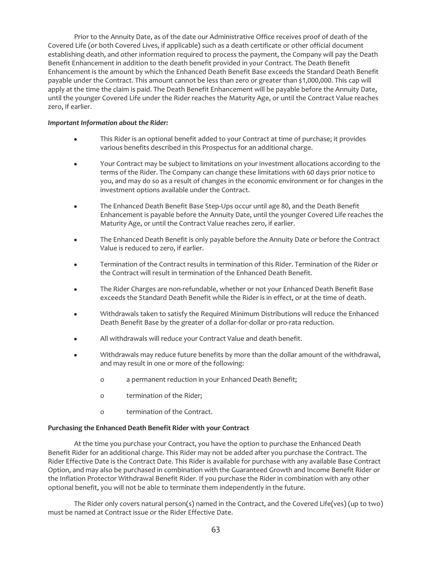Prior to the Annuity Date, as of the date our Administrative Office receives proof of death of the Covered Life (or both Covered Lives, if applicable) such as a death certificate or other official document establishing death, and other information required to process the payment, the Company will pay the Death Benefit Enhancement in addition to the death benefit provided in your Contract. The Death Benefit Enhancement is the amount by which the Enhanced Death Benefit Base exceeds the Standard Death Benefit payable under the Contract. This amount cannot be less than zero or greater than \$1,000,000. This cap will apply at the time the claim is paid. The Death Benefit Enhancement will be payable before the Annuity Date, until the younger Covered Life under the Rider reaches the Maturity Age, or until the Contract Value reaches zero, if earlier.

### *Important Information about the Rider:*

- This Rider is an optional benefit added to your Contract at time of purchase; it provides various benefits described in this Prospectus for an additional charge.
- Your Contract may be subject to limitations on your investment allocations according to the terms of the Rider. The Company can change these limitations with 60 days prior notice to you, and may do so as a result of changes in the economic environment or for changes in the investment options available under the Contract.
- The Enhanced Death Benefit Base Step-Ups occur until age 80, and the Death Benefit Enhancement is payable before the Annuity Date, until the younger Covered Life reaches the Maturity Age, or until the Contract Value reaches zero, if earlier.
- The Enhanced Death Benefit is only payable before the Annuity Date or before the Contract Value is reduced to zero, if earlier.
- Termination of the Contract results in termination of this Rider. Termination of the Rider or the Contract will result in termination of the Enhanced Death Benefit.
- The Rider Charges are non-refundable, whether or not your Enhanced Death Benefit Base exceeds the Standard Death Benefit while the Rider is in effect, or at the time of death.
- Withdrawals taken to satisfy the Required Minimum Distributions will reduce the Enhanced Death Benefit Base by the greater of a dollar-for-dollar or pro-rata reduction.
- All withdrawals will reduce your Contract Value and death benefit.
- Withdrawals may reduce future benefits by more than the dollar amount of the withdrawal, and may result in one or more of the following:
	- o a permanent reduction in your Enhanced Death Benefit;
	- o termination of the Rider;
	- o termination of the Contract.

#### **Purchasing the Enhanced Death Benefit Rider with your Contract**

At the time you purchase your Contract, you have the option to purchase the Enhanced Death Benefit Rider for an additional charge. This Rider may not be added after you purchase the Contract. The Rider Effective Date is the Contract Date. This Rider is available for purchase with any available Base Contract Option, and may also be purchased in combination with the Guaranteed Growth and Income Benefit Rider or the Inflation Protector Withdrawal Benefit Rider. If you purchase the Rider in combination with any other optional benefit, you will not be able to terminate them independently in the future.

The Rider only covers natural person(s) named in the Contract, and the Covered Life(ves) (up to two) must be named at Contract issue or the Rider Effective Date.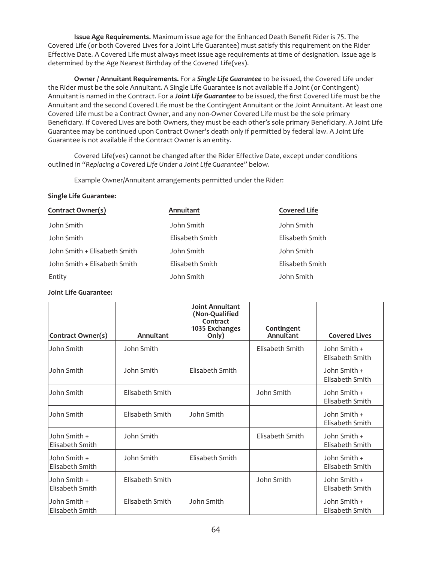**Issue Age Requirements.** Maximum issue age for the Enhanced Death Benefit Rider is 75. The Covered Life (or both Covered Lives for a Joint Life Guarantee) must satisfy this requirement on the Rider Effective Date. A Covered Life must always meet issue age requirements at time of designation. Issue age is determined by the Age Nearest Birthday of the Covered Life(ves).

**Owner / Annuitant Requirements.** For a *Single Life Guarantee* to be issued, the Covered Life under the Rider must be the sole Annuitant. A Single Life Guarantee is not available if a Joint (or Contingent) Annuitant is named in the Contract. For a *Joint Life Guarantee* to be issued, the first Covered Life must be the Annuitant and the second Covered Life must be the Contingent Annuitant or the Joint Annuitant. At least one Covered Life must be a Contract Owner, and any non-Owner Covered Life must be the sole primary Beneficiary. If Covered Lives are both Owners, they must be each other's sole primary Beneficiary. A Joint Life Guarantee may be continued upon Contract Owner's death only if permitted by federal law. A Joint Life Guarantee is not available if the Contract Owner is an entity.

Covered Life(ves) cannot be changed after the Rider Effective Date, except under conditions outlined in *"Replacing a Covered Life Under a Joint Life Guarantee"* below.

Example Owner/Annuitant arrangements permitted under the Rider:

## **Single Life Guarantee:**

| Contract Owner(s)            | Annuitant       | <b>Covered Life</b> |
|------------------------------|-----------------|---------------------|
| John Smith                   | John Smith      | John Smith          |
| John Smith                   | Elisabeth Smith | Elisabeth Smith     |
| John Smith + Elisabeth Smith | John Smith      | John Smith          |
| John Smith + Elisabeth Smith | Elisabeth Smith | Elisabeth Smith     |
| Entity                       | John Smith      | John Smith          |

## **Joint Life Guarantee:**

|                                 |                 | <b>Joint Annuitant</b><br>(Non-Qualified<br>Contract |                                |                                 |
|---------------------------------|-----------------|------------------------------------------------------|--------------------------------|---------------------------------|
| <b>Contract Owner(s)</b>        | Annuitant       | 1035 Exchanges<br>Only)                              | Contingent<br><b>Annuitant</b> | <b>Covered Lives</b>            |
| John Smith                      | John Smith      |                                                      | Elisabeth Smith                | John Smith +<br>Elisabeth Smith |
| John Smith                      | John Smith      | Elisabeth Smith                                      |                                | John Smith +<br>Elisabeth Smith |
| John Smith                      | Elisabeth Smith |                                                      | John Smith                     | John Smith +<br>Elisabeth Smith |
| John Smith                      | Elisabeth Smith | John Smith                                           |                                | John Smith +<br>Elisabeth Smith |
| John Smith +<br>Elisabeth Smith | John Smith      |                                                      | Elisabeth Smith                | John Smith +<br>Elisabeth Smith |
| John Smith +<br>Elisabeth Smith | John Smith      | Elisabeth Smith                                      |                                | John Smith +<br>Elisabeth Smith |
| John Smith +<br>Elisabeth Smith | Elisabeth Smith |                                                      | John Smith                     | John Smith +<br>Elisabeth Smith |
| John Smith +<br>Elisabeth Smith | Elisabeth Smith | John Smith                                           |                                | John Smith +<br>Elisabeth Smith |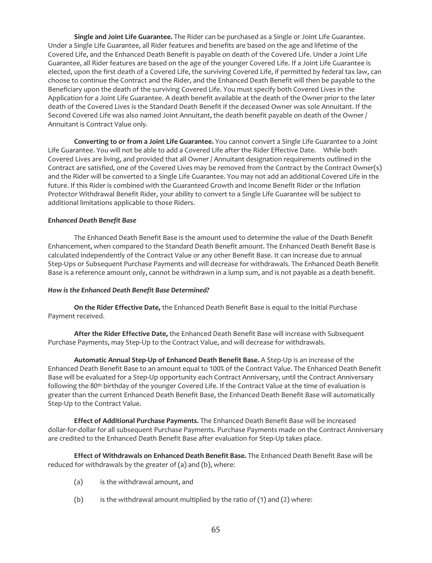**Single and Joint Life Guarantee.** The Rider can be purchased as a Single or Joint Life Guarantee. Under a Single Life Guarantee, all Rider features and benefits are based on the age and lifetime of the Covered Life, and the Enhanced Death Benefit is payable on death of the Covered Life. Under a Joint Life Guarantee, all Rider features are based on the age of the younger Covered Life. If a Joint Life Guarantee is elected, upon the first death of a Covered Life, the surviving Covered Life, if permitted by federal tax law, can choose to continue the Contract and the Rider, and the Enhanced Death Benefit will then be payable to the Beneficiary upon the death of the surviving Covered Life. You must specify both Covered Lives in the Application for a Joint Life Guarantee. A death benefit available at the death of the Owner prior to the later death of the Covered Lives is the Standard Death Benefit if the deceased Owner was sole Annuitant. If the Second Covered Life was also named Joint Annuitant, the death benefit payable on death of the Owner / Annuitant is Contract Value only.

**Converting to or from a Joint Life Guarantee.** You cannot convert a Single Life Guarantee to a Joint Life Guarantee. You will not be able to add a Covered Life after the Rider Effective Date. While both Covered Lives are living, and provided that all Owner / Annuitant designation requirements outlined in the Contract are satisfied, one of the Covered Lives may be removed from the Contract by the Contract Owner(s) and the Rider will be converted to a Single Life Guarantee. You may not add an additional Covered Life in the future. If this Rider is combined with the Guaranteed Growth and Income Benefit Rider or the Inflation Protector Withdrawal Benefit Rider, your ability to convert to a Single Life Guarantee will be subject to additional limitations applicable to those Riders.

#### *Enhanced Death Benefit Base*

The Enhanced Death Benefit Base is the amount used to determine the value of the Death Benefit Enhancement, when compared to the Standard Death Benefit amount. The Enhanced Death Benefit Base is calculated independently of the Contract Value or any other Benefit Base. It can increase due to annual Step-Ups or Subsequent Purchase Payments and will decrease for withdrawals. The Enhanced Death Benefit Base is a reference amount only, cannot be withdrawn in a lump sum, and is not payable as a death benefit.

#### *How is the Enhanced Death Benefit Base Determined?*

**On the Rider Effective Date,** the Enhanced Death Benefit Base is equal to the Initial Purchase Payment received.

**After the Rider Effective Date,** the Enhanced Death Benefit Base will increase with Subsequent Purchase Payments, may Step-Up to the Contract Value, and will decrease for withdrawals.

**Automatic Annual Step-Up of Enhanced Death Benefit Base.** A Step-Up is an increase of the Enhanced Death Benefit Base to an amount equal to 100% of the Contract Value. The Enhanced Death Benefit Base will be evaluated for a Step-Up opportunity each Contract Anniversary, until the Contract Anniversary following the 80<sup>th</sup> birthday of the younger Covered Life. If the Contract Value at the time of evaluation is greater than the current Enhanced Death Benefit Base, the Enhanced Death Benefit Base will automatically Step-Up to the Contract Value.

**Effect of Additional Purchase Payments.** The Enhanced Death Benefit Base will be increased dollar-for-dollar for all subsequent Purchase Payments. Purchase Payments made on the Contract Anniversary are credited to the Enhanced Death Benefit Base after evaluation for Step-Up takes place.

**Effect of Withdrawals on Enhanced Death Benefit Base.** The Enhanced Death Benefit Base will be reduced for withdrawals by the greater of (a) and (b), where:

- (a) is the withdrawal amount, and
- (b) is the withdrawal amount multiplied by the ratio of  $(1)$  and  $(2)$  where: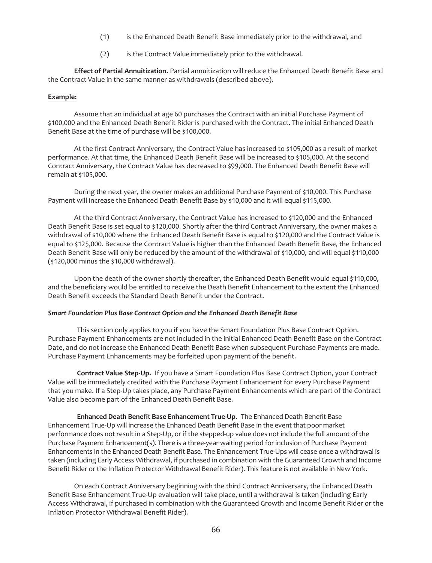- (1) is the Enhanced Death Benefit Base immediately prior to the withdrawal, and
- (2) is the Contract Value immediately prior to the withdrawal.

**Effect of Partial Annuitization.** Partial annuitization will reduce the Enhanced Death Benefit Base and the Contract Value in the same manner as withdrawals (described above).

#### **Example:**

Assume that an individual at age 60 purchases the Contract with an initial Purchase Payment of \$100,000 and the Enhanced Death Benefit Rider is purchased with the Contract. The initial Enhanced Death Benefit Base at the time of purchase will be \$100,000.

At the first Contract Anniversary, the Contract Value has increased to \$105,000 as a result of market performance. At that time, the Enhanced Death Benefit Base will be increased to \$105,000. At the second Contract Anniversary, the Contract Value has decreased to \$99,000. The Enhanced Death Benefit Base will remain at \$105,000.

During the next year, the owner makes an additional Purchase Payment of \$10,000. This Purchase Payment will increase the Enhanced Death Benefit Base by \$10,000 and it will equal \$115,000.

At the third Contract Anniversary, the Contract Value has increased to \$120,000 and the Enhanced Death Benefit Base is set equal to \$120,000. Shortly after the third Contract Anniversary, the owner makes a withdrawal of \$10,000 where the Enhanced Death Benefit Base is equal to \$120,000 and the Contract Value is equal to \$125,000. Because the Contract Value is higher than the Enhanced Death Benefit Base, the Enhanced Death Benefit Base will only be reduced by the amount of the withdrawal of \$10,000, and will equal \$110,000 (\$120,000 minus the \$10,000 withdrawal).

Upon the death of the owner shortly thereafter, the Enhanced Death Benefit would equal \$110,000, and the beneficiary would be entitled to receive the Death Benefit Enhancement to the extent the Enhanced Death Benefit exceeds the Standard Death Benefit under the Contract.

#### *Smart Foundation Plus Base Contract Option and the Enhanced Death Benefit Base*

This section only applies to you if you have the Smart Foundation Plus Base Contract Option. Purchase Payment Enhancements are not included in the initial Enhanced Death Benefit Base on the Contract Date, and do not increase the Enhanced Death Benefit Base when subsequent Purchase Payments are made. Purchase Payment Enhancements may be forfeited upon payment of the benefit.

**Contract Value Step-Up.** If you have a Smart Foundation Plus Base Contract Option, your Contract Value will be immediately credited with the Purchase Payment Enhancement for every Purchase Payment that you make. If a Step-Up takes place, any Purchase Payment Enhancements which are part of the Contract Value also become part of the Enhanced Death Benefit Base.

**Enhanced Death Benefit Base Enhancement True-Up.** The Enhanced Death Benefit Base Enhancement True-Up will increase the Enhanced Death Benefit Base in the event that poor market performance does not result in a Step-Up, or if the stepped-up value does not include the full amount of the Purchase Payment Enhancement(s). There is a three-year waiting period for inclusion of Purchase Payment Enhancements in the Enhanced Death Benefit Base. The Enhancement True-Ups will cease once a withdrawal is taken (including Early Access Withdrawal, if purchased in combination with the Guaranteed Growth and Income Benefit Rider or the Inflation Protector Withdrawal Benefit Rider). This feature is not available in New York.

On each Contract Anniversary beginning with the third Contract Anniversary, the Enhanced Death Benefit Base Enhancement True-Up evaluation will take place, until a withdrawal is taken (including Early Access Withdrawal, if purchased in combination with the Guaranteed Growth and Income Benefit Rider or the Inflation Protector Withdrawal Benefit Rider).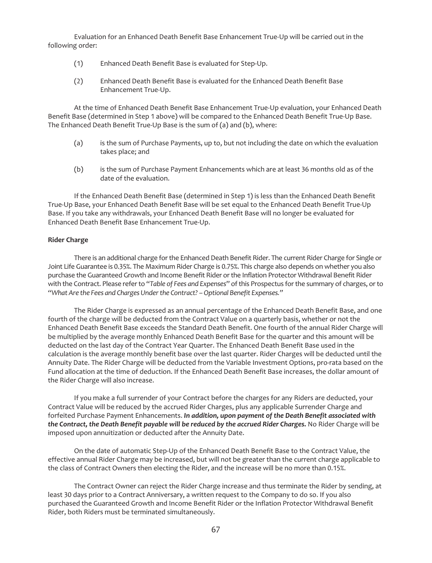Evaluation for an Enhanced Death Benefit Base Enhancement True-Up will be carried out in the following order:

- (1) Enhanced Death Benefit Base is evaluated for Step-Up.
- (2) Enhanced Death Benefit Base is evaluated for the Enhanced Death Benefit Base Enhancement True-Up.

At the time of Enhanced Death Benefit Base Enhancement True-Up evaluation, your Enhanced Death Benefit Base (determined in Step 1 above) will be compared to the Enhanced Death Benefit True-Up Base. The Enhanced Death Benefit True-Up Base is the sum of (a) and (b), where:

- (a) is the sum of Purchase Payments, up to, but not including the date on which the evaluation takes place; and
- (b) is the sum of Purchase Payment Enhancements which are at least 36 months old as of the date of the evaluation.

If the Enhanced Death Benefit Base (determined in Step 1) is less than the Enhanced Death Benefit True-Up Base, your Enhanced Death Benefit Base will be set equal to the Enhanced Death Benefit True-Up Base. If you take any withdrawals, your Enhanced Death Benefit Base will no longer be evaluated for Enhanced Death Benefit Base Enhancement True-Up.

## **Rider Charge**

There is an additional charge for the Enhanced Death Benefit Rider. The current Rider Charge for Single or Joint Life Guarantee is 0.35%. The Maximum Rider Charge is 0.75%. This charge also depends on whether you also purchase the Guaranteed Growth and Income Benefit Rider or the Inflation Protector Withdrawal Benefit Rider with the Contract. Please refer to "*Table of Fees and Expenses*" of this Prospectus for the summary of charges, or to *"What Are the Fees and Charges Under the Contract? – Optional Benefit Expenses."*

The Rider Charge is expressed as an annual percentage of the Enhanced Death Benefit Base, and one fourth of the charge will be deducted from the Contract Value on a quarterly basis, whether or not the Enhanced Death Benefit Base exceeds the Standard Death Benefit. One fourth of the annual Rider Charge will be multiplied by the average monthly Enhanced Death Benefit Base for the quarter and this amount will be deducted on the last day of the Contract Year Quarter. The Enhanced Death Benefit Base used in the calculation is the average monthly benefit base over the last quarter. Rider Charges will be deducted until the Annuity Date. The Rider Charge will be deducted from the Variable Investment Options, pro-rata based on the Fund allocation at the time of deduction. If the Enhanced Death Benefit Base increases, the dollar amount of the Rider Charge will also increase.

If you make a full surrender of your Contract before the charges for any Riders are deducted, your Contract Value will be reduced by the accrued Rider Charges, plus any applicable Surrender Charge and forfeited Purchase Payment Enhancements. *In addition, upon payment of the Death Benefit associated with the Contract, the Death Benefit payable will be reduced by the accrued Rider Charges.* No Rider Charge will be imposed upon annuitization or deducted after the Annuity Date.

On the date of automatic Step-Up of the Enhanced Death Benefit Base to the Contract Value, the effective annual Rider Charge may be increased, but will not be greater than the current charge applicable to the class of Contract Owners then electing the Rider, and the increase will be no more than 0.15%.

The Contract Owner can reject the Rider Charge increase and thus terminate the Rider by sending, at least 30 days prior to a Contract Anniversary, a written request to the Company to do so. If you also purchased the Guaranteed Growth and Income Benefit Rider or the Inflation Protector Withdrawal Benefit Rider, both Riders must be terminated simultaneously.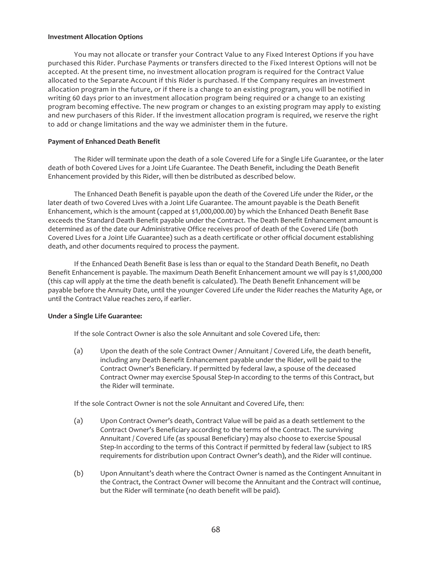#### **Investment Allocation Options**

You may not allocate or transfer your Contract Value to any Fixed Interest Options if you have purchased this Rider. Purchase Payments or transfers directed to the Fixed Interest Options will not be accepted. At the present time, no investment allocation program is required for the Contract Value allocated to the Separate Account if this Rider is purchased. If the Company requires an investment allocation program in the future, or if there is a change to an existing program, you will be notified in writing 60 days prior to an investment allocation program being required or a change to an existing program becoming effective. The new program or changes to an existing program may apply to existing and new purchasers of this Rider. If the investment allocation program is required, we reserve the right to add or change limitations and the way we administer them in the future.

## **Payment of Enhanced Death Benefit**

The Rider will terminate upon the death of a sole Covered Life for a Single Life Guarantee, or the later death of both Covered Lives for a Joint Life Guarantee. The Death Benefit, including the Death Benefit Enhancement provided by this Rider, will then be distributed as described below.

The Enhanced Death Benefit is payable upon the death of the Covered Life under the Rider, or the later death of two Covered Lives with a Joint Life Guarantee. The amount payable is the Death Benefit Enhancement, which is the amount (capped at \$1,000,000.00) by which the Enhanced Death Benefit Base exceeds the Standard Death Benefit payable under the Contract. The Death Benefit Enhancement amount is determined as of the date our Administrative Office receives proof of death of the Covered Life (both Covered Lives for a Joint Life Guarantee) such as a death certificate or other official document establishing death, and other documents required to process the payment.

If the Enhanced Death Benefit Base is less than or equal to the Standard Death Benefit, no Death Benefit Enhancement is payable. The maximum Death Benefit Enhancement amount we will pay is \$1,000,000 (this cap will apply at the time the death benefit is calculated). The Death Benefit Enhancement will be payable before the Annuity Date, until the younger Covered Life under the Rider reaches the Maturity Age, or until the Contract Value reaches zero, if earlier.

## **Under a Single Life Guarantee:**

If the sole Contract Owner is also the sole Annuitant and sole Covered Life, then:

(a) Upon the death of the sole Contract Owner / Annuitant / Covered Life, the death benefit, including any Death Benefit Enhancement payable under the Rider, will be paid to the Contract Owner's Beneficiary. If permitted by federal law, a spouse of the deceased Contract Owner may exercise Spousal Step-In according to the terms of this Contract, but the Rider will terminate.

If the sole Contract Owner is not the sole Annuitant and Covered Life, then:

- (a) Upon Contract Owner's death, Contract Value will be paid as a death settlement to the Contract Owner's Beneficiary according to the terms of the Contract. The surviving Annuitant / Covered Life (as spousal Beneficiary) may also choose to exercise Spousal Step-In according to the terms of this Contract if permitted by federal law (subject to IRS requirements for distribution upon Contract Owner's death), and the Rider will continue.
- (b) Upon Annuitant's death where the Contract Owner is named as the Contingent Annuitant in the Contract, the Contract Owner will become the Annuitant and the Contract will continue, but the Rider will terminate (no death benefit will be paid).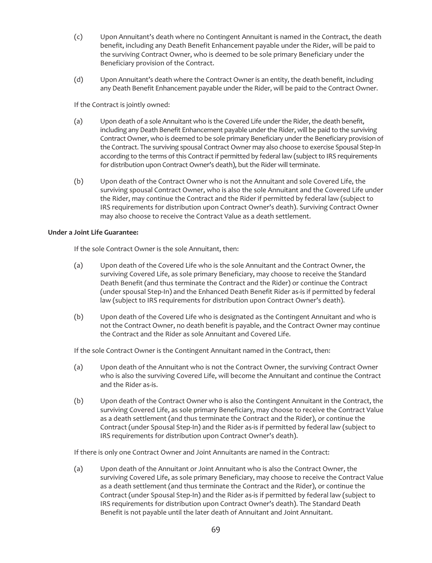- (c) Upon Annuitant's death where no Contingent Annuitant is named in the Contract, the death benefit, including any Death Benefit Enhancement payable under the Rider, will be paid to the surviving Contract Owner, who is deemed to be sole primary Beneficiary under the Beneficiary provision of the Contract.
- (d) Upon Annuitant's death where the Contract Owner is an entity, the death benefit, including any Death Benefit Enhancement payable under the Rider, will be paid to the Contract Owner.

If the Contract is jointly owned:

- (a) Upon death of a sole Annuitant who is the Covered Life under the Rider, the death benefit, including any Death Benefit Enhancement payable under the Rider, will be paid to the surviving Contract Owner, who is deemed to be sole primary Beneficiary under the Beneficiary provision of the Contract. The surviving spousal Contract Owner may also choose to exercise Spousal Step-In according to the terms of this Contract if permitted by federal law (subject to IRS requirements for distribution upon Contract Owner's death), but the Rider will terminate.
- (b) Upon death of the Contract Owner who is not the Annuitant and sole Covered Life, the surviving spousal Contract Owner, who is also the sole Annuitant and the Covered Life under the Rider, may continue the Contract and the Rider if permitted by federal law (subject to IRS requirements for distribution upon Contract Owner's death). Surviving Contract Owner may also choose to receive the Contract Value as a death settlement.

## **Under a Joint Life Guarantee:**

If the sole Contract Owner is the sole Annuitant, then:

- (a) Upon death of the Covered Life who is the sole Annuitant and the Contract Owner, the surviving Covered Life, as sole primary Beneficiary, may choose to receive the Standard Death Benefit (and thus terminate the Contract and the Rider) or continue the Contract (under spousal Step-In) and the Enhanced Death Benefit Rider as-is if permitted by federal law (subject to IRS requirements for distribution upon Contract Owner's death).
- (b) Upon death of the Covered Life who is designated as the Contingent Annuitant and who is not the Contract Owner, no death benefit is payable, and the Contract Owner may continue the Contract and the Rider as sole Annuitant and Covered Life.

If the sole Contract Owner is the Contingent Annuitant named in the Contract, then:

- (a) Upon death of the Annuitant who is not the Contract Owner, the surviving Contract Owner who is also the surviving Covered Life, will become the Annuitant and continue the Contract and the Rider as-is.
- (b) Upon death of the Contract Owner who is also the Contingent Annuitant in the Contract, the surviving Covered Life, as sole primary Beneficiary, may choose to receive the Contract Value as a death settlement (and thus terminate the Contract and the Rider), or continue the Contract (under Spousal Step-In) and the Rider as-is if permitted by federal law (subject to IRS requirements for distribution upon Contract Owner's death).

If there is only one Contract Owner and Joint Annuitants are named in the Contract:

(a) Upon death of the Annuitant or Joint Annuitant who is also the Contract Owner, the surviving Covered Life, as sole primary Beneficiary, may choose to receive the Contract Value as a death settlement (and thus terminate the Contract and the Rider), or continue the Contract (under Spousal Step-In) and the Rider as-is if permitted by federal law (subject to IRS requirements for distribution upon Contract Owner's death). The Standard Death Benefit is not payable until the later death of Annuitant and Joint Annuitant.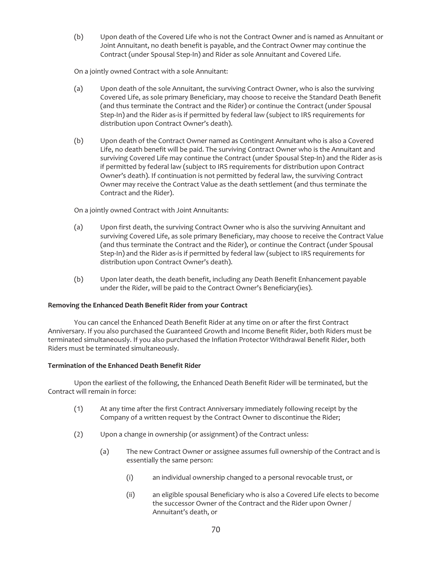(b) Upon death of the Covered Life who is not the Contract Owner and is named as Annuitant or Joint Annuitant, no death benefit is payable, and the Contract Owner may continue the Contract (under Spousal Step-In) and Rider as sole Annuitant and Covered Life.

On a jointly owned Contract with a sole Annuitant:

- (a) Upon death of the sole Annuitant, the surviving Contract Owner, who is also the surviving Covered Life, as sole primary Beneficiary, may choose to receive the Standard Death Benefit (and thus terminate the Contract and the Rider) or continue the Contract (under Spousal Step-In) and the Rider as-is if permitted by federal law (subject to IRS requirements for distribution upon Contract Owner's death).
- (b) Upon death of the Contract Owner named as Contingent Annuitant who is also a Covered Life, no death benefit will be paid. The surviving Contract Owner who is the Annuitant and surviving Covered Life may continue the Contract (under Spousal Step-In) and the Rider as-is if permitted by federal law (subject to IRS requirements for distribution upon Contract Owner's death). If continuation is not permitted by federal law, the surviving Contract Owner may receive the Contract Value as the death settlement (and thus terminate the Contract and the Rider).

On a jointly owned Contract with Joint Annuitants:

- (a) Upon first death, the surviving Contract Owner who is also the surviving Annuitant and surviving Covered Life, as sole primary Beneficiary, may choose to receive the Contract Value (and thus terminate the Contract and the Rider), or continue the Contract (under Spousal Step-In) and the Rider as-is if permitted by federal law (subject to IRS requirements for distribution upon Contract Owner's death).
- (b) Upon later death, the death benefit, including any Death Benefit Enhancement payable under the Rider, will be paid to the Contract Owner's Beneficiary(ies).

# **Removing the Enhanced Death Benefit Rider from your Contract**

You can cancel the Enhanced Death Benefit Rider at any time on or after the first Contract Anniversary. If you also purchased the Guaranteed Growth and Income Benefit Rider, both Riders must be terminated simultaneously. If you also purchased the Inflation Protector Withdrawal Benefit Rider, both Riders must be terminated simultaneously.

# **Termination of the Enhanced Death Benefit Rider**

Upon the earliest of the following, the Enhanced Death Benefit Rider will be terminated, but the Contract will remain in force:

- (1) At any time after the first Contract Anniversary immediately following receipt by the Company of a written request by the Contract Owner to discontinue the Rider;
- (2) Upon a change in ownership (or assignment) of the Contract unless:
	- (a) The new Contract Owner or assignee assumes full ownership of the Contract and is essentially the same person:
		- (i) an individual ownership changed to a personal revocable trust, or
		- (ii) an eligible spousal Beneficiary who is also a Covered Life elects to become the successor Owner of the Contract and the Rider upon Owner / Annuitant's death, or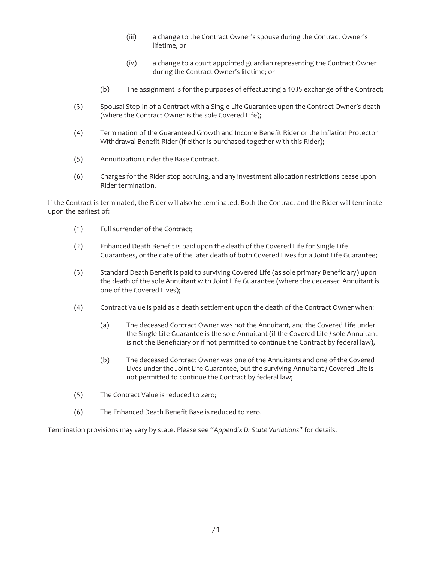- (iii) a change to the Contract Owner's spouse during the Contract Owner's lifetime, or
- (iv) a change to a court appointed guardian representing the Contract Owner during the Contract Owner's lifetime; or
- (b) The assignment is for the purposes of effectuating a 1035 exchange of the Contract;
- (3) Spousal Step-In of a Contract with a Single Life Guarantee upon the Contract Owner's death (where the Contract Owner is the sole Covered Life);
- (4) Termination of the Guaranteed Growth and Income Benefit Rider or the Inflation Protector Withdrawal Benefit Rider (if either is purchased together with this Rider);
- (5) Annuitization under the Base Contract.
- (6) Charges for the Rider stop accruing, and any investment allocation restrictions cease upon Rider termination.

If the Contract is terminated, the Rider will also be terminated. Both the Contract and the Rider will terminate upon the earliest of:

- (1) Full surrender of the Contract;
- (2) Enhanced Death Benefit is paid upon the death of the Covered Life for Single Life Guarantees, or the date of the later death of both Covered Lives for a Joint Life Guarantee;
- (3) Standard Death Benefit is paid to surviving Covered Life (as sole primary Beneficiary) upon the death of the sole Annuitant with Joint Life Guarantee (where the deceased Annuitant is one of the Covered Lives);
- (4) Contract Value is paid as a death settlement upon the death of the Contract Owner when:
	- (a) The deceased Contract Owner was not the Annuitant, and the Covered Life under the Single Life Guarantee is the sole Annuitant (if the Covered Life / sole Annuitant is not the Beneficiary or if not permitted to continue the Contract by federal law),
	- (b) The deceased Contract Owner was one of the Annuitants and one of the Covered Lives under the Joint Life Guarantee, but the surviving Annuitant / Covered Life is not permitted to continue the Contract by federal law;
- (5) The Contract Value is reduced to zero;
- (6) The Enhanced Death Benefit Base is reduced to zero.

Termination provisions may vary by state. Please see "*Appendix D: State Variations*" for details.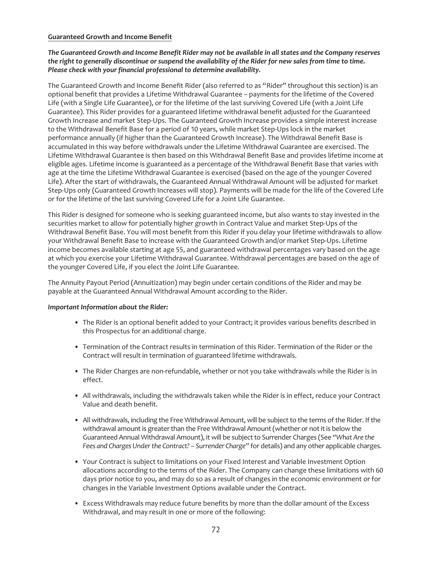## **Guaranteed Growth and Income Benefit**

*The Guaranteed Growth and Income Benefit Rider may not be available in all states and the Company reserves the right to generally discontinue or suspend the availability of the Rider for new sales from time to time. Please check with your financial professional to determine availability.*

The Guaranteed Growth and Income Benefit Rider (also referred to as "Rider" throughout this section) is an optional benefit that provides a Lifetime Withdrawal Guarantee – payments for the lifetime of the Covered Life (with a Single Life Guarantee), or for the lifetime of the last surviving Covered Life (with a Joint Life Guarantee). This Rider provides for a guaranteed lifetime withdrawal benefit adjusted for the Guaranteed Growth Increase and market Step-Ups. The Guaranteed Growth Increase provides a simple interest increase to the Withdrawal Benefit Base for a period of 10 years, while market Step-Ups lock in the market performance annually (if higher than the Guaranteed Growth Increase). The Withdrawal Benefit Base is accumulated in this way before withdrawals under the Lifetime Withdrawal Guarantee are exercised. The Lifetime Withdrawal Guarantee is then based on this Withdrawal Benefit Base and provides lifetime income at eligible ages. Lifetime income is guaranteed as a percentage of the Withdrawal Benefit Base that varies with age at the time the Lifetime Withdrawal Guarantee is exercised (based on the age of the younger Covered Life). After the start of withdrawals, the Guaranteed Annual Withdrawal Amount will be adjusted for market Step-Ups only (Guaranteed Growth Increases will stop). Payments will be made for the life of the Covered Life or for the lifetime of the last surviving Covered Life for a Joint Life Guarantee.

This Rider is designed for someone who is seeking guaranteed income, but also wants to stay invested in the securities market to allow for potentially higher growth in Contract Value and market Step-Ups of the Withdrawal Benefit Base. You will most benefit from this Rider if you delay your lifetime withdrawals to allow your Withdrawal Benefit Base to increase with the Guaranteed Growth and/or market Step-Ups. Lifetime income becomes available starting at age 55, and guaranteed withdrawal percentages vary based on the age at which you exercise your Lifetime Withdrawal Guarantee. Withdrawal percentages are based on the age of the younger Covered Life, if you elect the Joint Life Guarantee.

The Annuity Payout Period (Annuitization) may begin under certain conditions of the Rider and may be payable at the Guaranteed Annual Withdrawal Amount according to the Rider.

## *Important Information about the Rider:*

- The Rider is an optional benefit added to your Contract; it provides various benefits described in this Prospectus for an additional charge.
- Termination of the Contract results in termination of this Rider. Termination of the Rider or the Contract will result in termination of guaranteed lifetime withdrawals.
- The Rider Charges are non-refundable, whether or not you take withdrawals while the Rider is in effect.
- All withdrawals, including the withdrawals taken while the Rider is in effect, reduce your Contract Value and death benefit.
- All withdrawals, including the Free Withdrawal Amount, will be subject to the terms of the Rider. If the withdrawal amount is greater than the Free Withdrawal Amount (whether or not it is below the Guaranteed Annual Withdrawal Amount), it will be subject to Surrender Charges (See *"What Are the Fees and Charges Under the Contract? – Surrender Charge"* for details) and any other applicable charges.
- Your Contract is subject to limitations on your Fixed Interest and Variable Investment Option allocations according to the terms of the Rider. The Company can change these limitations with 60 days prior notice to you, and may do so as a result of changes in the economic environment or for changes in the Variable Investment Options available under the Contract.
- Excess Withdrawals may reduce future benefits by more than the dollar amount of the Excess Withdrawal, and may result in one or more of the following: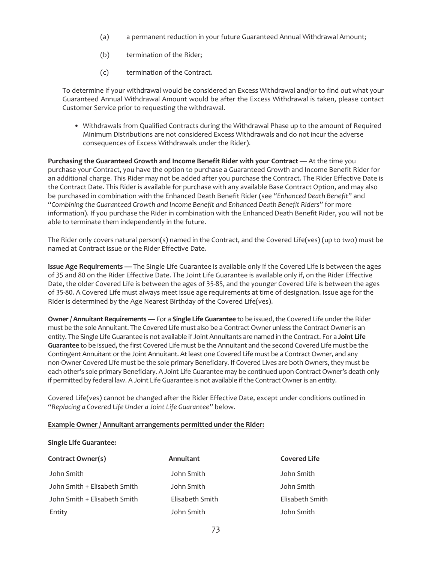- (a) a permanent reduction in your future Guaranteed Annual Withdrawal Amount;
- (b) termination of the Rider;
- (c) termination of the Contract.

To determine if your withdrawal would be considered an Excess Withdrawal and/or to find out what your Guaranteed Annual Withdrawal Amount would be after the Excess Withdrawal is taken, please contact Customer Service prior to requesting the withdrawal.

• Withdrawals from Qualified Contracts during the Withdrawal Phase up to the amount of Required Minimum Distributions are not considered Excess Withdrawals and do not incur the adverse consequences of Excess Withdrawals under the Rider).

**Purchasing the Guaranteed Growth and Income Benefit Rider with your Contract** — At the time you purchase your Contract, you have the option to purchase a Guaranteed Growth and Income Benefit Rider for an additional charge. This Rider may not be added after you purchase the Contract. The Rider Effective Date is the Contract Date. This Rider is available for purchase with any available Base Contract Option, and may also be purchased in combination with the Enhanced Death Benefit Rider (see "*Enhanced Death Benefit*" and "*Combining the Guaranteed Growth and Income Benefit and Enhanced Death Benefit Riders*" for more information). If you purchase the Rider in combination with the Enhanced Death Benefit Rider, you will not be able to terminate them independently in the future.

The Rider only covers natural person(s) named in the Contract, and the Covered Life(ves) (up to two) must be named at Contract issue or the Rider Effective Date.

**Issue Age Requirements —** The Single Life Guarantee is available only if the Covered Life is between the ages of 35 and 80 on the Rider Effective Date. The Joint Life Guarantee is available only if, on the Rider Effective Date, the older Covered Life is between the ages of 35-85, and the younger Covered Life is between the ages of 35-80. A Covered Life must always meet issue age requirements at time of designation. Issue age for the Rider is determined by the Age Nearest Birthday of the Covered Life(ves).

**Owner / Annuitant Requirements —** For a **Single Life Guarantee** to be issued, the Covered Life under the Rider must be the sole Annuitant. The Covered Life must also be a Contract Owner unless the Contract Owner is an entity. The Single Life Guarantee is not available if Joint Annuitants are named in the Contract. For a **Joint Life Guarantee** to be issued, the first Covered Life must be the Annuitant and the second Covered Life must be the Contingent Annuitant or the Joint Annuitant. At least one Covered Life must be a Contract Owner, and any non-Owner Covered Life must be the sole primary Beneficiary. If Covered Lives are both Owners, they must be each other's sole primary Beneficiary. A Joint Life Guarantee may be continued upon Contract Owner's death only if permitted by federal law. A Joint Life Guarantee is not available if the Contract Owner is an entity.

Covered Life(ves) cannot be changed after the Rider Effective Date, except under conditions outlined in "*Replacing a Covered Life Under a Joint Life Guarantee*" below.

# **Example Owner / Annuitant arrangements permitted under the Rider:**

## **Single Life Guarantee:**

| Contract Owner(s)            | Annuitant       | <b>Covered Life</b> |
|------------------------------|-----------------|---------------------|
| John Smith                   | John Smith      | John Smith          |
| John Smith + Elisabeth Smith | John Smith      | John Smith          |
| John Smith + Elisabeth Smith | Elisabeth Smith | Elisabeth Smith     |
| Entity                       | John Smith      | John Smith          |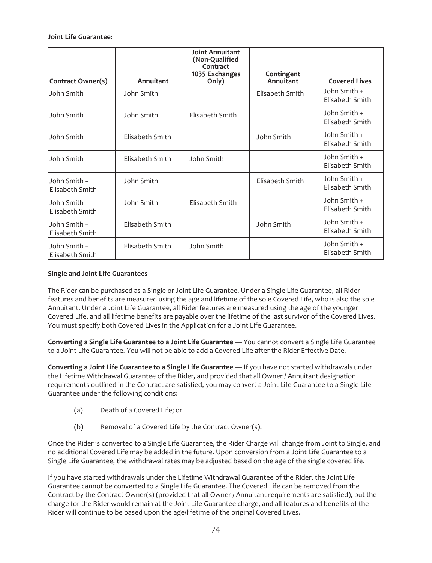## **Joint Life Guarantee:**

| Contract Owner(s)               | Annuitant       | <b>Joint Annuitant</b><br>(Non-Qualified<br>Contract<br>1035 Exchanges<br>Only) | Contingent<br>Annuitant | <b>Covered Lives</b>            |
|---------------------------------|-----------------|---------------------------------------------------------------------------------|-------------------------|---------------------------------|
| John Smith                      | John Smith      |                                                                                 | Elisabeth Smith         | John Smith +<br>Elisabeth Smith |
| John Smith                      | John Smith      | Elisabeth Smith                                                                 |                         | John Smith +<br>Elisabeth Smith |
| John Smith                      | Elisabeth Smith |                                                                                 | John Smith              | John Smith +<br>Elisabeth Smith |
| John Smith                      | Elisabeth Smith | John Smith                                                                      |                         | John Smith +<br>Elisabeth Smith |
| John Smith +<br>Elisabeth Smith | John Smith      |                                                                                 | Elisabeth Smith         | John Smith +<br>Elisabeth Smith |
| John Smith +<br>Elisabeth Smith | John Smith      | Elisabeth Smith                                                                 |                         | John Smith +<br>Elisabeth Smith |
| John Smith +<br>Elisabeth Smith | Elisabeth Smith |                                                                                 | John Smith              | John Smith +<br>Elisabeth Smith |
| John Smith +<br>Elisabeth Smith | Elisabeth Smith | John Smith                                                                      |                         | John Smith +<br>Elisabeth Smith |

# **Single and Joint Life Guarantees**

The Rider can be purchased as a Single or Joint Life Guarantee. Under a Single Life Guarantee, all Rider features and benefits are measured using the age and lifetime of the sole Covered Life, who is also the sole Annuitant. Under a Joint Life Guarantee, all Rider features are measured using the age of the younger Covered Life, and all lifetime benefits are payable over the lifetime of the last survivor of the Covered Lives. You must specify both Covered Lives in the Application for a Joint Life Guarantee.

**Converting a Single Life Guarantee to a Joint Life Guarantee** — You cannot convert a Single Life Guarantee to a Joint Life Guarantee. You will not be able to add a Covered Life after the Rider Effective Date.

**Converting a Joint Life Guarantee to a Single Life Guarantee** — If you have not started withdrawals under the Lifetime Withdrawal Guarantee of the Rider**,** and provided that all Owner / Annuitant designation requirements outlined in the Contract are satisfied, you may convert a Joint Life Guarantee to a Single Life Guarantee under the following conditions:

- (a) Death of a Covered Life; or
- (b) Removal of a Covered Life by the Contract Owner(s).

Once the Rider is converted to a Single Life Guarantee, the Rider Charge will change from Joint to Single, and no additional Covered Life may be added in the future. Upon conversion from a Joint Life Guarantee to a Single Life Guarantee, the withdrawal rates may be adjusted based on the age of the single covered life.

If you have started withdrawals under the Lifetime Withdrawal Guarantee of the Rider, the Joint Life Guarantee cannot be converted to a Single Life Guarantee. The Covered Life can be removed from the Contract by the Contract Owner(s) (provided that all Owner / Annuitant requirements are satisfied), but the charge for the Rider would remain at the Joint Life Guarantee charge, and all features and benefits of the Rider will continue to be based upon the age/lifetime of the original Covered Lives.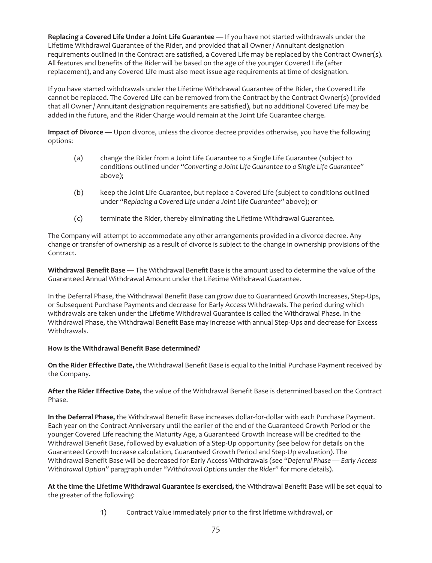**Replacing a Covered Life Under a Joint Life Guarantee** — If you have not started withdrawals under the Lifetime Withdrawal Guarantee of the Rider, and provided that all Owner / Annuitant designation requirements outlined in the Contract are satisfied, a Covered Life may be replaced by the Contract Owner(s). All features and benefits of the Rider will be based on the age of the younger Covered Life (after replacement), and any Covered Life must also meet issue age requirements at time of designation.

If you have started withdrawals under the Lifetime Withdrawal Guarantee of the Rider, the Covered Life cannot be replaced. The Covered Life can be removed from the Contract by the Contract Owner(s) (provided that all Owner / Annuitant designation requirements are satisfied), but no additional Covered Life may be added in the future, and the Rider Charge would remain at the Joint Life Guarantee charge.

**Impact of Divorce —** Upon divorce, unless the divorce decree provides otherwise, you have the following options:

- (a) change the Rider from a Joint Life Guarantee to a Single Life Guarantee (subject to conditions outlined under *"Converting a Joint Life Guarantee to a Single Life Guarantee"* above);
- (b) keep the Joint Life Guarantee, but replace a Covered Life (subject to conditions outlined under *"Replacing a Covered Life under a Joint Life Guarantee"* above); or
- (c) terminate the Rider, thereby eliminating the Lifetime Withdrawal Guarantee.

The Company will attempt to accommodate any other arrangements provided in a divorce decree. Any change or transfer of ownership as a result of divorce is subject to the change in ownership provisions of the Contract.

**Withdrawal Benefit Base —** The Withdrawal Benefit Base is the amount used to determine the value of the Guaranteed Annual Withdrawal Amount under the Lifetime Withdrawal Guarantee.

In the Deferral Phase, the Withdrawal Benefit Base can grow due to Guaranteed Growth Increases, Step-Ups, or Subsequent Purchase Payments and decrease for Early Access Withdrawals. The period during which withdrawals are taken under the Lifetime Withdrawal Guarantee is called the Withdrawal Phase. In the Withdrawal Phase, the Withdrawal Benefit Base may increase with annual Step-Ups and decrease for Excess Withdrawals.

# **How is the Withdrawal Benefit Base determined?**

**On the Rider Effective Date,** the Withdrawal Benefit Base is equal to the Initial Purchase Payment received by the Company.

**After the Rider Effective Date,** the value of the Withdrawal Benefit Base is determined based on the Contract Phase.

**In the Deferral Phase,** the Withdrawal Benefit Base increases dollar-for-dollar with each Purchase Payment. Each year on the Contract Anniversary until the earlier of the end of the Guaranteed Growth Period or the younger Covered Life reaching the Maturity Age, a Guaranteed Growth Increase will be credited to the Withdrawal Benefit Base, followed by evaluation of a Step-Up opportunity (see below for details on the Guaranteed Growth Increase calculation, Guaranteed Growth Period and Step-Up evaluation). The Withdrawal Benefit Base will be decreased for Early Access Withdrawals (see "*Deferral Phase — Early Access Withdrawal Option"* paragraph under "*Withdrawal Options under the Rider*" for more details).

**At the time the Lifetime Withdrawal Guarantee is exercised,** the Withdrawal Benefit Base will be set equal to the greater of the following:

1) Contract Value immediately prior to the first lifetime withdrawal, or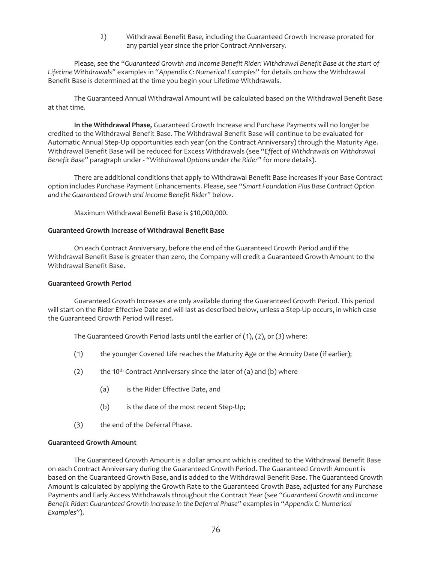2) Withdrawal Benefit Base, including the Guaranteed Growth Increase prorated for any partial year since the prior Contract Anniversary.

Please, see the "*Guaranteed Growth and Income Benefit Rider: Withdrawal Benefit Base at the start of Lifetime Withdrawals"* examples in "*Appendix C: Numerical Examples*" for details on how the Withdrawal Benefit Base is determined at the time you begin your Lifetime Withdrawals.

The Guaranteed Annual Withdrawal Amount will be calculated based on the Withdrawal Benefit Base at that time.

**In the Withdrawal Phase,** Guaranteed Growth Increase and Purchase Payments will no longer be credited to the Withdrawal Benefit Base. The Withdrawal Benefit Base will continue to be evaluated for Automatic Annual Step-Up opportunities each year (on the Contract Anniversary) through the Maturity Age. Withdrawal Benefit Base will be reduced for Excess Withdrawals (see "*Effect of Withdrawals on Withdrawal Benefit Base"* paragraph under - "*Withdrawal Options under the Rider"* for more details).

There are additional conditions that apply to Withdrawal Benefit Base increases if your Base Contract option includes Purchase Payment Enhancements. Please, see "*Smart Foundation Plus Base Contract Option and the Guaranteed Growth and Income Benefit Rider*" below.

Maximum Withdrawal Benefit Base is \$10,000,000.

### **Guaranteed Growth Increase of Withdrawal Benefit Base**

On each Contract Anniversary, before the end of the Guaranteed Growth Period and if the Withdrawal Benefit Base is greater than zero, the Company will credit a Guaranteed Growth Amount to the Withdrawal Benefit Base.

#### **Guaranteed Growth Period**

Guaranteed Growth Increases are only available during the Guaranteed Growth Period. This period will start on the Rider Effective Date and will last as described below, unless a Step-Up occurs, in which case the Guaranteed Growth Period will reset.

The Guaranteed Growth Period lasts until the earlier of (1), (2), or (3) where:

- (1) the younger Covered Life reaches the Maturity Age or the Annuity Date (if earlier);
- (2) the 10<sup>th</sup> Contract Anniversary since the later of (a) and (b) where
	- (a) is the Rider Effective Date, and
	- (b) is the date of the most recent Step-Up;
- (3) the end of the Deferral Phase.

## **Guaranteed Growth Amount**

The Guaranteed Growth Amount is a dollar amount which is credited to the Withdrawal Benefit Base on each Contract Anniversary during the Guaranteed Growth Period. The Guaranteed Growth Amount is based on the Guaranteed Growth Base, and is added to the Withdrawal Benefit Base. The Guaranteed Growth Amount is calculated by applying the Growth Rate to the Guaranteed Growth Base, adjusted for any Purchase Payments and Early Access Withdrawals throughout the Contract Year (see "*Guaranteed Growth and Income Benefit Rider: Guaranteed Growth Increase in the Deferral Phase"* examples in "*Appendix C: Numerical Examples*").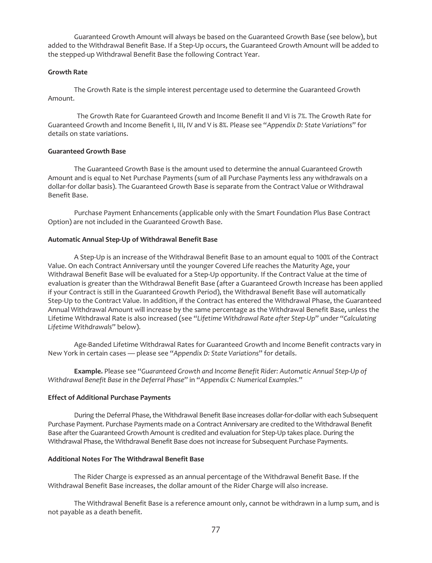Guaranteed Growth Amount will always be based on the Guaranteed Growth Base (see below), but added to the Withdrawal Benefit Base. If a Step-Up occurs, the Guaranteed Growth Amount will be added to the stepped-up Withdrawal Benefit Base the following Contract Year.

## **Growth Rate**

The Growth Rate is the simple interest percentage used to determine the Guaranteed Growth Amount.

The Growth Rate for Guaranteed Growth and Income Benefit II and VI is 7%. The Growth Rate for Guaranteed Growth and Income Benefit I, III, IV and V is 8%. Please see "*Appendix D: State Variations*" for details on state variations.

# **Guaranteed Growth Base**

The Guaranteed Growth Base is the amount used to determine the annual Guaranteed Growth Amount and is equal to Net Purchase Payments (sum of all Purchase Payments less any withdrawals on a dollar-for dollar basis). The Guaranteed Growth Base is separate from the Contract Value or Withdrawal Benefit Base.

Purchase Payment Enhancements (applicable only with the Smart Foundation Plus Base Contract Option) are not included in the Guaranteed Growth Base.

## **Automatic Annual Step-Up of Withdrawal Benefit Base**

A Step-Up is an increase of the Withdrawal Benefit Base to an amount equal to 100% of the Contract Value. On each Contract Anniversary until the younger Covered Life reaches the Maturity Age, your Withdrawal Benefit Base will be evaluated for a Step-Up opportunity. If the Contract Value at the time of evaluation is greater than the Withdrawal Benefit Base (after a Guaranteed Growth Increase has been applied if your Contract is still in the Guaranteed Growth Period), the Withdrawal Benefit Base will automatically Step-Up to the Contract Value. In addition, if the Contract has entered the Withdrawal Phase, the Guaranteed Annual Withdrawal Amount will increase by the same percentage as the Withdrawal Benefit Base, unless the Lifetime Withdrawal Rate is also increased (see "*Lifetime Withdrawal Rate after Step-Up*" under "*Calculating Lifetime Withdrawals*" below).

Age-Banded Lifetime Withdrawal Rates for Guaranteed Growth and Income Benefit contracts vary in New York in certain cases — please see "*Appendix D: State Variations*" for details.

**Example.** Please see "*Guaranteed Growth and Income Benefit Rider: Automatic Annual Step-Up of Withdrawal Benefit Base in the Deferral Phase*" in "*Appendix C: Numerical Examples*."

#### **Effect of Additional Purchase Payments**

During the Deferral Phase, the Withdrawal Benefit Base increases dollar-for-dollar with each Subsequent Purchase Payment. Purchase Payments made on a Contract Anniversary are credited to the Withdrawal Benefit Base after the Guaranteed Growth Amount is credited and evaluation for Step-Up takes place. During the Withdrawal Phase, the Withdrawal Benefit Base does not increase for Subsequent Purchase Payments.

## **Additional Notes For The Withdrawal Benefit Base**

The Rider Charge is expressed as an annual percentage of the Withdrawal Benefit Base. If the Withdrawal Benefit Base increases, the dollar amount of the Rider Charge will also increase.

The Withdrawal Benefit Base is a reference amount only, cannot be withdrawn in a lump sum, and is not payable as a death benefit.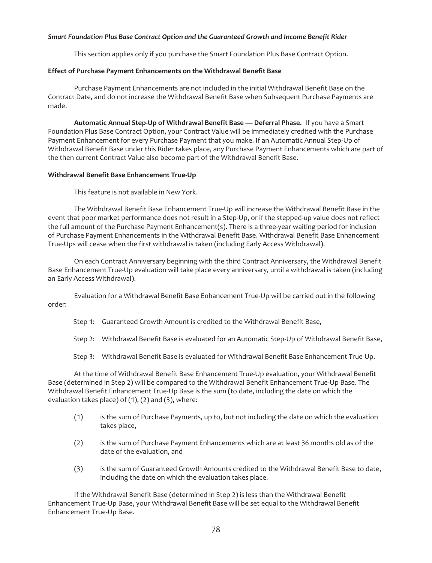## *Smart Foundation Plus Base Contract Option and the Guaranteed Growth and Income Benefit Rider*

This section applies only if you purchase the Smart Foundation Plus Base Contract Option.

### **Effect of Purchase Payment Enhancements on the Withdrawal Benefit Base**

Purchase Payment Enhancements are not included in the initial Withdrawal Benefit Base on the Contract Date, and do not increase the Withdrawal Benefit Base when Subsequent Purchase Payments are made.

**Automatic Annual Step-Up of Withdrawal Benefit Base — Deferral Phase.** If you have a Smart Foundation Plus Base Contract Option, your Contract Value will be immediately credited with the Purchase Payment Enhancement for every Purchase Payment that you make. If an Automatic Annual Step-Up of Withdrawal Benefit Base under this Rider takes place, any Purchase Payment Enhancements which are part of the then current Contract Value also become part of the Withdrawal Benefit Base.

## **Withdrawal Benefit Base Enhancement True-Up**

This feature is not available in New York.

The Withdrawal Benefit Base Enhancement True-Up will increase the Withdrawal Benefit Base in the event that poor market performance does not result in a Step-Up, or if the stepped-up value does not reflect the full amount of the Purchase Payment Enhancement(s). There is a three-year waiting period for inclusion of Purchase Payment Enhancements in the Withdrawal Benefit Base. Withdrawal Benefit Base Enhancement True-Ups will cease when the first withdrawal is taken (including Early Access Withdrawal).

On each Contract Anniversary beginning with the third Contract Anniversary, the Withdrawal Benefit Base Enhancement True-Up evaluation will take place every anniversary, until a withdrawal is taken (including an Early Access Withdrawal).

Evaluation for a Withdrawal Benefit Base Enhancement True-Up will be carried out in the following order:

Step 1: Guaranteed Growth Amount is credited to the Withdrawal Benefit Base,

Step 2: Withdrawal Benefit Base is evaluated for an Automatic Step-Up of Withdrawal Benefit Base,

Step 3: Withdrawal Benefit Base is evaluated for Withdrawal Benefit Base Enhancement True-Up.

At the time of Withdrawal Benefit Base Enhancement True-Up evaluation, your Withdrawal Benefit Base (determined in Step 2) will be compared to the Withdrawal Benefit Enhancement True-Up Base. The Withdrawal Benefit Enhancement True-Up Base is the sum (to date, including the date on which the evaluation takes place) of (1), (2) and (3), where:

- (1) is the sum of Purchase Payments, up to, but not including the date on which the evaluation takes place,
- (2) is the sum of Purchase Payment Enhancements which are at least 36 months old as of the date of the evaluation, and
- (3) is the sum of Guaranteed Growth Amounts credited to the Withdrawal Benefit Base to date, including the date on which the evaluation takes place.

If the Withdrawal Benefit Base (determined in Step 2) is less than the Withdrawal Benefit Enhancement True-Up Base, your Withdrawal Benefit Base will be set equal to the Withdrawal Benefit Enhancement True-Up Base.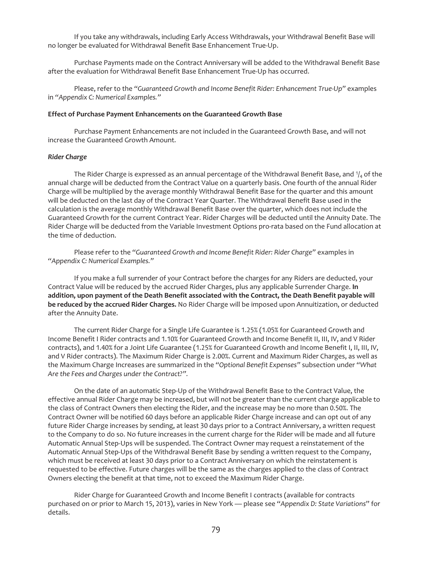If you take any withdrawals, including Early Access Withdrawals, your Withdrawal Benefit Base will no longer be evaluated for Withdrawal Benefit Base Enhancement True-Up.

Purchase Payments made on the Contract Anniversary will be added to the Withdrawal Benefit Base after the evaluation for Withdrawal Benefit Base Enhancement True-Up has occurred.

Please, refer to the *"Guaranteed Growth and Income Benefit Rider: Enhancement True-Up"* examples in *"Appendix C: Numerical Examples."*

#### **Effect of Purchase Payment Enhancements on the Guaranteed Growth Base**

Purchase Payment Enhancements are not included in the Guaranteed Growth Base, and will not increase the Guaranteed Growth Amount.

### *Rider Charge*

The Rider Charge is expressed as an annual percentage of the Withdrawal Benefit Base, and  $\eta_4$  of the annual charge will be deducted from the Contract Value on a quarterly basis. One fourth of the annual Rider Charge will be multiplied by the average monthly Withdrawal Benefit Base for the quarter and this amount will be deducted on the last day of the Contract Year Quarter. The Withdrawal Benefit Base used in the calculation is the average monthly Withdrawal Benefit Base over the quarter, which does not include the Guaranteed Growth for the current Contract Year. Rider Charges will be deducted until the Annuity Date. The Rider Charge will be deducted from the Variable Investment Options pro-rata based on the Fund allocation at the time of deduction.

Please refer to the *"Guaranteed Growth and Income Benefit Rider: Rider Charge"* examples in *"Appendix C: Numerical Examples."*

If you make a full surrender of your Contract before the charges for any Riders are deducted, your Contract Value will be reduced by the accrued Rider Charges, plus any applicable Surrender Charge. **In addition, upon payment of the Death Benefit associated with the Contract, the Death Benefit payable will be reduced by the accrued Rider Charges.** No Rider Charge will be imposed upon Annuitization, or deducted after the Annuity Date.

The current Rider Charge for a Single Life Guarantee is 1.25% (1.05% for Guaranteed Growth and Income Benefit I Rider contracts and 1.10% for Guaranteed Growth and Income Benefit II, III, IV, and V Rider contracts), and 1.40% for a Joint Life Guarantee (1.25% for Guaranteed Growth and Income Benefit I, II, III, IV, and V Rider contracts). The Maximum Rider Charge is 2.00%. Current and Maximum Rider Charges, as well as the Maximum Charge Increases are summarized in the *"Optional Benefit Expenses"* subsection under *"What Are the Fees and Charges under the Contract?".*

On the date of an automatic Step-Up of the Withdrawal Benefit Base to the Contract Value, the effective annual Rider Charge may be increased, but will not be greater than the current charge applicable to the class of Contract Owners then electing the Rider, and the increase may be no more than 0.50%. The Contract Owner will be notified 60 days before an applicable Rider Charge increase and can opt out of any future Rider Charge increases by sending, at least 30 days prior to a Contract Anniversary, a written request to the Company to do so. No future increases in the current charge for the Rider will be made and all future Automatic Annual Step-Ups will be suspended. The Contract Owner may request a reinstatement of the Automatic Annual Step-Ups of the Withdrawal Benefit Base by sending a written request to the Company, which must be received at least 30 days prior to a Contract Anniversary on which the reinstatement is requested to be effective. Future charges will be the same as the charges applied to the class of Contract Owners electing the benefit at that time, not to exceed the Maximum Rider Charge.

Rider Charge for Guaranteed Growth and Income Benefit I contracts (available for contracts purchased on or prior to March 15, 2013), varies in New York — please see "*Appendix D: State Variations*" for details.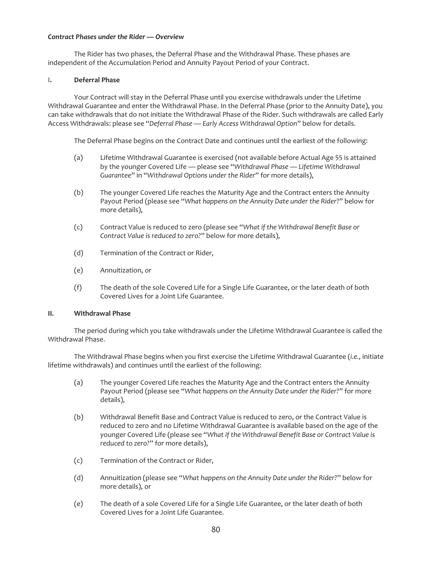## *Contract Phases under the Rider — Overview*

The Rider has two phases, the Deferral Phase and the Withdrawal Phase. These phases are independent of the Accumulation Period and Annuity Payout Period of your Contract.

## I**. Deferral Phase**

Your Contract will stay in the Deferral Phase until you exercise withdrawals under the Lifetime Withdrawal Guarantee and enter the Withdrawal Phase. In the Deferral Phase (prior to the Annuity Date), you can take withdrawals that do not initiate the Withdrawal Phase of the Rider. Such withdrawals are called Early Access Withdrawals: please see "*Deferral Phase — Early Access Withdrawal Option*" below for details.

The Deferral Phase begins on the Contract Date and continues until the earliest of the following:

- (a) Lifetime Withdrawal Guarantee is exercised (not available before Actual Age 55 is attained by the younger Covered Life — please see "*Withdrawal Phase — Lifetime Withdrawal Guarantee*" in "*Withdrawal Options under the Rider*" for more details),
- (b) The younger Covered Life reaches the Maturity Age and the Contract enters the Annuity Payout Period (please see "*What happens on the Annuity Date under the Rider*?" below for more details),
- (c) Contract Value is reduced to zero (please see "*What if the Withdrawal Benefit Base or Contract Value is reduced to zero?*" below for more details),
- (d) Termination of the Contract or Rider,
- (e) Annuitization, or
- (f) The death of the sole Covered Life for a Single Life Guarantee, or the later death of both Covered Lives for a Joint Life Guarantee.

## **II. Withdrawal Phase**

The period during which you take withdrawals under the Lifetime Withdrawal Guarantee is called the Withdrawal Phase.

The Withdrawal Phase begins when you first exercise the Lifetime Withdrawal Guarantee (*i.e.,* initiate lifetime withdrawals) and continues until the earliest of the following:

- (a) The younger Covered Life reaches the Maturity Age and the Contract enters the Annuity Payout Period (please see "*What happens on the Annuity Date under the Rider?*" for more details),
- (b) Withdrawal Benefit Base and Contract Value is reduced to zero, or the Contract Value is reduced to zero and no Lifetime Withdrawal Guarantee is available based on the age of the younger Covered Life (please see "*What if the Withdrawal Benefit Base or Contract Value is reduced to zero?*" for more details),
- (c) Termination of the Contract or Rider,
- (d) Annuitization (please see "*What happens on the Annuity Date under the Rider?*" below for more details), or
- (e) The death of a sole Covered Life for a Single Life Guarantee, or the later death of both Covered Lives for a Joint Life Guarantee.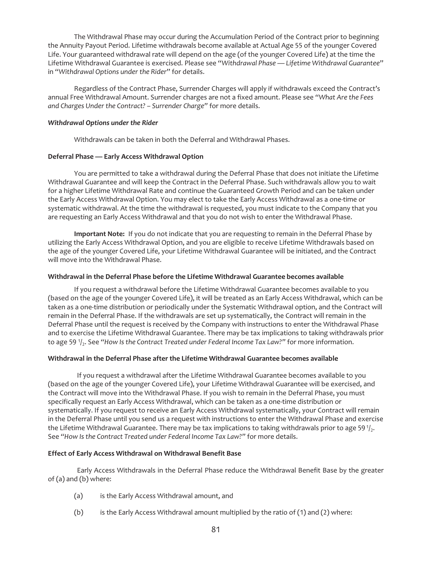The Withdrawal Phase may occur during the Accumulation Period of the Contract prior to beginning the Annuity Payout Period. Lifetime withdrawals become available at Actual Age 55 of the younger Covered Life. Your guaranteed withdrawal rate will depend on the age (of the younger Covered Life) at the time the Lifetime Withdrawal Guarantee is exercised. Please see "*Withdrawal Phase — Lifetime Withdrawal Guarantee*" in "*Withdrawal Options under the Rider*" for details.

Regardless of the Contract Phase, Surrender Charges will apply if withdrawals exceed the Contract's annual Free Withdrawal Amount. Surrender charges are not a fixed amount. Please see *"What Are the Fees and Charges Under the Contract? – Surrender Charge"* for more details.

## *Withdrawal Options under the Rider*

Withdrawals can be taken in both the Deferral and Withdrawal Phases.

## **Deferral Phase — Early Access Withdrawal Option**

You are permitted to take a withdrawal during the Deferral Phase that does not initiate the Lifetime Withdrawal Guarantee and will keep the Contract in the Deferral Phase. Such withdrawals allow you to wait for a higher Lifetime Withdrawal Rate and continue the Guaranteed Growth Period and can be taken under the Early Access Withdrawal Option. You may elect to take the Early Access Withdrawal as a one-time or systematic withdrawal. At the time the withdrawal is requested, you must indicate to the Company that you are requesting an Early Access Withdrawal and that you do not wish to enter the Withdrawal Phase.

**Important Note:** If you do not indicate that you are requesting to remain in the Deferral Phase by utilizing the Early Access Withdrawal Option, and you are eligible to receive Lifetime Withdrawals based on the age of the younger Covered Life, your Lifetime Withdrawal Guarantee will be initiated, and the Contract will move into the Withdrawal Phase.

## **Withdrawal in the Deferral Phase before the Lifetime Withdrawal Guarantee becomes available**

If you request a withdrawal before the Lifetime Withdrawal Guarantee becomes available to you (based on the age of the younger Covered Life), it will be treated as an Early Access Withdrawal, which can be taken as a one-time distribution or periodically under the Systematic Withdrawal option, and the Contract will remain in the Deferral Phase. If the withdrawals are set up systematically, the Contract will remain in the Deferral Phase until the request is received by the Company with instructions to enter the Withdrawal Phase and to exercise the Lifetime Withdrawal Guarantee. There may be tax implications to taking withdrawals prior to age 59 <sup>1</sup>/<sub>2</sub>. See "How Is the Contract Treated under Federal Income Tax Law?" for more information.

# **Withdrawal in the Deferral Phase after the Lifetime Withdrawal Guarantee becomes available**

If you request a withdrawal after the Lifetime Withdrawal Guarantee becomes available to you (based on the age of the younger Covered Life), your Lifetime Withdrawal Guarantee will be exercised, and the Contract will move into the Withdrawal Phase. If you wish to remain in the Deferral Phase, you must specifically request an Early Access Withdrawal, which can be taken as a one-time distribution or systematically. If you request to receive an Early Access Withdrawal systematically, your Contract will remain in the Deferral Phase until you send us a request with instructions to enter the Withdrawal Phase and exercise the Lifetime Withdrawal Guarantee. There may be tax implications to taking withdrawals prior to age 59 $\frac{1}{2}$ . See *"How Is the Contract Treated under Federal Income Tax Law?"* for more details.

# **Effect of Early Access Withdrawal on Withdrawal Benefit Base**

Early Access Withdrawals in the Deferral Phase reduce the Withdrawal Benefit Base by the greater of (a) and (b) where:

- (a) is the Early Access Withdrawal amount, and
- (b) is the Early Access Withdrawal amount multiplied by the ratio of (1) and (2) where: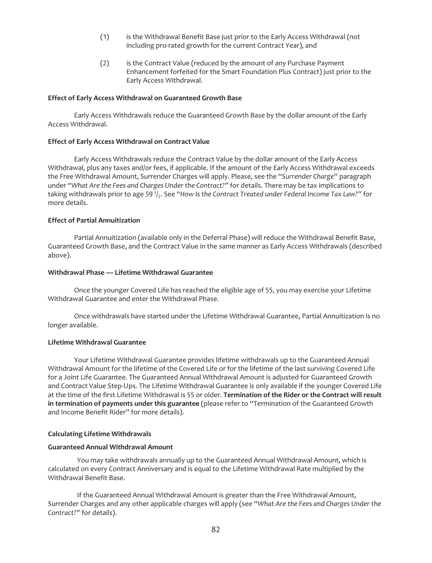- (1) is the Withdrawal Benefit Base just prior to the Early Access Withdrawal (not including pro-rated growth for the current Contract Year), and
- (2) is the Contract Value (reduced by the amount of any Purchase Payment Enhancement forfeited for the Smart Foundation Plus Contract) just prior to the Early Access Withdrawal.

### **Effect of Early Access Withdrawal on Guaranteed Growth Base**

Early Access Withdrawals reduce the Guaranteed Growth Base by the dollar amount of the Early Access Withdrawal.

### **Effect of Early Access Withdrawal on Contract Value**

Early Access Withdrawals reduce the Contract Value by the dollar amount of the Early Access Withdrawal, plus any taxes and/or fees, if applicable. If the amount of the Early Access Withdrawal exceeds the Free Withdrawal Amount, Surrender Charges will apply. Please, see the "*Surrender Charge*" paragraph under *"What Are the Fees and Charges Under the Contract?"* for details. There may be tax implications to taking withdrawals prior to age 59 1/<sub>2</sub>. See "How Is the Contract Treated under Federal Income Tax Law?" for more details.

## **Effect of Partial Annuitization**

Partial Annuitization (available only in the Deferral Phase) will reduce the Withdrawal Benefit Base, Guaranteed Growth Base, and the Contract Value in the same manner as Early Access Withdrawals (described above).

### **Withdrawal Phase — Lifetime Withdrawal Guarantee**

Once the younger Covered Life has reached the eligible age of 55, you may exercise your Lifetime Withdrawal Guarantee and enter the Withdrawal Phase.

Once withdrawals have started under the Lifetime Withdrawal Guarantee, Partial Annuitization is no longer available.

## **Lifetime Withdrawal Guarantee**

Your Lifetime Withdrawal Guarantee provides lifetime withdrawals up to the Guaranteed Annual Withdrawal Amount for the lifetime of the Covered Life or for the lifetime of the last surviving Covered Life for a Joint Life Guarantee. The Guaranteed Annual Withdrawal Amount is adjusted for Guaranteed Growth and Contract Value Step-Ups. The Lifetime Withdrawal Guarantee is only available if the younger Covered Life at the time of the first Lifetime Withdrawal is 55 or older. **Termination of the Rider or the Contract will result in termination of payments under this guarantee** (please refer to "Termination of the Guaranteed Growth and Income Benefit Rider" for more details).

## **Calculating Lifetime Withdrawals**

## **Guaranteed Annual Withdrawal Amount**

You may take withdrawals annually up to the Guaranteed Annual Withdrawal Amount, which is calculated on every Contract Anniversary and is equal to the Lifetime Withdrawal Rate multiplied by the Withdrawal Benefit Base.

If the Guaranteed Annual Withdrawal Amount is greater than the Free Withdrawal Amount, Surrender Charges and any other applicable charges will apply (see *"What Are the Fees and Charges Under the Contract?"* for details).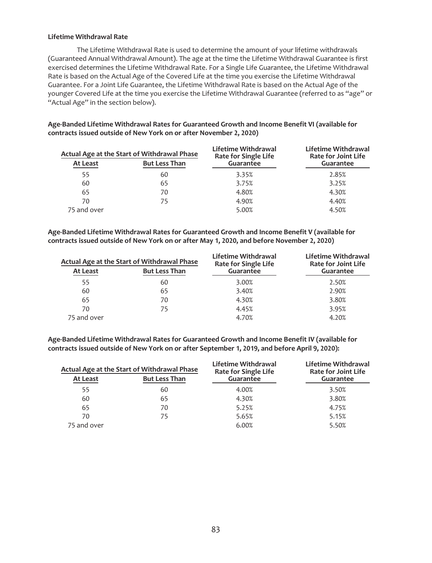## **Lifetime Withdrawal Rate**

The Lifetime Withdrawal Rate is used to determine the amount of your lifetime withdrawals (Guaranteed Annual Withdrawal Amount). The age at the time the Lifetime Withdrawal Guarantee is first exercised determines the Lifetime Withdrawal Rate. For a Single Life Guarantee, the Lifetime Withdrawal Rate is based on the Actual Age of the Covered Life at the time you exercise the Lifetime Withdrawal Guarantee. For a Joint Life Guarantee, the Lifetime Withdrawal Rate is based on the Actual Age of the younger Covered Life at the time you exercise the Lifetime Withdrawal Guarantee (referred to as "age" or "Actual Age" in the section below).

**Age-Banded Lifetime Withdrawal Rates for Guaranteed Growth and Income Benefit VI (available for contracts issued outside of New York on or after November 2, 2020)**

| Actual Age at the Start of Withdrawal Phase<br><b>But Less Than</b><br>At Least |    | Lifetime Withdrawal<br><b>Rate for Single Life</b><br>Guarantee | Lifetime Withdrawal<br><b>Rate for Joint Life</b><br>Guarantee |
|---------------------------------------------------------------------------------|----|-----------------------------------------------------------------|----------------------------------------------------------------|
| 55                                                                              | 60 | 3.35%                                                           | 2.85%                                                          |
| 60                                                                              | 65 | 3.75%                                                           | 3.25%                                                          |
| 65                                                                              | 70 | 4.80%                                                           | 4.30%                                                          |
| 70                                                                              | 75 | 4.90%                                                           | 4.40%                                                          |
| 75 and over                                                                     |    | 5.00%                                                           | 4.50%                                                          |

**Age-Banded Lifetime Withdrawal Rates for Guaranteed Growth and Income Benefit V (available for contracts issued outside of New York on or after May 1, 2020, and before November 2, 2020)**

| Actual Age at the Start of Withdrawal Phase |                      | Lifetime Withdrawal<br><b>Rate for Single Life</b> | Lifetime Withdrawal<br><b>Rate for Joint Life</b> |
|---------------------------------------------|----------------------|----------------------------------------------------|---------------------------------------------------|
| At Least                                    | <b>But Less Than</b> | Guarantee                                          | Guarantee                                         |
| 55                                          | 60                   | 3.00%                                              | 2.50%                                             |
| 60                                          | 65                   | 3.40%                                              | 2.90%                                             |
| 65                                          | 70                   | 4.30%                                              | 3.80%                                             |
| 70                                          | 75                   | 4.45%                                              | 3.95%                                             |
| 75 and over                                 |                      | 4.70%                                              | 4.20%                                             |

**Age-Banded Lifetime Withdrawal Rates for Guaranteed Growth and Income Benefit IV (available for contracts issued outside of New York on or after September 1, 2019, and before April 9, 2020):**

| Actual Age at the Start of Withdrawal Phase |                      | Lifetime Withdrawal<br>Rate for Single Life | Lifetime Withdrawal<br><b>Rate for Joint Life</b> |
|---------------------------------------------|----------------------|---------------------------------------------|---------------------------------------------------|
| At Least                                    | <b>But Less Than</b> | Guarantee                                   | Guarantee                                         |
| 55                                          | 60                   | 4.00%                                       | 3.50%                                             |
| 60                                          | 65                   | 4.30%                                       | 3.80%                                             |
| 65                                          | 70                   | 5.25%                                       | 4.75%                                             |
| 70                                          | 75                   | 5.65%                                       | 5.15%                                             |
| 75 and over                                 |                      | 6.00%                                       | 5.50%                                             |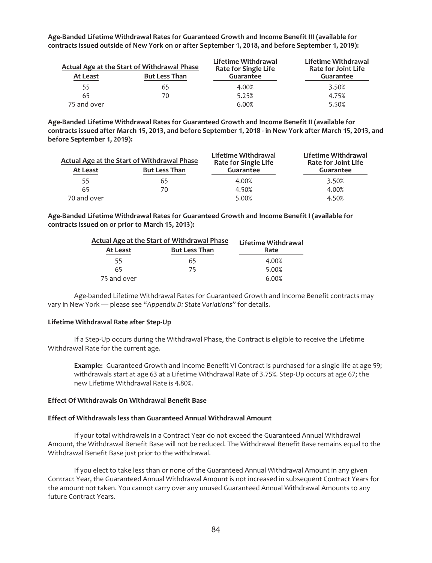| :1019): ontracts issued outside of New York on or after September 1, 2018, and before September 1, 2019 |                                                                     |                                                                 |                                                                |  |  |  |
|---------------------------------------------------------------------------------------------------------|---------------------------------------------------------------------|-----------------------------------------------------------------|----------------------------------------------------------------|--|--|--|
| At Least                                                                                                | Actual Age at the Start of Withdrawal Phase<br><b>But Less Than</b> | Lifetime Withdrawal<br><b>Rate for Single Life</b><br>Guarantee | Lifetime Withdrawal<br><b>Rate for Joint Life</b><br>Guarantee |  |  |  |
| 55                                                                                                      | 65                                                                  | 4.00%                                                           | 3.50%                                                          |  |  |  |
| 65                                                                                                      | 70                                                                  | 5.25%                                                           | 4.75%                                                          |  |  |  |

75 and over 6.00% 5.50%

**Age-Banded Lifetime Withdrawal Rates for Guaranteed Growth and Income Benefit III (available for contracts issued outside of New York on or after September 1, 2018, and before September 1, 2019):**

**Age-Banded Lifetime Withdrawal Rates for Guaranteed Growth and Income Benefit II (available for contracts issued after March 15, 2013, and before September 1, 2018 - in New York after March 15, 2013, and before September 1, 2019):**

| Actual Age at the Start of Withdrawal Phase |                      | Lifetime Withdrawal<br><b>Rate for Single Life</b> | Lifetime Withdrawal<br><b>Rate for Joint Life</b> |
|---------------------------------------------|----------------------|----------------------------------------------------|---------------------------------------------------|
| At Least                                    | <b>But Less Than</b> | Guarantee                                          | Guarantee                                         |
| 55                                          | 65                   | 4.00%                                              | 3.50%                                             |
| 65                                          | 70                   | 4.50%                                              | 4.00%                                             |
| 70 and over                                 |                      | 5.00%                                              | 4.50%                                             |

**Age-Banded Lifetime Withdrawal Rates for Guaranteed Growth and Income Benefit I (available for contracts issued on or prior to March 15, 2013):**

| Actual Age at the Start of Withdrawal Phase |                      | Lifetime Withdrawal |  |
|---------------------------------------------|----------------------|---------------------|--|
| At Least                                    | <b>But Less Than</b> | Rate                |  |
| 55                                          | 65                   | 4.00%               |  |
| 65                                          | 75                   | 5.00%               |  |
| 75 and over                                 |                      | 6.00%               |  |

Age-banded Lifetime Withdrawal Rates for Guaranteed Growth and Income Benefit contracts may vary in New York — please see "*Appendix D: State Variations*" for details.

### **Lifetime Withdrawal Rate after Step-Up**

If a Step-Up occurs during the Withdrawal Phase, the Contract is eligible to receive the Lifetime Withdrawal Rate for the current age.

**Example:** Guaranteed Growth and Income Benefit VI Contract is purchased for a single life at age 59; withdrawals start at age 63 at a Lifetime Withdrawal Rate of 3.75%. Step-Up occurs at age 67; the new Lifetime Withdrawal Rate is 4.80%.

## **Effect Of Withdrawals On Withdrawal Benefit Base**

#### **Effect of Withdrawals less than Guaranteed Annual Withdrawal Amount**

If your total withdrawals in a Contract Year do not exceed the Guaranteed Annual Withdrawal Amount, the Withdrawal Benefit Base will not be reduced. The Withdrawal Benefit Base remains equal to the Withdrawal Benefit Base just prior to the withdrawal.

If you elect to take less than or none of the Guaranteed Annual Withdrawal Amount in any given Contract Year, the Guaranteed Annual Withdrawal Amount is not increased in subsequent Contract Years for the amount not taken. You cannot carry over any unused Guaranteed Annual Withdrawal Amounts to any future Contract Years.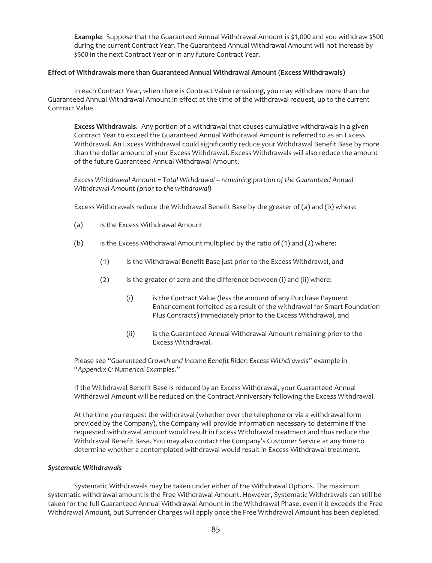**Example:** Suppose that the Guaranteed Annual Withdrawal Amount is \$1,000 and you withdraw \$500 during the current Contract Year. The Guaranteed Annual Withdrawal Amount will not increase by \$500 in the next Contract Year or in any future Contract Year.

## **Effect of Withdrawals more than Guaranteed Annual Withdrawal Amount (Excess Withdrawals)**

In each Contract Year, when there is Contract Value remaining, you may withdraw more than the Guaranteed Annual Withdrawal Amount in effect at the time of the withdrawal request, up to the current Contract Value.

**Excess Withdrawals.** Any portion of a withdrawal that causes cumulative withdrawals in a given Contract Year to exceed the Guaranteed Annual Withdrawal Amount is referred to as an Excess Withdrawal. An Excess Withdrawal could significantly reduce your Withdrawal Benefit Base by more than the dollar amount of your Excess Withdrawal. Excess Withdrawals will also reduce the amount of the future Guaranteed Annual Withdrawal Amount.

*Excess Withdrawal Amount = Total Withdrawal – remaining portion of the Guaranteed Annual Withdrawal Amount (prior to the withdrawal)*

Excess Withdrawals reduce the Withdrawal Benefit Base by the greater of (a) and (b) where:

- (a) is the Excess Withdrawal Amount
- (b) is the Excess Withdrawal Amount multiplied by the ratio of (1) and (2) where:
	- (1) is the Withdrawal Benefit Base just prior to the Excess Withdrawal, and
	- (2) is the greater of zero and the difference between (i) and (ii) where:
		- (i) is the Contract Value (less the amount of any Purchase Payment Enhancement forfeited as a result of the withdrawal for Smart Foundation Plus Contracts) immediately prior to the Excess Withdrawal, and
		- (ii) is the Guaranteed Annual Withdrawal Amount remaining prior to the Excess Withdrawal.

Please see "*Guaranteed Growth and Income Benefit Rider: Excess Withdrawals*" example in "*Appendix C: Numerical Examples*."

If the Withdrawal Benefit Base is reduced by an Excess Withdrawal, your Guaranteed Annual Withdrawal Amount will be reduced on the Contract Anniversary following the Excess Withdrawal.

At the time you request the withdrawal (whether over the telephone or via a withdrawal form provided by the Company), the Company will provide information necessary to determine if the requested withdrawal amount would result in Excess Withdrawal treatment and thus reduce the Withdrawal Benefit Base. You may also contact the Company's Customer Service at any time to determine whether a contemplated withdrawal would result in Excess Withdrawal treatment.

## *Systematic Withdrawals*

Systematic Withdrawals may be taken under either of the Withdrawal Options. The maximum systematic withdrawal amount is the Free Withdrawal Amount. However, Systematic Withdrawals can still be taken for the full Guaranteed Annual Withdrawal Amount in the Withdrawal Phase, even if it exceeds the Free Withdrawal Amount, but Surrender Charges will apply once the Free Withdrawal Amount has been depleted.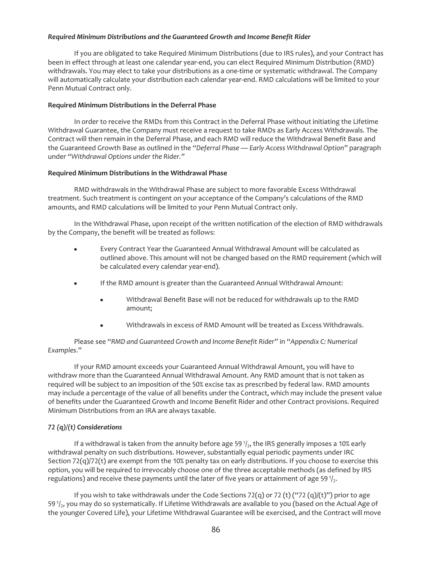## *Required Minimum Distributions and the Guaranteed Growth and Income Benefit Rider*

If you are obligated to take Required Minimum Distributions (due to IRS rules), and your Contract has been in effect through at least one calendar year-end, you can elect Required Minimum Distribution (RMD) withdrawals. You may elect to take your distributions as a one-time or systematic withdrawal. The Company will automatically calculate your distribution each calendar year-end. RMD calculations will be limited to your Penn Mutual Contract only.

## **Required Minimum Distributions in the Deferral Phase**

In order to receive the RMDs from this Contract in the Deferral Phase without initiating the Lifetime Withdrawal Guarantee, the Company must receive a request to take RMDs as Early Access Withdrawals. The Contract will then remain in the Deferral Phase, and each RMD will reduce the Withdrawal Benefit Base and the Guaranteed Growth Base as outlined in the *"Deferral Phase — Early Access Withdrawal Option"* paragraph under *"Withdrawal Options under the Rider."*

## **Required Minimum Distributions in the Withdrawal Phase**

RMD withdrawals in the Withdrawal Phase are subject to more favorable Excess Withdrawal treatment. Such treatment is contingent on your acceptance of the Company's calculations of the RMD amounts, and RMD calculations will be limited to your Penn Mutual Contract only.

In the Withdrawal Phase, upon receipt of the written notification of the election of RMD withdrawals by the Company, the benefit will be treated as follows:

- Every Contract Year the Guaranteed Annual Withdrawal Amount will be calculated as outlined above. This amount will not be changed based on the RMD requirement (which will be calculated every calendar year-end).
- If the RMD amount is greater than the Guaranteed Annual Withdrawal Amount:
	- Withdrawal Benefit Base will not be reduced for withdrawals up to the RMD amount;
	- Withdrawals in excess of RMD Amount will be treated as Excess Withdrawals.

Please see "*RMD and Guaranteed Growth and Income Benefit Rider*" in "*Appendix C: Numerical Examples*."

If your RMD amount exceeds your Guaranteed Annual Withdrawal Amount, you will have to withdraw more than the Guaranteed Annual Withdrawal Amount. Any RMD amount that is not taken as required will be subject to an imposition of the 50% excise tax as prescribed by federal law. RMD amounts may include a percentage of the value of all benefits under the Contract, which may include the present value of benefits under the Guaranteed Growth and Income Benefit Rider and other Contract provisions. Required Minimum Distributions from an IRA are always taxable.

# *72 (q)/(t) Considerations*

If a withdrawal is taken from the annuity before age 59 $1/2$ , the IRS generally imposes a 10% early withdrawal penalty on such distributions. However, substantially equal periodic payments under IRC Section 72(q)/72(t) are exempt from the 10% penalty tax on early distributions. If you choose to exercise this option, you will be required to irrevocably choose one of the three acceptable methods (as defined by IRS regulations) and receive these payments until the later of five years or attainment of age 59 $\frac{1}{2}$ .

If you wish to take withdrawals under the Code Sections 72(q) or 72 (t) ("72 (q)/(t)") prior to age 59  $1/2$ , you may do so systematically. If Lifetime Withdrawals are available to you (based on the Actual Age of the younger Covered Life), your Lifetime Withdrawal Guarantee will be exercised, and the Contract will move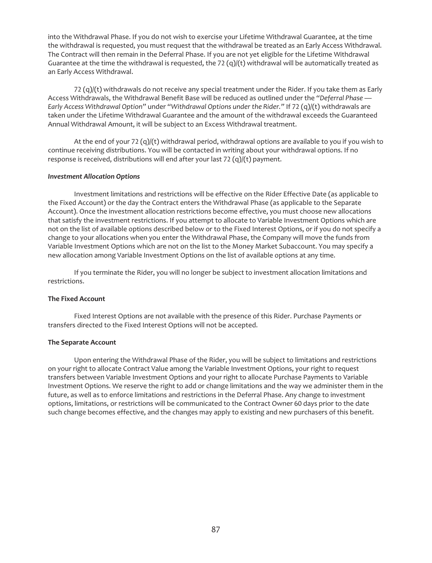into the Withdrawal Phase. If you do not wish to exercise your Lifetime Withdrawal Guarantee, at the time the withdrawal is requested, you must request that the withdrawal be treated as an Early Access Withdrawal. The Contract will then remain in the Deferral Phase. If you are not yet eligible for the Lifetime Withdrawal Guarantee at the time the withdrawal is requested, the 72  $(q)/(t)$  withdrawal will be automatically treated as an Early Access Withdrawal.

 $72$  (q)/(t) withdrawals do not receive any special treatment under the Rider. If you take them as Early Access Withdrawals, the Withdrawal Benefit Base will be reduced as outlined under the *"Deferral Phase — Early Access Withdrawal Option"* under *"Withdrawal Options under the Rider."* If 72 (q)/(t) withdrawals are taken under the Lifetime Withdrawal Guarantee and the amount of the withdrawal exceeds the Guaranteed Annual Withdrawal Amount, it will be subject to an Excess Withdrawal treatment.

At the end of your 72 (q)/(t) withdrawal period, withdrawal options are available to you if you wish to continue receiving distributions. You will be contacted in writing about your withdrawal options. If no response is received, distributions will end after your last 72 (q)/(t) payment.

## *Investment Allocation Options*

Investment limitations and restrictions will be effective on the Rider Effective Date (as applicable to the Fixed Account) or the day the Contract enters the Withdrawal Phase (as applicable to the Separate Account). Once the investment allocation restrictions become effective, you must choose new allocations that satisfy the investment restrictions. If you attempt to allocate to Variable Investment Options which are not on the list of available options described below or to the Fixed Interest Options, or if you do not specify a change to your allocations when you enter the Withdrawal Phase, the Company will move the funds from Variable Investment Options which are not on the list to the Money Market Subaccount. You may specify a new allocation among Variable Investment Options on the list of available options at any time.

If you terminate the Rider, you will no longer be subject to investment allocation limitations and restrictions.

## **The Fixed Account**

Fixed Interest Options are not available with the presence of this Rider. Purchase Payments or transfers directed to the Fixed Interest Options will not be accepted.

## **The Separate Account**

Upon entering the Withdrawal Phase of the Rider, you will be subject to limitations and restrictions on your right to allocate Contract Value among the Variable Investment Options, your right to request transfers between Variable Investment Options and your right to allocate Purchase Payments to Variable Investment Options. We reserve the right to add or change limitations and the way we administer them in the future, as well as to enforce limitations and restrictions in the Deferral Phase. Any change to investment options, limitations, or restrictions will be communicated to the Contract Owner 60 days prior to the date such change becomes effective, and the changes may apply to existing and new purchasers of this benefit.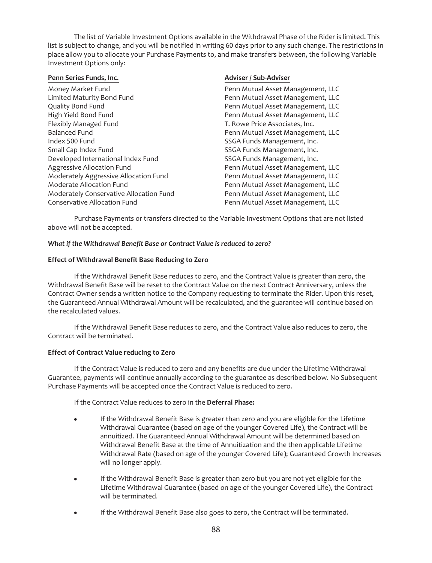The list of Variable Investment Options available in the Withdrawal Phase of the Rider is limited. This list is subject to change, and you will be notified in writing 60 days prior to any such change. The restrictions in place allow you to allocate your Purchase Payments to, and make transfers between, the following Variable Investment Options only:

# Penn Series Funds, Inc. **Adviser** / Sub-Adviser / Sub-Adviser Money Market Fund **Penn Mutual Asset Management, LLC** Limited Maturity Bond Fund Penn Mutual Asset Management, LLC Quality Bond Fund Penn Mutual Asset Management, LLC High Yield Bond Fund<br>
Flexibly Managed Fund Penn Mutual Asset Management, LLC<br>
T. Rowe Price Associates, Inc. T. Rowe Price Associates, Inc. Balanced Fund Penn Mutual Asset Management, LLC Index 500 Fund State of Contract Contract Contract Contract Contract Contract Contract Contract Contract Contract Contract Contract Contract Contract Contract Contract Contract Contract Contract Contract Contract Contract Small Cap Index Fund State State SSGA Funds Management, Inc. Developed International Index Fund SSGA Funds Management, Inc. Aggressive Allocation Fund **Penn Mutual Asset Management, LLC** Moderately Aggressive Allocation Fund Penn Mutual Asset Management, LLC Moderate Allocation Fund Penn Mutual Asset Management, LLC Moderately Conservative Allocation Fund<br>Conservative Allocation Fund Penn Mutual Asset Management, LLC Penn Mutual Asset Management, LLC

Purchase Payments or transfers directed to the Variable Investment Options that are not listed above will not be accepted.

# *What if the Withdrawal Benefit Base or Contract Value is reduced to zero?*

# **Effect of Withdrawal Benefit Base Reducing to Zero**

If the Withdrawal Benefit Base reduces to zero, and the Contract Value is greater than zero, the Withdrawal Benefit Base will be reset to the Contract Value on the next Contract Anniversary, unless the Contract Owner sends a written notice to the Company requesting to terminate the Rider. Upon this reset, the Guaranteed Annual Withdrawal Amount will be recalculated, and the guarantee will continue based on the recalculated values.

If the Withdrawal Benefit Base reduces to zero, and the Contract Value also reduces to zero, the Contract will be terminated.

# **Effect of Contract Value reducing to Zero**

If the Contract Value is reduced to zero and any benefits are due under the Lifetime Withdrawal Guarantee, payments will continue annually according to the guarantee as described below. No Subsequent Purchase Payments will be accepted once the Contract Value is reduced to zero.

If the Contract Value reduces to zero in the **Deferral Phase:**

- If the Withdrawal Benefit Base is greater than zero and you are eligible for the Lifetime Withdrawal Guarantee (based on age of the younger Covered Life), the Contract will be annuitized. The Guaranteed Annual Withdrawal Amount will be determined based on Withdrawal Benefit Base at the time of Annuitization and the then applicable Lifetime Withdrawal Rate (based on age of the younger Covered Life); Guaranteed Growth Increases will no longer apply.
- If the Withdrawal Benefit Base is greater than zero but you are not yet eligible for the Lifetime Withdrawal Guarantee (based on age of the younger Covered Life), the Contract will be terminated.
- If the Withdrawal Benefit Base also goes to zero, the Contract will be terminated.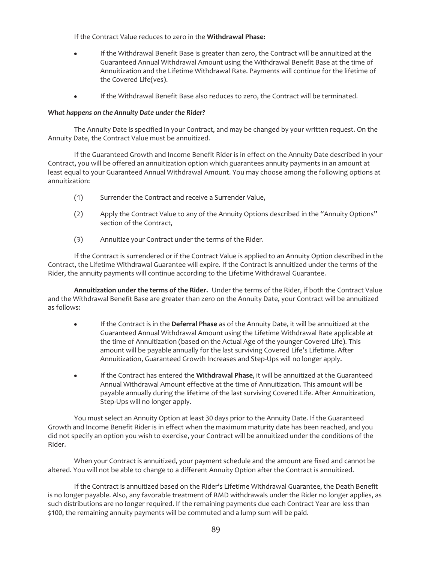If the Contract Value reduces to zero in the **Withdrawal Phase:**

- If the Withdrawal Benefit Base is greater than zero, the Contract will be annuitized at the Guaranteed Annual Withdrawal Amount using the Withdrawal Benefit Base at the time of Annuitization and the Lifetime Withdrawal Rate. Payments will continue for the lifetime of the Covered Life(ves).
- If the Withdrawal Benefit Base also reduces to zero, the Contract will be terminated.

## *What happens on the Annuity Date under the Rider?*

The Annuity Date is specified in your Contract, and may be changed by your written request. On the Annuity Date, the Contract Value must be annuitized.

If the Guaranteed Growth and Income Benefit Rider is in effect on the Annuity Date described in your Contract, you will be offered an annuitization option which guarantees annuity payments in an amount at least equal to your Guaranteed Annual Withdrawal Amount. You may choose among the following options at annuitization:

- (1) Surrender the Contract and receive a Surrender Value,
- (2) Apply the Contract Value to any of the Annuity Options described in the "Annuity Options" section of the Contract,
- (3) Annuitize your Contract under the terms of the Rider.

If the Contract is surrendered or if the Contract Value is applied to an Annuity Option described in the Contract, the Lifetime Withdrawal Guarantee will expire. If the Contract is annuitized under the terms of the Rider, the annuity payments will continue according to the Lifetime Withdrawal Guarantee.

**Annuitization under the terms of the Rider.** Under the terms of the Rider, if both the Contract Value and the Withdrawal Benefit Base are greater than zero on the Annuity Date, your Contract will be annuitized as follows:

- If the Contract is in the Deferral Phase as of the Annuity Date, it will be annuitized at the Guaranteed Annual Withdrawal Amount using the Lifetime Withdrawal Rate applicable at the time of Annuitization (based on the Actual Age of the younger Covered Life). This amount will be payable annually for the last surviving Covered Life's Lifetime. After Annuitization, Guaranteed Growth Increases and Step-Ups will no longer apply.
- If the Contract has entered the Withdrawal Phase, it will be annuitized at the Guaranteed Annual Withdrawal Amount effective at the time of Annuitization. This amount will be payable annually during the lifetime of the last surviving Covered Life. After Annuitization, Step-Ups will no longer apply.

You must select an Annuity Option at least 30 days prior to the Annuity Date. If the Guaranteed Growth and Income Benefit Rider is in effect when the maximum maturity date has been reached, and you did not specify an option you wish to exercise, your Contract will be annuitized under the conditions of the Rider.

When your Contract is annuitized, your payment schedule and the amount are fixed and cannot be altered. You will not be able to change to a different Annuity Option after the Contract is annuitized.

If the Contract is annuitized based on the Rider's Lifetime Withdrawal Guarantee, the Death Benefit is no longer payable. Also, any favorable treatment of RMD withdrawals under the Rider no longer applies, as such distributions are no longer required. If the remaining payments due each Contract Year are less than \$100, the remaining annuity payments will be commuted and a lump sum will be paid.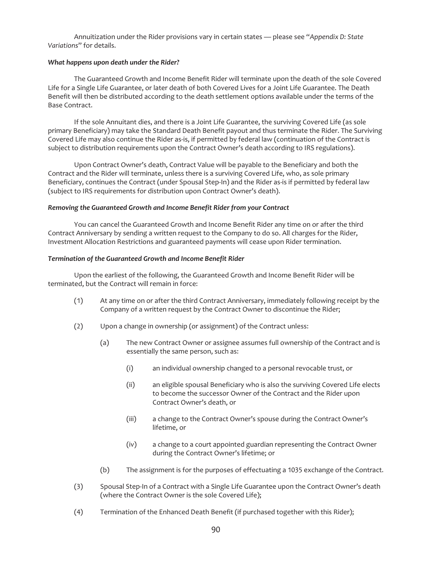Annuitization under the Rider provisions vary in certain states — please see "*Appendix D: State Variations*" for details.

## *What happens upon death under the Rider?*

The Guaranteed Growth and Income Benefit Rider will terminate upon the death of the sole Covered Life for a Single Life Guarantee, or later death of both Covered Lives for a Joint Life Guarantee. The Death Benefit will then be distributed according to the death settlement options available under the terms of the Base Contract.

If the sole Annuitant dies, and there is a Joint Life Guarantee, the surviving Covered Life (as sole primary Beneficiary) may take the Standard Death Benefit payout and thus terminate the Rider. The Surviving Covered Life may also continue the Rider as-is, if permitted by federal law (continuation of the Contract is subject to distribution requirements upon the Contract Owner's death according to IRS regulations).

Upon Contract Owner's death, Contract Value will be payable to the Beneficiary and both the Contract and the Rider will terminate, unless there is a surviving Covered Life, who, as sole primary Beneficiary, continues the Contract (under Spousal Step-In) and the Rider as-is if permitted by federal law (subject to IRS requirements for distribution upon Contract Owner's death).

## *Removing the Guaranteed Growth and Income Benefit Rider from your Contract*

You can cancel the Guaranteed Growth and Income Benefit Rider any time on or after the third Contract Anniversary by sending a written request to the Company to do so. All charges for the Rider, Investment Allocation Restrictions and guaranteed payments will cease upon Rider termination.

## *Termination of the Guaranteed Growth and Income Benefit Rider*

Upon the earliest of the following, the Guaranteed Growth and Income Benefit Rider will be terminated, but the Contract will remain in force:

- (1) At any time on or after the third Contract Anniversary, immediately following receipt by the Company of a written request by the Contract Owner to discontinue the Rider;
- (2) Upon a change in ownership (or assignment) of the Contract unless:
	- (a) The new Contract Owner or assignee assumes full ownership of the Contract and is essentially the same person, such as:
		- (i) an individual ownership changed to a personal revocable trust, or
		- (ii) an eligible spousal Beneficiary who is also the surviving Covered Life elects to become the successor Owner of the Contract and the Rider upon Contract Owner's death, or
		- (iii) a change to the Contract Owner's spouse during the Contract Owner's lifetime, or
		- (iv) a change to a court appointed guardian representing the Contract Owner during the Contract Owner's lifetime; or
	- (b) The assignment is for the purposes of effectuating a 1035 exchange of the Contract.
- (3) Spousal Step-In of a Contract with a Single Life Guarantee upon the Contract Owner's death (where the Contract Owner is the sole Covered Life);
- (4) Termination of the Enhanced Death Benefit (if purchased together with this Rider);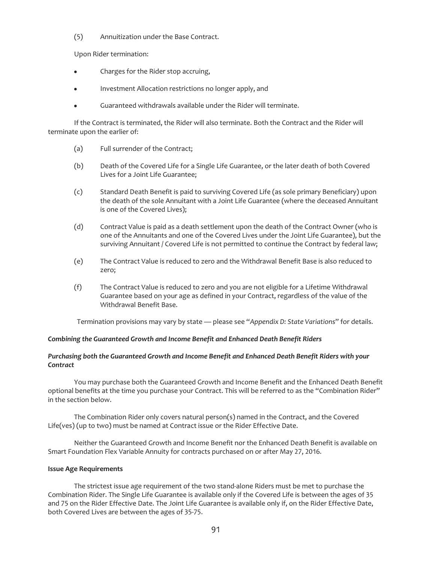(5) Annuitization under the Base Contract.

Upon Rider termination:

- Charges for the Rider stop accruing,
- Investment Allocation restrictions no longer apply, and
- Guaranteed withdrawals available under the Rider will terminate.

If the Contract is terminated, the Rider will also terminate. Both the Contract and the Rider will terminate upon the earlier of:

- (a) Full surrender of the Contract;
- (b) Death of the Covered Life for a Single Life Guarantee, or the later death of both Covered Lives for a Joint Life Guarantee;
- (c) Standard Death Benefit is paid to surviving Covered Life (as sole primary Beneficiary) upon the death of the sole Annuitant with a Joint Life Guarantee (where the deceased Annuitant is one of the Covered Lives);
- (d) Contract Value is paid as a death settlement upon the death of the Contract Owner (who is one of the Annuitants and one of the Covered Lives under the Joint Life Guarantee), but the surviving Annuitant / Covered Life is not permitted to continue the Contract by federal law;
- (e) The Contract Value is reduced to zero and the Withdrawal Benefit Base is also reduced to zero;
- (f) The Contract Value is reduced to zero and you are not eligible for a Lifetime Withdrawal Guarantee based on your age as defined in your Contract, regardless of the value of the Withdrawal Benefit Base.

Termination provisions may vary by state — please see "*Appendix D: State Variations*" for details.

## *Combining the Guaranteed Growth and Income Benefit and Enhanced Death Benefit Riders*

## *Purchasing both the Guaranteed Growth and Income Benefit and Enhanced Death Benefit Riders with your Contract*

You may purchase both the Guaranteed Growth and Income Benefit and the Enhanced Death Benefit optional benefits at the time you purchase your Contract. This will be referred to as the "Combination Rider" in the section below.

The Combination Rider only covers natural person(s) named in the Contract, and the Covered Life(ves) (up to two) must be named at Contract issue or the Rider Effective Date.

Neither the Guaranteed Growth and Income Benefit nor the Enhanced Death Benefit is available on Smart Foundation Flex Variable Annuity for contracts purchased on or after May 27, 2016.

## **Issue Age Requirements**

The strictest issue age requirement of the two stand-alone Riders must be met to purchase the Combination Rider. The Single Life Guarantee is available only if the Covered Life is between the ages of 35 and 75 on the Rider Effective Date. The Joint Life Guarantee is available only if, on the Rider Effective Date, both Covered Lives are between the ages of 35-75.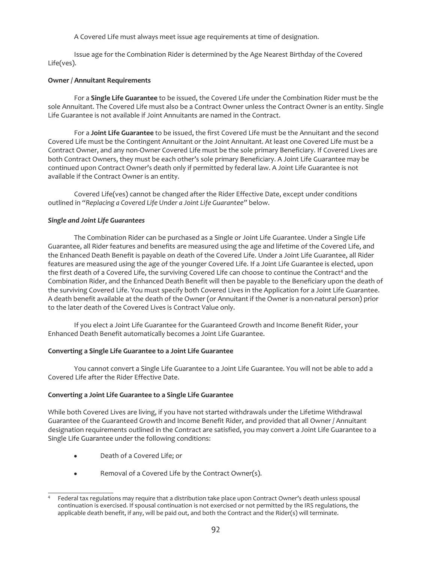A Covered Life must always meet issue age requirements at time of designation.

Issue age for the Combination Rider is determined by the Age Nearest Birthday of the Covered Life(ves).

# **Owner / Annuitant Requirements**

For a **Single Life Guarantee** to be issued, the Covered Life under the Combination Rider must be the sole Annuitant. The Covered Life must also be a Contract Owner unless the Contract Owner is an entity. Single Life Guarantee is not available if Joint Annuitants are named in the Contract.

For a **Joint Life Guarantee** to be issued, the first Covered Life must be the Annuitant and the second Covered Life must be the Contingent Annuitant or the Joint Annuitant. At least one Covered Life must be a Contract Owner, and any non-Owner Covered Life must be the sole primary Beneficiary. If Covered Lives are both Contract Owners, they must be each other's sole primary Beneficiary. A Joint Life Guarantee may be continued upon Contract Owner's death only if permitted by federal law. A Joint Life Guarantee is not available if the Contract Owner is an entity.

Covered Life(ves) cannot be changed after the Rider Effective Date, except under conditions outlined in *"Replacing a Covered Life Under a Joint Life Guarantee"* below.

# *Single and Joint Life Guarantees*

The Combination Rider can be purchased as a Single or Joint Life Guarantee. Under a Single Life Guarantee, all Rider features and benefits are measured using the age and lifetime of the Covered Life, and the Enhanced Death Benefit is payable on death of the Covered Life. Under a Joint Life Guarantee, all Rider features are measured using the age of the younger Covered Life. If a Joint Life Guarantee is elected, upon the first death of a Covered Life, the surviving Covered Life can choose to continue the Contract<sup>4</sup> and the Combination Rider, and the Enhanced Death Benefit will then be payable to the Beneficiary upon the death of the surviving Covered Life. You must specify both Covered Lives in the Application for a Joint Life Guarantee. A death benefit available at the death of the Owner (or Annuitant if the Owner is a non-natural person) prior to the later death of the Covered Lives is Contract Value only.

If you elect a Joint Life Guarantee for the Guaranteed Growth and Income Benefit Rider, your Enhanced Death Benefit automatically becomes a Joint Life Guarantee.

# **Converting a Single Life Guarantee to a Joint Life Guarantee**

You cannot convert a Single Life Guarantee to a Joint Life Guarantee. You will not be able to add a Covered Life after the Rider Effective Date.

# **Converting a Joint Life Guarantee to a Single Life Guarantee**

While both Covered Lives are living, if you have not started withdrawals under the Lifetime Withdrawal Guarantee of the Guaranteed Growth and Income Benefit Rider, and provided that all Owner / Annuitant designation requirements outlined in the Contract are satisfied, you may convert a Joint Life Guarantee to a Single Life Guarantee under the following conditions:

- Death of a Covered Life; or
- Removal of a Covered Life by the Contract Owner(s).

<sup>&</sup>lt;sup>4</sup> Federal tax regulations may require that a distribution take place upon Contract Owner's death unless spousal continuation is exercised. If spousal continuation is not exercised or not permitted by the IRS regulations, the applicable death benefit, if any, will be paid out, and both the Contract and the Rider(s) will terminate.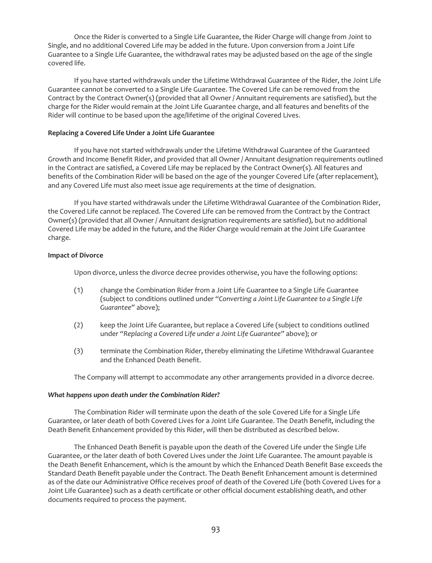Once the Rider is converted to a Single Life Guarantee, the Rider Charge will change from Joint to Single, and no additional Covered Life may be added in the future. Upon conversion from a Joint Life Guarantee to a Single Life Guarantee, the withdrawal rates may be adjusted based on the age of the single covered life.

If you have started withdrawals under the Lifetime Withdrawal Guarantee of the Rider, the Joint Life Guarantee cannot be converted to a Single Life Guarantee. The Covered Life can be removed from the Contract by the Contract Owner(s) (provided that all Owner / Annuitant requirements are satisfied), but the charge for the Rider would remain at the Joint Life Guarantee charge, and all features and benefits of the Rider will continue to be based upon the age/lifetime of the original Covered Lives.

## **Replacing a Covered Life Under a Joint Life Guarantee**

If you have not started withdrawals under the Lifetime Withdrawal Guarantee of the Guaranteed Growth and Income Benefit Rider, and provided that all Owner / Annuitant designation requirements outlined in the Contract are satisfied, a Covered Life may be replaced by the Contract Owner(s). All features and benefits of the Combination Rider will be based on the age of the younger Covered Life (after replacement), and any Covered Life must also meet issue age requirements at the time of designation.

If you have started withdrawals under the Lifetime Withdrawal Guarantee of the Combination Rider, the Covered Life cannot be replaced. The Covered Life can be removed from the Contract by the Contract Owner(s) (provided that all Owner / Annuitant designation requirements are satisfied), but no additional Covered Life may be added in the future, and the Rider Charge would remain at the Joint Life Guarantee charge.

## **Impact of Divorce**

Upon divorce, unless the divorce decree provides otherwise, you have the following options:

- (1) change the Combination Rider from a Joint Life Guarantee to a Single Life Guarantee (subject to conditions outlined under *"Converting a Joint Life Guarantee to a Single Life Guarantee"* above);
- (2) keep the Joint Life Guarantee, but replace a Covered Life (subject to conditions outlined under *"Replacing a Covered Life under a Joint Life Guarantee"* above); or
- (3) terminate the Combination Rider, thereby eliminating the Lifetime Withdrawal Guarantee and the Enhanced Death Benefit.

The Company will attempt to accommodate any other arrangements provided in a divorce decree.

## *What happens upon death under the Combination Rider?*

The Combination Rider will terminate upon the death of the sole Covered Life for a Single Life Guarantee, or later death of both Covered Lives for a Joint Life Guarantee. The Death Benefit, including the Death Benefit Enhancement provided by this Rider, will then be distributed as described below.

The Enhanced Death Benefit is payable upon the death of the Covered Life under the Single Life Guarantee, or the later death of both Covered Lives under the Joint Life Guarantee. The amount payable is the Death Benefit Enhancement, which is the amount by which the Enhanced Death Benefit Base exceeds the Standard Death Benefit payable under the Contract. The Death Benefit Enhancement amount is determined as of the date our Administrative Office receives proof of death of the Covered Life (both Covered Lives for a Joint Life Guarantee) such as a death certificate or other official document establishing death, and other documents required to process the payment.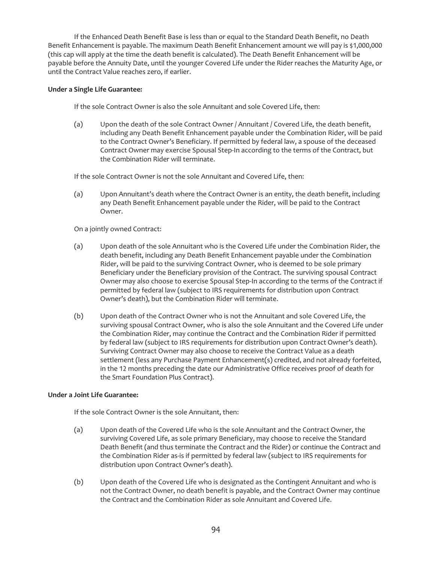If the Enhanced Death Benefit Base is less than or equal to the Standard Death Benefit, no Death Benefit Enhancement is payable. The maximum Death Benefit Enhancement amount we will pay is \$1,000,000 (this cap will apply at the time the death benefit is calculated). The Death Benefit Enhancement will be payable before the Annuity Date, until the younger Covered Life under the Rider reaches the Maturity Age, or until the Contract Value reaches zero, if earlier.

## **Under a Single Life Guarantee:**

If the sole Contract Owner is also the sole Annuitant and sole Covered Life, then:

(a) Upon the death of the sole Contract Owner / Annuitant / Covered Life, the death benefit, including any Death Benefit Enhancement payable under the Combination Rider, will be paid to the Contract Owner's Beneficiary. If permitted by federal law, a spouse of the deceased Contract Owner may exercise Spousal Step-In according to the terms of the Contract, but the Combination Rider will terminate.

If the sole Contract Owner is not the sole Annuitant and Covered Life, then:

(a) Upon Annuitant's death where the Contract Owner is an entity, the death benefit, including any Death Benefit Enhancement payable under the Rider, will be paid to the Contract Owner.

On a jointly owned Contract:

- (a) Upon death of the sole Annuitant who is the Covered Life under the Combination Rider, the death benefit, including any Death Benefit Enhancement payable under the Combination Rider, will be paid to the surviving Contract Owner, who is deemed to be sole primary Beneficiary under the Beneficiary provision of the Contract. The surviving spousal Contract Owner may also choose to exercise Spousal Step-In according to the terms of the Contract if permitted by federal law (subject to IRS requirements for distribution upon Contract Owner's death), but the Combination Rider will terminate.
- (b) Upon death of the Contract Owner who is not the Annuitant and sole Covered Life, the surviving spousal Contract Owner, who is also the sole Annuitant and the Covered Life under the Combination Rider, may continue the Contract and the Combination Rider if permitted by federal law (subject to IRS requirements for distribution upon Contract Owner's death). Surviving Contract Owner may also choose to receive the Contract Value as a death settlement (less any Purchase Payment Enhancement(s) credited, and not already forfeited, in the 12 months preceding the date our Administrative Office receives proof of death for the Smart Foundation Plus Contract).

# **Under a Joint Life Guarantee:**

If the sole Contract Owner is the sole Annuitant, then:

- (a) Upon death of the Covered Life who is the sole Annuitant and the Contract Owner, the surviving Covered Life, as sole primary Beneficiary, may choose to receive the Standard Death Benefit (and thus terminate the Contract and the Rider) or continue the Contract and the Combination Rider as-is if permitted by federal law (subject to IRS requirements for distribution upon Contract Owner's death).
- (b) Upon death of the Covered Life who is designated as the Contingent Annuitant and who is not the Contract Owner, no death benefit is payable, and the Contract Owner may continue the Contract and the Combination Rider as sole Annuitant and Covered Life.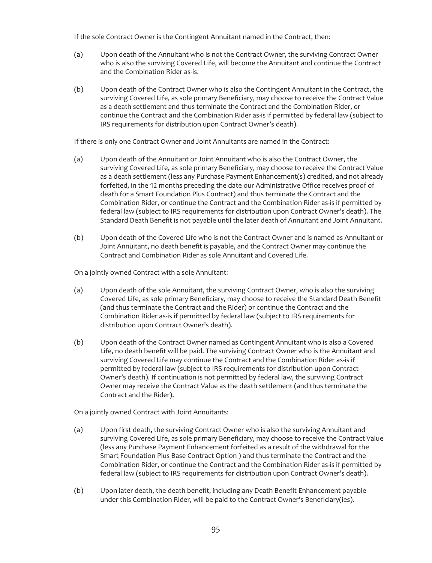If the sole Contract Owner is the Contingent Annuitant named in the Contract, then:

- (a) Upon death of the Annuitant who is not the Contract Owner, the surviving Contract Owner who is also the surviving Covered Life, will become the Annuitant and continue the Contract and the Combination Rider as-is.
- (b) Upon death of the Contract Owner who is also the Contingent Annuitant in the Contract, the surviving Covered Life, as sole primary Beneficiary, may choose to receive the Contract Value as a death settlement and thus terminate the Contract and the Combination Rider, or continue the Contract and the Combination Rider as-is if permitted by federal law (subject to IRS requirements for distribution upon Contract Owner's death).

If there is only one Contract Owner and Joint Annuitants are named in the Contract:

- (a) Upon death of the Annuitant or Joint Annuitant who is also the Contract Owner, the surviving Covered Life, as sole primary Beneficiary, may choose to receive the Contract Value as a death settlement (less any Purchase Payment Enhancement(s) credited, and not already forfeited, in the 12 months preceding the date our Administrative Office receives proof of death for a Smart Foundation Plus Contract) and thus terminate the Contract and the Combination Rider, or continue the Contract and the Combination Rider as-is if permitted by federal law (subject to IRS requirements for distribution upon Contract Owner's death). The Standard Death Benefit is not payable until the later death of Annuitant and Joint Annuitant.
- (b) Upon death of the Covered Life who is not the Contract Owner and is named as Annuitant or Joint Annuitant, no death benefit is payable, and the Contract Owner may continue the Contract and Combination Rider as sole Annuitant and Covered Life.

On a jointly owned Contract with a sole Annuitant:

- (a) Upon death of the sole Annuitant, the surviving Contract Owner, who is also the surviving Covered Life, as sole primary Beneficiary, may choose to receive the Standard Death Benefit (and thus terminate the Contract and the Rider) or continue the Contract and the Combination Rider as-is if permitted by federal law (subject to IRS requirements for distribution upon Contract Owner's death).
- (b) Upon death of the Contract Owner named as Contingent Annuitant who is also a Covered Life, no death benefit will be paid. The surviving Contract Owner who is the Annuitant and surviving Covered Life may continue the Contract and the Combination Rider as-is if permitted by federal law (subject to IRS requirements for distribution upon Contract Owner's death). If continuation is not permitted by federal law, the surviving Contract Owner may receive the Contract Value as the death settlement (and thus terminate the Contract and the Rider).

On a jointly owned Contract with Joint Annuitants:

- (a) Upon first death, the surviving Contract Owner who is also the surviving Annuitant and surviving Covered Life, as sole primary Beneficiary, may choose to receive the Contract Value (less any Purchase Payment Enhancement forfeited as a result of the withdrawal for the Smart Foundation Plus Base Contract Option ) and thus terminate the Contract and the Combination Rider, or continue the Contract and the Combination Rider as-is if permitted by federal law (subject to IRS requirements for distribution upon Contract Owner's death).
- (b) Upon later death, the death benefit, including any Death Benefit Enhancement payable under this Combination Rider, will be paid to the Contract Owner's Beneficiary(ies).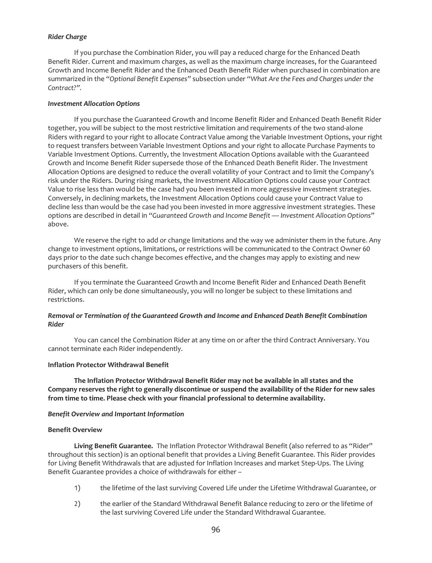### *Rider Charge*

If you purchase the Combination Rider, you will pay a reduced charge for the Enhanced Death Benefit Rider. Current and maximum charges, as well as the maximum charge increases, for the Guaranteed Growth and Income Benefit Rider and the Enhanced Death Benefit Rider when purchased in combination are summarized in the *"Optional Benefit Expenses"* subsection under *"What Are the Fees and Charges under the Contract?".*

## *Investment Allocation Options*

If you purchase the Guaranteed Growth and Income Benefit Rider and Enhanced Death Benefit Rider together, you will be subject to the most restrictive limitation and requirements of the two stand-alone Riders with regard to your right to allocate Contract Value among the Variable Investment Options, your right to request transfers between Variable Investment Options and your right to allocate Purchase Payments to Variable Investment Options. Currently, the Investment Allocation Options available with the Guaranteed Growth and Income Benefit Rider supersede those of the Enhanced Death Benefit Rider. The Investment Allocation Options are designed to reduce the overall volatility of your Contract and to limit the Company's risk under the Riders. During rising markets, the Investment Allocation Options could cause your Contract Value to rise less than would be the case had you been invested in more aggressive investment strategies. Conversely, in declining markets, the Investment Allocation Options could cause your Contract Value to decline less than would be the case had you been invested in more aggressive investment strategies. These options are described in detail in *"Guaranteed Growth and Income Benefit — Investment Allocation Options"* above.

We reserve the right to add or change limitations and the way we administer them in the future. Any change to investment options, limitations, or restrictions will be communicated to the Contract Owner 60 days prior to the date such change becomes effective, and the changes may apply to existing and new purchasers of this benefit.

If you terminate the Guaranteed Growth and Income Benefit Rider and Enhanced Death Benefit Rider, which can only be done simultaneously, you will no longer be subject to these limitations and restrictions.

## *Removal or Termination of the Guaranteed Growth and Income and Enhanced Death Benefit Combination Rider*

You can cancel the Combination Rider at any time on or after the third Contract Anniversary. You cannot terminate each Rider independently.

## **Inflation Protector Withdrawal Benefit**

**The Inflation Protector Withdrawal Benefit Rider may not be available in all states and the Company reserves the right to generally discontinue or suspend the availability of the Rider for new sales from time to time. Please check with your financial professional to determine availability.**

#### *Benefit Overview and Important Information*

### **Benefit Overview**

**Living Benefit Guarantee.** The Inflation Protector Withdrawal Benefit (also referred to as "Rider" throughout this section) is an optional benefit that provides a Living Benefit Guarantee. This Rider provides for Living Benefit Withdrawals that are adjusted for Inflation Increases and market Step-Ups. The Living Benefit Guarantee provides a choice of withdrawals for either –

- 1) the lifetime of the last surviving Covered Life under the Lifetime Withdrawal Guarantee, or
- 2) the earlier of the Standard Withdrawal Benefit Balance reducing to zero or the lifetime of the last surviving Covered Life under the Standard Withdrawal Guarantee.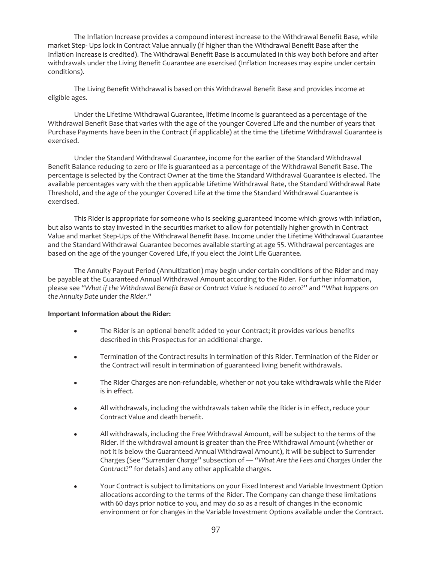The Inflation Increase provides a compound interest increase to the Withdrawal Benefit Base, while market Step- Ups lock in Contract Value annually (if higher than the Withdrawal Benefit Base after the Inflation Increase is credited). The Withdrawal Benefit Base is accumulated in this way both before and after withdrawals under the Living Benefit Guarantee are exercised (Inflation Increases may expire under certain conditions).

The Living Benefit Withdrawal is based on this Withdrawal Benefit Base and provides income at eligible ages.

Under the Lifetime Withdrawal Guarantee, lifetime income is guaranteed as a percentage of the Withdrawal Benefit Base that varies with the age of the younger Covered Life and the number of years that Purchase Payments have been in the Contract (if applicable) at the time the Lifetime Withdrawal Guarantee is exercised.

Under the Standard Withdrawal Guarantee, income for the earlier of the Standard Withdrawal Benefit Balance reducing to zero or life is guaranteed as a percentage of the Withdrawal Benefit Base. The percentage is selected by the Contract Owner at the time the Standard Withdrawal Guarantee is elected. The available percentages vary with the then applicable Lifetime Withdrawal Rate, the Standard Withdrawal Rate Threshold, and the age of the younger Covered Life at the time the Standard Withdrawal Guarantee is exercised.

This Rider is appropriate for someone who is seeking guaranteed income which grows with inflation, but also wants to stay invested in the securities market to allow for potentially higher growth in Contract Value and market Step-Ups of the Withdrawal Benefit Base. Income under the Lifetime Withdrawal Guarantee and the Standard Withdrawal Guarantee becomes available starting at age 55. Withdrawal percentages are based on the age of the younger Covered Life, if you elect the Joint Life Guarantee.

The Annuity Payout Period (Annuitization) may begin under certain conditions of the Rider and may be payable at the Guaranteed Annual Withdrawal Amount according to the Rider. For further information, please see "*What if the Withdrawal Benefit Base or Contract Value is reduced to zero?*" and "*What happens on the Annuity Date under the Rider*."

## **Important Information about the Rider:**

- The Rider is an optional benefit added to your Contract; it provides various benefits described in this Prospectus for an additional charge.
- Termination of the Contract results in termination of this Rider. Termination of the Rider or the Contract will result in termination of guaranteed living benefit withdrawals.
- The Rider Charges are non-refundable, whether or not you take withdrawals while the Rider is in effect.
- All withdrawals, including the withdrawals taken while the Rider is in effect, reduce your Contract Value and death benefit.
- All withdrawals, including the Free Withdrawal Amount, will be subject to the terms of the Rider. If the withdrawal amount is greater than the Free Withdrawal Amount (whether or not it is below the Guaranteed Annual Withdrawal Amount), it will be subject to Surrender Charges (See "*Surrender Charge*" subsection of — *"What Are the Fees and Charges Under the Contract?"* for details) and any other applicable charges.
- Your Contract is subject to limitations on your Fixed Interest and Variable Investment Option allocations according to the terms of the Rider. The Company can change these limitations with 60 days prior notice to you, and may do so as a result of changes in the economic environment or for changes in the Variable Investment Options available under the Contract.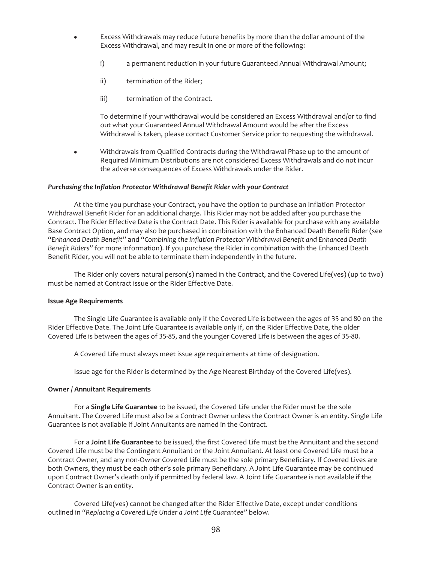- Excess Withdrawals may reduce future benefits by more than the dollar amount of the Excess Withdrawal, and may result in one or more of the following:
	- i) a permanent reduction in your future Guaranteed Annual Withdrawal Amount;
	- ii) termination of the Rider;
	- iii) termination of the Contract.

To determine if your withdrawal would be considered an Excess Withdrawal and/or to find out what your Guaranteed Annual Withdrawal Amount would be after the Excess Withdrawal is taken, please contact Customer Service prior to requesting the withdrawal.

• Withdrawals from Qualified Contracts during the Withdrawal Phase up to the amount of Required Minimum Distributions are not considered Excess Withdrawals and do not incur the adverse consequences of Excess Withdrawals under the Rider.

## *Purchasing the Inflation Protector Withdrawal Benefit Rider with your Contract*

At the time you purchase your Contract, you have the option to purchase an Inflation Protector Withdrawal Benefit Rider for an additional charge. This Rider may not be added after you purchase the Contract. The Rider Effective Date is the Contract Date. This Rider is available for purchase with any available Base Contract Option, and may also be purchased in combination with the Enhanced Death Benefit Rider (see "*Enhanced Death Benefit*" and "*Combining the Inflation Protector Withdrawal Benefit and Enhanced Death Benefit Riders"* for more information). If you purchase the Rider in combination with the Enhanced Death Benefit Rider, you will not be able to terminate them independently in the future.

The Rider only covers natural person(s) named in the Contract, and the Covered Life(ves) (up to two) must be named at Contract issue or the Rider Effective Date.

#### **Issue Age Requirements**

The Single Life Guarantee is available only if the Covered Life is between the ages of 35 and 80 on the Rider Effective Date. The Joint Life Guarantee is available only if, on the Rider Effective Date, the older Covered Life is between the ages of 35-85, and the younger Covered Life is between the ages of 35-80.

A Covered Life must always meet issue age requirements at time of designation.

Issue age for the Rider is determined by the Age Nearest Birthday of the Covered Life(ves).

#### **Owner / Annuitant Requirements**

For a **Single Life Guarantee** to be issued, the Covered Life under the Rider must be the sole Annuitant. The Covered Life must also be a Contract Owner unless the Contract Owner is an entity. Single Life Guarantee is not available if Joint Annuitants are named in the Contract.

For a **Joint Life Guarantee** to be issued, the first Covered Life must be the Annuitant and the second Covered Life must be the Contingent Annuitant or the Joint Annuitant. At least one Covered Life must be a Contract Owner, and any non-Owner Covered Life must be the sole primary Beneficiary. If Covered Lives are both Owners, they must be each other's sole primary Beneficiary. A Joint Life Guarantee may be continued upon Contract Owner's death only if permitted by federal law. A Joint Life Guarantee is not available if the Contract Owner is an entity.

Covered Life(ves) cannot be changed after the Rider Effective Date, except under conditions outlined in *"Replacing a Covered Life Under a Joint Life Guarantee"* below.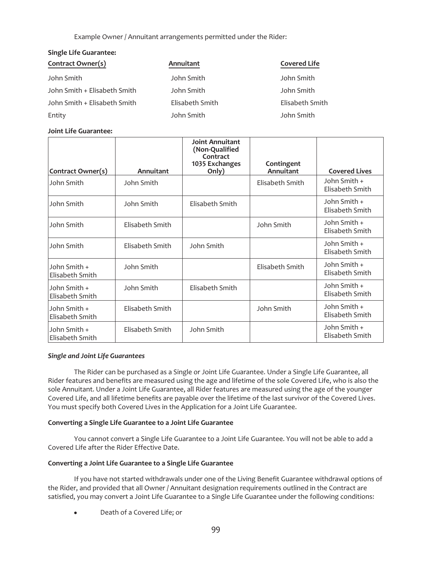Example Owner / Annuitant arrangements permitted under the Rider:

# **Single Life Guarantee:**

| Contract Owner(s)            | Annuitant       | <b>Covered Life</b> |
|------------------------------|-----------------|---------------------|
| John Smith                   | John Smith      | John Smith          |
| John Smith + Elisabeth Smith | John Smith      | John Smith          |
| John Smith + Elisabeth Smith | Elisabeth Smith | Elisabeth Smith     |
| Entity                       | John Smith      | John Smith          |

# **Joint Life Guarantee:**

| Contract Owner(s)               | Annuitant       | <b>Joint Annuitant</b><br>(Non-Qualified<br>Contract<br>1035 Exchanges<br>Only) | Contingent<br>Annuitant | <b>Covered Lives</b>            |
|---------------------------------|-----------------|---------------------------------------------------------------------------------|-------------------------|---------------------------------|
| John Smith                      | John Smith      |                                                                                 | Elisabeth Smith         | John Smith +<br>Elisabeth Smith |
| John Smith                      | John Smith      | Elisabeth Smith                                                                 |                         | John Smith +<br>Elisabeth Smith |
| John Smith                      | Elisabeth Smith |                                                                                 | John Smith              | John Smith +<br>Elisabeth Smith |
| John Smith                      | Elisabeth Smith | John Smith                                                                      |                         | John Smith +<br>Elisabeth Smith |
| John Smith +<br>Elisabeth Smith | John Smith      |                                                                                 | Elisabeth Smith         | John Smith +<br>Elisabeth Smith |
| John Smith +<br>Elisabeth Smith | John Smith      | Elisabeth Smith                                                                 |                         | John Smith +<br>Elisabeth Smith |
| John Smith +<br>Elisabeth Smith | Elisabeth Smith |                                                                                 | John Smith              | John Smith +<br>Elisabeth Smith |
| John Smith +<br>Elisabeth Smith | Elisabeth Smith | John Smith                                                                      |                         | John Smith +<br>Elisabeth Smith |

# *Single and Joint Life Guarantees*

The Rider can be purchased as a Single or Joint Life Guarantee. Under a Single Life Guarantee, all Rider features and benefits are measured using the age and lifetime of the sole Covered Life, who is also the sole Annuitant. Under a Joint Life Guarantee, all Rider features are measured using the age of the younger Covered Life, and all lifetime benefits are payable over the lifetime of the last survivor of the Covered Lives. You must specify both Covered Lives in the Application for a Joint Life Guarantee.

# **Converting a Single Life Guarantee to a Joint Life Guarantee**

You cannot convert a Single Life Guarantee to a Joint Life Guarantee. You will not be able to add a Covered Life after the Rider Effective Date.

# **Converting a Joint Life Guarantee to a Single Life Guarantee**

If you have not started withdrawals under one of the Living Benefit Guarantee withdrawal options of the Rider, and provided that all Owner / Annuitant designation requirements outlined in the Contract are satisfied, you may convert a Joint Life Guarantee to a Single Life Guarantee under the following conditions:

Death of a Covered Life; or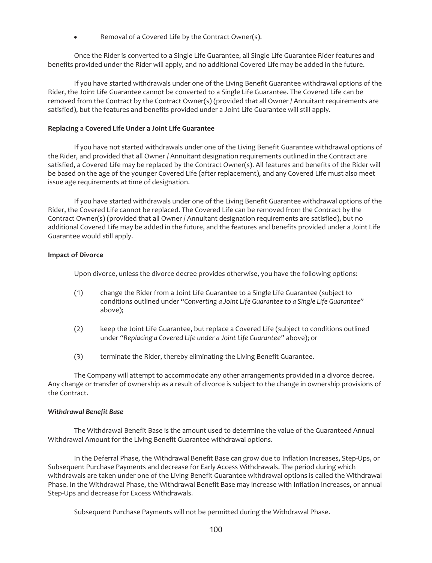Removal of a Covered Life by the Contract Owner(s).

Once the Rider is converted to a Single Life Guarantee, all Single Life Guarantee Rider features and benefits provided under the Rider will apply, and no additional Covered Life may be added in the future.

If you have started withdrawals under one of the Living Benefit Guarantee withdrawal options of the Rider, the Joint Life Guarantee cannot be converted to a Single Life Guarantee. The Covered Life can be removed from the Contract by the Contract Owner(s) (provided that all Owner / Annuitant requirements are satisfied), but the features and benefits provided under a Joint Life Guarantee will still apply.

## **Replacing a Covered Life Under a Joint Life Guarantee**

If you have not started withdrawals under one of the Living Benefit Guarantee withdrawal options of the Rider, and provided that all Owner / Annuitant designation requirements outlined in the Contract are satisfied, a Covered Life may be replaced by the Contract Owner(s). All features and benefits of the Rider will be based on the age of the younger Covered Life (after replacement), and any Covered Life must also meet issue age requirements at time of designation.

If you have started withdrawals under one of the Living Benefit Guarantee withdrawal options of the Rider, the Covered Life cannot be replaced. The Covered Life can be removed from the Contract by the Contract Owner(s) (provided that all Owner / Annuitant designation requirements are satisfied), but no additional Covered Life may be added in the future, and the features and benefits provided under a Joint Life Guarantee would still apply.

## **Impact of Divorce**

Upon divorce, unless the divorce decree provides otherwise, you have the following options:

- (1) change the Rider from a Joint Life Guarantee to a Single Life Guarantee (subject to conditions outlined under *"Converting a Joint Life Guarantee to a Single Life Guarantee"* above);
- (2) keep the Joint Life Guarantee, but replace a Covered Life (subject to conditions outlined under *"Replacing a Covered Life under a Joint Life Guarantee"* above); or
- (3) terminate the Rider, thereby eliminating the Living Benefit Guarantee.

The Company will attempt to accommodate any other arrangements provided in a divorce decree. Any change or transfer of ownership as a result of divorce is subject to the change in ownership provisions of the Contract.

## *Withdrawal Benefit Base*

The Withdrawal Benefit Base is the amount used to determine the value of the Guaranteed Annual Withdrawal Amount for the Living Benefit Guarantee withdrawal options.

In the Deferral Phase, the Withdrawal Benefit Base can grow due to Inflation Increases, Step-Ups, or Subsequent Purchase Payments and decrease for Early Access Withdrawals. The period during which withdrawals are taken under one of the Living Benefit Guarantee withdrawal options is called the Withdrawal Phase. In the Withdrawal Phase, the Withdrawal Benefit Base may increase with Inflation Increases, or annual Step-Ups and decrease for Excess Withdrawals.

Subsequent Purchase Payments will not be permitted during the Withdrawal Phase.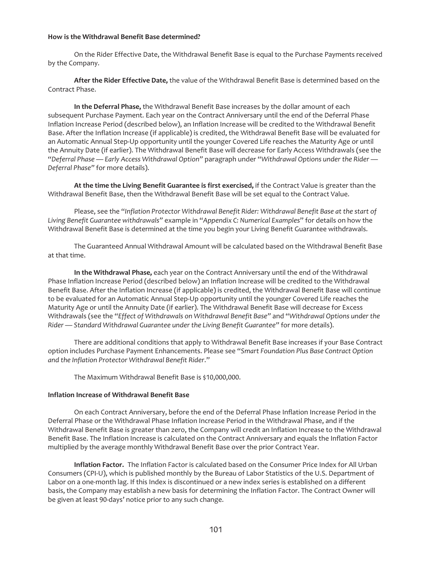## **How is the Withdrawal Benefit Base determined?**

On the Rider Effective Date, the Withdrawal Benefit Base is equal to the Purchase Payments received by the Company.

**After the Rider Effective Date,** the value of the Withdrawal Benefit Base is determined based on the Contract Phase.

**In the Deferral Phase,** the Withdrawal Benefit Base increases by the dollar amount of each subsequent Purchase Payment. Each year on the Contract Anniversary until the end of the Deferral Phase Inflation Increase Period (described below), an Inflation Increase will be credited to the Withdrawal Benefit Base. After the Inflation Increase (if applicable) is credited, the Withdrawal Benefit Base will be evaluated for an Automatic Annual Step-Up opportunity until the younger Covered Life reaches the Maturity Age or until the Annuity Date (if earlier). The Withdrawal Benefit Base will decrease for Early Access Withdrawals (see the "*Deferral Phase — Early Access Withdrawal Option"* paragraph under "*Withdrawal Options under the Rider — Deferral Phase"* for more details).

**At the time the Living Benefit Guarantee is first exercised,** if the Contract Value is greater than the Withdrawal Benefit Base, then the Withdrawal Benefit Base will be set equal to the Contract Value.

Please, see the "*Inflation Protector Withdrawal Benefit Rider: Withdrawal Benefit Base at the start of Living Benefit Guarantee withdrawals"* example in "*Appendix C: Numerical Examples*" for details on how the Withdrawal Benefit Base is determined at the time you begin your Living Benefit Guarantee withdrawals.

The Guaranteed Annual Withdrawal Amount will be calculated based on the Withdrawal Benefit Base at that time.

**In the Withdrawal Phase,** each year on the Contract Anniversary until the end of the Withdrawal Phase Inflation Increase Period (described below) an Inflation Increase will be credited to the Withdrawal Benefit Base. After the Inflation Increase (if applicable) is credited, the Withdrawal Benefit Base will continue to be evaluated for an Automatic Annual Step-Up opportunity until the younger Covered Life reaches the Maturity Age or until the Annuity Date (if earlier). The Withdrawal Benefit Base will decrease for Excess Withdrawals (see the "*Effect of Withdrawals on Withdrawal Benefit Base"* and "*Withdrawal Options under the Rider — Standard Withdrawal Guarantee under the Living Benefit Guarantee"* for more details).

There are additional conditions that apply to Withdrawal Benefit Base increases if your Base Contract option includes Purchase Payment Enhancements. Please see "*Smart Foundation Plus Base Contract Option and the Inflation Protector Withdrawal Benefit Rider*."

The Maximum Withdrawal Benefit Base is \$10,000,000.

## **Inflation Increase of Withdrawal Benefit Base**

On each Contract Anniversary, before the end of the Deferral Phase Inflation Increase Period in the Deferral Phase or the Withdrawal Phase Inflation Increase Period in the Withdrawal Phase, and if the Withdrawal Benefit Base is greater than zero, the Company will credit an Inflation Increase to the Withdrawal Benefit Base. The Inflation Increase is calculated on the Contract Anniversary and equals the Inflation Factor multiplied by the average monthly Withdrawal Benefit Base over the prior Contract Year.

**Inflation Factor.** The Inflation Factor is calculated based on the Consumer Price Index for All Urban Consumers (CPI-U), which is published monthly by the Bureau of Labor Statistics of the U.S. Department of Labor on a one-month lag. If this Index is discontinued or a new index series is established on a different basis, the Company may establish a new basis for determining the Inflation Factor. The Contract Owner will be given at least 90-days' notice prior to any such change.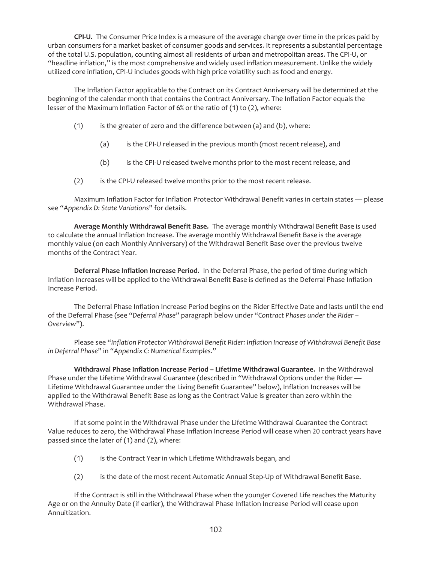**CPI-U.** The Consumer Price Index is a measure of the average change over time in the prices paid by urban consumers for a market basket of consumer goods and services. It represents a substantial percentage of the total U.S. population, counting almost all residents of urban and metropolitan areas. The CPI-U, or "headline inflation," is the most comprehensive and widely used inflation measurement. Unlike the widely utilized core inflation, CPI-U includes goods with high price volatility such as food and energy.

The Inflation Factor applicable to the Contract on its Contract Anniversary will be determined at the beginning of the calendar month that contains the Contract Anniversary. The Inflation Factor equals the lesser of the Maximum Inflation Factor of 6% or the ratio of (1) to (2), where:

- (1) is the greater of zero and the difference between (a) and (b), where:
	- (a) is the CPI-U released in the previous month (most recent release), and
	- (b) is the CPI-U released twelve months prior to the most recent release, and
- (2) is the CPI-U released twelve months prior to the most recent release.

Maximum Inflation Factor for Inflation Protector Withdrawal Benefit varies in certain states — please see "*Appendix D: State Variations*" for details.

**Average Monthly Withdrawal Benefit Base.** The average monthly Withdrawal Benefit Base is used to calculate the annual Inflation Increase. The average monthly Withdrawal Benefit Base is the average monthly value (on each Monthly Anniversary) of the Withdrawal Benefit Base over the previous twelve months of the Contract Year.

**Deferral Phase Inflation Increase Period.** In the Deferral Phase, the period of time during which Inflation Increases will be applied to the Withdrawal Benefit Base is defined as the Deferral Phase Inflation Increase Period.

The Deferral Phase Inflation Increase Period begins on the Rider Effective Date and lasts until the end of the Deferral Phase (see "*Deferral Phase*" paragraph below under "*Contract Phases under the Rider – Overview*").

Please see "*Inflation Protector Withdrawal Benefit Rider: Inflation Increase of Withdrawal Benefit Base in Deferral Phase*" in "*Appendix C: Numerical Examples*."

**Withdrawal Phase Inflation Increase Period – Lifetime Withdrawal Guarantee.** In the Withdrawal Phase under the Lifetime Withdrawal Guarantee (described in "Withdrawal Options under the Rider — Lifetime Withdrawal Guarantee under the Living Benefit Guarantee" below), Inflation Increases will be applied to the Withdrawal Benefit Base as long as the Contract Value is greater than zero within the Withdrawal Phase.

If at some point in the Withdrawal Phase under the Lifetime Withdrawal Guarantee the Contract Value reduces to zero, the Withdrawal Phase Inflation Increase Period will cease when 20 contract years have passed since the later of (1) and (2), where:

- (1) is the Contract Year in which Lifetime Withdrawals began, and
- (2) is the date of the most recent Automatic Annual Step-Up of Withdrawal Benefit Base.

If the Contract is still in the Withdrawal Phase when the younger Covered Life reaches the Maturity Age or on the Annuity Date (if earlier), the Withdrawal Phase Inflation Increase Period will cease upon Annuitization.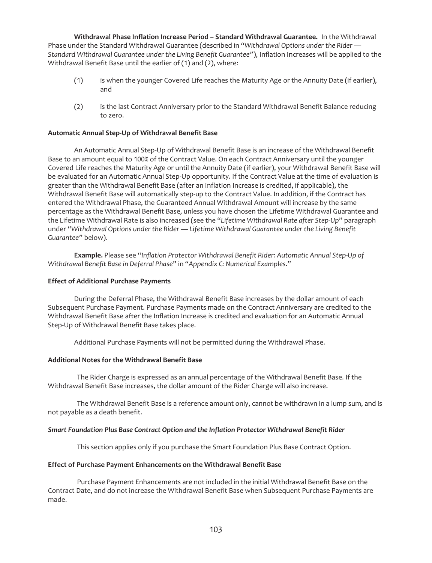**Withdrawal Phase Inflation Increase Period – Standard Withdrawal Guarantee.** In the Withdrawal Phase under the Standard Withdrawal Guarantee (described in *"Withdrawal Options under the Rider — Standard Withdrawal Guarantee under the Living Benefit Guarantee"*), Inflation Increases will be applied to the Withdrawal Benefit Base until the earlier of (1) and (2), where:

- (1) is when the younger Covered Life reaches the Maturity Age or the Annuity Date (if earlier), and
- (2) is the last Contract Anniversary prior to the Standard Withdrawal Benefit Balance reducing to zero.

## **Automatic Annual Step-Up of Withdrawal Benefit Base**

An Automatic Annual Step-Up of Withdrawal Benefit Base is an increase of the Withdrawal Benefit Base to an amount equal to 100% of the Contract Value. On each Contract Anniversary until the younger Covered Life reaches the Maturity Age or until the Annuity Date (if earlier), your Withdrawal Benefit Base will be evaluated for an Automatic Annual Step-Up opportunity. If the Contract Value at the time of evaluation is greater than the Withdrawal Benefit Base (after an Inflation Increase is credited, if applicable), the Withdrawal Benefit Base will automatically step-up to the Contract Value. In addition, if the Contract has entered the Withdrawal Phase, the Guaranteed Annual Withdrawal Amount will increase by the same percentage as the Withdrawal Benefit Base, unless you have chosen the Lifetime Withdrawal Guarantee and the Lifetime Withdrawal Rate is also increased (see the "*Lifetime Withdrawal Rate after Step-Up*" paragraph under "*Withdrawal Options under the Rider — Lifetime Withdrawal Guarantee under the Living Benefit Guarantee"* below).

**Example.** Please see "*Inflation Protector Withdrawal Benefit Rider: Automatic Annual Step-Up of Withdrawal Benefit Base in Deferral Phase*" in "*Appendix C: Numerical Examples*."

## **Effect of Additional Purchase Payments**

During the Deferral Phase, the Withdrawal Benefit Base increases by the dollar amount of each Subsequent Purchase Payment. Purchase Payments made on the Contract Anniversary are credited to the Withdrawal Benefit Base after the Inflation Increase is credited and evaluation for an Automatic Annual Step-Up of Withdrawal Benefit Base takes place.

Additional Purchase Payments will not be permitted during the Withdrawal Phase.

## **Additional Notes for the Withdrawal Benefit Base**

The Rider Charge is expressed as an annual percentage of the Withdrawal Benefit Base. If the Withdrawal Benefit Base increases, the dollar amount of the Rider Charge will also increase.

The Withdrawal Benefit Base is a reference amount only, cannot be withdrawn in a lump sum, and is not payable as a death benefit.

## *Smart Foundation Plus Base Contract Option and the Inflation Protector Withdrawal Benefit Rider*

This section applies only if you purchase the Smart Foundation Plus Base Contract Option.

## **Effect of Purchase Payment Enhancements on the Withdrawal Benefit Base**

Purchase Payment Enhancements are not included in the initial Withdrawal Benefit Base on the Contract Date, and do not increase the Withdrawal Benefit Base when Subsequent Purchase Payments are made.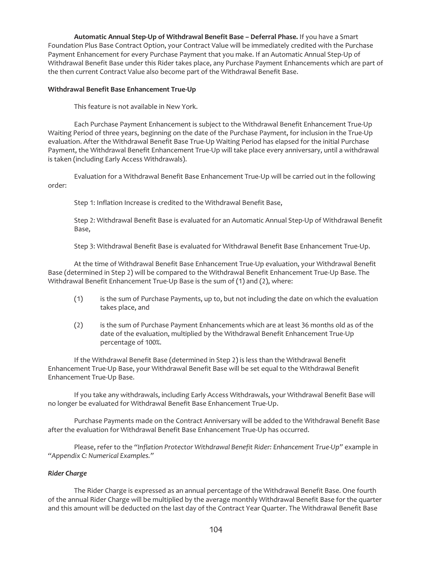**Automatic Annual Step-Up of Withdrawal Benefit Base – Deferral Phase.** If you have a Smart Foundation Plus Base Contract Option, your Contract Value will be immediately credited with the Purchase Payment Enhancement for every Purchase Payment that you make. If an Automatic Annual Step-Up of Withdrawal Benefit Base under this Rider takes place, any Purchase Payment Enhancements which are part of the then current Contract Value also become part of the Withdrawal Benefit Base.

## **Withdrawal Benefit Base Enhancement True-Up**

This feature is not available in New York.

Each Purchase Payment Enhancement is subject to the Withdrawal Benefit Enhancement True-Up Waiting Period of three years, beginning on the date of the Purchase Payment, for inclusion in the True-Up evaluation. After the Withdrawal Benefit Base True-Up Waiting Period has elapsed for the initial Purchase Payment, the Withdrawal Benefit Enhancement True-Up will take place every anniversary, until a withdrawal is taken (including Early Access Withdrawals).

Evaluation for a Withdrawal Benefit Base Enhancement True-Up will be carried out in the following order:

Step 1: Inflation Increase is credited to the Withdrawal Benefit Base,

Step 2: Withdrawal Benefit Base is evaluated for an Automatic Annual Step-Up of Withdrawal Benefit Base,

Step 3: Withdrawal Benefit Base is evaluated for Withdrawal Benefit Base Enhancement True-Up.

At the time of Withdrawal Benefit Base Enhancement True-Up evaluation, your Withdrawal Benefit Base (determined in Step 2) will be compared to the Withdrawal Benefit Enhancement True-Up Base. The Withdrawal Benefit Enhancement True-Up Base is the sum of (1) and (2), where:

- (1) is the sum of Purchase Payments, up to, but not including the date on which the evaluation takes place, and
- (2) is the sum of Purchase Payment Enhancements which are at least 36 months old as of the date of the evaluation, multiplied by the Withdrawal Benefit Enhancement True-Up percentage of 100%.

If the Withdrawal Benefit Base (determined in Step 2) is less than the Withdrawal Benefit Enhancement True-Up Base, your Withdrawal Benefit Base will be set equal to the Withdrawal Benefit Enhancement True-Up Base.

If you take any withdrawals, including Early Access Withdrawals, your Withdrawal Benefit Base will no longer be evaluated for Withdrawal Benefit Base Enhancement True-Up.

Purchase Payments made on the Contract Anniversary will be added to the Withdrawal Benefit Base after the evaluation for Withdrawal Benefit Base Enhancement True-Up has occurred.

Please, refer to the *"Inflation Protector Withdrawal Benefit Rider: Enhancement True-Up"* example in *"Appendix C: Numerical Examples."*

## *Rider Charge*

The Rider Charge is expressed as an annual percentage of the Withdrawal Benefit Base. One fourth of the annual Rider Charge will be multiplied by the average monthly Withdrawal Benefit Base for the quarter and this amount will be deducted on the last day of the Contract Year Quarter. The Withdrawal Benefit Base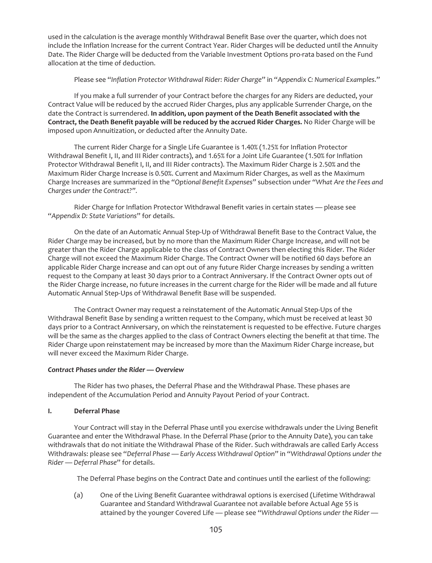used in the calculation is the average monthly Withdrawal Benefit Base over the quarter, which does not include the Inflation Increase for the current Contract Year. Rider Charges will be deducted until the Annuity Date. The Rider Charge will be deducted from the Variable Investment Options pro-rata based on the Fund allocation at the time of deduction.

## Please see "*Inflation Protector Withdrawal Rider: Rider Charge*" in "*Appendix C: Numerical Examples*."

If you make a full surrender of your Contract before the charges for any Riders are deducted, your Contract Value will be reduced by the accrued Rider Charges, plus any applicable Surrender Charge, on the date the Contract is surrendered. **In addition, upon payment of the Death Benefit associated with the Contract, the Death Benefit payable will be reduced by the accrued Rider Charges.** No Rider Charge will be imposed upon Annuitization, or deducted after the Annuity Date.

The current Rider Charge for a Single Life Guarantee is 1.40% (1.25% for Inflation Protector Withdrawal Benefit I, II, and III Rider contracts), and 1.65% for a Joint Life Guarantee (1.50% for Inflation Protector Withdrawal Benefit I, II, and III Rider contracts). The Maximum Rider Charge is 2.50% and the Maximum Rider Charge Increase is 0.50%. Current and Maximum Rider Charges, as well as the Maximum Charge Increases are summarized in the *"Optional Benefit Expenses"* subsection under *"What Are the Fees and Charges under the Contract?".*

Rider Charge for Inflation Protector Withdrawal Benefit varies in certain states — please see "*Appendix D: State Variations*" for details.

On the date of an Automatic Annual Step-Up of Withdrawal Benefit Base to the Contract Value, the Rider Charge may be increased, but by no more than the Maximum Rider Charge Increase, and will not be greater than the Rider Charge applicable to the class of Contract Owners then electing this Rider. The Rider Charge will not exceed the Maximum Rider Charge. The Contract Owner will be notified 60 days before an applicable Rider Charge increase and can opt out of any future Rider Charge increases by sending a written request to the Company at least 30 days prior to a Contract Anniversary. If the Contract Owner opts out of the Rider Charge increase, no future increases in the current charge for the Rider will be made and all future Automatic Annual Step-Ups of Withdrawal Benefit Base will be suspended.

The Contract Owner may request a reinstatement of the Automatic Annual Step-Ups of the Withdrawal Benefit Base by sending a written request to the Company, which must be received at least 30 days prior to a Contract Anniversary, on which the reinstatement is requested to be effective. Future charges will be the same as the charges applied to the class of Contract Owners electing the benefit at that time. The Rider Charge upon reinstatement may be increased by more than the Maximum Rider Charge increase, but will never exceed the Maximum Rider Charge.

## *Contract Phases under the Rider — Overview*

The Rider has two phases, the Deferral Phase and the Withdrawal Phase. These phases are independent of the Accumulation Period and Annuity Payout Period of your Contract.

# **I. Deferral Phase**

Your Contract will stay in the Deferral Phase until you exercise withdrawals under the Living Benefit Guarantee and enter the Withdrawal Phase. In the Deferral Phase (prior to the Annuity Date), you can take withdrawals that do not initiate the Withdrawal Phase of the Rider. Such withdrawals are called Early Access Withdrawals: please see "*Deferral Phase — Early Access Withdrawal Option*" in "*Withdrawal Options under the Rider — Deferral Phase*" for details.

The Deferral Phase begins on the Contract Date and continues until the earliest of the following:

(a) One of the Living Benefit Guarantee withdrawal options is exercised (Lifetime Withdrawal Guarantee and Standard Withdrawal Guarantee not available before Actual Age 55 is attained by the younger Covered Life — please see "*Withdrawal Options under the Rider —*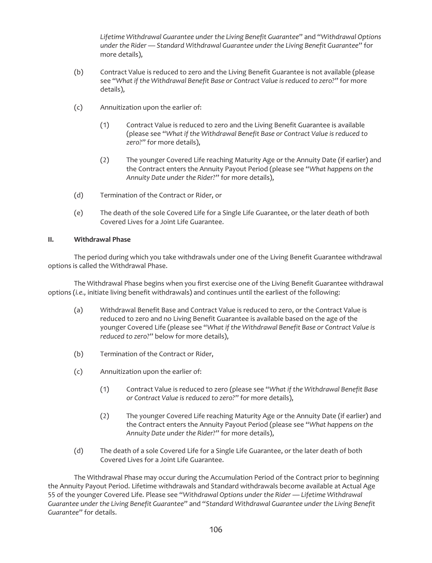*Lifetime Withdrawal Guarantee under the Living Benefit Guarantee*" and "*Withdrawal Options under the Rider — Standard Withdrawal Guarantee under the Living Benefit Guarantee*" for more details),

- (b) Contract Value is reduced to zero and the Living Benefit Guarantee is not available (please see "*What if the Withdrawal Benefit Base or Contract Value is reduced to zero?*" for more details),
- (c) Annuitization upon the earlier of:
	- (1) Contract Value is reduced to zero and the Living Benefit Guarantee is available (please see "*What if the Withdrawal Benefit Base or Contract Value is reduced to zero?*" for more details),
	- (2) The younger Covered Life reaching Maturity Age or the Annuity Date (if earlier) and the Contract enters the Annuity Payout Period (please see "*What happens on the Annuity Date under the Rider?*" for more details),
- (d) Termination of the Contract or Rider, or
- (e) The death of the sole Covered Life for a Single Life Guarantee, or the later death of both Covered Lives for a Joint Life Guarantee.

# **II. Withdrawal Phase**

The period during which you take withdrawals under one of the Living Benefit Guarantee withdrawal options is called the Withdrawal Phase.

The Withdrawal Phase begins when you first exercise one of the Living Benefit Guarantee withdrawal options (*i.e.,* initiate living benefit withdrawals) and continues until the earliest of the following:

- (a) Withdrawal Benefit Base and Contract Value is reduced to zero, or the Contract Value is reduced to zero and no Living Benefit Guarantee is available based on the age of the younger Covered Life (please see "*What if the Withdrawal Benefit Base or Contract Value is reduced to zero?*" below for more details),
- (b) Termination of the Contract or Rider,
- (c) Annuitization upon the earlier of:
	- (1) Contract Value is reduced to zero (please see "*What if the Withdrawal Benefit Base or Contract Value is reduced to zero?*" for more details),
	- (2) The younger Covered Life reaching Maturity Age or the Annuity Date (if earlier) and the Contract enters the Annuity Payout Period (please see "*What happens on the Annuity Date under the Rider?*" for more details),
- (d) The death of a sole Covered Life for a Single Life Guarantee, or the later death of both Covered Lives for a Joint Life Guarantee.

The Withdrawal Phase may occur during the Accumulation Period of the Contract prior to beginning the Annuity Payout Period. Lifetime withdrawals and Standard withdrawals become available at Actual Age 55 of the younger Covered Life. Please see "*Withdrawal Options under the Rider — Lifetime Withdrawal Guarantee under the Living Benefit Guarantee*" and "*Standard Withdrawal Guarantee under the Living Benefit Guarantee*" for details.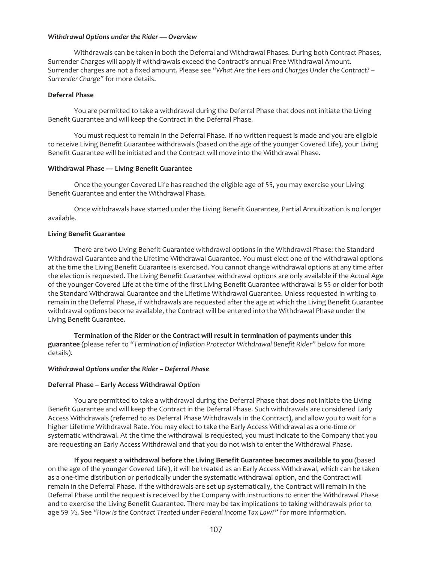#### *Withdrawal Options under the Rider — Overview*

Withdrawals can be taken in both the Deferral and Withdrawal Phases. During both Contract Phases, Surrender Charges will apply if withdrawals exceed the Contract's annual Free Withdrawal Amount. Surrender charges are not a fixed amount. Please see *"What Are the Fees and Charges Under the Contract? – Surrender Charge"* for more details.

### **Deferral Phase**

You are permitted to take a withdrawal during the Deferral Phase that does not initiate the Living Benefit Guarantee and will keep the Contract in the Deferral Phase.

You must request to remain in the Deferral Phase. If no written request is made and you are eligible to receive Living Benefit Guarantee withdrawals (based on the age of the younger Covered Life), your Living Benefit Guarantee will be initiated and the Contract will move into the Withdrawal Phase.

#### **Withdrawal Phase — Living Benefit Guarantee**

Once the younger Covered Life has reached the eligible age of 55, you may exercise your Living Benefit Guarantee and enter the Withdrawal Phase.

Once withdrawals have started under the Living Benefit Guarantee, Partial Annuitization is no longer available.

#### **Living Benefit Guarantee**

There are two Living Benefit Guarantee withdrawal options in the Withdrawal Phase: the Standard Withdrawal Guarantee and the Lifetime Withdrawal Guarantee. You must elect one of the withdrawal options at the time the Living Benefit Guarantee is exercised. You cannot change withdrawal options at any time after the election is requested. The Living Benefit Guarantee withdrawal options are only available if the Actual Age of the younger Covered Life at the time of the first Living Benefit Guarantee withdrawal is 55 or older for both the Standard Withdrawal Guarantee and the Lifetime Withdrawal Guarantee. Unless requested in writing to remain in the Deferral Phase, if withdrawals are requested after the age at which the Living Benefit Guarantee withdrawal options become available, the Contract will be entered into the Withdrawal Phase under the Living Benefit Guarantee.

**Termination of the Rider or the Contract will result in termination of payments under this guarantee** (please refer to *"Termination of Inflation Protector Withdrawal Benefit Rider"* below for more details).

### *Withdrawal Options under the Rider – Deferral Phase*

### **Deferral Phase – Early Access Withdrawal Option**

You are permitted to take a withdrawal during the Deferral Phase that does not initiate the Living Benefit Guarantee and will keep the Contract in the Deferral Phase. Such withdrawals are considered Early Access Withdrawals (referred to as Deferral Phase Withdrawals in the Contract), and allow you to wait for a higher Lifetime Withdrawal Rate. You may elect to take the Early Access Withdrawal as a one-time or systematic withdrawal. At the time the withdrawal is requested, you must indicate to the Company that you are requesting an Early Access Withdrawal and that you do not wish to enter the Withdrawal Phase.

**If you request a withdrawal before the Living Benefit Guarantee becomes available to you** (based on the age of the younger Covered Life), it will be treated as an Early Access Withdrawal, which can be taken as a one-time distribution or periodically under the systematic withdrawal option, and the Contract will remain in the Deferral Phase. If the withdrawals are set up systematically, the Contract will remain in the Deferral Phase until the request is received by the Company with instructions to enter the Withdrawal Phase and to exercise the Living Benefit Guarantee. There may be tax implications to taking withdrawals prior to age 59 1⁄2. See *"How Is the Contract Treated under Federal Income Tax Law?"* for more information.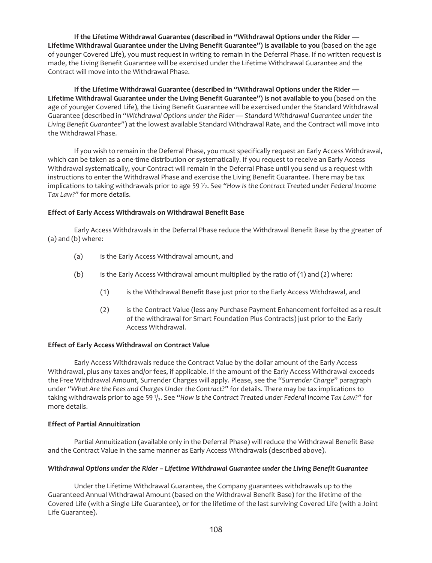**If the Lifetime Withdrawal Guarantee (described in "Withdrawal Options under the Rider — Lifetime Withdrawal Guarantee under the Living Benefit Guarantee") is available to you** (based on the age of younger Covered Life), you must request in writing to remain in the Deferral Phase. If no written request is made, the Living Benefit Guarantee will be exercised under the Lifetime Withdrawal Guarantee and the Contract will move into the Withdrawal Phase.

**If the Lifetime Withdrawal Guarantee (described in "Withdrawal Options under the Rider — Lifetime Withdrawal Guarantee under the Living Benefit Guarantee") is not available to you** (based on the age of younger Covered Life), the Living Benefit Guarantee will be exercised under the Standard Withdrawal Guarantee (described in *"Withdrawal Options under the Rider — Standard Withdrawal Guarantee under the Living Benefit Guarantee"*) at the lowest available Standard Withdrawal Rate, and the Contract will move into the Withdrawal Phase.

If you wish to remain in the Deferral Phase, you must specifically request an Early Access Withdrawal, which can be taken as a one-time distribution or systematically. If you request to receive an Early Access Withdrawal systematically, your Contract will remain in the Deferral Phase until you send us a request with instructions to enter the Withdrawal Phase and exercise the Living Benefit Guarantee. There may be tax implications to taking withdrawals prior to age 59<sup> $\gamma$ </sup>. See "How Is the Contract Treated under Federal Income *Tax Law?"* for more details.

## **Effect of Early Access Withdrawals on Withdrawal Benefit Base**

Early Access Withdrawals in the Deferral Phase reduce the Withdrawal Benefit Base by the greater of (a) and (b) where:

- (a) is the Early Access Withdrawal amount, and
- (b) is the Early Access Withdrawal amount multiplied by the ratio of (1) and (2) where:
	- (1) is the Withdrawal Benefit Base just prior to the Early Access Withdrawal, and
	- (2) is the Contract Value (less any Purchase Payment Enhancement forfeited as a result of the withdrawal for Smart Foundation Plus Contracts) just prior to the Early Access Withdrawal.

### **Effect of Early Access Withdrawal on Contract Value**

Early Access Withdrawals reduce the Contract Value by the dollar amount of the Early Access Withdrawal, plus any taxes and/or fees, if applicable. If the amount of the Early Access Withdrawal exceeds the Free Withdrawal Amount, Surrender Charges will apply. Please, see the "*Surrender Charge*" paragraph under *"What Are the Fees and Charges Under the Contract?"* for details. There may be tax implications to taking withdrawals prior to age 591/<sub>2</sub>. See "How Is the Contract Treated under Federal Income Tax Law?" for more details.

### **Effect of Partial Annuitization**

Partial Annuitization (available only in the Deferral Phase) will reduce the Withdrawal Benefit Base and the Contract Value in the same manner as Early Access Withdrawals (described above).

### *Withdrawal Options under the Rider – Lifetime Withdrawal Guarantee under the Living Benefit Guarantee*

Under the Lifetime Withdrawal Guarantee, the Company guarantees withdrawals up to the Guaranteed Annual Withdrawal Amount (based on the Withdrawal Benefit Base) for the lifetime of the Covered Life (with a Single Life Guarantee), or for the lifetime of the last surviving Covered Life (with a Joint Life Guarantee).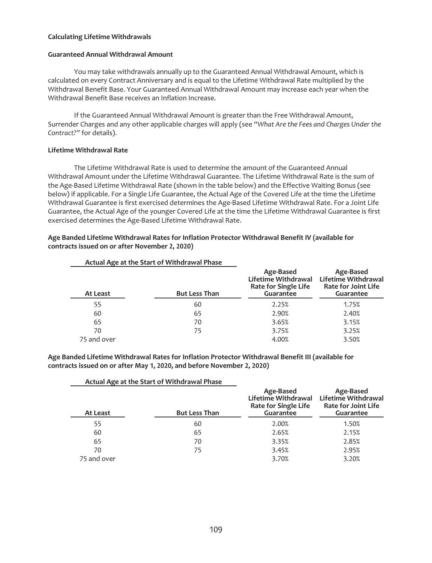### **Calculating Lifetime Withdrawals**

#### **Guaranteed Annual Withdrawal Amount**

You may take withdrawals annually up to the Guaranteed Annual Withdrawal Amount, which is calculated on every Contract Anniversary and is equal to the Lifetime Withdrawal Rate multiplied by the Withdrawal Benefit Base. Your Guaranteed Annual Withdrawal Amount may increase each year when the Withdrawal Benefit Base receives an Inflation Increase.

If the Guaranteed Annual Withdrawal Amount is greater than the Free Withdrawal Amount, Surrender Charges and any other applicable charges will apply (see *"What Are the Fees and Charges Under the Contract?"* for details).

### **Lifetime Withdrawal Rate**

The Lifetime Withdrawal Rate is used to determine the amount of the Guaranteed Annual Withdrawal Amount under the Lifetime Withdrawal Guarantee. The Lifetime Withdrawal Rate is the sum of the Age-Based Lifetime Withdrawal Rate (shown in the table below) and the Effective Waiting Bonus (see below) if applicable. For a Single Life Guarantee, the Actual Age of the Covered Life at the time the Lifetime Withdrawal Guarantee is first exercised determines the Age-Based Lifetime Withdrawal Rate. For a Joint Life Guarantee, the Actual Age of the younger Covered Life at the time the Lifetime Withdrawal Guarantee is first exercised determines the Age-Based Lifetime Withdrawal Rate.

## **Age Banded Lifetime Withdrawal Rates for Inflation Protector Withdrawal Benefit IV (available for contracts issued on or after November 2, 2020)**

|             | Actual Age at the Start of Withdrawal Phase |                                                                                            |                                                                                    |
|-------------|---------------------------------------------|--------------------------------------------------------------------------------------------|------------------------------------------------------------------------------------|
| At Least    | <b>But Less Than</b>                        | Age-Based<br><b>Lifetime Withdrawal</b><br><b>Rate for Single Life</b><br><b>Guarantee</b> | Age-Based<br>Lifetime Withdrawal<br><b>Rate for Joint Life</b><br><b>Guarantee</b> |
| 55          | 60                                          | 2.25%                                                                                      | 1.75%                                                                              |
| 60          | 65                                          | 2.90%                                                                                      | 2.40%                                                                              |
| 65          | 70                                          | 3.65%                                                                                      | 3.15%                                                                              |
| 70          | 75                                          | 3.75%                                                                                      | 3.25%                                                                              |
| 75 and over |                                             | 4.00%                                                                                      | 3.50%                                                                              |

**Age Banded Lifetime Withdrawal Rates for Inflation Protector Withdrawal Benefit III (available for contracts issued on or after May 1, 2020, and before November 2, 2020)**

|             | Actual Age at the Start of Withdrawal Phase |                                                                       |                                                                                    |
|-------------|---------------------------------------------|-----------------------------------------------------------------------|------------------------------------------------------------------------------------|
| At Least    | <b>But Less Than</b>                        | Age-Based<br>Lifetime Withdrawal<br>Rate for Single Life<br>Guarantee | Age-Based<br>Lifetime Withdrawal<br><b>Rate for Joint Life</b><br><b>Guarantee</b> |
| 55          | 60                                          | 2.00%                                                                 | 1.50%                                                                              |
| 60          | 65                                          | 2.65%                                                                 | 2.15%                                                                              |
| 65          | 70                                          | 3.35%                                                                 | 2.85%                                                                              |
| 70          | 75                                          | 3.45%                                                                 | 2.95%                                                                              |
| 75 and over |                                             | 3.70%                                                                 | 3.20%                                                                              |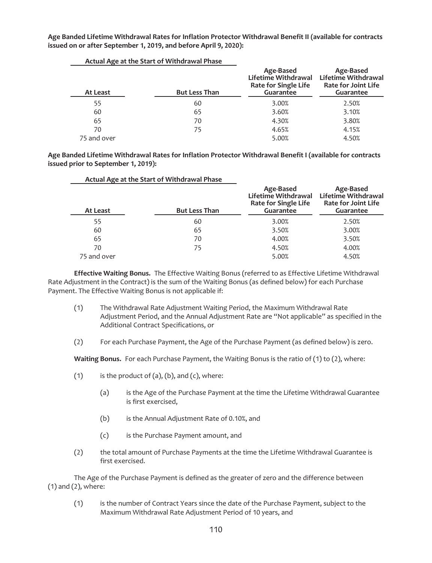**Age Banded Lifetime Withdrawal Rates for Inflation Protector Withdrawal Benefit II (available for contracts issued on or after September 1, 2019, and before April 9, 2020):**

| At Least    | Actual Age at the Start Of Withurawal Filase<br><b>But Less Than</b> | Age-Based<br><b>Lifetime Withdrawal</b><br><b>Rate for Single Life</b><br>Guarantee | Age-Based<br>Lifetime Withdrawal<br><b>Rate for Joint Life</b><br><b>Guarantee</b> |
|-------------|----------------------------------------------------------------------|-------------------------------------------------------------------------------------|------------------------------------------------------------------------------------|
| 55          | 60                                                                   | 3.00%                                                                               | 2.50%                                                                              |
| 60          | 65                                                                   | 3.60%                                                                               | 3.10%                                                                              |
| 65          | 70                                                                   | 4.30%                                                                               | 3.80%                                                                              |
| 70          | 75                                                                   | 4.65%                                                                               | 4.15%                                                                              |
| 75 and over |                                                                      | 5.00%                                                                               | 4.50%                                                                              |

**Actual Age at the Start of Withdrawal Phase**

**Age Banded Lifetime Withdrawal Rates for Inflation Protector Withdrawal Benefit I (available for contracts issued prior to September 1, 2019):**

|             | Actual Age at the Start of Withdrawal Phase |                                                                                     |                                                                             |
|-------------|---------------------------------------------|-------------------------------------------------------------------------------------|-----------------------------------------------------------------------------|
| At Least    | <b>But Less Than</b>                        | Age-Based<br>Lifetime Withdrawal<br><b>Rate for Single Life</b><br><b>Guarantee</b> | Age-Based<br>Lifetime Withdrawal<br><b>Rate for Joint Life</b><br>Guarantee |
| 55          | 60                                          | 3.00%                                                                               | 2.50%                                                                       |
| 60          | 65                                          | 3.50%                                                                               | 3.00%                                                                       |
| 65          | 70                                          | 4.00%                                                                               | 3.50%                                                                       |
| 70          | 75                                          | 4.50%                                                                               | 4.00%                                                                       |
| 75 and over |                                             | 5.00%                                                                               | 4.50%                                                                       |

**Effective Waiting Bonus.** The Effective Waiting Bonus (referred to as Effective Lifetime Withdrawal Rate Adjustment in the Contract) is the sum of the Waiting Bonus (as defined below) for each Purchase Payment. The Effective Waiting Bonus is not applicable if:

- (1) The Withdrawal Rate Adjustment Waiting Period, the Maximum Withdrawal Rate Adjustment Period, and the Annual Adjustment Rate are "Not applicable" as specified in the Additional Contract Specifications, or
- (2) For each Purchase Payment, the Age of the Purchase Payment (as defined below) is zero.

**Waiting Bonus.** For each Purchase Payment, the Waiting Bonus is the ratio of (1) to (2), where:

- (1) is the product of  $(a)$ ,  $(b)$ , and  $(c)$ , where:
	- (a) is the Age of the Purchase Payment at the time the Lifetime Withdrawal Guarantee is first exercised,
	- (b) is the Annual Adjustment Rate of 0.10%, and
	- (c) is the Purchase Payment amount, and
- (2) the total amount of Purchase Payments at the time the Lifetime Withdrawal Guarantee is first exercised.

The Age of the Purchase Payment is defined as the greater of zero and the difference between (1) and (2), where:

(1) is the number of Contract Years since the date of the Purchase Payment, subject to the Maximum Withdrawal Rate Adjustment Period of 10 years, and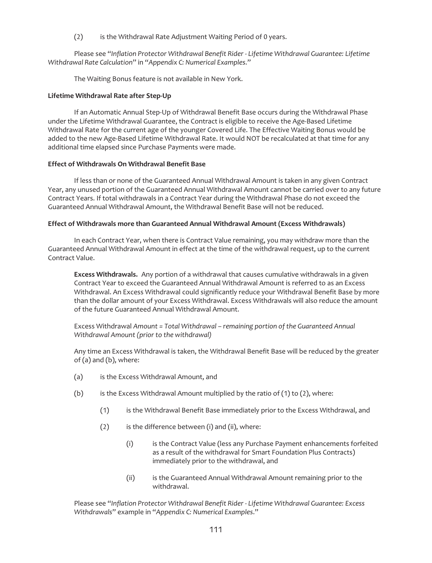(2) is the Withdrawal Rate Adjustment Waiting Period of 0 years.

Please see "*Inflation Protector Withdrawal Benefit Rider - Lifetime Withdrawal Guarantee: Lifetime Withdrawal Rate Calculation*" in "*Appendix C: Numerical Examples*."

The Waiting Bonus feature is not available in New York.

## **Lifetime Withdrawal Rate after Step-Up**

If an Automatic Annual Step-Up of Withdrawal Benefit Base occurs during the Withdrawal Phase under the Lifetime Withdrawal Guarantee, the Contract is eligible to receive the Age-Based Lifetime Withdrawal Rate for the current age of the younger Covered Life. The Effective Waiting Bonus would be added to the new Age-Based Lifetime Withdrawal Rate. It would NOT be recalculated at that time for any additional time elapsed since Purchase Payments were made.

## **Effect of Withdrawals On Withdrawal Benefit Base**

If less than or none of the Guaranteed Annual Withdrawal Amount is taken in any given Contract Year, any unused portion of the Guaranteed Annual Withdrawal Amount cannot be carried over to any future Contract Years. If total withdrawals in a Contract Year during the Withdrawal Phase do not exceed the Guaranteed Annual Withdrawal Amount, the Withdrawal Benefit Base will not be reduced.

## **Effect of Withdrawals more than Guaranteed Annual Withdrawal Amount (Excess Withdrawals)**

In each Contract Year, when there is Contract Value remaining, you may withdraw more than the Guaranteed Annual Withdrawal Amount in effect at the time of the withdrawal request, up to the current Contract Value.

**Excess Withdrawals.** Any portion of a withdrawal that causes cumulative withdrawals in a given Contract Year to exceed the Guaranteed Annual Withdrawal Amount is referred to as an Excess Withdrawal. An Excess Withdrawal could significantly reduce your Withdrawal Benefit Base by more than the dollar amount of your Excess Withdrawal. Excess Withdrawals will also reduce the amount of the future Guaranteed Annual Withdrawal Amount.

Excess Withdrawal *Amount = Total Withdrawal – remaining portion of the Guaranteed Annual Withdrawal Amount (prior to the withdrawal)*

Any time an Excess Withdrawal is taken, the Withdrawal Benefit Base will be reduced by the greater of (a) and (b), where:

- (a) is the Excess Withdrawal Amount, and
- (b) is the Excess Withdrawal Amount multiplied by the ratio of  $(1)$  to  $(2)$ , where:
	- (1) is the Withdrawal Benefit Base immediately prior to the Excess Withdrawal, and
	- (2) is the difference between (i) and (ii), where:
		- (i) is the Contract Value (less any Purchase Payment enhancements forfeited as a result of the withdrawal for Smart Foundation Plus Contracts) immediately prior to the withdrawal, and
		- (ii) is the Guaranteed Annual Withdrawal Amount remaining prior to the withdrawal.

Please see "*Inflation Protector Withdrawal Benefit Rider - Lifetime Withdrawal Guarantee: Excess Withdrawals*" example in "*Appendix C: Numerical Examples*."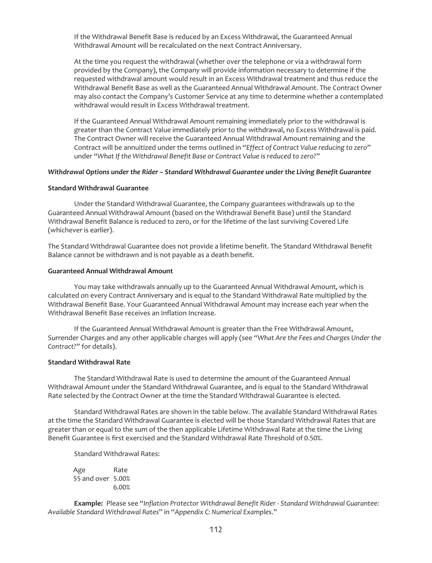If the Withdrawal Benefit Base is reduced by an Excess Withdrawal, the Guaranteed Annual Withdrawal Amount will be recalculated on the next Contract Anniversary.

At the time you request the withdrawal (whether over the telephone or via a withdrawal form provided by the Company), the Company will provide information necessary to determine if the requested withdrawal amount would result in an Excess Withdrawal treatment and thus reduce the Withdrawal Benefit Base as well as the Guaranteed Annual Withdrawal Amount. The Contract Owner may also contact the Company's Customer Service at any time to determine whether a contemplated withdrawal would result in Excess Withdrawal treatment.

If the Guaranteed Annual Withdrawal Amount remaining immediately prior to the withdrawal is greater than the Contract Value immediately prior to the withdrawal, no Excess Withdrawal is paid. The Contract Owner will receive the Guaranteed Annual Withdrawal Amount remaining and the Contract will be annuitized under the terms outlined in "*Effect of Contract Value reducing to zero*" under "*What If the Withdrawal Benefit Base or Contract Value is reduced to zero?*"

#### *Withdrawal Options under the Rider – Standard Withdrawal Guarantee under the Living Benefit Guarantee*

#### **Standard Withdrawal Guarantee**

Under the Standard Withdrawal Guarantee, the Company guarantees withdrawals up to the Guaranteed Annual Withdrawal Amount (based on the Withdrawal Benefit Base) until the Standard Withdrawal Benefit Balance is reduced to zero, or for the lifetime of the last surviving Covered Life (whichever is earlier).

The Standard Withdrawal Guarantee does not provide a lifetime benefit. The Standard Withdrawal Benefit Balance cannot be withdrawn and is not payable as a death benefit.

### **Guaranteed Annual Withdrawal Amount**

You may take withdrawals annually up to the Guaranteed Annual Withdrawal Amount, which is calculated on every Contract Anniversary and is equal to the Standard Withdrawal Rate multiplied by the Withdrawal Benefit Base. Your Guaranteed Annual Withdrawal Amount may increase each year when the Withdrawal Benefit Base receives an Inflation Increase.

If the Guaranteed Annual Withdrawal Amount is greater than the Free Withdrawal Amount, Surrender Charges and any other applicable charges will apply (see *"What Are the Fees and Charges Under the Contract?"* for details).

## **Standard Withdrawal Rate**

The Standard Withdrawal Rate is used to determine the amount of the Guaranteed Annual Withdrawal Amount under the Standard Withdrawal Guarantee, and is equal to the Standard Withdrawal Rate selected by the Contract Owner at the time the Standard Withdrawal Guarantee is elected.

Standard Withdrawal Rates are shown in the table below. The available Standard Withdrawal Rates at the time the Standard Withdrawal Guarantee is elected will be those Standard Withdrawal Rates that are greater than or equal to the sum of the then applicable Lifetime Withdrawal Rate at the time the Living Benefit Guarantee is first exercised and the Standard Withdrawal Rate Threshold of 0.50%.

Standard Withdrawal Rates:

Age Rate 55 and over 5.00% 6.00%

**Example:** Please see "*Inflation Protector Withdrawal Benefit Rider - Standard Withdrawal Guarantee: Available Standard Withdrawal Rates*" in "*Appendix C: Numerical Examples*."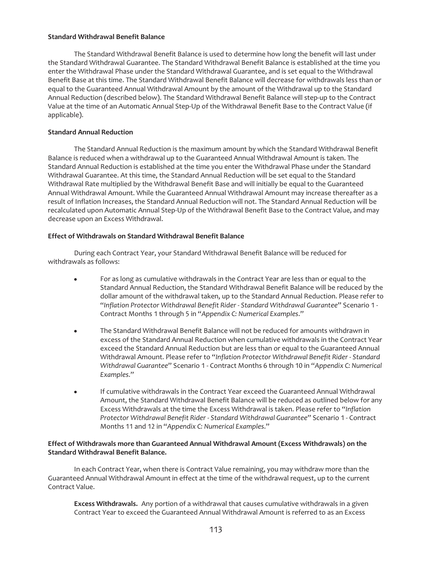## **Standard Withdrawal Benefit Balance**

The Standard Withdrawal Benefit Balance is used to determine how long the benefit will last under the Standard Withdrawal Guarantee. The Standard Withdrawal Benefit Balance is established at the time you enter the Withdrawal Phase under the Standard Withdrawal Guarantee, and is set equal to the Withdrawal Benefit Base at this time. The Standard Withdrawal Benefit Balance will decrease for withdrawals less than or equal to the Guaranteed Annual Withdrawal Amount by the amount of the Withdrawal up to the Standard Annual Reduction (described below). The Standard Withdrawal Benefit Balance will step-up to the Contract Value at the time of an Automatic Annual Step-Up of the Withdrawal Benefit Base to the Contract Value (if applicable).

# **Standard Annual Reduction**

The Standard Annual Reduction is the maximum amount by which the Standard Withdrawal Benefit Balance is reduced when a withdrawal up to the Guaranteed Annual Withdrawal Amount is taken. The Standard Annual Reduction is established at the time you enter the Withdrawal Phase under the Standard Withdrawal Guarantee. At this time, the Standard Annual Reduction will be set equal to the Standard Withdrawal Rate multiplied by the Withdrawal Benefit Base and will initially be equal to the Guaranteed Annual Withdrawal Amount. While the Guaranteed Annual Withdrawal Amount may increase thereafter as a result of Inflation Increases, the Standard Annual Reduction will not. The Standard Annual Reduction will be recalculated upon Automatic Annual Step-Up of the Withdrawal Benefit Base to the Contract Value, and may decrease upon an Excess Withdrawal.

# **Effect of Withdrawals on Standard Withdrawal Benefit Balance**

During each Contract Year, your Standard Withdrawal Benefit Balance will be reduced for withdrawals as follows:

- For as long as cumulative withdrawals in the Contract Year are less than or equal to the Standard Annual Reduction, the Standard Withdrawal Benefit Balance will be reduced by the dollar amount of the withdrawal taken, up to the Standard Annual Reduction. Please refer to "*Inflation Protector Withdrawal Benefit Rider - Standard Withdrawal Guarantee*" Scenario 1 - Contract Months 1 through 5 in "*Appendix C: Numerical Examples*."
- The Standard Withdrawal Benefit Balance will not be reduced for amounts withdrawn in excess of the Standard Annual Reduction when cumulative withdrawals in the Contract Year exceed the Standard Annual Reduction but are less than or equal to the Guaranteed Annual Withdrawal Amount. Please refer to "*Inflation Protector Withdrawal Benefit Rider - Standard Withdrawal Guarantee*" Scenario 1 - Contract Months 6 through 10 in "*Appendix C: Numerical Examples*."
- If cumulative withdrawals in the Contract Year exceed the Guaranteed Annual Withdrawal Amount, the Standard Withdrawal Benefit Balance will be reduced as outlined below for any Excess Withdrawals at the time the Excess Withdrawal is taken. Please refer to "*Inflation Protector Withdrawal Benefit Rider - Standard Withdrawal Guarantee*" Scenario 1 - Contract Months 11 and 12 in "*Appendix C: Numerical Examples*."

# **Effect of Withdrawals more than Guaranteed Annual Withdrawal Amount (Excess Withdrawals) on the Standard Withdrawal Benefit Balance.**

In each Contract Year, when there is Contract Value remaining, you may withdraw more than the Guaranteed Annual Withdrawal Amount in effect at the time of the withdrawal request, up to the current Contract Value.

**Excess Withdrawals.** Any portion of a withdrawal that causes cumulative withdrawals in a given Contract Year to exceed the Guaranteed Annual Withdrawal Amount is referred to as an Excess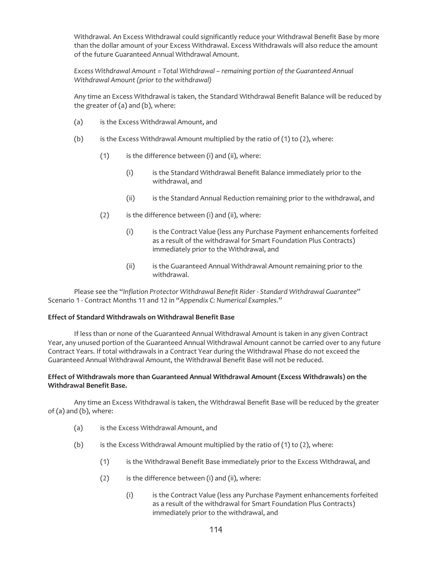Withdrawal. An Excess Withdrawal could significantly reduce your Withdrawal Benefit Base by more than the dollar amount of your Excess Withdrawal. Excess Withdrawals will also reduce the amount of the future Guaranteed Annual Withdrawal Amount.

*Excess Withdrawal Amount = Total Withdrawal – remaining portion of the Guaranteed Annual Withdrawal Amount (prior to the withdrawal)*

Any time an Excess Withdrawal is taken, the Standard Withdrawal Benefit Balance will be reduced by the greater of (a) and (b), where:

- (a) is the Excess Withdrawal Amount, and
- (b) is the Excess Withdrawal Amount multiplied by the ratio of  $(1)$  to  $(2)$ , where:
	- $(1)$  is the difference between (i) and (ii), where:
		- (i) is the Standard Withdrawal Benefit Balance immediately prior to the withdrawal, and
		- (ii) is the Standard Annual Reduction remaining prior to the withdrawal, and
	- (2) is the difference between (i) and (ii), where:
		- (i) is the Contract Value (less any Purchase Payment enhancements forfeited as a result of the withdrawal for Smart Foundation Plus Contracts) immediately prior to the Withdrawal, and
		- (ii) is the Guaranteed Annual Withdrawal Amount remaining prior to the withdrawal.

Please see the "*Inflation Protector Withdrawal Benefit Rider - Standard Withdrawal Guarantee*" Scenario 1 - Contract Months 11 and 12 in "*Appendix C: Numerical Examples*."

### **Effect of Standard Withdrawals on Withdrawal Benefit Base**

If less than or none of the Guaranteed Annual Withdrawal Amount is taken in any given Contract Year, any unused portion of the Guaranteed Annual Withdrawal Amount cannot be carried over to any future Contract Years. If total withdrawals in a Contract Year during the Withdrawal Phase do not exceed the Guaranteed Annual Withdrawal Amount, the Withdrawal Benefit Base will not be reduced.

## **Effect of Withdrawals more than Guaranteed Annual Withdrawal Amount (Excess Withdrawals) on the Withdrawal Benefit Base.**

Any time an Excess Withdrawal is taken, the Withdrawal Benefit Base will be reduced by the greater of (a) and (b), where:

- (a) is the Excess Withdrawal Amount, and
- (b) is the Excess Withdrawal Amount multiplied by the ratio of  $(1)$  to  $(2)$ , where:
	- (1) is the Withdrawal Benefit Base immediately prior to the Excess Withdrawal, and
	- $(2)$  is the difference between (i) and (ii), where:
		- (i) is the Contract Value (less any Purchase Payment enhancements forfeited as a result of the withdrawal for Smart Foundation Plus Contracts) immediately prior to the withdrawal, and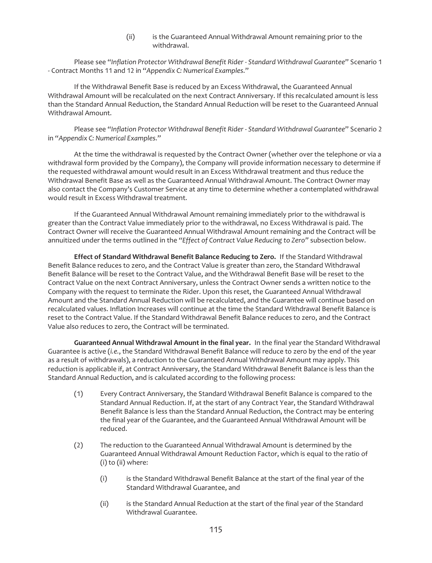## (ii) is the Guaranteed Annual Withdrawal Amount remaining prior to the withdrawal.

Please see "*Inflation Protector Withdrawal Benefit Rider - Standard Withdrawal Guarantee*" Scenario 1 - Contract Months 11 and 12 in "*Appendix C: Numerical Examples*."

If the Withdrawal Benefit Base is reduced by an Excess Withdrawal, the Guaranteed Annual Withdrawal Amount will be recalculated on the next Contract Anniversary. If this recalculated amount is less than the Standard Annual Reduction, the Standard Annual Reduction will be reset to the Guaranteed Annual Withdrawal Amount.

Please see "*Inflation Protector Withdrawal Benefit Rider - Standard Withdrawal Guarantee*" Scenario 2 in "*Appendix C: Numerical Examples*."

At the time the withdrawal is requested by the Contract Owner (whether over the telephone or via a withdrawal form provided by the Company), the Company will provide information necessary to determine if the requested withdrawal amount would result in an Excess Withdrawal treatment and thus reduce the Withdrawal Benefit Base as well as the Guaranteed Annual Withdrawal Amount. The Contract Owner may also contact the Company's Customer Service at any time to determine whether a contemplated withdrawal would result in Excess Withdrawal treatment.

If the Guaranteed Annual Withdrawal Amount remaining immediately prior to the withdrawal is greater than the Contract Value immediately prior to the withdrawal, no Excess Withdrawal is paid. The Contract Owner will receive the Guaranteed Annual Withdrawal Amount remaining and the Contract will be annuitized under the terms outlined in the *"Effect of Contract Value Reducing to Zero"* subsection below.

**Effect of Standard Withdrawal Benefit Balance Reducing to Zero.** If the Standard Withdrawal Benefit Balance reduces to zero, and the Contract Value is greater than zero, the Standard Withdrawal Benefit Balance will be reset to the Contract Value, and the Withdrawal Benefit Base will be reset to the Contract Value on the next Contract Anniversary, unless the Contract Owner sends a written notice to the Company with the request to terminate the Rider. Upon this reset, the Guaranteed Annual Withdrawal Amount and the Standard Annual Reduction will be recalculated, and the Guarantee will continue based on recalculated values. Inflation Increases will continue at the time the Standard Withdrawal Benefit Balance is reset to the Contract Value. If the Standard Withdrawal Benefit Balance reduces to zero, and the Contract Value also reduces to zero, the Contract will be terminated.

**Guaranteed Annual Withdrawal Amount in the final year.** In the final year the Standard Withdrawal Guarantee is active (*i.e.*, the Standard Withdrawal Benefit Balance will reduce to zero by the end of the year as a result of withdrawals), a reduction to the Guaranteed Annual Withdrawal Amount may apply. This reduction is applicable if, at Contract Anniversary, the Standard Withdrawal Benefit Balance is less than the Standard Annual Reduction, and is calculated according to the following process:

- (1) Every Contract Anniversary, the Standard Withdrawal Benefit Balance is compared to the Standard Annual Reduction. If, at the start of any Contract Year, the Standard Withdrawal Benefit Balance is less than the Standard Annual Reduction, the Contract may be entering the final year of the Guarantee, and the Guaranteed Annual Withdrawal Amount will be reduced.
- (2) The reduction to the Guaranteed Annual Withdrawal Amount is determined by the Guaranteed Annual Withdrawal Amount Reduction Factor, which is equal to the ratio of (i) to (ii) where:
	- (i) is the Standard Withdrawal Benefit Balance at the start of the final year of the Standard Withdrawal Guarantee, and
	- (ii) is the Standard Annual Reduction at the start of the final year of the Standard Withdrawal Guarantee.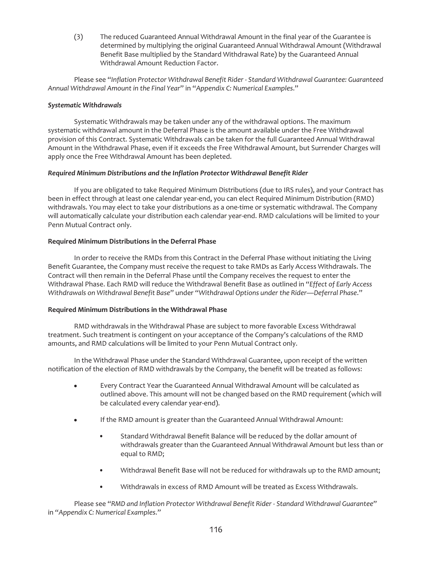(3) The reduced Guaranteed Annual Withdrawal Amount in the final year of the Guarantee is determined by multiplying the original Guaranteed Annual Withdrawal Amount (Withdrawal Benefit Base multiplied by the Standard Withdrawal Rate) by the Guaranteed Annual Withdrawal Amount Reduction Factor.

Please see "*Inflation Protector Withdrawal Benefit Rider - Standard Withdrawal Guarantee: Guaranteed Annual Withdrawal Amount in the Final Year*" in "*Appendix C: Numerical Examples*."

## *Systematic Withdrawals*

Systematic Withdrawals may be taken under any of the withdrawal options. The maximum systematic withdrawal amount in the Deferral Phase is the amount available under the Free Withdrawal provision of this Contract. Systematic Withdrawals can be taken for the full Guaranteed Annual Withdrawal Amount in the Withdrawal Phase, even if it exceeds the Free Withdrawal Amount, but Surrender Charges will apply once the Free Withdrawal Amount has been depleted.

## *Required Minimum Distributions and the Inflation Protector Withdrawal Benefit Rider*

If you are obligated to take Required Minimum Distributions (due to IRS rules), and your Contract has been in effect through at least one calendar year-end, you can elect Required Minimum Distribution (RMD) withdrawals. You may elect to take your distributions as a one-time or systematic withdrawal. The Company will automatically calculate your distribution each calendar year-end. RMD calculations will be limited to your Penn Mutual Contract only.

## **Required Minimum Distributions in the Deferral Phase**

In order to receive the RMDs from this Contract in the Deferral Phase without initiating the Living Benefit Guarantee, the Company must receive the request to take RMDs as Early Access Withdrawals. The Contract will then remain in the Deferral Phase until the Company receives the request to enter the Withdrawal Phase. Each RMD will reduce the Withdrawal Benefit Base as outlined in "*Effect of Early Access Withdrawals on Withdrawal Benefit Base*" under "*Withdrawal Options under the Rider—Deferral Phase*."

# **Required Minimum Distributions in the Withdrawal Phase**

RMD withdrawals in the Withdrawal Phase are subject to more favorable Excess Withdrawal treatment. Such treatment is contingent on your acceptance of the Company's calculations of the RMD amounts, and RMD calculations will be limited to your Penn Mutual Contract only.

In the Withdrawal Phase under the Standard Withdrawal Guarantee, upon receipt of the written notification of the election of RMD withdrawals by the Company, the benefit will be treated as follows:

- Every Contract Year the Guaranteed Annual Withdrawal Amount will be calculated as outlined above. This amount will not be changed based on the RMD requirement (which will be calculated every calendar year-end).
- If the RMD amount is greater than the Guaranteed Annual Withdrawal Amount:
	- Standard Withdrawal Benefit Balance will be reduced by the dollar amount of withdrawals greater than the Guaranteed Annual Withdrawal Amount but less than or equal to RMD;
	- Withdrawal Benefit Base will not be reduced for withdrawals up to the RMD amount;
	- Withdrawals in excess of RMD Amount will be treated as Excess Withdrawals.

Please see "*RMD and Inflation Protector Withdrawal Benefit Rider - Standard Withdrawal Guarantee*" in "*Appendix C: Numerical Examples*."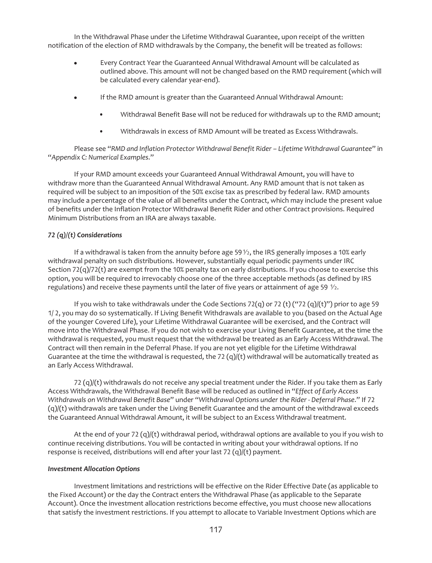In the Withdrawal Phase under the Lifetime Withdrawal Guarantee, upon receipt of the written notification of the election of RMD withdrawals by the Company, the benefit will be treated as follows:

- Every Contract Year the Guaranteed Annual Withdrawal Amount will be calculated as outlined above. This amount will not be changed based on the RMD requirement (which will be calculated every calendar year-end).
- If the RMD amount is greater than the Guaranteed Annual Withdrawal Amount:
	- Withdrawal Benefit Base will not be reduced for withdrawals up to the RMD amount;
	- Withdrawals in excess of RMD Amount will be treated as Excess Withdrawals.

Please see "*RMD and Inflation Protector Withdrawal Benefit Rider – Lifetime Withdrawal Guarantee*" in "*Appendix C: Numerical Examples*."

If your RMD amount exceeds your Guaranteed Annual Withdrawal Amount, you will have to withdraw more than the Guaranteed Annual Withdrawal Amount. Any RMD amount that is not taken as required will be subject to an imposition of the 50% excise tax as prescribed by federal law. RMD amounts may include a percentage of the value of all benefits under the Contract, which may include the present value of benefits under the Inflation Protector Withdrawal Benefit Rider and other Contract provisions. Required Minimum Distributions from an IRA are always taxable.

# *72 (q)/(t) Considerations*

If a withdrawal is taken from the annuity before age 59 $\frac{1}{2}$ , the IRS generally imposes a 10% early withdrawal penalty on such distributions. However, substantially equal periodic payments under IRC Section  $72(q)/72(t)$  are exempt from the 10% penalty tax on early distributions. If you choose to exercise this option, you will be required to irrevocably choose one of the three acceptable methods (as defined by IRS regulations) and receive these payments until the later of five years or attainment of age 59  $\frac{1}{2}$ .

If you wish to take withdrawals under the Code Sections 72(q) or 72 (t) ("72 (q)/(t)") prior to age 59 1/ 2, you may do so systematically. If Living Benefit Withdrawals are available to you (based on the Actual Age of the younger Covered Life), your Lifetime Withdrawal Guarantee will be exercised, and the Contract will move into the Withdrawal Phase. If you do not wish to exercise your Living Benefit Guarantee, at the time the withdrawal is requested, you must request that the withdrawal be treated as an Early Access Withdrawal. The Contract will then remain in the Deferral Phase. If you are not yet eligible for the Lifetime Withdrawal Guarantee at the time the withdrawal is requested, the 72  $(q)/(t)$  withdrawal will be automatically treated as an Early Access Withdrawal.

72 (q)/(t) withdrawals do not receive any special treatment under the Rider. If you take them as Early Access Withdrawals, the Withdrawal Benefit Base will be reduced as outlined in "*Effect of Early Access Withdrawals on Withdrawal Benefit Base*" under "*Withdrawal Options under the Rider - Deferral Phase*." If 72 (q)/(t) withdrawals are taken under the Living Benefit Guarantee and the amount of the withdrawal exceeds the Guaranteed Annual Withdrawal Amount, it will be subject to an Excess Withdrawal treatment.

At the end of your 72  $(q)/(t)$  withdrawal period, withdrawal options are available to you if you wish to continue receiving distributions. You will be contacted in writing about your withdrawal options. If no response is received, distributions will end after your last 72 (q)/(t) payment.

## *Investment Allocation Options*

Investment limitations and restrictions will be effective on the Rider Effective Date (as applicable to the Fixed Account) or the day the Contract enters the Withdrawal Phase (as applicable to the Separate Account). Once the investment allocation restrictions become effective, you must choose new allocations that satisfy the investment restrictions. If you attempt to allocate to Variable Investment Options which are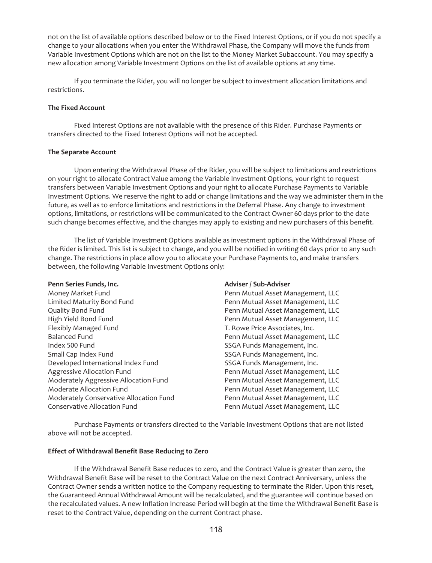not on the list of available options described below or to the Fixed Interest Options, or if you do not specify a change to your allocations when you enter the Withdrawal Phase, the Company will move the funds from Variable Investment Options which are not on the list to the Money Market Subaccount. You may specify a new allocation among Variable Investment Options on the list of available options at any time.

If you terminate the Rider, you will no longer be subject to investment allocation limitations and restrictions.

## **The Fixed Account**

Fixed Interest Options are not available with the presence of this Rider. Purchase Payments or transfers directed to the Fixed Interest Options will not be accepted.

## **The Separate Account**

Upon entering the Withdrawal Phase of the Rider, you will be subject to limitations and restrictions on your right to allocate Contract Value among the Variable Investment Options, your right to request transfers between Variable Investment Options and your right to allocate Purchase Payments to Variable Investment Options. We reserve the right to add or change limitations and the way we administer them in the future, as well as to enforce limitations and restrictions in the Deferral Phase. Any change to investment options, limitations, or restrictions will be communicated to the Contract Owner 60 days prior to the date such change becomes effective, and the changes may apply to existing and new purchasers of this benefit.

The list of Variable Investment Options available as investment options in the Withdrawal Phase of the Rider is limited. This list is subject to change, and you will be notified in writing 60 days prior to any such change. The restrictions in place allow you to allocate your Purchase Payments to, and make transfers between, the following Variable Investment Options only:

### Penn Series Funds, Inc. **Adviser / Sub-Adviser / Sub-Adviser**

| Money Market Fund                       |
|-----------------------------------------|
| Limited Maturity Bond Fund              |
| Quality Bond Fund                       |
| High Yield Bond Fund                    |
| Flexibly Managed Fund                   |
| <b>Balanced Fund</b>                    |
| Index 500 Fund                          |
| Small Cap Index Fund                    |
| Developed International Index Fund      |
| Aggressive Allocation Fund              |
| Moderately Aggressive Allocation Fund   |
| Moderate Allocation Fund                |
| Moderately Conservative Allocation Fund |
| <b>Conservative Allocation Fund</b>     |

Penn Mutual Asset Management, LLC Penn Mutual Asset Management, LLC Penn Mutual Asset Management, LLC Penn Mutual Asset Management, LLC T. Rowe Price Associates, Inc. Penn Mutual Asset Management, LLC SSGA Funds Management, Inc. SSGA Funds Management, Inc. SSGA Funds Management, Inc. Penn Mutual Asset Management, LLC Penn Mutual Asset Management, LLC Penn Mutual Asset Management, LLC Penn Mutual Asset Management, LLC Penn Mutual Asset Management, LLC

Purchase Payments or transfers directed to the Variable Investment Options that are not listed above will not be accepted.

# **Effect of Withdrawal Benefit Base Reducing to Zero**

If the Withdrawal Benefit Base reduces to zero, and the Contract Value is greater than zero, the Withdrawal Benefit Base will be reset to the Contract Value on the next Contract Anniversary, unless the Contract Owner sends a written notice to the Company requesting to terminate the Rider. Upon this reset, the Guaranteed Annual Withdrawal Amount will be recalculated, and the guarantee will continue based on the recalculated values. A new Inflation Increase Period will begin at the time the Withdrawal Benefit Base is reset to the Contract Value, depending on the current Contract phase.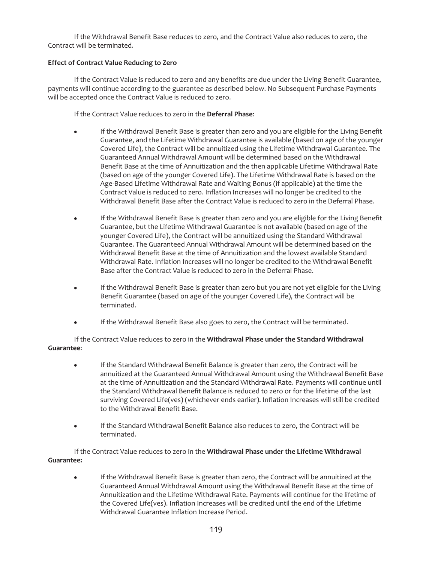If the Withdrawal Benefit Base reduces to zero, and the Contract Value also reduces to zero, the Contract will be terminated.

# **Effect of Contract Value Reducing to Zero**

If the Contract Value is reduced to zero and any benefits are due under the Living Benefit Guarantee, payments will continue according to the guarantee as described below. No Subsequent Purchase Payments will be accepted once the Contract Value is reduced to zero.

If the Contract Value reduces to zero in the **Deferral Phase**:

- If the Withdrawal Benefit Base is greater than zero and you are eligible for the Living Benefit Guarantee, and the Lifetime Withdrawal Guarantee is available (based on age of the younger Covered Life), the Contract will be annuitized using the Lifetime Withdrawal Guarantee. The Guaranteed Annual Withdrawal Amount will be determined based on the Withdrawal Benefit Base at the time of Annuitization and the then applicable Lifetime Withdrawal Rate (based on age of the younger Covered Life). The Lifetime Withdrawal Rate is based on the Age-Based Lifetime Withdrawal Rate and Waiting Bonus (if applicable) at the time the Contract Value is reduced to zero. Inflation Increases will no longer be credited to the Withdrawal Benefit Base after the Contract Value is reduced to zero in the Deferral Phase.
- If the Withdrawal Benefit Base is greater than zero and you are eligible for the Living Benefit Guarantee, but the Lifetime Withdrawal Guarantee is not available (based on age of the younger Covered Life), the Contract will be annuitized using the Standard Withdrawal Guarantee. The Guaranteed Annual Withdrawal Amount will be determined based on the Withdrawal Benefit Base at the time of Annuitization and the lowest available Standard Withdrawal Rate. Inflation Increases will no longer be credited to the Withdrawal Benefit Base after the Contract Value is reduced to zero in the Deferral Phase.
- If the Withdrawal Benefit Base is greater than zero but you are not yet eligible for the Living Benefit Guarantee (based on age of the younger Covered Life), the Contract will be terminated.
- If the Withdrawal Benefit Base also goes to zero, the Contract will be terminated.

If the Contract Value reduces to zero in the **Withdrawal Phase under the Standard Withdrawal Guarantee**:

- If the Standard Withdrawal Benefit Balance is greater than zero, the Contract will be annuitized at the Guaranteed Annual Withdrawal Amount using the Withdrawal Benefit Base at the time of Annuitization and the Standard Withdrawal Rate. Payments will continue until the Standard Withdrawal Benefit Balance is reduced to zero or for the lifetime of the last surviving Covered Life(ves) (whichever ends earlier). Inflation Increases will still be credited to the Withdrawal Benefit Base.
- If the Standard Withdrawal Benefit Balance also reduces to zero, the Contract will be terminated.

If the Contract Value reduces to zero in the **Withdrawal Phase under the Lifetime Withdrawal Guarantee:**

• If the Withdrawal Benefit Base is greater than zero, the Contract will be annuitized at the Guaranteed Annual Withdrawal Amount using the Withdrawal Benefit Base at the time of Annuitization and the Lifetime Withdrawal Rate. Payments will continue for the lifetime of the Covered Life(ves). Inflation Increases will be credited until the end of the Lifetime Withdrawal Guarantee Inflation Increase Period.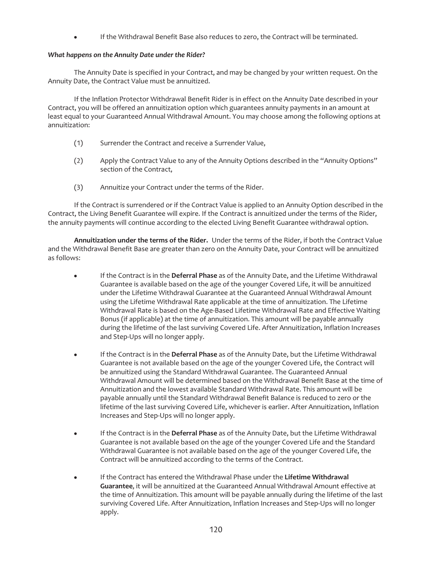• If the Withdrawal Benefit Base also reduces to zero, the Contract will be terminated.

# *What happens on the Annuity Date under the Rider?*

The Annuity Date is specified in your Contract, and may be changed by your written request. On the Annuity Date, the Contract Value must be annuitized.

If the Inflation Protector Withdrawal Benefit Rider is in effect on the Annuity Date described in your Contract, you will be offered an annuitization option which guarantees annuity payments in an amount at least equal to your Guaranteed Annual Withdrawal Amount. You may choose among the following options at annuitization:

- (1) Surrender the Contract and receive a Surrender Value,
- (2) Apply the Contract Value to any of the Annuity Options described in the "Annuity Options" section of the Contract,
- (3) Annuitize your Contract under the terms of the Rider.

If the Contract is surrendered or if the Contract Value is applied to an Annuity Option described in the Contract, the Living Benefit Guarantee will expire. If the Contract is annuitized under the terms of the Rider, the annuity payments will continue according to the elected Living Benefit Guarantee withdrawal option.

**Annuitization under the terms of the Rider.** Under the terms of the Rider, if both the Contract Value and the Withdrawal Benefit Base are greater than zero on the Annuity Date, your Contract will be annuitized as follows:

- If the Contract is in the Deferral Phase as of the Annuity Date, and the Lifetime Withdrawal Guarantee is available based on the age of the younger Covered Life, it will be annuitized under the Lifetime Withdrawal Guarantee at the Guaranteed Annual Withdrawal Amount using the Lifetime Withdrawal Rate applicable at the time of annuitization. The Lifetime Withdrawal Rate is based on the Age-Based Lifetime Withdrawal Rate and Effective Waiting Bonus (if applicable) at the time of annuitization. This amount will be payable annually during the lifetime of the last surviving Covered Life. After Annuitization, Inflation Increases and Step-Ups will no longer apply.
- If the Contract is in the Deferral Phase as of the Annuity Date, but the Lifetime Withdrawal Guarantee is not available based on the age of the younger Covered Life, the Contract will be annuitized using the Standard Withdrawal Guarantee. The Guaranteed Annual Withdrawal Amount will be determined based on the Withdrawal Benefit Base at the time of Annuitization and the lowest available Standard Withdrawal Rate. This amount will be payable annually until the Standard Withdrawal Benefit Balance is reduced to zero or the lifetime of the last surviving Covered Life, whichever is earlier. After Annuitization, Inflation Increases and Step-Ups will no longer apply.
- **•** If the Contract is in the **Deferral Phase** as of the Annuity Date, but the Lifetime Withdrawal Guarantee is not available based on the age of the younger Covered Life and the Standard Withdrawal Guarantee is not available based on the age of the younger Covered Life, the Contract will be annuitized according to the terms of the Contract.
- <sup>Š</sup> If the Contract has entered the Withdrawal Phase under the **Lifetime Withdrawal Guarantee**, it will be annuitized at the Guaranteed Annual Withdrawal Amount effective at the time of Annuitization. This amount will be payable annually during the lifetime of the last surviving Covered Life. After Annuitization, Inflation Increases and Step-Ups will no longer apply.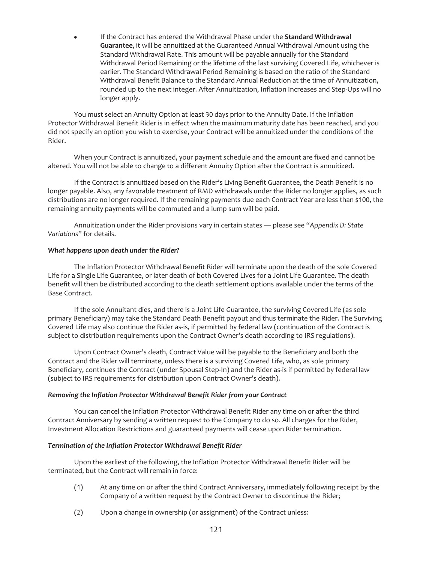If the Contract has entered the Withdrawal Phase under the **Standard Withdrawal Guarantee**, it will be annuitized at the Guaranteed Annual Withdrawal Amount using the Standard Withdrawal Rate. This amount will be payable annually for the Standard Withdrawal Period Remaining or the lifetime of the last surviving Covered Life, whichever is earlier. The Standard Withdrawal Period Remaining is based on the ratio of the Standard Withdrawal Benefit Balance to the Standard Annual Reduction at the time of Annuitization, rounded up to the next integer. After Annuitization, Inflation Increases and Step-Ups will no longer apply.

You must select an Annuity Option at least 30 days prior to the Annuity Date. If the Inflation Protector Withdrawal Benefit Rider is in effect when the maximum maturity date has been reached, and you did not specify an option you wish to exercise, your Contract will be annuitized under the conditions of the Rider.

When your Contract is annuitized, your payment schedule and the amount are fixed and cannot be altered. You will not be able to change to a different Annuity Option after the Contract is annuitized.

If the Contract is annuitized based on the Rider's Living Benefit Guarantee, the Death Benefit is no longer payable. Also, any favorable treatment of RMD withdrawals under the Rider no longer applies, as such distributions are no longer required. If the remaining payments due each Contract Year are less than \$100, the remaining annuity payments will be commuted and a lump sum will be paid.

Annuitization under the Rider provisions vary in certain states — please see "*Appendix D: State Variations*" for details.

### *What happens upon death under the Rider?*

The Inflation Protector Withdrawal Benefit Rider will terminate upon the death of the sole Covered Life for a Single Life Guarantee, or later death of both Covered Lives for a Joint Life Guarantee. The death benefit will then be distributed according to the death settlement options available under the terms of the Base Contract.

If the sole Annuitant dies, and there is a Joint Life Guarantee, the surviving Covered Life (as sole primary Beneficiary) may take the Standard Death Benefit payout and thus terminate the Rider. The Surviving Covered Life may also continue the Rider as-is, if permitted by federal law (continuation of the Contract is subject to distribution requirements upon the Contract Owner's death according to IRS regulations).

Upon Contract Owner's death, Contract Value will be payable to the Beneficiary and both the Contract and the Rider will terminate, unless there is a surviving Covered Life, who, as sole primary Beneficiary, continues the Contract (under Spousal Step-In) and the Rider as-is if permitted by federal law (subject to IRS requirements for distribution upon Contract Owner's death).

### *Removing the Inflation Protector Withdrawal Benefit Rider from your Contract*

You can cancel the Inflation Protector Withdrawal Benefit Rider any time on or after the third Contract Anniversary by sending a written request to the Company to do so. All charges for the Rider, Investment Allocation Restrictions and guaranteed payments will cease upon Rider termination.

# *Termination of the Inflation Protector Withdrawal Benefit Rider*

Upon the earliest of the following, the Inflation Protector Withdrawal Benefit Rider will be terminated, but the Contract will remain in force:

- (1) At any time on or after the third Contract Anniversary, immediately following receipt by the Company of a written request by the Contract Owner to discontinue the Rider;
- (2) Upon a change in ownership (or assignment) of the Contract unless: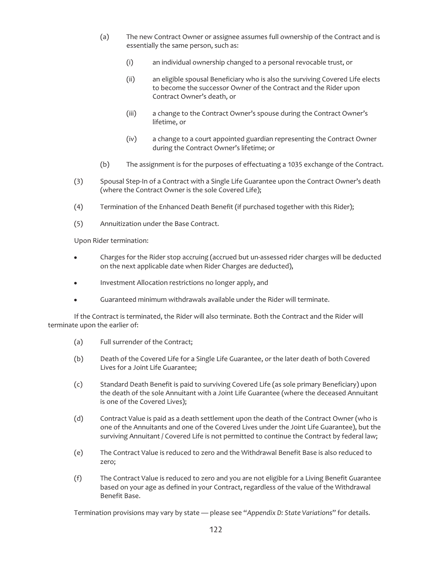- (a) The new Contract Owner or assignee assumes full ownership of the Contract and is essentially the same person, such as:
	- (i) an individual ownership changed to a personal revocable trust, or
	- (ii) an eligible spousal Beneficiary who is also the surviving Covered Life elects to become the successor Owner of the Contract and the Rider upon Contract Owner's death, or
	- (iii) a change to the Contract Owner's spouse during the Contract Owner's lifetime, or
	- (iv) a change to a court appointed guardian representing the Contract Owner during the Contract Owner's lifetime; or
- (b) The assignment is for the purposes of effectuating a 1035 exchange of the Contract.
- (3) Spousal Step-In of a Contract with a Single Life Guarantee upon the Contract Owner's death (where the Contract Owner is the sole Covered Life);
- (4) Termination of the Enhanced Death Benefit (if purchased together with this Rider);
- (5) Annuitization under the Base Contract.

Upon Rider termination:

- Charges for the Rider stop accruing (accrued but un-assessed rider charges will be deducted on the next applicable date when Rider Charges are deducted),
- Investment Allocation restrictions no longer apply, and
- Guaranteed minimum withdrawals available under the Rider will terminate.

If the Contract is terminated, the Rider will also terminate. Both the Contract and the Rider will terminate upon the earlier of:

- (a) Full surrender of the Contract;
- (b) Death of the Covered Life for a Single Life Guarantee, or the later death of both Covered Lives for a Joint Life Guarantee;
- (c) Standard Death Benefit is paid to surviving Covered Life (as sole primary Beneficiary) upon the death of the sole Annuitant with a Joint Life Guarantee (where the deceased Annuitant is one of the Covered Lives);
- (d) Contract Value is paid as a death settlement upon the death of the Contract Owner (who is one of the Annuitants and one of the Covered Lives under the Joint Life Guarantee), but the surviving Annuitant / Covered Life is not permitted to continue the Contract by federal law;
- (e) The Contract Value is reduced to zero and the Withdrawal Benefit Base is also reduced to zero;
- (f) The Contract Value is reduced to zero and you are not eligible for a Living Benefit Guarantee based on your age as defined in your Contract, regardless of the value of the Withdrawal Benefit Base.

Termination provisions may vary by state — please see "*Appendix D: State Variations*" for details.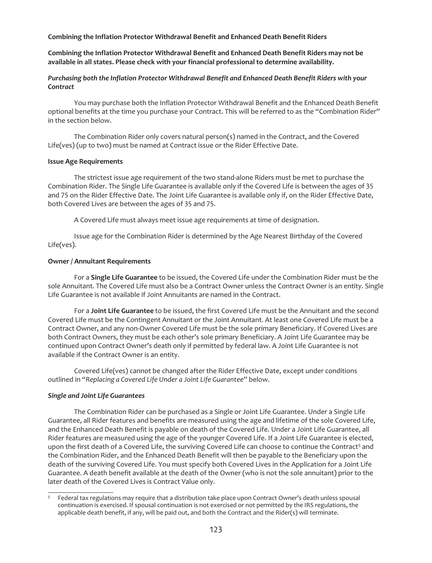**Combining the Inflation Protector Withdrawal Benefit and Enhanced Death Benefit Riders**

# **Combining the Inflation Protector Withdrawal Benefit and Enhanced Death Benefit Riders may not be available in all states. Please check with your financial professional to determine availability.**

# *Purchasing both the Inflation Protector Withdrawal Benefit and Enhanced Death Benefit Riders with your Contract*

You may purchase both the Inflation Protector Withdrawal Benefit and the Enhanced Death Benefit optional benefits at the time you purchase your Contract. This will be referred to as the "Combination Rider" in the section below.

The Combination Rider only covers natural person(s) named in the Contract, and the Covered Life(ves) (up to two) must be named at Contract issue or the Rider Effective Date.

## **Issue Age Requirements**

The strictest issue age requirement of the two stand-alone Riders must be met to purchase the Combination Rider. The Single Life Guarantee is available only if the Covered Life is between the ages of 35 and 75 on the Rider Effective Date. The Joint Life Guarantee is available only if, on the Rider Effective Date, both Covered Lives are between the ages of 35 and 75.

A Covered Life must always meet issue age requirements at time of designation.

Issue age for the Combination Rider is determined by the Age Nearest Birthday of the Covered Life(ves).

## **Owner / Annuitant Requirements**

For a **Single Life Guarantee** to be issued, the Covered Life under the Combination Rider must be the sole Annuitant. The Covered Life must also be a Contract Owner unless the Contract Owner is an entity. Single Life Guarantee is not available if Joint Annuitants are named in the Contract.

For a **Joint Life Guarantee** to be issued, the first Covered Life must be the Annuitant and the second Covered Life must be the Contingent Annuitant or the Joint Annuitant. At least one Covered Life must be a Contract Owner, and any non-Owner Covered Life must be the sole primary Beneficiary. If Covered Lives are both Contract Owners, they must be each other's sole primary Beneficiary. A Joint Life Guarantee may be continued upon Contract Owner's death only if permitted by federal law. A Joint Life Guarantee is not available if the Contract Owner is an entity.

Covered Life(ves) cannot be changed after the Rider Effective Date, except under conditions outlined in "*Replacing a Covered Life Under a Joint Life Guarantee*" below.

# *Single and Joint Life Guarantees*

The Combination Rider can be purchased as a Single or Joint Life Guarantee. Under a Single Life Guarantee, all Rider features and benefits are measured using the age and lifetime of the sole Covered Life, and the Enhanced Death Benefit is payable on death of the Covered Life. Under a Joint Life Guarantee, all Rider features are measured using the age of the younger Covered Life. If a Joint Life Guarantee is elected, upon the first death of a Covered Life, the surviving Covered Life can choose to continue the Contract<sup>5</sup> and the Combination Rider, and the Enhanced Death Benefit will then be payable to the Beneficiary upon the death of the surviving Covered Life. You must specify both Covered Lives in the Application for a Joint Life Guarantee. A death benefit available at the death of the Owner (who is not the sole annuitant) prior to the later death of the Covered Lives is Contract Value only.

<sup>&</sup>lt;sup>5</sup> Federal tax regulations may require that a distribution take place upon Contract Owner's death unless spousal continuation is exercised. If spousal continuation is not exercised or not permitted by the IRS regulations, the applicable death benefit, if any, will be paid out, and both the Contract and the Rider(s) will terminate.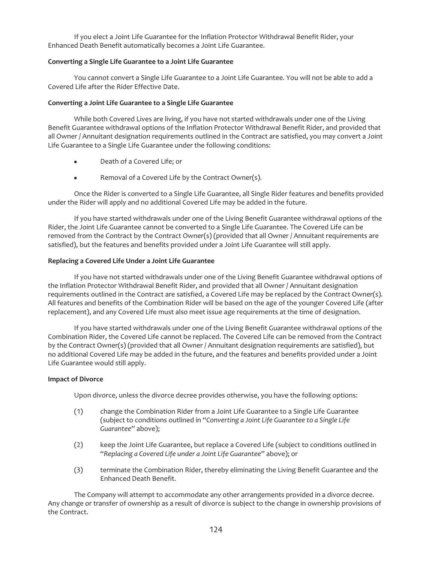If you elect a Joint Life Guarantee for the Inflation Protector Withdrawal Benefit Rider, your Enhanced Death Benefit automatically becomes a Joint Life Guarantee.

#### **Converting a Single Life Guarantee to a Joint Life Guarantee**

You cannot convert a Single Life Guarantee to a Joint Life Guarantee. You will not be able to add a Covered Life after the Rider Effective Date.

#### **Converting a Joint Life Guarantee to a Single Life Guarantee**

While both Covered Lives are living, if you have not started withdrawals under one of the Living Benefit Guarantee withdrawal options of the Inflation Protector Withdrawal Benefit Rider, and provided that all Owner / Annuitant designation requirements outlined in the Contract are satisfied, you may convert a Joint Life Guarantee to a Single Life Guarantee under the following conditions:

- Death of a Covered Life; or
- Removal of a Covered Life by the Contract Owner(s).

Once the Rider is converted to a Single Life Guarantee, all Single Rider features and benefits provided under the Rider will apply and no additional Covered Life may be added in the future.

If you have started withdrawals under one of the Living Benefit Guarantee withdrawal options of the Rider, the Joint Life Guarantee cannot be converted to a Single Life Guarantee. The Covered Life can be removed from the Contract by the Contract Owner(s) (provided that all Owner / Annuitant requirements are satisfied), but the features and benefits provided under a Joint Life Guarantee will still apply.

### **Replacing a Covered Life Under a Joint Life Guarantee**

If you have not started withdrawals under one of the Living Benefit Guarantee withdrawal options of the Inflation Protector Withdrawal Benefit Rider, and provided that all Owner / Annuitant designation requirements outlined in the Contract are satisfied, a Covered Life may be replaced by the Contract Owner(s). All features and benefits of the Combination Rider will be based on the age of the younger Covered Life (after replacement), and any Covered Life must also meet issue age requirements at the time of designation.

If you have started withdrawals under one of the Living Benefit Guarantee withdrawal options of the Combination Rider, the Covered Life cannot be replaced. The Covered Life can be removed from the Contract by the Contract Owner(s) (provided that all Owner / Annuitant designation requirements are satisfied), but no additional Covered Life may be added in the future, and the features and benefits provided under a Joint Life Guarantee would still apply.

#### **Impact of Divorce**

Upon divorce, unless the divorce decree provides otherwise, you have the following options:

- (1) change the Combination Rider from a Joint Life Guarantee to a Single Life Guarantee (subject to conditions outlined in "*Converting a Joint Life Guarantee to a Single Life Guarantee*" above);
- (2) keep the Joint Life Guarantee, but replace a Covered Life (subject to conditions outlined in "*Replacing a Covered Life under a Joint Life Guarantee*" above); or
- (3) terminate the Combination Rider, thereby eliminating the Living Benefit Guarantee and the Enhanced Death Benefit.

The Company will attempt to accommodate any other arrangements provided in a divorce decree. Any change or transfer of ownership as a result of divorce is subject to the change in ownership provisions of the Contract.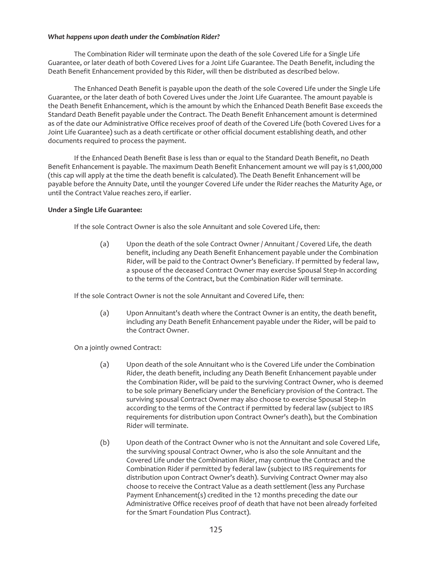## *What happens upon death under the Combination Rider?*

The Combination Rider will terminate upon the death of the sole Covered Life for a Single Life Guarantee, or later death of both Covered Lives for a Joint Life Guarantee. The Death Benefit, including the Death Benefit Enhancement provided by this Rider, will then be distributed as described below.

The Enhanced Death Benefit is payable upon the death of the sole Covered Life under the Single Life Guarantee, or the later death of both Covered Lives under the Joint Life Guarantee. The amount payable is the Death Benefit Enhancement, which is the amount by which the Enhanced Death Benefit Base exceeds the Standard Death Benefit payable under the Contract. The Death Benefit Enhancement amount is determined as of the date our Administrative Office receives proof of death of the Covered Life (both Covered Lives for a Joint Life Guarantee) such as a death certificate or other official document establishing death, and other documents required to process the payment.

If the Enhanced Death Benefit Base is less than or equal to the Standard Death Benefit, no Death Benefit Enhancement is payable. The maximum Death Benefit Enhancement amount we will pay is \$1,000,000 (this cap will apply at the time the death benefit is calculated). The Death Benefit Enhancement will be payable before the Annuity Date, until the younger Covered Life under the Rider reaches the Maturity Age, or until the Contract Value reaches zero, if earlier.

## **Under a Single Life Guarantee:**

If the sole Contract Owner is also the sole Annuitant and sole Covered Life, then:

(a) Upon the death of the sole Contract Owner / Annuitant / Covered Life, the death benefit, including any Death Benefit Enhancement payable under the Combination Rider, will be paid to the Contract Owner's Beneficiary. If permitted by federal law, a spouse of the deceased Contract Owner may exercise Spousal Step-In according to the terms of the Contract, but the Combination Rider will terminate.

If the sole Contract Owner is not the sole Annuitant and Covered Life, then:

(a) Upon Annuitant's death where the Contract Owner is an entity, the death benefit, including any Death Benefit Enhancement payable under the Rider, will be paid to the Contract Owner.

On a jointly owned Contract:

- (a) Upon death of the sole Annuitant who is the Covered Life under the Combination Rider, the death benefit, including any Death Benefit Enhancement payable under the Combination Rider, will be paid to the surviving Contract Owner, who is deemed to be sole primary Beneficiary under the Beneficiary provision of the Contract. The surviving spousal Contract Owner may also choose to exercise Spousal Step-In according to the terms of the Contract if permitted by federal law (subject to IRS requirements for distribution upon Contract Owner's death), but the Combination Rider will terminate.
- (b) Upon death of the Contract Owner who is not the Annuitant and sole Covered Life, the surviving spousal Contract Owner, who is also the sole Annuitant and the Covered Life under the Combination Rider, may continue the Contract and the Combination Rider if permitted by federal law (subject to IRS requirements for distribution upon Contract Owner's death). Surviving Contract Owner may also choose to receive the Contract Value as a death settlement (less any Purchase Payment Enhancement(s) credited in the 12 months preceding the date our Administrative Office receives proof of death that have not been already forfeited for the Smart Foundation Plus Contract).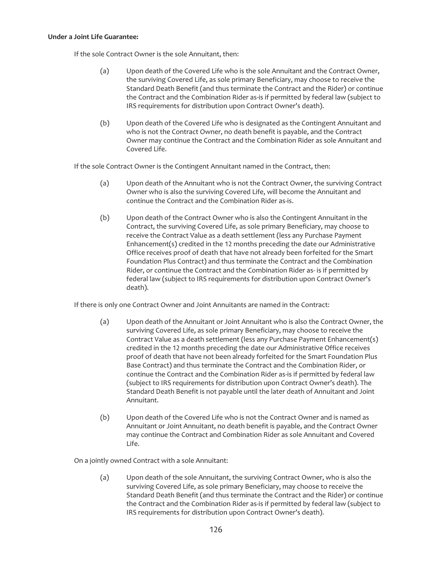#### **Under a Joint Life Guarantee:**

If the sole Contract Owner is the sole Annuitant, then:

- (a) Upon death of the Covered Life who is the sole Annuitant and the Contract Owner, the surviving Covered Life, as sole primary Beneficiary, may choose to receive the Standard Death Benefit (and thus terminate the Contract and the Rider) or continue the Contract and the Combination Rider as-is if permitted by federal law (subject to IRS requirements for distribution upon Contract Owner's death).
- (b) Upon death of the Covered Life who is designated as the Contingent Annuitant and who is not the Contract Owner, no death benefit is payable, and the Contract Owner may continue the Contract and the Combination Rider as sole Annuitant and Covered Life.

If the sole Contract Owner is the Contingent Annuitant named in the Contract, then:

- (a) Upon death of the Annuitant who is not the Contract Owner, the surviving Contract Owner who is also the surviving Covered Life, will become the Annuitant and continue the Contract and the Combination Rider as-is.
- (b) Upon death of the Contract Owner who is also the Contingent Annuitant in the Contract, the surviving Covered Life, as sole primary Beneficiary, may choose to receive the Contract Value as a death settlement (less any Purchase Payment Enhancement(s) credited in the 12 months preceding the date our Administrative Office receives proof of death that have not already been forfeited for the Smart Foundation Plus Contract) and thus terminate the Contract and the Combination Rider, or continue the Contract and the Combination Rider as- is if permitted by federal law (subject to IRS requirements for distribution upon Contract Owner's death).

If there is only one Contract Owner and Joint Annuitants are named in the Contract:

- (a) Upon death of the Annuitant or Joint Annuitant who is also the Contract Owner, the surviving Covered Life, as sole primary Beneficiary, may choose to receive the Contract Value as a death settlement (less any Purchase Payment Enhancement(s) credited in the 12 months preceding the date our Administrative Office receives proof of death that have not been already forfeited for the Smart Foundation Plus Base Contract) and thus terminate the Contract and the Combination Rider, or continue the Contract and the Combination Rider as-is if permitted by federal law (subject to IRS requirements for distribution upon Contract Owner's death). The Standard Death Benefit is not payable until the later death of Annuitant and Joint Annuitant.
- (b) Upon death of the Covered Life who is not the Contract Owner and is named as Annuitant or Joint Annuitant, no death benefit is payable, and the Contract Owner may continue the Contract and Combination Rider as sole Annuitant and Covered Life.

On a jointly owned Contract with a sole Annuitant:

(a) Upon death of the sole Annuitant, the surviving Contract Owner, who is also the surviving Covered Life, as sole primary Beneficiary, may choose to receive the Standard Death Benefit (and thus terminate the Contract and the Rider) or continue the Contract and the Combination Rider as-is if permitted by federal law (subject to IRS requirements for distribution upon Contract Owner's death).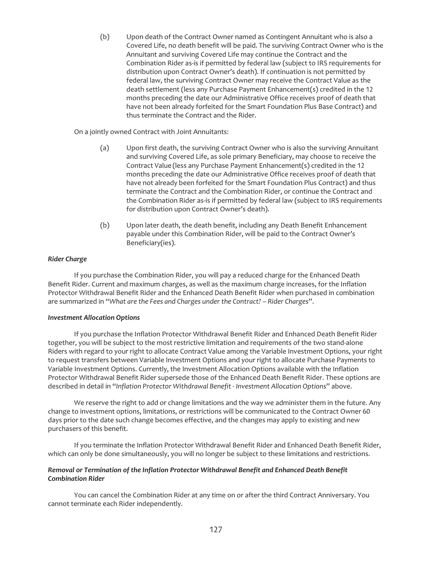(b) Upon death of the Contract Owner named as Contingent Annuitant who is also a Covered Life, no death benefit will be paid. The surviving Contract Owner who is the Annuitant and surviving Covered Life may continue the Contract and the Combination Rider as-is if permitted by federal law (subject to IRS requirements for distribution upon Contract Owner's death). If continuation is not permitted by federal law, the surviving Contract Owner may receive the Contract Value as the death settlement (less any Purchase Payment Enhancement(s) credited in the 12 months preceding the date our Administrative Office receives proof of death that have not been already forfeited for the Smart Foundation Plus Base Contract) and thus terminate the Contract and the Rider.

On a jointly owned Contract with Joint Annuitants:

- (a) Upon first death, the surviving Contract Owner who is also the surviving Annuitant and surviving Covered Life, as sole primary Beneficiary, may choose to receive the Contract Value (less any Purchase Payment Enhancement(s) credited in the 12 months preceding the date our Administrative Office receives proof of death that have not already been forfeited for the Smart Foundation Plus Contract) and thus terminate the Contract and the Combination Rider, or continue the Contract and the Combination Rider as-is if permitted by federal law (subject to IRS requirements for distribution upon Contract Owner's death).
- (b) Upon later death, the death benefit, including any Death Benefit Enhancement payable under this Combination Rider, will be paid to the Contract Owner's Beneficiary(ies).

# *Rider Charge*

If you purchase the Combination Rider, you will pay a reduced charge for the Enhanced Death Benefit Rider. Current and maximum charges, as well as the maximum charge increases, for the Inflation Protector Withdrawal Benefit Rider and the Enhanced Death Benefit Rider when purchased in combination are summarized in "*What are the Fees and Charges under the Contract? – Rider Charges*".

### *Investment Allocation Options*

If you purchase the Inflation Protector Withdrawal Benefit Rider and Enhanced Death Benefit Rider together, you will be subject to the most restrictive limitation and requirements of the two stand-alone Riders with regard to your right to allocate Contract Value among the Variable Investment Options, your right to request transfers between Variable Investment Options and your right to allocate Purchase Payments to Variable Investment Options. Currently, the Investment Allocation Options available with the Inflation Protector Withdrawal Benefit Rider supersede those of the Enhanced Death Benefit Rider. These options are described in detail in "*Inflation Protector Withdrawal Benefit - Investment Allocation Options*" above.

We reserve the right to add or change limitations and the way we administer them in the future. Any change to investment options, limitations, or restrictions will be communicated to the Contract Owner 60 days prior to the date such change becomes effective, and the changes may apply to existing and new purchasers of this benefit.

If you terminate the Inflation Protector Withdrawal Benefit Rider and Enhanced Death Benefit Rider, which can only be done simultaneously, you will no longer be subject to these limitations and restrictions.

## *Removal or Termination of the Inflation Protector Withdrawal Benefit and Enhanced Death Benefit Combination Rider*

You can cancel the Combination Rider at any time on or after the third Contract Anniversary. You cannot terminate each Rider independently.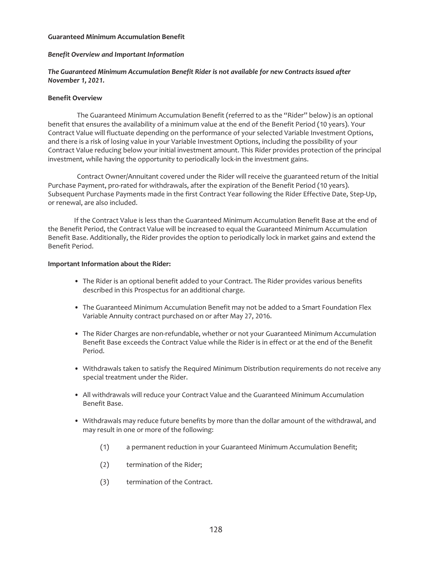#### **Guaranteed Minimum Accumulation Benefit**

#### *Benefit Overview and Important Information*

## *The Guaranteed Minimum Accumulation Benefit Rider is not available for new Contracts issued after November 1, 2021.*

#### **Benefit Overview**

The Guaranteed Minimum Accumulation Benefit (referred to as the "Rider" below) is an optional benefit that ensures the availability of a minimum value at the end of the Benefit Period (10 years). Your Contract Value will fluctuate depending on the performance of your selected Variable Investment Options, and there is a risk of losing value in your Variable Investment Options, including the possibility of your Contract Value reducing below your initial investment amount. This Rider provides protection of the principal investment, while having the opportunity to periodically lock-in the investment gains.

Contract Owner/Annuitant covered under the Rider will receive the guaranteed return of the Initial Purchase Payment, pro-rated for withdrawals, after the expiration of the Benefit Period (10 years). Subsequent Purchase Payments made in the first Contract Year following the Rider Effective Date, Step-Up, or renewal, are also included.

If the Contract Value is less than the Guaranteed Minimum Accumulation Benefit Base at the end of the Benefit Period, the Contract Value will be increased to equal the Guaranteed Minimum Accumulation Benefit Base. Additionally, the Rider provides the option to periodically lock in market gains and extend the Benefit Period.

#### **Important Information about the Rider:**

- The Rider is an optional benefit added to your Contract. The Rider provides various benefits described in this Prospectus for an additional charge.
- The Guaranteed Minimum Accumulation Benefit may not be added to a Smart Foundation Flex Variable Annuity contract purchased on or after May 27, 2016.
- The Rider Charges are non-refundable, whether or not your Guaranteed Minimum Accumulation Benefit Base exceeds the Contract Value while the Rider is in effect or at the end of the Benefit Period.
- Withdrawals taken to satisfy the Required Minimum Distribution requirements do not receive any special treatment under the Rider.
- All withdrawals will reduce your Contract Value and the Guaranteed Minimum Accumulation Benefit Base.
- Withdrawals may reduce future benefits by more than the dollar amount of the withdrawal, and may result in one or more of the following:
	- (1) a permanent reduction in your Guaranteed Minimum Accumulation Benefit;
	- (2) termination of the Rider;
	- (3) termination of the Contract.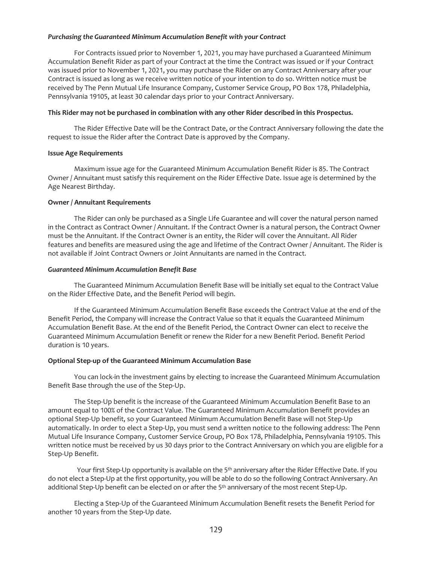#### *Purchasing the Guaranteed Minimum Accumulation Benefit with your Contract*

For Contracts issued prior to November 1, 2021, you may have purchased a Guaranteed Minimum Accumulation Benefit Rider as part of your Contract at the time the Contract was issued or if your Contract was issued prior to November 1, 2021, you may purchase the Rider on any Contract Anniversary after your Contract is issued as long as we receive written notice of your intention to do so. Written notice must be received by The Penn Mutual Life Insurance Company, Customer Service Group, PO Box 178, Philadelphia, Pennsylvania 19105, at least 30 calendar days prior to your Contract Anniversary.

### **This Rider may not be purchased in combination with any other Rider described in this Prospectus.**

The Rider Effective Date will be the Contract Date, or the Contract Anniversary following the date the request to issue the Rider after the Contract Date is approved by the Company.

### **Issue Age Requirements**

Maximum issue age for the Guaranteed Minimum Accumulation Benefit Rider is 85. The Contract Owner / Annuitant must satisfy this requirement on the Rider Effective Date. Issue age is determined by the Age Nearest Birthday.

## **Owner / Annuitant Requirements**

The Rider can only be purchased as a Single Life Guarantee and will cover the natural person named in the Contract as Contract Owner / Annuitant. If the Contract Owner is a natural person, the Contract Owner must be the Annuitant. If the Contract Owner is an entity, the Rider will cover the Annuitant. All Rider features and benefits are measured using the age and lifetime of the Contract Owner / Annuitant. The Rider is not available if Joint Contract Owners or Joint Annuitants are named in the Contract.

### *Guaranteed Minimum Accumulation Benefit Base*

The Guaranteed Minimum Accumulation Benefit Base will be initially set equal to the Contract Value on the Rider Effective Date, and the Benefit Period will begin.

If the Guaranteed Minimum Accumulation Benefit Base exceeds the Contract Value at the end of the Benefit Period, the Company will increase the Contract Value so that it equals the Guaranteed Minimum Accumulation Benefit Base. At the end of the Benefit Period, the Contract Owner can elect to receive the Guaranteed Minimum Accumulation Benefit or renew the Rider for a new Benefit Period. Benefit Period duration is 10 years.

# **Optional Step-up of the Guaranteed Minimum Accumulation Base**

You can lock-in the investment gains by electing to increase the Guaranteed Minimum Accumulation Benefit Base through the use of the Step-Up.

The Step-Up benefit is the increase of the Guaranteed Minimum Accumulation Benefit Base to an amount equal to 100% of the Contract Value. The Guaranteed Minimum Accumulation Benefit provides an optional Step-Up benefit, so your Guaranteed Minimum Accumulation Benefit Base will not Step-Up automatically. In order to elect a Step-Up, you must send a written notice to the following address: The Penn Mutual Life Insurance Company, Customer Service Group, PO Box 178, Philadelphia, Pennsylvania 19105. This written notice must be received by us 30 days prior to the Contract Anniversary on which you are eligible for a Step-Up Benefit.

Your first Step-Up opportunity is available on the 5<sup>th</sup> anniversary after the Rider Effective Date. If you do not elect a Step-Up at the first opportunity, you will be able to do so the following Contract Anniversary. An additional Step-Up benefit can be elected on or after the 5th anniversary of the most recent Step-Up.

Electing a Step-Up of the Guaranteed Minimum Accumulation Benefit resets the Benefit Period for another 10 years from the Step-Up date.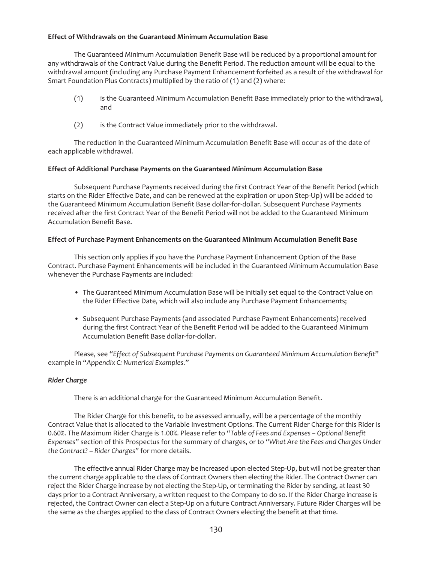## **Effect of Withdrawals on the Guaranteed Minimum Accumulation Base**

The Guaranteed Minimum Accumulation Benefit Base will be reduced by a proportional amount for any withdrawals of the Contract Value during the Benefit Period. The reduction amount will be equal to the withdrawal amount (including any Purchase Payment Enhancement forfeited as a result of the withdrawal for Smart Foundation Plus Contracts) multiplied by the ratio of (1) and (2) where:

- (1) is the Guaranteed Minimum Accumulation Benefit Base immediately prior to the withdrawal, and
- (2) is the Contract Value immediately prior to the withdrawal.

The reduction in the Guaranteed Minimum Accumulation Benefit Base will occur as of the date of each applicable withdrawal.

### **Effect of Additional Purchase Payments on the Guaranteed Minimum Accumulation Base**

Subsequent Purchase Payments received during the first Contract Year of the Benefit Period (which starts on the Rider Effective Date, and can be renewed at the expiration or upon Step-Up) will be added to the Guaranteed Minimum Accumulation Benefit Base dollar-for-dollar. Subsequent Purchase Payments received after the first Contract Year of the Benefit Period will not be added to the Guaranteed Minimum Accumulation Benefit Base.

## **Effect of Purchase Payment Enhancements on the Guaranteed Minimum Accumulation Benefit Base**

This section only applies if you have the Purchase Payment Enhancement Option of the Base Contract. Purchase Payment Enhancements will be included in the Guaranteed Minimum Accumulation Base whenever the Purchase Payments are included:

- The Guaranteed Minimum Accumulation Base will be initially set equal to the Contract Value on the Rider Effective Date, which will also include any Purchase Payment Enhancements;
- Subsequent Purchase Payments (and associated Purchase Payment Enhancements) received during the first Contract Year of the Benefit Period will be added to the Guaranteed Minimum Accumulation Benefit Base dollar-for-dollar.

Please, see "*Effect of Subsequent Purchase Payments on Guaranteed Minimum Accumulation Benefit*" example in "*Appendix C: Numerical Examples*."

### *Rider Charge*

There is an additional charge for the Guaranteed Minimum Accumulation Benefit.

The Rider Charge for this benefit, to be assessed annually, will be a percentage of the monthly Contract Value that is allocated to the Variable Investment Options. The Current Rider Charge for this Rider is 0.60%. The Maximum Rider Charge is 1.00%. Please refer to "*Table of Fees and Expenses – Optional Benefit Expenses*" section of this Prospectus for the summary of charges, or to *"What Are the Fees and Charges Under the Contract? – Rider Charges"* for more details.

The effective annual Rider Charge may be increased upon elected Step-Up, but will not be greater than the current charge applicable to the class of Contract Owners then electing the Rider. The Contract Owner can reject the Rider Charge increase by not electing the Step-Up, or terminating the Rider by sending, at least 30 days prior to a Contract Anniversary, a written request to the Company to do so. If the Rider Charge increase is rejected, the Contract Owner can elect a Step-Up on a future Contract Anniversary. Future Rider Charges will be the same as the charges applied to the class of Contract Owners electing the benefit at that time.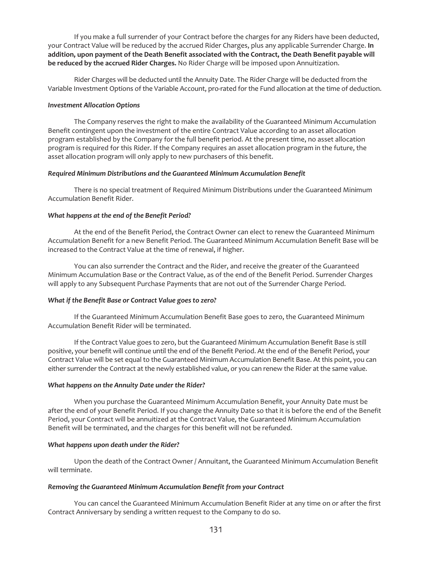If you make a full surrender of your Contract before the charges for any Riders have been deducted, your Contract Value will be reduced by the accrued Rider Charges, plus any applicable Surrender Charge. **In addition, upon payment of the Death Benefit associated with the Contract, the Death Benefit payable will be reduced by the accrued Rider Charges.** No Rider Charge will be imposed upon Annuitization.

Rider Charges will be deducted until the Annuity Date. The Rider Charge will be deducted from the Variable Investment Options of the Variable Account, pro-rated for the Fund allocation at the time of deduction.

#### *Investment Allocation Options*

The Company reserves the right to make the availability of the Guaranteed Minimum Accumulation Benefit contingent upon the investment of the entire Contract Value according to an asset allocation program established by the Company for the full benefit period. At the present time, no asset allocation program is required for this Rider. If the Company requires an asset allocation program in the future, the asset allocation program will only apply to new purchasers of this benefit.

### *Required Minimum Distributions and the Guaranteed Minimum Accumulation Benefit*

There is no special treatment of Required Minimum Distributions under the Guaranteed Minimum Accumulation Benefit Rider.

#### *What happens at the end of the Benefit Period?*

At the end of the Benefit Period, the Contract Owner can elect to renew the Guaranteed Minimum Accumulation Benefit for a new Benefit Period. The Guaranteed Minimum Accumulation Benefit Base will be increased to the Contract Value at the time of renewal, if higher.

You can also surrender the Contract and the Rider, and receive the greater of the Guaranteed Minimum Accumulation Base or the Contract Value, as of the end of the Benefit Period. Surrender Charges will apply to any Subsequent Purchase Payments that are not out of the Surrender Charge Period.

### *What if the Benefit Base or Contract Value goes to zero?*

If the Guaranteed Minimum Accumulation Benefit Base goes to zero, the Guaranteed Minimum Accumulation Benefit Rider will be terminated.

If the Contract Value goes to zero, but the Guaranteed Minimum Accumulation Benefit Base is still positive, your benefit will continue until the end of the Benefit Period. At the end of the Benefit Period, your Contract Value will be set equal to the Guaranteed Minimum Accumulation Benefit Base. At this point, you can either surrender the Contract at the newly established value, or you can renew the Rider at the same value.

### *What happens on the Annuity Date under the Rider?*

When you purchase the Guaranteed Minimum Accumulation Benefit, your Annuity Date must be after the end of your Benefit Period. If you change the Annuity Date so that it is before the end of the Benefit Period, your Contract will be annuitized at the Contract Value, the Guaranteed Minimum Accumulation Benefit will be terminated, and the charges for this benefit will not be refunded.

### *What happens upon death under the Rider?*

Upon the death of the Contract Owner / Annuitant, the Guaranteed Minimum Accumulation Benefit will terminate.

## *Removing the Guaranteed Minimum Accumulation Benefit from your Contract*

You can cancel the Guaranteed Minimum Accumulation Benefit Rider at any time on or after the first Contract Anniversary by sending a written request to the Company to do so.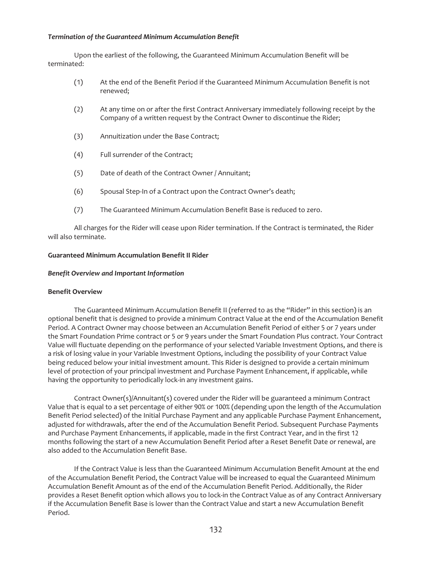## *Termination of the Guaranteed Minimum Accumulation Benefit*

Upon the earliest of the following, the Guaranteed Minimum Accumulation Benefit will be terminated:

- (1) At the end of the Benefit Period if the Guaranteed Minimum Accumulation Benefit is not renewed;
- (2) At any time on or after the first Contract Anniversary immediately following receipt by the Company of a written request by the Contract Owner to discontinue the Rider;
- (3) Annuitization under the Base Contract;
- (4) Full surrender of the Contract;
- (5) Date of death of the Contract Owner / Annuitant;
- (6) Spousal Step-In of a Contract upon the Contract Owner's death;
- (7) The Guaranteed Minimum Accumulation Benefit Base is reduced to zero.

All charges for the Rider will cease upon Rider termination. If the Contract is terminated, the Rider will also terminate.

#### **Guaranteed Minimum Accumulation Benefit II Rider**

#### *Benefit Overview and Important Information*

### **Benefit Overview**

The Guaranteed Minimum Accumulation Benefit II (referred to as the "Rider" in this section) is an optional benefit that is designed to provide a minimum Contract Value at the end of the Accumulation Benefit Period. A Contract Owner may choose between an Accumulation Benefit Period of either 5 or 7 years under the Smart Foundation Prime contract or 5 or 9 years under the Smart Foundation Plus contract. Your Contract Value will fluctuate depending on the performance of your selected Variable Investment Options, and there is a risk of losing value in your Variable Investment Options, including the possibility of your Contract Value being reduced below your initial investment amount. This Rider is designed to provide a certain minimum level of protection of your principal investment and Purchase Payment Enhancement, if applicable, while having the opportunity to periodically lock-in any investment gains.

Contract Owner(s)/Annuitant(s) covered under the Rider will be guaranteed a minimum Contract Value that is equal to a set percentage of either 90% or 100% (depending upon the length of the Accumulation Benefit Period selected) of the Initial Purchase Payment and any applicable Purchase Payment Enhancement, adjusted for withdrawals, after the end of the Accumulation Benefit Period. Subsequent Purchase Payments and Purchase Payment Enhancements, if applicable, made in the first Contract Year, and in the first 12 months following the start of a new Accumulation Benefit Period after a Reset Benefit Date or renewal, are also added to the Accumulation Benefit Base.

If the Contract Value is less than the Guaranteed Minimum Accumulation Benefit Amount at the end of the Accumulation Benefit Period, the Contract Value will be increased to equal the Guaranteed Minimum Accumulation Benefit Amount as of the end of the Accumulation Benefit Period. Additionally, the Rider provides a Reset Benefit option which allows you to lock-in the Contract Value as of any Contract Anniversary if the Accumulation Benefit Base is lower than the Contract Value and start a new Accumulation Benefit Period.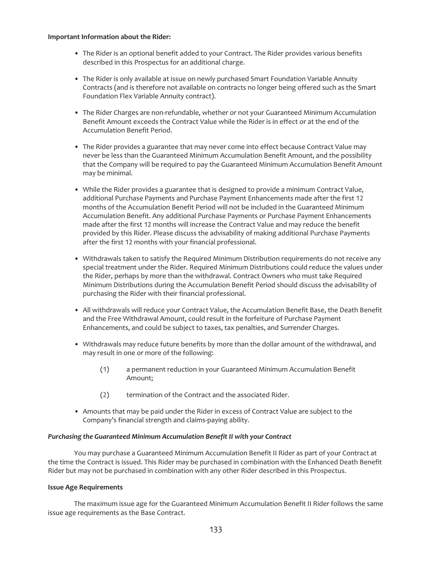#### **Important Information about the Rider:**

- The Rider is an optional benefit added to your Contract. The Rider provides various benefits described in this Prospectus for an additional charge.
- The Rider is only available at issue on newly purchased Smart Foundation Variable Annuity Contracts (and is therefore not available on contracts no longer being offered such as the Smart Foundation Flex Variable Annuity contract).
- The Rider Charges are non-refundable, whether or not your Guaranteed Minimum Accumulation Benefit Amount exceeds the Contract Value while the Rider is in effect or at the end of the Accumulation Benefit Period.
- The Rider provides a guarantee that may never come into effect because Contract Value may never be less than the Guaranteed Minimum Accumulation Benefit Amount, and the possibility that the Company will be required to pay the Guaranteed Minimum Accumulation Benefit Amount may be minimal.
- While the Rider provides a guarantee that is designed to provide a minimum Contract Value, additional Purchase Payments and Purchase Payment Enhancements made after the first 12 months of the Accumulation Benefit Period will not be included in the Guaranteed Minimum Accumulation Benefit. Any additional Purchase Payments or Purchase Payment Enhancements made after the first 12 months will increase the Contract Value and may reduce the benefit provided by this Rider. Please discuss the advisability of making additional Purchase Payments after the first 12 months with your financial professional.
- Withdrawals taken to satisfy the Required Minimum Distribution requirements do not receive any special treatment under the Rider. Required Minimum Distributions could reduce the values under the Rider, perhaps by more than the withdrawal. Contract Owners who must take Required Minimum Distributions during the Accumulation Benefit Period should discuss the advisability of purchasing the Rider with their financial professional.
- All withdrawals will reduce your Contract Value, the Accumulation Benefit Base, the Death Benefit and the Free Withdrawal Amount, could result in the forfeiture of Purchase Payment Enhancements, and could be subject to taxes, tax penalties, and Surrender Charges.
- Withdrawals may reduce future benefits by more than the dollar amount of the withdrawal, and may result in one or more of the following:
	- (1) a permanent reduction in your Guaranteed Minimum Accumulation Benefit Amount;
	- (2) termination of the Contract and the associated Rider.
- Amounts that may be paid under the Rider in excess of Contract Value are subject to the Company's financial strength and claims-paying ability.

### *Purchasing the Guaranteed Minimum Accumulation Benefit II with your Contract*

You may purchase a Guaranteed Minimum Accumulation Benefit II Rider as part of your Contract at the time the Contract is issued. This Rider may be purchased in combination with the Enhanced Death Benefit Rider but may not be purchased in combination with any other Rider described in this Prospectus.

### **Issue Age Requirements**

The maximum issue age for the Guaranteed Minimum Accumulation Benefit II Rider follows the same issue age requirements as the Base Contract.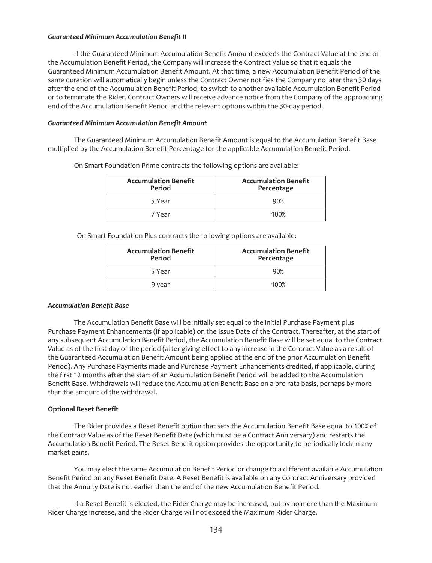### *Guaranteed Minimum Accumulation Benefit II*

If the Guaranteed Minimum Accumulation Benefit Amount exceeds the Contract Value at the end of the Accumulation Benefit Period, the Company will increase the Contract Value so that it equals the Guaranteed Minimum Accumulation Benefit Amount. At that time, a new Accumulation Benefit Period of the same duration will automatically begin unless the Contract Owner notifies the Company no later than 30 days after the end of the Accumulation Benefit Period, to switch to another available Accumulation Benefit Period or to terminate the Rider. Contract Owners will receive advance notice from the Company of the approaching end of the Accumulation Benefit Period and the relevant options within the 30-day period.

## *Guaranteed Minimum Accumulation Benefit Amount*

The Guaranteed Minimum Accumulation Benefit Amount is equal to the Accumulation Benefit Base multiplied by the Accumulation Benefit Percentage for the applicable Accumulation Benefit Period.

| <b>Accumulation Benefit</b><br>Period | <b>Accumulation Benefit</b><br>Percentage |
|---------------------------------------|-------------------------------------------|
| 5 Year                                | 90%                                       |
| 7 Year                                | 100%                                      |

On Smart Foundation Prime contracts the following options are available:

On Smart Foundation Plus contracts the following options are available:

| <b>Accumulation Benefit</b><br>Period | <b>Accumulation Benefit</b><br>Percentage |
|---------------------------------------|-------------------------------------------|
| 5 Year                                | 90%                                       |
| 9 year                                | 100%                                      |

# *Accumulation Benefit Base*

The Accumulation Benefit Base will be initially set equal to the initial Purchase Payment plus Purchase Payment Enhancements (if applicable) on the Issue Date of the Contract. Thereafter, at the start of any subsequent Accumulation Benefit Period, the Accumulation Benefit Base will be set equal to the Contract Value as of the first day of the period (after giving effect to any increase in the Contract Value as a result of the Guaranteed Accumulation Benefit Amount being applied at the end of the prior Accumulation Benefit Period). Any Purchase Payments made and Purchase Payment Enhancements credited, if applicable, during the first 12 months after the start of an Accumulation Benefit Period will be added to the Accumulation Benefit Base. Withdrawals will reduce the Accumulation Benefit Base on a pro rata basis, perhaps by more than the amount of the withdrawal.

# **Optional Reset Benefit**

The Rider provides a Reset Benefit option that sets the Accumulation Benefit Base equal to 100% of the Contract Value as of the Reset Benefit Date (which must be a Contract Anniversary) and restarts the Accumulation Benefit Period. The Reset Benefit option provides the opportunity to periodically lock in any market gains.

You may elect the same Accumulation Benefit Period or change to a different available Accumulation Benefit Period on any Reset Benefit Date. A Reset Benefit is available on any Contract Anniversary provided that the Annuity Date is not earlier than the end of the new Accumulation Benefit Period.

If a Reset Benefit is elected, the Rider Charge may be increased, but by no more than the Maximum Rider Charge increase, and the Rider Charge will not exceed the Maximum Rider Charge.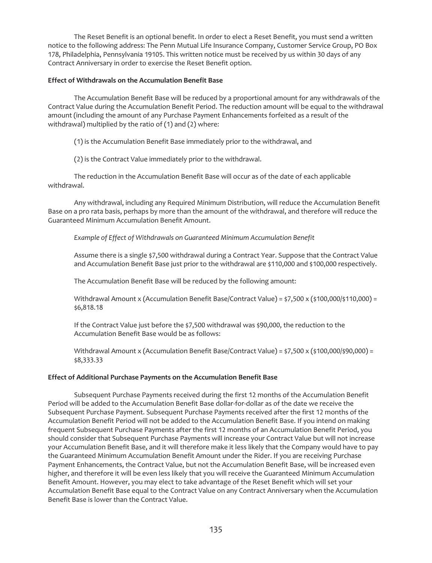The Reset Benefit is an optional benefit. In order to elect a Reset Benefit, you must send a written notice to the following address: The Penn Mutual Life Insurance Company, Customer Service Group, PO Box 178, Philadelphia, Pennsylvania 19105. This written notice must be received by us within 30 days of any Contract Anniversary in order to exercise the Reset Benefit option.

## **Effect of Withdrawals on the Accumulation Benefit Base**

The Accumulation Benefit Base will be reduced by a proportional amount for any withdrawals of the Contract Value during the Accumulation Benefit Period. The reduction amount will be equal to the withdrawal amount (including the amount of any Purchase Payment Enhancements forfeited as a result of the withdrawal) multiplied by the ratio of (1) and (2) where:

(1) is the Accumulation Benefit Base immediately prior to the withdrawal, and

(2) is the Contract Value immediately prior to the withdrawal.

The reduction in the Accumulation Benefit Base will occur as of the date of each applicable withdrawal.

Any withdrawal, including any Required Minimum Distribution, will reduce the Accumulation Benefit Base on a pro rata basis, perhaps by more than the amount of the withdrawal, and therefore will reduce the Guaranteed Minimum Accumulation Benefit Amount.

*Example of Effect of Withdrawals on Guaranteed Minimum Accumulation Benefit*

Assume there is a single \$7,500 withdrawal during a Contract Year. Suppose that the Contract Value and Accumulation Benefit Base just prior to the withdrawal are \$110,000 and \$100,000 respectively.

The Accumulation Benefit Base will be reduced by the following amount:

Withdrawal Amount x (Accumulation Benefit Base/Contract Value) = \$7,500 x (\$100,000/\$110,000) = \$6,818.18

If the Contract Value just before the \$7,500 withdrawal was \$90,000, the reduction to the Accumulation Benefit Base would be as follows:

Withdrawal Amount x (Accumulation Benefit Base/Contract Value) = \$7,500 x (\$100,000/\$90,000) = \$8,333.33

# **Effect of Additional Purchase Payments on the Accumulation Benefit Base**

Subsequent Purchase Payments received during the first 12 months of the Accumulation Benefit Period will be added to the Accumulation Benefit Base dollar-for-dollar as of the date we receive the Subsequent Purchase Payment. Subsequent Purchase Payments received after the first 12 months of the Accumulation Benefit Period will not be added to the Accumulation Benefit Base. If you intend on making frequent Subsequent Purchase Payments after the first 12 months of an Accumulation Benefit Period, you should consider that Subsequent Purchase Payments will increase your Contract Value but will not increase your Accumulation Benefit Base, and it will therefore make it less likely that the Company would have to pay the Guaranteed Minimum Accumulation Benefit Amount under the Rider. If you are receiving Purchase Payment Enhancements, the Contract Value, but not the Accumulation Benefit Base, will be increased even higher, and therefore it will be even less likely that you will receive the Guaranteed Minimum Accumulation Benefit Amount. However, you may elect to take advantage of the Reset Benefit which will set your Accumulation Benefit Base equal to the Contract Value on any Contract Anniversary when the Accumulation Benefit Base is lower than the Contract Value.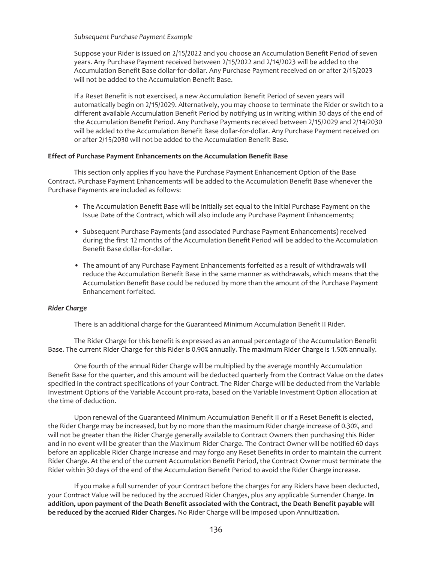*Subsequent Purchase Payment Example*

Suppose your Rider is issued on 2/15/2022 and you choose an Accumulation Benefit Period of seven years. Any Purchase Payment received between 2/15/2022 and 2/14/2023 will be added to the Accumulation Benefit Base dollar-for-dollar. Any Purchase Payment received on or after 2/15/2023 will not be added to the Accumulation Benefit Base.

If a Reset Benefit is not exercised, a new Accumulation Benefit Period of seven years will automatically begin on 2/15/2029. Alternatively, you may choose to terminate the Rider or switch to a different available Accumulation Benefit Period by notifying us in writing within 30 days of the end of the Accumulation Benefit Period. Any Purchase Payments received between 2/15/2029 and 2/14/2030 will be added to the Accumulation Benefit Base dollar-for-dollar. Any Purchase Payment received on or after 2/15/2030 will not be added to the Accumulation Benefit Base.

### **Effect of Purchase Payment Enhancements on the Accumulation Benefit Base**

This section only applies if you have the Purchase Payment Enhancement Option of the Base Contract. Purchase Payment Enhancements will be added to the Accumulation Benefit Base whenever the Purchase Payments are included as follows:

- The Accumulation Benefit Base will be initially set equal to the initial Purchase Payment on the Issue Date of the Contract, which will also include any Purchase Payment Enhancements;
- Subsequent Purchase Payments (and associated Purchase Payment Enhancements) received during the first 12 months of the Accumulation Benefit Period will be added to the Accumulation Benefit Base dollar-for-dollar.
- The amount of any Purchase Payment Enhancements forfeited as a result of withdrawals will reduce the Accumulation Benefit Base in the same manner as withdrawals, which means that the Accumulation Benefit Base could be reduced by more than the amount of the Purchase Payment Enhancement forfeited.

### *Rider Charge*

There is an additional charge for the Guaranteed Minimum Accumulation Benefit II Rider.

The Rider Charge for this benefit is expressed as an annual percentage of the Accumulation Benefit Base. The current Rider Charge for this Rider is 0.90% annually. The maximum Rider Charge is 1.50% annually.

One fourth of the annual Rider Charge will be multiplied by the average monthly Accumulation Benefit Base for the quarter, and this amount will be deducted quarterly from the Contract Value on the dates specified in the contract specifications of your Contract. The Rider Charge will be deducted from the Variable Investment Options of the Variable Account pro-rata, based on the Variable Investment Option allocation at the time of deduction.

Upon renewal of the Guaranteed Minimum Accumulation Benefit II or if a Reset Benefit is elected, the Rider Charge may be increased, but by no more than the maximum Rider charge increase of 0.30%, and will not be greater than the Rider Charge generally available to Contract Owners then purchasing this Rider and in no event will be greater than the Maximum Rider Charge. The Contract Owner will be notified 60 days before an applicable Rider Charge increase and may forgo any Reset Benefits in order to maintain the current Rider Charge. At the end of the current Accumulation Benefit Period, the Contract Owner must terminate the Rider within 30 days of the end of the Accumulation Benefit Period to avoid the Rider Charge increase.

If you make a full surrender of your Contract before the charges for any Riders have been deducted, your Contract Value will be reduced by the accrued Rider Charges, plus any applicable Surrender Charge. **In addition, upon payment of the Death Benefit associated with the Contract, the Death Benefit payable will be reduced by the accrued Rider Charges.** No Rider Charge will be imposed upon Annuitization.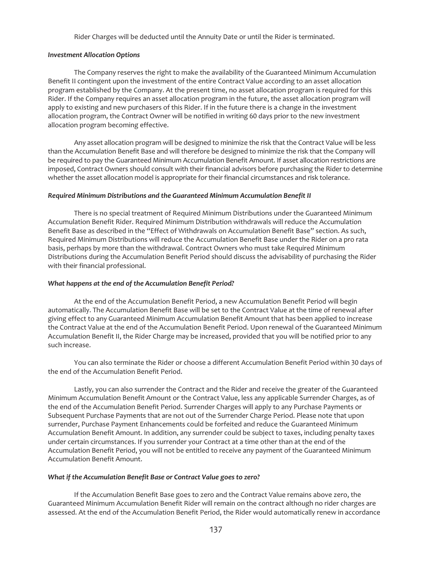Rider Charges will be deducted until the Annuity Date or until the Rider is terminated.

#### *Investment Allocation Options*

The Company reserves the right to make the availability of the Guaranteed Minimum Accumulation Benefit II contingent upon the investment of the entire Contract Value according to an asset allocation program established by the Company. At the present time, no asset allocation program is required for this Rider. If the Company requires an asset allocation program in the future, the asset allocation program will apply to existing and new purchasers of this Rider. If in the future there is a change in the investment allocation program, the Contract Owner will be notified in writing 60 days prior to the new investment allocation program becoming effective.

Any asset allocation program will be designed to minimize the risk that the Contract Value will be less than the Accumulation Benefit Base and will therefore be designed to minimize the risk that the Company will be required to pay the Guaranteed Minimum Accumulation Benefit Amount. If asset allocation restrictions are imposed, Contract Owners should consult with their financial advisors before purchasing the Rider to determine whether the asset allocation model is appropriate for their financial circumstances and risk tolerance.

#### *Required Minimum Distributions and the Guaranteed Minimum Accumulation Benefit II*

There is no special treatment of Required Minimum Distributions under the Guaranteed Minimum Accumulation Benefit Rider. Required Minimum Distribution withdrawals will reduce the Accumulation Benefit Base as described in the "Effect of Withdrawals on Accumulation Benefit Base" section. As such, Required Minimum Distributions will reduce the Accumulation Benefit Base under the Rider on a pro rata basis, perhaps by more than the withdrawal. Contract Owners who must take Required Minimum Distributions during the Accumulation Benefit Period should discuss the advisability of purchasing the Rider with their financial professional.

### *What happens at the end of the Accumulation Benefit Period?*

At the end of the Accumulation Benefit Period, a new Accumulation Benefit Period will begin automatically. The Accumulation Benefit Base will be set to the Contract Value at the time of renewal after giving effect to any Guaranteed Minimum Accumulation Benefit Amount that has been applied to increase the Contract Value at the end of the Accumulation Benefit Period. Upon renewal of the Guaranteed Minimum Accumulation Benefit II, the Rider Charge may be increased, provided that you will be notified prior to any such increase.

You can also terminate the Rider or choose a different Accumulation Benefit Period within 30 days of the end of the Accumulation Benefit Period.

Lastly, you can also surrender the Contract and the Rider and receive the greater of the Guaranteed Minimum Accumulation Benefit Amount or the Contract Value, less any applicable Surrender Charges, as of the end of the Accumulation Benefit Period. Surrender Charges will apply to any Purchase Payments or Subsequent Purchase Payments that are not out of the Surrender Charge Period. Please note that upon surrender, Purchase Payment Enhancements could be forfeited and reduce the Guaranteed Minimum Accumulation Benefit Amount. In addition, any surrender could be subject to taxes, including penalty taxes under certain circumstances. If you surrender your Contract at a time other than at the end of the Accumulation Benefit Period, you will not be entitled to receive any payment of the Guaranteed Minimum Accumulation Benefit Amount.

## *What if the Accumulation Benefit Base or Contract Value goes to zero?*

If the Accumulation Benefit Base goes to zero and the Contract Value remains above zero, the Guaranteed Minimum Accumulation Benefit Rider will remain on the contract although no rider charges are assessed. At the end of the Accumulation Benefit Period, the Rider would automatically renew in accordance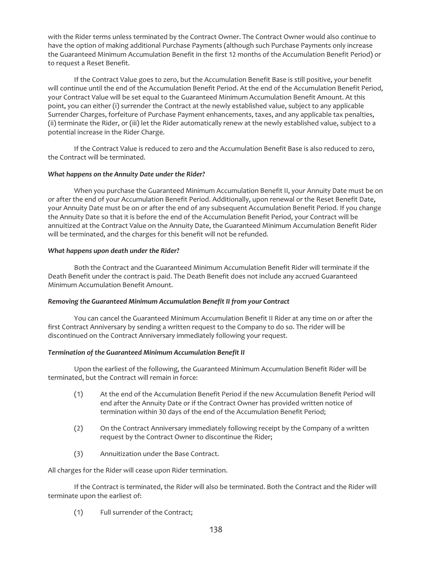with the Rider terms unless terminated by the Contract Owner. The Contract Owner would also continue to have the option of making additional Purchase Payments (although such Purchase Payments only increase the Guaranteed Minimum Accumulation Benefit in the first 12 months of the Accumulation Benefit Period) or to request a Reset Benefit.

If the Contract Value goes to zero, but the Accumulation Benefit Base is still positive, your benefit will continue until the end of the Accumulation Benefit Period. At the end of the Accumulation Benefit Period, your Contract Value will be set equal to the Guaranteed Minimum Accumulation Benefit Amount. At this point, you can either (i) surrender the Contract at the newly established value, subject to any applicable Surrender Charges, forfeiture of Purchase Payment enhancements, taxes, and any applicable tax penalties, (ii) terminate the Rider, or (iii) let the Rider automatically renew at the newly established value, subject to a potential increase in the Rider Charge.

If the Contract Value is reduced to zero and the Accumulation Benefit Base is also reduced to zero, the Contract will be terminated.

## *What happens on the Annuity Date under the Rider?*

When you purchase the Guaranteed Minimum Accumulation Benefit II, your Annuity Date must be on or after the end of your Accumulation Benefit Period. Additionally, upon renewal or the Reset Benefit Date, your Annuity Date must be on or after the end of any subsequent Accumulation Benefit Period. If you change the Annuity Date so that it is before the end of the Accumulation Benefit Period, your Contract will be annuitized at the Contract Value on the Annuity Date, the Guaranteed Minimum Accumulation Benefit Rider will be terminated, and the charges for this benefit will not be refunded.

## *What happens upon death under the Rider?*

Both the Contract and the Guaranteed Minimum Accumulation Benefit Rider will terminate if the Death Benefit under the contract is paid. The Death Benefit does not include any accrued Guaranteed Minimum Accumulation Benefit Amount.

# *Removing the Guaranteed Minimum Accumulation Benefit II from your Contract*

You can cancel the Guaranteed Minimum Accumulation Benefit II Rider at any time on or after the first Contract Anniversary by sending a written request to the Company to do so. The rider will be discontinued on the Contract Anniversary immediately following your request.

# *Termination of the Guaranteed Minimum Accumulation Benefit II*

Upon the earliest of the following, the Guaranteed Minimum Accumulation Benefit Rider will be terminated, but the Contract will remain in force:

- (1) At the end of the Accumulation Benefit Period if the new Accumulation Benefit Period will end after the Annuity Date or if the Contract Owner has provided written notice of termination within 30 days of the end of the Accumulation Benefit Period;
- (2) On the Contract Anniversary immediately following receipt by the Company of a written request by the Contract Owner to discontinue the Rider;
- (3) Annuitization under the Base Contract.

All charges for the Rider will cease upon Rider termination.

If the Contract is terminated, the Rider will also be terminated. Both the Contract and the Rider will terminate upon the earliest of:

(1) Full surrender of the Contract;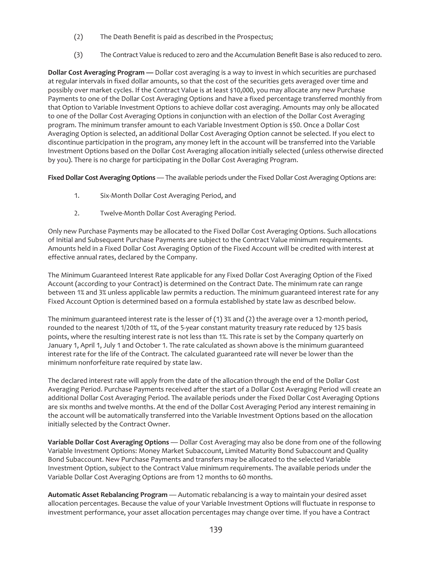- (2) The Death Benefit is paid as described in the Prospectus;
- (3) The Contract Value is reduced to zero and the Accumulation Benefit Base is also reduced to zero.

**Dollar Cost Averaging Program —** Dollar cost averaging is a way to invest in which securities are purchased at regular intervals in fixed dollar amounts, so that the cost of the securities gets averaged over time and possibly over market cycles. If the Contract Value is at least \$10,000, you may allocate any new Purchase Payments to one of the Dollar Cost Averaging Options and have a fixed percentage transferred monthly from that Option to Variable Investment Options to achieve dollar cost averaging. Amounts may only be allocated to one of the Dollar Cost Averaging Options in conjunction with an election of the Dollar Cost Averaging program. The minimum transfer amount to each Variable Investment Option is \$50. Once a Dollar Cost Averaging Option is selected, an additional Dollar Cost Averaging Option cannot be selected. If you elect to discontinue participation in the program, any money left in the account will be transferred into the Variable Investment Options based on the Dollar Cost Averaging allocation initially selected (unless otherwise directed by you). There is no charge for participating in the Dollar Cost Averaging Program.

**Fixed Dollar Cost Averaging Options** — The available periods under the Fixed Dollar Cost Averaging Options are:

- 1. Six-Month Dollar Cost Averaging Period, and
- 2. Twelve-Month Dollar Cost Averaging Period.

Only new Purchase Payments may be allocated to the Fixed Dollar Cost Averaging Options. Such allocations of Initial and Subsequent Purchase Payments are subject to the Contract Value minimum requirements. Amounts held in a Fixed Dollar Cost Averaging Option of the Fixed Account will be credited with interest at effective annual rates, declared by the Company.

The Minimum Guaranteed Interest Rate applicable for any Fixed Dollar Cost Averaging Option of the Fixed Account (according to your Contract) is determined on the Contract Date. The minimum rate can range between 1% and 3% unless applicable law permits a reduction. The minimum guaranteed interest rate for any Fixed Account Option is determined based on a formula established by state law as described below.

The minimum guaranteed interest rate is the lesser of (1) 3% and (2) the average over a 12-month period, rounded to the nearest 1/20th of 1%, of the 5-year constant maturity treasury rate reduced by 125 basis points, where the resulting interest rate is not less than 1%. This rate is set by the Company quarterly on January 1, April 1, July 1 and October 1. The rate calculated as shown above is the minimum guaranteed interest rate for the life of the Contract. The calculated guaranteed rate will never be lower than the minimum nonforfeiture rate required by state law.

The declared interest rate will apply from the date of the allocation through the end of the Dollar Cost Averaging Period. Purchase Payments received after the start of a Dollar Cost Averaging Period will create an additional Dollar Cost Averaging Period. The available periods under the Fixed Dollar Cost Averaging Options are six months and twelve months. At the end of the Dollar Cost Averaging Period any interest remaining in the account will be automatically transferred into the Variable Investment Options based on the allocation initially selected by the Contract Owner.

**Variable Dollar Cost Averaging Options** — Dollar Cost Averaging may also be done from one of the following Variable Investment Options: Money Market Subaccount, Limited Maturity Bond Subaccount and Quality Bond Subaccount. New Purchase Payments and transfers may be allocated to the selected Variable Investment Option, subject to the Contract Value minimum requirements. The available periods under the Variable Dollar Cost Averaging Options are from 12 months to 60 months.

**Automatic Asset Rebalancing Program** — Automatic rebalancing is a way to maintain your desired asset allocation percentages. Because the value of your Variable Investment Options will fluctuate in response to investment performance, your asset allocation percentages may change over time. If you have a Contract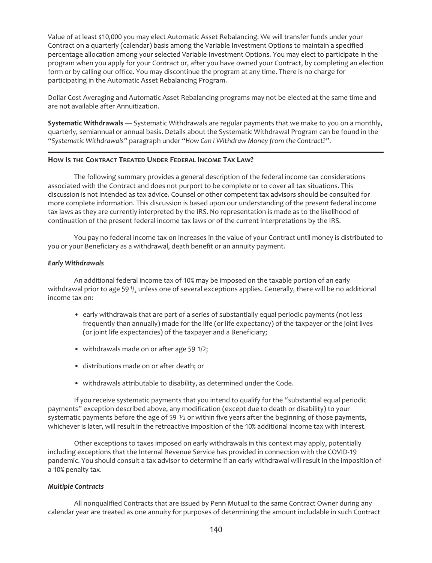Value of at least \$10,000 you may elect Automatic Asset Rebalancing. We will transfer funds under your Contract on a quarterly (calendar) basis among the Variable Investment Options to maintain a specified percentage allocation among your selected Variable Investment Options. You may elect to participate in the program when you apply for your Contract or, after you have owned your Contract, by completing an election form or by calling our office. You may discontinue the program at any time. There is no charge for participating in the Automatic Asset Rebalancing Program.

Dollar Cost Averaging and Automatic Asset Rebalancing programs may not be elected at the same time and are not available after Annuitization.

**Systematic Withdrawals** — Systematic Withdrawals are regular payments that we make to you on a monthly, quarterly, semiannual or annual basis. Details about the Systematic Withdrawal Program can be found in the *"Systematic Withdrawals"* paragraph under *"How Can I Withdraw Money from the Contract?"*.

### **HOW IS THE CONTRACT TREATED UNDER FEDERAL INCOME TAX LAW?**

The following summary provides a general description of the federal income tax considerations associated with the Contract and does not purport to be complete or to cover all tax situations. This discussion is not intended as tax advice. Counsel or other competent tax advisors should be consulted for more complete information. This discussion is based upon our understanding of the present federal income tax laws as they are currently interpreted by the IRS. No representation is made as to the likelihood of continuation of the present federal income tax laws or of the current interpretations by the IRS.

You pay no federal income tax on increases in the value of your Contract until money is distributed to you or your Beneficiary as a withdrawal, death benefit or an annuity payment.

### *Early Withdrawals*

An additional federal income tax of 10% may be imposed on the taxable portion of an early withdrawal prior to age 59 $\frac{1}{2}$  unless one of several exceptions applies. Generally, there will be no additional income tax on:

- early withdrawals that are part of a series of substantially equal periodic payments (not less frequently than annually) made for the life (or life expectancy) of the taxpayer or the joint lives (or joint life expectancies) of the taxpayer and a Beneficiary;
- withdrawals made on or after age 59 1/2;
- distributions made on or after death; or
- withdrawals attributable to disability, as determined under the Code.

If you receive systematic payments that you intend to qualify for the "substantial equal periodic payments" exception described above, any modification (except due to death or disability) to your systematic payments before the age of 59  $\frac{1}{2}$  or within five years after the beginning of those payments, whichever is later, will result in the retroactive imposition of the 10% additional income tax with interest.

Other exceptions to taxes imposed on early withdrawals in this context may apply, potentially including exceptions that the Internal Revenue Service has provided in connection with the COVID-19 pandemic. You should consult a tax advisor to determine if an early withdrawal will result in the imposition of a 10% penalty tax.

### *Multiple Contracts*

All nonqualified Contracts that are issued by Penn Mutual to the same Contract Owner during any calendar year are treated as one annuity for purposes of determining the amount includable in such Contract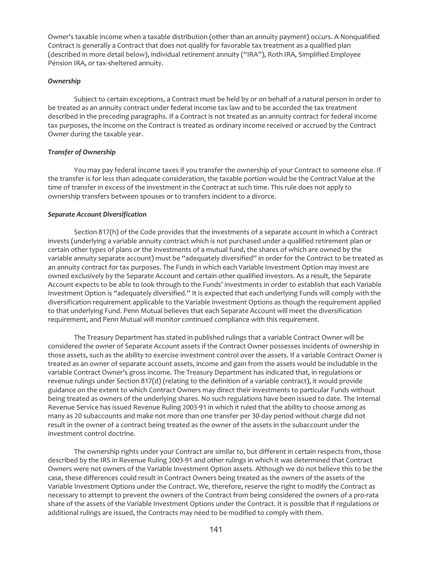Owner's taxable income when a taxable distribution (other than an annuity payment) occurs. A Nonqualified Contract is generally a Contract that does not qualify for favorable tax treatment as a qualified plan (described in more detail below), individual retirement annuity ("IRA"), Roth IRA, Simplified Employee Pension IRA, or tax-sheltered annuity.

## *Ownership*

Subject to certain exceptions, a Contract must be held by or on behalf of a natural person in order to be treated as an annuity contract under federal income tax law and to be accorded the tax treatment described in the preceding paragraphs. If a Contract is not treated as an annuity contract for federal income tax purposes, the income on the Contract is treated as ordinary income received or accrued by the Contract Owner during the taxable year.

## *Transfer of Ownership*

You may pay federal income taxes if you transfer the ownership of your Contract to someone else. If the transfer is for less than adequate consideration, the taxable portion would be the Contract Value at the time of transfer in excess of the investment in the Contract at such time. This rule does not apply to ownership transfers between spouses or to transfers incident to a divorce.

## *Separate Account Diversification*

Section 817(h) of the Code provides that the investments of a separate account in which a Contract invests (underlying a variable annuity contract which is not purchased under a qualified retirement plan or certain other types of plans or the investments of a mutual fund, the shares of which are owned by the variable annuity separate account) must be "adequately diversified" in order for the Contract to be treated as an annuity contract for tax purposes. The Funds in which each Variable Investment Option may invest are owned exclusively by the Separate Account and certain other qualified investors. As a result, the Separate Account expects to be able to look through to the Funds' investments in order to establish that each Variable Investment Option is "adequately diversified." It is expected that each underlying Funds will comply with the diversification requirement applicable to the Variable Investment Options as though the requirement applied to that underlying Fund. Penn Mutual believes that each Separate Account will meet the diversification requirement, and Penn Mutual will monitor continued compliance with this requirement.

The Treasury Department has stated in published rulings that a variable Contract Owner will be considered the owner of Separate Account assets if the Contract Owner possesses incidents of ownership in those assets, such as the ability to exercise investment control over the assets. If a variable Contract Owner is treated as an owner of separate account assets, income and gain from the assets would be includable in the variable Contract Owner's gross income. The Treasury Department has indicated that, in regulations or revenue rulings under Section 817(d) (relating to the definition of a variable contract), it would provide guidance on the extent to which Contract Owners may direct their investments to particular Funds without being treated as owners of the underlying shares. No such regulations have been issued to date. The Internal Revenue Service has issued Revenue Ruling 2003-91 in which it ruled that the ability to choose among as many as 20 subaccounts and make not more than one transfer per 30-day period without charge did not result in the owner of a contract being treated as the owner of the assets in the subaccount under the investment control doctrine.

The ownership rights under your Contract are similar to, but different in certain respects from, those described by the IRS in Revenue Ruling 2003-91 and other rulings in which it was determined that Contract Owners were not owners of the Variable Investment Option assets. Although we do not believe this to be the case, these differences could result in Contract Owners being treated as the owners of the assets of the Variable Investment Options under the Contract. We, therefore, reserve the right to modify the Contract as necessary to attempt to prevent the owners of the Contract from being considered the owners of a pro-rata share of the assets of the Variable Investment Options under the Contract. It is possible that if regulations or additional rulings are issued, the Contracts may need to be modified to comply with them.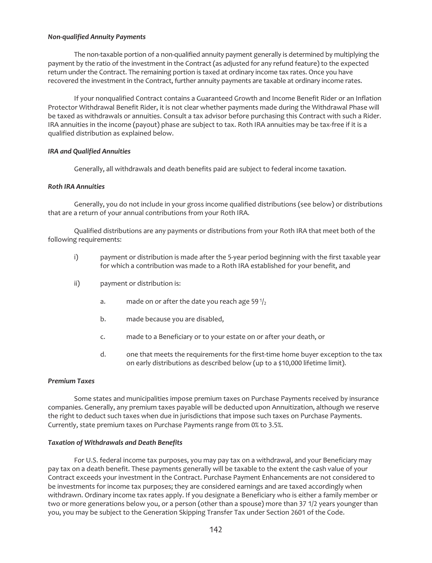## *Non-qualified Annuity Payments*

The non-taxable portion of a non-qualified annuity payment generally is determined by multiplying the payment by the ratio of the investment in the Contract (as adjusted for any refund feature) to the expected return under the Contract. The remaining portion is taxed at ordinary income tax rates. Once you have recovered the investment in the Contract, further annuity payments are taxable at ordinary income rates.

If your nonqualified Contract contains a Guaranteed Growth and Income Benefit Rider or an Inflation Protector Withdrawal Benefit Rider, it is not clear whether payments made during the Withdrawal Phase will be taxed as withdrawals or annuities. Consult a tax advisor before purchasing this Contract with such a Rider. IRA annuities in the income (payout) phase are subject to tax. Roth IRA annuities may be tax-free if it is a qualified distribution as explained below.

### *IRA and Qualified Annuities*

Generally, all withdrawals and death benefits paid are subject to federal income taxation.

## *Roth IRA Annuities*

Generally, you do not include in your gross income qualified distributions (see below) or distributions that are a return of your annual contributions from your Roth IRA.

Qualified distributions are any payments or distributions from your Roth IRA that meet both of the following requirements:

- i) payment or distribution is made after the 5-year period beginning with the first taxable year for which a contribution was made to a Roth IRA established for your benefit, and
- ii) payment or distribution is:
	- a. made on or after the date you reach age 59 $1/2$
	- b. made because you are disabled,
	- c. made to a Beneficiary or to your estate on or after your death, or
	- d. one that meets the requirements for the first-time home buyer exception to the tax on early distributions as described below (up to a \$10,000 lifetime limit).

#### *Premium Taxes*

Some states and municipalities impose premium taxes on Purchase Payments received by insurance companies. Generally, any premium taxes payable will be deducted upon Annuitization, although we reserve the right to deduct such taxes when due in jurisdictions that impose such taxes on Purchase Payments. Currently, state premium taxes on Purchase Payments range from 0% to 3.5%.

### *Taxation of Withdrawals and Death Benefits*

For U.S. federal income tax purposes, you may pay tax on a withdrawal, and your Beneficiary may pay tax on a death benefit. These payments generally will be taxable to the extent the cash value of your Contract exceeds your investment in the Contract. Purchase Payment Enhancements are not considered to be investments for income tax purposes; they are considered earnings and are taxed accordingly when withdrawn. Ordinary income tax rates apply. If you designate a Beneficiary who is either a family member or two or more generations below you, or a person (other than a spouse) more than 37 1/2 years younger than you, you may be subject to the Generation Skipping Transfer Tax under Section 2601 of the Code.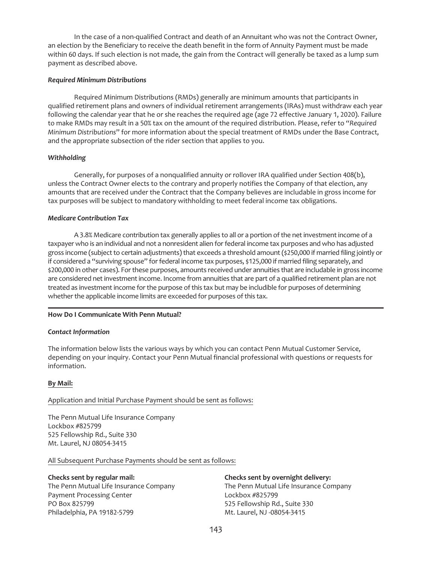In the case of a non-qualified Contract and death of an Annuitant who was not the Contract Owner, an election by the Beneficiary to receive the death benefit in the form of Annuity Payment must be made within 60 days. If such election is not made, the gain from the Contract will generally be taxed as a lump sum payment as described above.

## *Required Minimum Distributions*

Required Minimum Distributions (RMDs) generally are minimum amounts that participants in qualified retirement plans and owners of individual retirement arrangements (IRAs) must withdraw each year following the calendar year that he or she reaches the required age (age 72 effective January 1, 2020). Failure to make RMDs may result in a 50% tax on the amount of the required distribution. Please, refer to "*Required Minimum Distributions*" for more information about the special treatment of RMDs under the Base Contract, and the appropriate subsection of the rider section that applies to you.

# *Withholding*

Generally, for purposes of a nonqualified annuity or rollover IRA qualified under Section 408(b), unless the Contract Owner elects to the contrary and properly notifies the Company of that election, any amounts that are received under the Contract that the Company believes are includable in gross income for tax purposes will be subject to mandatory withholding to meet federal income tax obligations.

# *Medicare Contribution Tax*

A 3.8% Medicare contribution tax generally applies to all or a portion of the net investment income of a taxpayer who is an individual and not a nonresident alien for federal income tax purposes and who has adjusted gross income (subject to certain adjustments) that exceeds a threshold amount (\$250,000 if married filing jointly or if considered a "surviving spouse" for federal income tax purposes, \$125,000 if married filing separately, and \$200,000 in other cases). For these purposes, amounts received under annuities that are includable in gross income are considered net investment income. Income from annuities that are part of a qualified retirement plan are not treated as investment income for the purpose of this tax but may be includible for purposes of determining whether the applicable income limits are exceeded for purposes of this tax.

# **How Do I Communicate With Penn Mutual?**

## *Contact Information*

The information below lists the various ways by which you can contact Penn Mutual Customer Service, depending on your inquiry. Contact your Penn Mutual financial professional with questions or requests for information.

## **By Mail:**

# Application and Initial Purchase Payment should be sent as follows:

The Penn Mutual Life Insurance Company Lockbox #825799 525 Fellowship Rd., Suite 330 Mt. Laurel, NJ 08054-3415

All Subsequent Purchase Payments should be sent as follows:

# **Checks sent by regular mail:**

The Penn Mutual Life Insurance Company Payment Processing Center PO Box 825799 Philadelphia, PA 19182-5799

# **Checks sent by overnight delivery:**

The Penn Mutual Life Insurance Company Lockbox #825799 525 Fellowship Rd., Suite 330 Mt. Laurel, NJ -08054-3415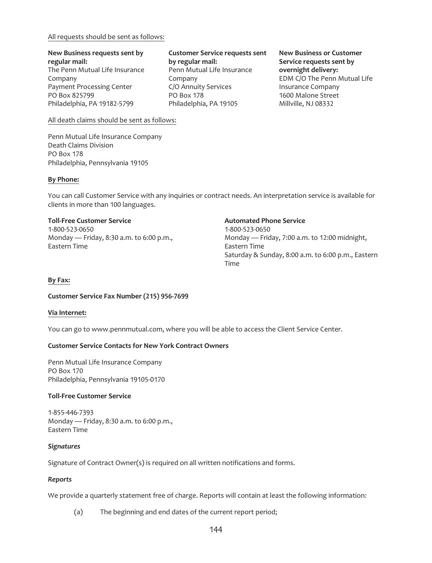## All requests should be sent as follows:

## **New Business requests sent by regular mail:** The Penn Mutual Life Insurance Company Payment Processing Center PO Box 825799 Philadelphia, PA 19182-5799

## **Customer Service requests sent by regular mail:** Penn Mutual Life Insurance Company C/O Annuity Services PO Box 178 Philadelphia, PA 19105

## **New Business or Customer Service requests sent by overnight delivery:** EDM C/O The Penn Mutual Life Insurance Company 1600 Malone Street Millville, NJ 08332

All death claims should be sent as follows:

Penn Mutual Life Insurance Company Death Claims Division PO Box 178 Philadelphia, Pennsylvania 19105

# **By Phone:**

You can call Customer Service with any inquiries or contract needs. An interpretation service is available for clients in more than 100 languages.

# **Toll-Free Customer Service**

1-800-523-0650 Monday — Friday, 8:30 a.m. to 6:00 p.m., Eastern Time

## **Automated Phone Service**

1-800-523-0650 Monday — Friday, 7:00 a.m. to 12:00 midnight, Eastern Time Saturday & Sunday, 8:00 a.m. to 6:00 p.m., Eastern Time

# **By Fax:**

# **Customer Service Fax Number (215) 956-7699**

# **Via Internet:**

You can go to www.pennmutual.com, where you will be able to access the Client Service Center.

# **Customer Service Contacts for New York Contract Owners**

Penn Mutual Life Insurance Company PO Box 170 Philadelphia, Pennsylvania 19105-0170

# **Toll-Free Customer Service**

1-855-446-7393 Monday — Friday, 8:30 a.m. to 6:00 p.m., Eastern Time

# *Signatures*

Signature of Contract Owner(s) is required on all written notifications and forms.

# *Reports*

We provide a quarterly statement free of charge. Reports will contain at least the following information:

(a) The beginning and end dates of the current report period;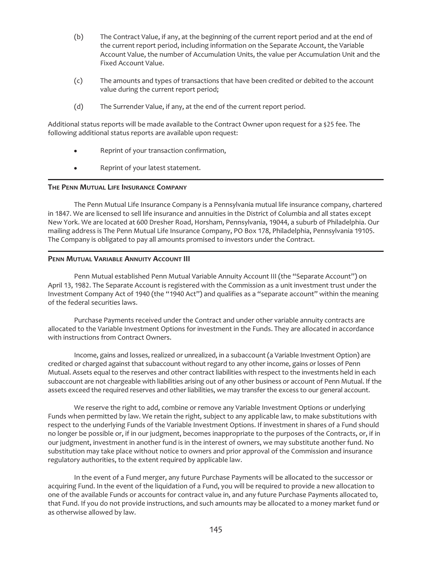- (b) The Contract Value, if any, at the beginning of the current report period and at the end of the current report period, including information on the Separate Account, the Variable Account Value, the number of Accumulation Units, the value per Accumulation Unit and the Fixed Account Value.
- (c) The amounts and types of transactions that have been credited or debited to the account value during the current report period;
- (d) The Surrender Value, if any, at the end of the current report period.

Additional status reports will be made available to the Contract Owner upon request for a \$25 fee. The following additional status reports are available upon request:

- Reprint of your transaction confirmation,
- Reprint of your latest statement.

# **THE PENN MUTUAL LIFE INSURANCE COMPANY**

The Penn Mutual Life Insurance Company is a Pennsylvania mutual life insurance company, chartered in 1847. We are licensed to sell life insurance and annuities in the District of Columbia and all states except New York. We are located at 600 Dresher Road, Horsham, Pennsylvania, 19044, a suburb of Philadelphia. Our mailing address is The Penn Mutual Life Insurance Company, PO Box 178, Philadelphia, Pennsylvania 19105. The Company is obligated to pay all amounts promised to investors under the Contract.

# **PENN MUTUAL VARIABLE ANNUITY ACCOUNT III**

Penn Mutual established Penn Mutual Variable Annuity Account III (the "Separate Account") on April 13, 1982. The Separate Account is registered with the Commission as a unit investment trust under the Investment Company Act of 1940 (the "1940 Act") and qualifies as a "separate account" within the meaning of the federal securities laws.

Purchase Payments received under the Contract and under other variable annuity contracts are allocated to the Variable Investment Options for investment in the Funds. They are allocated in accordance with instructions from Contract Owners.

Income, gains and losses, realized or unrealized, in a subaccount (a Variable Investment Option) are credited or charged against that subaccount without regard to any other income, gains or losses of Penn Mutual. Assets equal to the reserves and other contract liabilities with respect to the investments held in each subaccount are not chargeable with liabilities arising out of any other business or account of Penn Mutual. If the assets exceed the required reserves and other liabilities, we may transfer the excess to our general account.

We reserve the right to add, combine or remove any Variable Investment Options or underlying Funds when permitted by law. We retain the right, subject to any applicable law, to make substitutions with respect to the underlying Funds of the Variable Investment Options. If investment in shares of a Fund should no longer be possible or, if in our judgment, becomes inappropriate to the purposes of the Contracts, or, if in our judgment, investment in another fund is in the interest of owners, we may substitute another fund. No substitution may take place without notice to owners and prior approval of the Commission and insurance regulatory authorities, to the extent required by applicable law.

In the event of a Fund merger, any future Purchase Payments will be allocated to the successor or acquiring Fund. In the event of the liquidation of a Fund, you will be required to provide a new allocation to one of the available Funds or accounts for contract value in, and any future Purchase Payments allocated to, that Fund. If you do not provide instructions, and such amounts may be allocated to a money market fund or as otherwise allowed by law.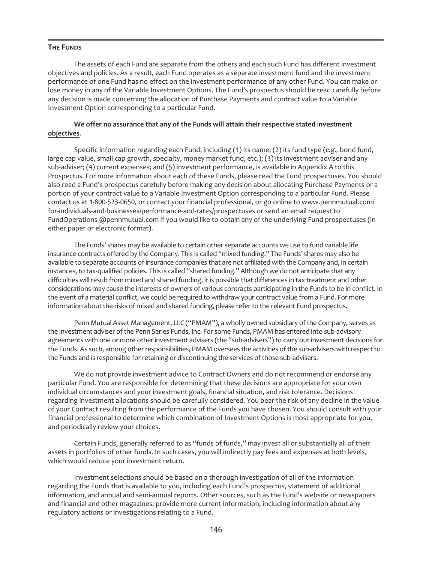# **THE FUNDS**

The assets of each Fund are separate from the others and each such Fund has different investment objectives and policies. As a result, each Fund operates as a separate investment fund and the investment performance of one Fund has no effect on the investment performance of any other Fund. You can make or lose money in any of the Variable Investment Options. The Fund's prospectus should be read carefully before any decision is made concerning the allocation of Purchase Payments and contract value to a Variable Investment Option corresponding to a particular Fund.

# **We offer no assurance that any of the Funds will attain their respective stated** i**nvestment objectives**.

Specific information regarding each Fund, including (1) its name, (2) its fund type (*e.g.,* bond fund, large cap value, small cap growth, specialty, money market fund, etc.); (3) its investment adviser and any sub-adviser; (4) current expenses; and (5) investment performance, is available in Appendix A to this Prospectus. For more information about each of these Funds, please read the Fund prospectuses. You should also read a Fund's prospectus carefully before making any decision about allocating Purchase Payments or a portion of your contract value to a Variable Investment Option corresponding to a particular Fund. Please contact us at 1-800-523-0650, or contact your financial professional, or go online to www.pennmutual.com/ for-individuals-and-businesses/performance-and-rates/prospectuses or send an email request to FundOperations @pennmutual.com if you would like to obtain any of the underlying Fund prospectuses (in either paper or electronic format).

The Funds' shares may be available to certain other separate accounts we use to fund variable life insurance contracts offered by the Company. This is called "mixed funding." The Funds' shares may also be available to separate accounts of insurance companies that are not affiliated with the Company and, in certain instances, to tax-qualified policies. This is called "shared funding." Although we do not anticipate that any difficulties will result from mixed and shared funding, it is possible that differences in tax treatment and other considerations may cause the interests of owners of various contracts participating in the Funds to be in conflict. In the event of a material conflict, we could be required to withdraw your contract value from a Fund. For more information about the risks of mixed and shared funding, please refer to the relevant Fund prospectus.

Penn Mutual Asset Management, LLC ("PMAM"), a wholly owned subsidiary of the Company, serves as the investment adviser of the Penn Series Funds, Inc. For some Funds, PMAM has entered into sub-advisory agreements with one or more other investment advisers (the "sub-advisers") to carry out investment decisions for the Funds. As such, among other responsibilities, PMAM oversees the activities of the sub-advisers with respect to the Funds and is responsible for retaining or discontinuing the services of those sub-advisers.

We do not provide investment advice to Contract Owners and do not recommend or endorse any particular Fund. You are responsible for determining that these decisions are appropriate for your own individual circumstances and your investment goals, financial situation, and risk tolerance. Decisions regarding investment allocations should be carefully considered. You bear the risk of any decline in the value of your Contract resulting from the performance of the Funds you have chosen. You should consult with your financial professional to determine which combination of Investment Options is most appropriate for you, and periodically review your choices.

Certain Funds, generally referred to as "funds of funds," may invest all or substantially all of their assets in portfolios of other funds. In such cases, you will indirectly pay fees and expenses at both levels, which would reduce your investment return.

Investment selections should be based on a thorough investigation of all of the information regarding the Funds that is available to you, including each Fund's prospectus, statement of additional information, and annual and semi-annual reports. Other sources, such as the Fund's website or newspapers and financial and other magazines, provide more current information, including information about any regulatory actions or investigations relating to a Fund.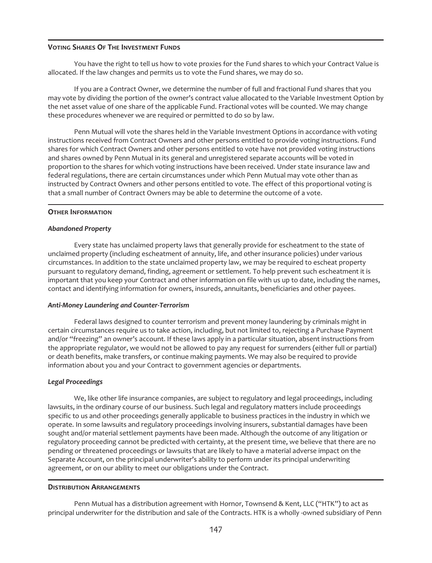## **VOTING SHARES OF THE INVESTMENT FUNDS**

You have the right to tell us how to vote proxies for the Fund shares to which your Contract Value is allocated. If the law changes and permits us to vote the Fund shares, we may do so.

If you are a Contract Owner, we determine the number of full and fractional Fund shares that you may vote by dividing the portion of the owner's contract value allocated to the Variable Investment Option by the net asset value of one share of the applicable Fund. Fractional votes will be counted. We may change these procedures whenever we are required or permitted to do so by law.

Penn Mutual will vote the shares held in the Variable Investment Options in accordance with voting instructions received from Contract Owners and other persons entitled to provide voting instructions. Fund shares for which Contract Owners and other persons entitled to vote have not provided voting instructions and shares owned by Penn Mutual in its general and unregistered separate accounts will be voted in proportion to the shares for which voting instructions have been received. Under state insurance law and federal regulations, there are certain circumstances under which Penn Mutual may vote other than as instructed by Contract Owners and other persons entitled to vote. The effect of this proportional voting is that a small number of Contract Owners may be able to determine the outcome of a vote.

### **OTHER INFORMATION**

### *Abandoned Property*

Every state has unclaimed property laws that generally provide for escheatment to the state of unclaimed property (including escheatment of annuity, life, and other insurance policies) under various circumstances. In addition to the state unclaimed property law, we may be required to escheat property pursuant to regulatory demand, finding, agreement or settlement. To help prevent such escheatment it is important that you keep your Contract and other information on file with us up to date, including the names, contact and identifying information for owners, insureds, annuitants, beneficiaries and other payees.

## *Anti-Money Laundering and Counter-Terrorism*

Federal laws designed to counter terrorism and prevent money laundering by criminals might in certain circumstances require us to take action, including, but not limited to, rejecting a Purchase Payment and/or "freezing" an owner's account. If these laws apply in a particular situation, absent instructions from the appropriate regulator, we would not be allowed to pay any request for surrenders (either full or partial) or death benefits, make transfers, or continue making payments. We may also be required to provide information about you and your Contract to government agencies or departments.

## *Legal Proceedings*

We, like other life insurance companies, are subject to regulatory and legal proceedings, including lawsuits, in the ordinary course of our business. Such legal and regulatory matters include proceedings specific to us and other proceedings generally applicable to business practices in the industry in which we operate. In some lawsuits and regulatory proceedings involving insurers, substantial damages have been sought and/or material settlement payments have been made. Although the outcome of any litigation or regulatory proceeding cannot be predicted with certainty, at the present time, we believe that there are no pending or threatened proceedings or lawsuits that are likely to have a material adverse impact on the Separate Account, on the principal underwriter's ability to perform under its principal underwriting agreement, or on our ability to meet our obligations under the Contract.

#### **DISTRIBUTION ARRANGEMENTS**

Penn Mutual has a distribution agreement with Hornor, Townsend & Kent, LLC ("HTK") to act as principal underwriter for the distribution and sale of the Contracts. HTK is a wholly -owned subsidiary of Penn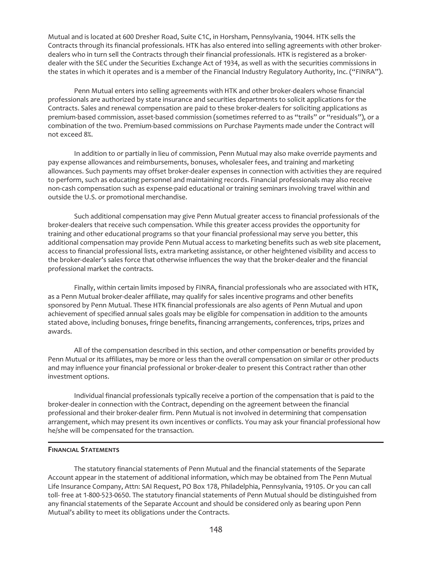Mutual and is located at 600 Dresher Road, Suite C1C, in Horsham, Pennsylvania, 19044. HTK sells the Contracts through its financial professionals. HTK has also entered into selling agreements with other brokerdealers who in turn sell the Contracts through their financial professionals. HTK is registered as a brokerdealer with the SEC under the Securities Exchange Act of 1934, as well as with the securities commissions in the states in which it operates and is a member of the Financial Industry Regulatory Authority, Inc. ("FINRA").

Penn Mutual enters into selling agreements with HTK and other broker-dealers whose financial professionals are authorized by state insurance and securities departments to solicit applications for the Contracts. Sales and renewal compensation are paid to these broker-dealers for soliciting applications as premium-based commission, asset-based commission (sometimes referred to as "trails" or "residuals"), or a combination of the two. Premium-based commissions on Purchase Payments made under the Contract will not exceed 8%.

In addition to or partially in lieu of commission, Penn Mutual may also make override payments and pay expense allowances and reimbursements, bonuses, wholesaler fees, and training and marketing allowances. Such payments may offset broker-dealer expenses in connection with activities they are required to perform, such as educating personnel and maintaining records. Financial professionals may also receive non-cash compensation such as expense-paid educational or training seminars involving travel within and outside the U.S. or promotional merchandise.

Such additional compensation may give Penn Mutual greater access to financial professionals of the broker-dealers that receive such compensation. While this greater access provides the opportunity for training and other educational programs so that your financial professional may serve you better, this additional compensation may provide Penn Mutual access to marketing benefits such as web site placement, access to financial professional lists, extra marketing assistance, or other heightened visibility and access to the broker-dealer's sales force that otherwise influences the way that the broker-dealer and the financial professional market the contracts.

Finally, within certain limits imposed by FINRA, financial professionals who are associated with HTK, as a Penn Mutual broker-dealer affiliate, may qualify for sales incentive programs and other benefits sponsored by Penn Mutual. These HTK financial professionals are also agents of Penn Mutual and upon achievement of specified annual sales goals may be eligible for compensation in addition to the amounts stated above, including bonuses, fringe benefits, financing arrangements, conferences, trips, prizes and awards.

All of the compensation described in this section, and other compensation or benefits provided by Penn Mutual or its affiliates, may be more or less than the overall compensation on similar or other products and may influence your financial professional or broker-dealer to present this Contract rather than other investment options.

Individual financial professionals typically receive a portion of the compensation that is paid to the broker-dealer in connection with the Contract, depending on the agreement between the financial professional and their broker-dealer firm. Penn Mutual is not involved in determining that compensation arrangement, which may present its own incentives or conflicts. You may ask your financial professional how he/she will be compensated for the transaction.

# **FINANCIAL STATEMENTS**

The statutory financial statements of Penn Mutual and the financial statements of the Separate Account appear in the statement of additional information, which may be obtained from The Penn Mutual Life Insurance Company, Attn: SAI Request, PO Box 178, Philadelphia, Pennsylvania, 19105. Or you can call toll- free at 1-800-523-0650. The statutory financial statements of Penn Mutual should be distinguished from any financial statements of the Separate Account and should be considered only as bearing upon Penn Mutual's ability to meet its obligations under the Contracts.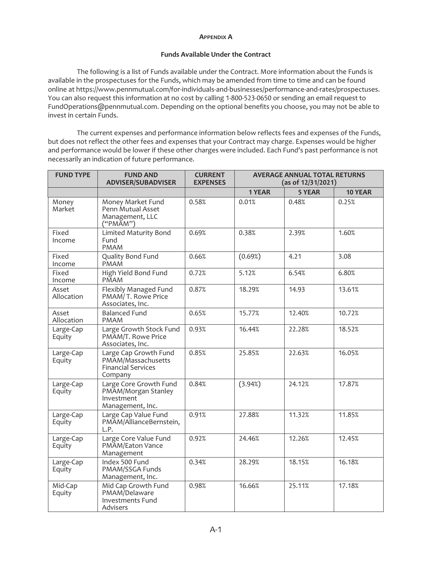### **APPENDIX A**

# **Funds Available Under the Contract**

The following is a list of Funds available under the Contract. More information about the Funds is available in the prospectuses for the Funds, which may be amended from time to time and can be found online at https://www.pennmutual.com/for-individuals-and-businesses/performance-and-rates/prospectuses. You can also request this information at no cost by calling 1-800-523-0650 or sending an email request to FundOperations@pennmutual.com. Depending on the optional benefits you choose, you may not be able to invest in certain Funds.

The current expenses and performance information below reflects fees and expenses of the Funds, but does not reflect the other fees and expenses that your Contract may charge. Expenses would be higher and performance would be lower if these other charges were included. Each Fund's past performance is not necessarily an indication of future performance.

| <b>FUND TYPE</b>    | <b>FUND AND</b><br><b>ADVISER/SUBADVISER</b>                                        | <b>CURRENT</b><br><b>EXPENSES</b> | <b>AVERAGE ANNUAL TOTAL RETURNS</b><br>(as of 12/31/2021) |        |         |  |
|---------------------|-------------------------------------------------------------------------------------|-----------------------------------|-----------------------------------------------------------|--------|---------|--|
|                     |                                                                                     |                                   | 1 YEAR                                                    | 5 YEAR | 10 YEAR |  |
| Money<br>Market     | Money Market Fund<br>Penn Mutual Asset<br>Management, LLC<br>("PMĂM")               | 0.58%                             | 0.01%                                                     | 0.48%  | 0.25%   |  |
| Fixed<br>Income     | <b>Limited Maturity Bond</b><br>Fund<br><b>PMAM</b>                                 | 0.69%                             | 0.38%                                                     | 2.39%  | 1.60%   |  |
| Fixed<br>Income     | Quality Bond Fund<br>PMAM                                                           | 0.66%                             | (0.69%)                                                   | 4.21   | 3.08    |  |
| Fixed<br>Income     | High Yield Bond Fund<br><b>PMAM</b>                                                 | 0.72%                             | 5.12%                                                     | 6.54%  | 6.80%   |  |
| Asset<br>Allocation | Flexibly Managed Fund<br>PMAM/T. Rowe Price<br>Associates, Inc.                     | 0.87%                             | 18.29%                                                    | 14.93  | 13.61%  |  |
| Asset<br>Allocation | <b>Balanced Fund</b><br><b>PMAM</b>                                                 | 0.65%                             | 15.77%                                                    | 12.40% | 10.72%  |  |
| Large-Cap<br>Equity | Large Growth Stock Fund<br>PMAM/T. Rowe Price<br>Associates, Inc.                   | 0.93%                             | 16.44%                                                    | 22.28% | 18.52%  |  |
| Large-Cap<br>Equity | Large Cap Growth Fund<br>PMAM/Massachusetts<br><b>Financial Services</b><br>Company | 0.85%                             | 25.85%                                                    | 22.63% | 16.05%  |  |
| Large-Cap<br>Equity | Large Core Growth Fund<br>PMAM/Morgan Stanley<br>Investment<br>Management, Inc.     | 0.84%                             | (3.94%)                                                   | 24.12% | 17.87%  |  |
| Large-Cap<br>Equity | Large Cap Value Fund<br>PMAM/AllianceBernstein,<br>L.P.                             | 0.91%                             | 27.88%                                                    | 11.32% | 11.85%  |  |
| Large-Cap<br>Equity | Large Core Value Fund<br>PMAM/Eaton Vance<br>Management                             | 0.92%                             | 24.46%                                                    | 12.26% | 12.45%  |  |
| Large-Cap<br>Equity | Index 500 Fund<br>PMAM/SSGA Funds<br>Management, Inc.                               | 0.34%                             | 28.29%                                                    | 18.15% | 16.18%  |  |
| Mid-Cap<br>Equity   | Mid Cap Growth Fund<br>PMAM/Delaware<br><b>Investments Fund</b><br>Advisers         | 0.98%                             | 16.66%                                                    | 25.11% | 17.18%  |  |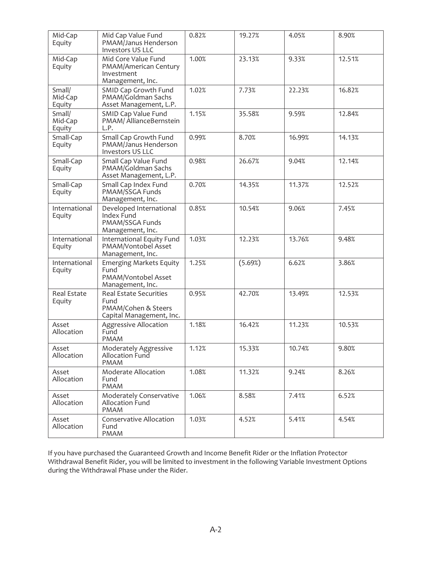| Mid-Cap<br>Equity           | Mid Cap Value Fund<br>PMAM/Janus Henderson<br>Investors US LLC                    | 0.82% | 19.27%  | 4.05%  | 8.90%  |
|-----------------------------|-----------------------------------------------------------------------------------|-------|---------|--------|--------|
| Mid-Cap<br>Equity           | Mid Core Value Fund<br>PMAM/American Century<br>Investment<br>Management, Inc.    | 1.00% | 23.13%  | 9.33%  | 12.51% |
| Small/<br>Mid-Cap<br>Equity | SMID Cap Growth Fund<br>PMAM/Goldman Sachs<br>Asset Management, L.P.              | 1.02% | 7.73%   | 22.23% | 16.82% |
| Small/<br>Mid-Cap<br>Equity | SMID Cap Value Fund<br>PMAM/ AllianceBernstein<br>L.P.                            | 1.15% | 35.58%  | 9.59%  | 12.84% |
| Small-Cap<br>Equity         | Small Cap Growth Fund<br>PMAM/Janus Henderson<br><b>Investors US LLC</b>          | 0.99% | 8.70%   | 16.99% | 14.13% |
| Small-Cap<br>Equity         | Small Cap Value Fund<br>PMAM/Goldman Sachs<br>Asset Management, L.P.              | 0.98% | 26.67%  | 9.04%  | 12.14% |
| Small-Cap<br>Equity         | Small Cap Index Fund<br>PMAM/SSGA Funds<br>Management, Inc.                       | 0.70% | 14.35%  | 11.37% | 12.52% |
| International<br>Equity     | Developed International<br>Index Fund<br>PMAM/SSGA Funds<br>Management, Inc.      | 0.85% | 10.54%  | 9.06%  | 7.45%  |
| International<br>Equity     | International Equity Fund<br>PMAM/Vontobel Asset<br>Management, Inc.              | 1.03% | 12.23%  | 13.76% | 9.48%  |
| International<br>Equity     | <b>Emerging Markets Equity</b><br>Fund<br>PMAM/Vontobel Asset<br>Management, Inc. | 1.25% | (5.69%) | 6.62%  | 3.86%  |
| Real Estate<br>Equity       | Real Estate Securities<br>Fund<br>PMAM/Cohen & Steers<br>Capital Management, Inc. | 0.95% | 42.70%  | 13.49% | 12.53% |
| Asset<br>Allocation         | Aggressive Allocation<br>Fund<br><b>PMAM</b>                                      | 1.18% | 16.42%  | 11.23% | 10.53% |
| Asset<br>Allocation         | Moderately Aggressive<br>Allocation Fund<br><b>PMAM</b>                           | 1.12% | 15.33%  | 10.74% | 9.80%  |
| Asset<br>Allocation         | Moderate Allocation<br>Fund<br><b>PMAM</b>                                        | 1.08% | 11.32%  | 9.24%  | 8.26%  |
| Asset<br>Allocation         | Moderately Conservative<br>Allocation Fund<br><b>PMAM</b>                         | 1.06% | 8.58%   | 7.41%  | 6.52%  |
| Asset<br>Allocation         | Conservative Allocation<br>Fund<br><b>PMAM</b>                                    | 1.03% | 4.52%   | 5.41%  | 4.54%  |

If you have purchased the Guaranteed Growth and Income Benefit Rider or the Inflation Protector Withdrawal Benefit Rider, you will be limited to investment in the following Variable Investment Options during the Withdrawal Phase under the Rider.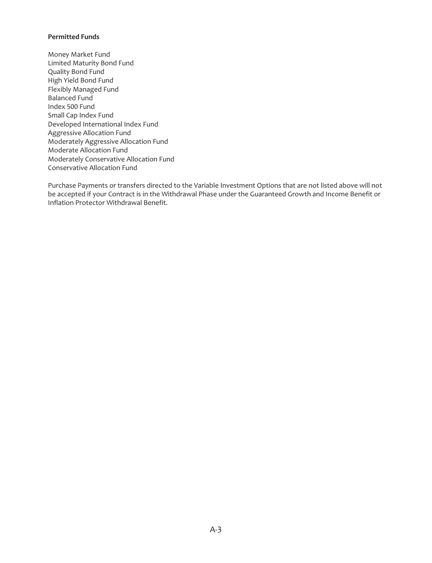# **Permitted Funds**

Money Market Fund Limited Maturity Bond Fund Quality Bond Fund High Yield Bond Fund Flexibly Managed Fund Balanced Fund Index 500 Fund Small Cap Index Fund Developed International Index Fund Aggressive Allocation Fund Moderately Aggressive Allocation Fund Moderate Allocation Fund Moderately Conservative Allocation Fund Conservative Allocation Fund

Purchase Payments or transfers directed to the Variable Investment Options that are not listed above will not be accepted if your Contract is in the Withdrawal Phase under the Guaranteed Growth and Income Benefit or Inflation Protector Withdrawal Benefit.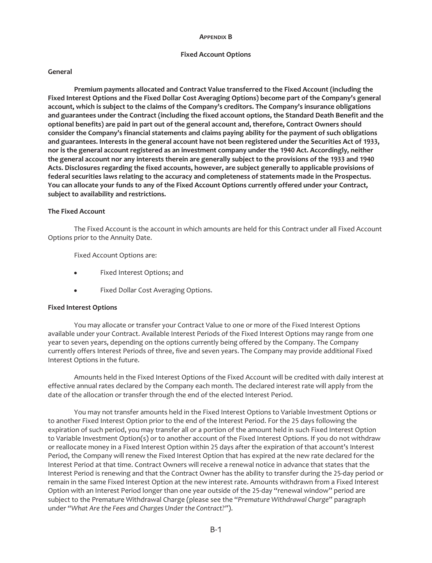#### **APPENDIX B**

#### **Fixed Account Options**

#### **General**

**Premium payments allocated and Contract Value transferred to the Fixed Account (including the Fixed Interest Options and the Fixed Dollar Cost Averaging Options) become part of the Company's general account, which is subject to the claims of the Company's creditors. The Company's insurance obligations and guarantees under the Contract (including the fixed account options, the Standard Death Benefit and the optional benefits) are paid in part out of the general account and, therefore, Contract Owners should consider the Company's financial statements and claims paying ability for the payment of such obligations and guarantees. Interests in the general account have not been registered under the Securities Act of 1933, nor is the general account registered as an investment company under the 1940 Act. Accordingly, neither the general account nor any interests therein are generally subject to the provisions of the 1933 and 1940 Acts. Disclosures regarding the fixed accounts, however, are subject generally to applicable provisions of federal securities laws relating to the accuracy and completeness of statements made in the Prospectus. You can allocate your funds to any of the Fixed Account Options currently offered under your Contract, subject to availability and restrictions.**

### **The Fixed Account**

The Fixed Account is the account in which amounts are held for this Contract under all Fixed Account Options prior to the Annuity Date.

Fixed Account Options are:

- Fixed Interest Options; and
- Fixed Dollar Cost Averaging Options.

#### **Fixed Interest Options**

You may allocate or transfer your Contract Value to one or more of the Fixed Interest Options available under your Contract. Available Interest Periods of the Fixed Interest Options may range from one year to seven years, depending on the options currently being offered by the Company. The Company currently offers Interest Periods of three, five and seven years. The Company may provide additional Fixed Interest Options in the future.

Amounts held in the Fixed Interest Options of the Fixed Account will be credited with daily interest at effective annual rates declared by the Company each month. The declared interest rate will apply from the date of the allocation or transfer through the end of the elected Interest Period.

You may not transfer amounts held in the Fixed Interest Options to Variable Investment Options or to another Fixed Interest Option prior to the end of the Interest Period. For the 25 days following the expiration of such period, you may transfer all or a portion of the amount held in such Fixed Interest Option to Variable Investment Option(s) or to another account of the Fixed Interest Options. If you do not withdraw or reallocate money in a Fixed Interest Option within 25 days after the expiration of that account's Interest Period, the Company will renew the Fixed Interest Option that has expired at the new rate declared for the Interest Period at that time. Contract Owners will receive a renewal notice in advance that states that the Interest Period is renewing and that the Contract Owner has the ability to transfer during the 25-day period or remain in the same Fixed Interest Option at the new interest rate. Amounts withdrawn from a Fixed Interest Option with an Interest Period longer than one year outside of the 25-day "renewal window" period are subject to the Premature Withdrawal Charge (please see the "*Premature Withdrawal Charge*" paragraph under *"What Are the Fees and Charges Under the Contract?"*).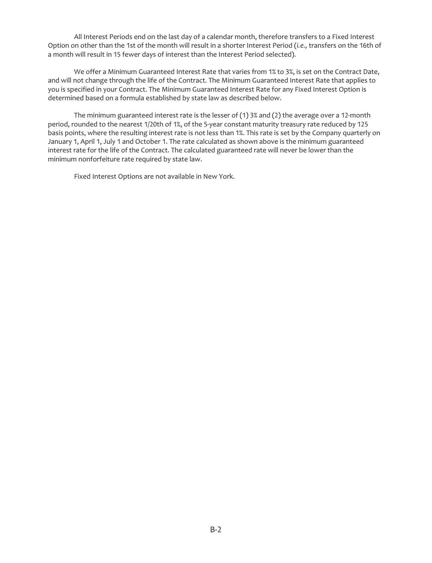All Interest Periods end on the last day of a calendar month, therefore transfers to a Fixed Interest Option on other than the 1st of the month will result in a shorter Interest Period (*i.e.,* transfers on the 16th of a month will result in 15 fewer days of interest than the Interest Period selected).

We offer a Minimum Guaranteed Interest Rate that varies from 1% to 3%, is set on the Contract Date, and will not change through the life of the Contract. The Minimum Guaranteed Interest Rate that applies to you is specified in your Contract. The Minimum Guaranteed Interest Rate for any Fixed Interest Option is determined based on a formula established by state law as described below.

The minimum guaranteed interest rate is the lesser of  $(1)$  3% and  $(2)$  the average over a 12-month period, rounded to the nearest 1/20th of 1%, of the 5-year constant maturity treasury rate reduced by 125 basis points, where the resulting interest rate is not less than 1%. This rate is set by the Company quarterly on January 1, April 1, July 1 and October 1. The rate calculated as shown above is the minimum guaranteed interest rate for the life of the Contract. The calculated guaranteed rate will never be lower than the minimum nonforfeiture rate required by state law.

Fixed Interest Options are not available in New York.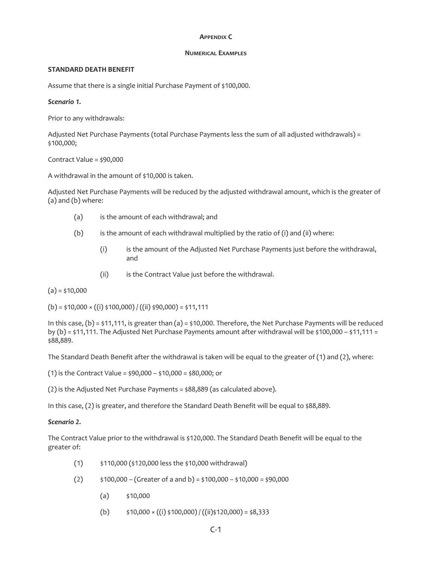### **APPENDIX C**

### **NUMERICAL EXAMPLES**

## **STANDARD DEATH BENEFIT**

Assume that there is a single initial Purchase Payment of \$100,000.

# *Scenario 1.*

Prior to any withdrawals:

Adjusted Net Purchase Payments (total Purchase Payments less the sum of all adjusted withdrawals) = \$100,000;

# Contract Value = \$90,000

A withdrawal in the amount of \$10,000 is taken.

Adjusted Net Purchase Payments will be reduced by the adjusted withdrawal amount, which is the greater of (a) and (b) where:

- (a) is the amount of each withdrawal; and
- (b) is the amount of each withdrawal multiplied by the ratio of (i) and (ii) where:
	- (i) is the amount of the Adjusted Net Purchase Payments just before the withdrawal, and
	- (ii) is the Contract Value just before the withdrawal.

 $(a) = $10,000$ 

 $(b) = $10,000 \times ((i) $100,000) / ((ii) $90,000) = $11,111$ 

In this case,  $(b) = \frac{1}{2}11,111$ , is greater than  $(a) = \frac{1}{2}10,000$ . Therefore, the Net Purchase Payments will be reduced by (b) = \$11,111. The Adjusted Net Purchase Payments amount after withdrawal will be \$100,000 – \$11,111 = \$88,889.

The Standard Death Benefit after the withdrawal is taken will be equal to the greater of (1) and (2), where:

(1) is the Contract Value = \$90,000 – \$10,000 = \$80,000; or

(2) is the Adjusted Net Purchase Payments = \$88,889 (as calculated above).

In this case, (2) is greater, and therefore the Standard Death Benefit will be equal to \$88,889.

# *Scenario 2.*

The Contract Value prior to the withdrawal is \$120,000. The Standard Death Benefit will be equal to the greater of:

- (1) \$110,000 (\$120,000 less the \$10,000 withdrawal)
- $(2)$  \$100,000 (Greater of a and b) = \$100,000 \$10,000 = \$90,000
	- $(a)$  \$10,000
	- (b)  $\frac{\sin(10,000 \times ((i) \cdot 5100,000))}{(ii) \cdot 5120,000} = 58,333$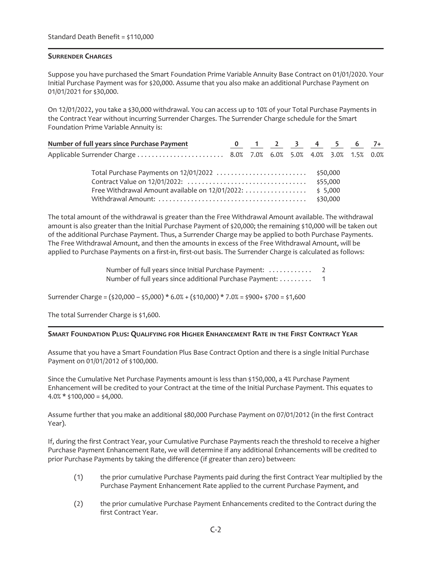# **SURRENDER CHARGES**

Suppose you have purchased the Smart Foundation Prime Variable Annuity Base Contract on 01/01/2020. Your Initial Purchase Payment was for \$20,000. Assume that you also make an additional Purchase Payment on 01/01/2021 for \$30,000.

On 12/01/2022, you take a \$30,000 withdrawal. You can access up to 10% of your Total Purchase Payments in the Contract Year without incurring Surrender Charges. The Surrender Charge schedule for the Smart Foundation Prime Variable Annuity is:

| Number of full years since Purchase Payment       |  |  |          | 0 1 2 3 4 5 6 7+ |  |
|---------------------------------------------------|--|--|----------|------------------|--|
|                                                   |  |  |          |                  |  |
|                                                   |  |  |          |                  |  |
|                                                   |  |  | \$55,000 |                  |  |
| Free Withdrawal Amount available on $12/01/2022:$ |  |  | \$5,000  |                  |  |
|                                                   |  |  | \$30,000 |                  |  |

The total amount of the withdrawal is greater than the Free Withdrawal Amount available. The withdrawal amount is also greater than the Initial Purchase Payment of \$20,000; the remaining \$10,000 will be taken out of the additional Purchase Payment. Thus, a Surrender Charge may be applied to both Purchase Payments. The Free Withdrawal Amount, and then the amounts in excess of the Free Withdrawal Amount, will be applied to Purchase Payments on a first-in, first-out basis. The Surrender Charge is calculated as follows:

> Number of full years since Initial Purchase Payment: ............ 2 Number of full years since additional Purchase Payment: ......... 1

Surrender Charge = (\$20,000 – \$5,000) \* 6.0% + (\$10,000) \* 7.0% = \$900+ \$700 = \$1,600

The total Surrender Charge is \$1,600.

## **SMART FOUNDATION PLUS: QUALIFYING FOR HIGHER ENHANCEMENT RATE IN THE FIRST CONTRACT YEAR**

Assume that you have a Smart Foundation Plus Base Contract Option and there is a single Initial Purchase Payment on 01/01/2012 of \$100,000.

Since the Cumulative Net Purchase Payments amount is less than \$150,000, a 4% Purchase Payment Enhancement will be credited to your Contract at the time of the Initial Purchase Payment. This equates to  $4.0\% * $100,000 = $4,000$ .

Assume further that you make an additional \$80,000 Purchase Payment on 07/01/2012 (in the first Contract Year).

If, during the first Contract Year, your Cumulative Purchase Payments reach the threshold to receive a higher Purchase Payment Enhancement Rate, we will determine if any additional Enhancements will be credited to prior Purchase Payments by taking the difference (if greater than zero) between:

- (1) the prior cumulative Purchase Payments paid during the first Contract Year multiplied by the Purchase Payment Enhancement Rate applied to the current Purchase Payment, and
- (2) the prior cumulative Purchase Payment Enhancements credited to the Contract during the first Contract Year.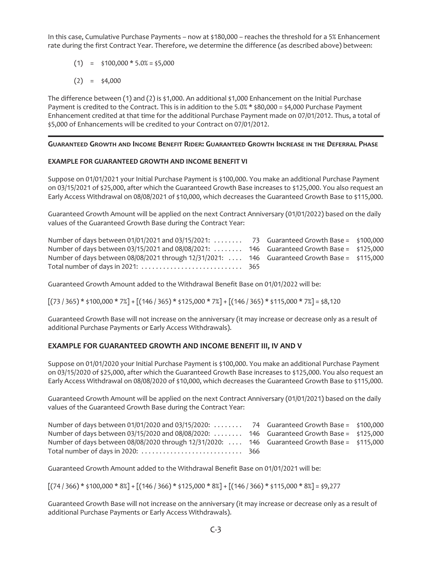In this case, Cumulative Purchase Payments – now at \$180,000 – reaches the threshold for a 5% Enhancement rate during the first Contract Year. Therefore, we determine the difference (as described above) between:

 $(1) = $100,000 * 5.0% = $5,000$ 

$$
(2) = $4,000
$$

The difference between (1) and (2) is \$1,000. An additional \$1,000 Enhancement on the Initial Purchase Payment is credited to the Contract. This is in addition to the 5.0% \* \$80,000 = \$4,000 Purchase Payment Enhancement credited at that time for the additional Purchase Payment made on 07/01/2012. Thus, a total of \$5,000 of Enhancements will be credited to your Contract on 07/01/2012.

# **GUARANTEED GROWTH AND INCOME BENEFIT RIDER: GUARANTEED GROWTH INCREASE IN THE DEFERRAL PHASE**

# **EXAMPLE FOR GUARANTEED GROWTH AND INCOME BENEFIT VI**

Suppose on 01/01/2021 your Initial Purchase Payment is \$100,000. You make an additional Purchase Payment on 03/15/2021 of \$25,000, after which the Guaranteed Growth Base increases to \$125,000. You also request an Early Access Withdrawal on 08/08/2021 of \$10,000, which decreases the Guaranteed Growth Base to \$115,000.

Guaranteed Growth Amount will be applied on the next Contract Anniversary (01/01/2022) based on the daily values of the Guaranteed Growth Base during the Contract Year:

| Number of days between 01/01/2021 and 03/15/2021:  73 Guaranteed Growth Base = \$100,000      |  |  |
|-----------------------------------------------------------------------------------------------|--|--|
| Number of days between 03/15/2021 and 08/08/2021:  146 Guaranteed Growth Base = \$125,000     |  |  |
| Number of days between 08/08/2021 through 12/31/2021:  146 Guaranteed Growth Base = \$115,000 |  |  |
|                                                                                               |  |  |

Guaranteed Growth Amount added to the Withdrawal Benefit Base on 01/01/2022 will be:

 $[(73 / 365) * $100,000 * 7\%] + [(146 / 365) * $125,000 * 7\%] + [(146 / 365) * $115,000 * 7\%] = $8,120$ 

Guaranteed Growth Base will not increase on the anniversary (it may increase or decrease only as a result of additional Purchase Payments or Early Access Withdrawals).

# **EXAMPLE FOR GUARANTEED GROWTH AND INCOME BENEFIT III, IV AND V**

Suppose on 01/01/2020 your Initial Purchase Payment is \$100,000. You make an additional Purchase Payment on 03/15/2020 of \$25,000, after which the Guaranteed Growth Base increases to \$125,000. You also request an Early Access Withdrawal on 08/08/2020 of \$10,000, which decreases the Guaranteed Growth Base to \$115,000.

Guaranteed Growth Amount will be applied on the next Contract Anniversary (01/01/2021) based on the daily values of the Guaranteed Growth Base during the Contract Year:

| Number of days between 01/01/2020 and 03/15/2020:  74 Guaranteed Growth Base = \$100,000     |  |  |
|----------------------------------------------------------------------------------------------|--|--|
| Number of days between 03/15/2020 and 08/08/2020:  146 Guaranteed Growth Base = \$125,000    |  |  |
| Number of days between 08/08/2020 through 12/31/2020: 146 Guaranteed Growth Base = \$115,000 |  |  |
| Total number of days in 2020: $\dots\dots\dots\dots\dots\dots\dots\dots\dots$ 366            |  |  |

Guaranteed Growth Amount added to the Withdrawal Benefit Base on 01/01/2021 will be:

 $[(74 / 366) * $100,000 * 8%] + [(146 / 366) * $125,000 * 8%] + [(146 / 366) * $115,000 * 8%] = $9,277$ 

Guaranteed Growth Base will not increase on the anniversary (it may increase or decrease only as a result of additional Purchase Payments or Early Access Withdrawals).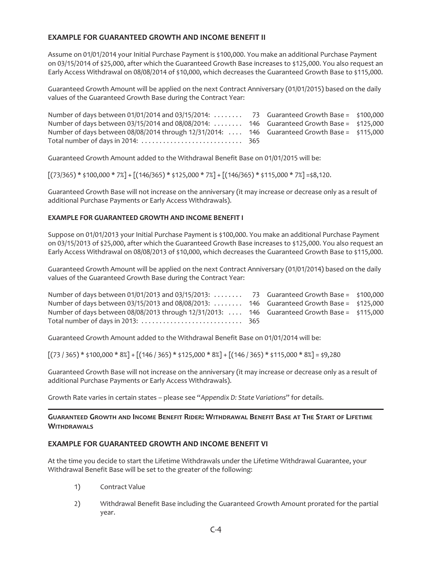# **EXAMPLE FOR GUARANTEED GROWTH AND INCOME BENEFIT II**

Assume on 01/01/2014 your Initial Purchase Payment is \$100,000. You make an additional Purchase Payment on 03/15/2014 of \$25,000, after which the Guaranteed Growth Base increases to \$125,000. You also request an Early Access Withdrawal on 08/08/2014 of \$10,000, which decreases the Guaranteed Growth Base to \$115,000.

Guaranteed Growth Amount will be applied on the next Contract Anniversary (01/01/2015) based on the daily values of the Guaranteed Growth Base during the Contract Year:

| Number of days between 01/01/2014 and 03/15/2014:  73 Guaranteed Growth Base = \$100,000      |  |  |
|-----------------------------------------------------------------------------------------------|--|--|
| Number of days between 03/15/2014 and 08/08/2014:  146 Guaranteed Growth Base = \$125,000     |  |  |
| Number of days between 08/08/2014 through 12/31/2014:  146 Guaranteed Growth Base = \$115,000 |  |  |
|                                                                                               |  |  |

Guaranteed Growth Amount added to the Withdrawal Benefit Base on 01/01/2015 will be:

 $[(73/365) * $100,000 * 7%] + [(146/365) * $125,000 * 7%] + [(146/365) * $115,000 * 7%] = $8,120$ .

Guaranteed Growth Base will not increase on the anniversary (it may increase or decrease only as a result of additional Purchase Payments or Early Access Withdrawals).

# **EXAMPLE FOR GUARANTEED GROWTH AND INCOME BENEFIT I**

Suppose on 01/01/2013 your Initial Purchase Payment is \$100,000. You make an additional Purchase Payment on 03/15/2013 of \$25,000, after which the Guaranteed Growth Base increases to \$125,000. You also request an Early Access Withdrawal on 08/08/2013 of \$10,000, which decreases the Guaranteed Growth Base to \$115,000.

Guaranteed Growth Amount will be applied on the next Contract Anniversary (01/01/2014) based on the daily values of the Guaranteed Growth Base during the Contract Year:

| Number of days between 01/01/2013 and 03/15/2013: 73 Guaranteed Growth Base = \$100,000      |  |  |
|----------------------------------------------------------------------------------------------|--|--|
| Number of days between 03/15/2013 and 08/08/2013:  146 Guaranteed Growth Base = \$125,000    |  |  |
| Number of days between 08/08/2013 through 12/31/2013: 146 Guaranteed Growth Base = \$115,000 |  |  |
|                                                                                              |  |  |

Guaranteed Growth Amount added to the Withdrawal Benefit Base on 01/01/2014 will be:

 $[(73 / 365) * $100,000 * 8%] + [(146 / 365) * $125,000 * 8%] + [(146 / 365) * $115,000 * 8%] = $9,280$ 

Guaranteed Growth Base will not increase on the anniversary (it may increase or decrease only as a result of additional Purchase Payments or Early Access Withdrawals).

Growth Rate varies in certain states – please see "*Appendix D: State Variations*" for details.

# **GUARANTEED GROWTH AND INCOME BENEFIT RIDER: WITHDRAWAL BENEFIT BASE AT THE START OF LIFETIME WITHDRAWALS**

# **EXAMPLE FOR GUARANTEED GROWTH AND INCOME BENEFIT VI**

At the time you decide to start the Lifetime Withdrawals under the Lifetime Withdrawal Guarantee, your Withdrawal Benefit Base will be set to the greater of the following:

- 1) Contract Value
- 2) Withdrawal Benefit Base including the Guaranteed Growth Amount prorated for the partial year.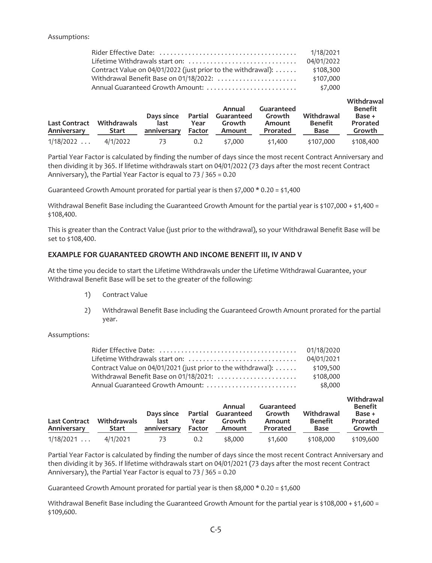## Assumptions:

|                                                              | 1/18/2021  |
|--------------------------------------------------------------|------------|
| Lifetime Withdrawals start on:                               | 04/01/2022 |
| Contract Value on 04/01/2022 (just prior to the withdrawal): | \$108,300  |
| Withdrawal Benefit Base on 01/18/2022:                       | \$107,000  |
| Annual Guaranteed Growth Amount:                             | \$7,000    |

| <b>Last Contract</b><br>Anniversary | <b>Withdrawals</b><br><b>Start</b> | Days since<br>last<br>anniversary | Partial<br>Year<br>Factor | Annual<br>Guaranteed<br>Growth<br>Amount | Guaranteed<br>Growth<br>Amount<br>Prorated | Withdrawal<br><b>Benefit</b><br>Base | Withdrawal<br>Benefit<br>Base +<br>Prorated<br>Growth |
|-------------------------------------|------------------------------------|-----------------------------------|---------------------------|------------------------------------------|--------------------------------------------|--------------------------------------|-------------------------------------------------------|
| 1/18/2022                           | 4/1/2022                           | 73.                               | 0.2                       | \$7,000                                  | \$1.400                                    | \$107,000                            | \$108,400                                             |

Partial Year Factor is calculated by finding the number of days since the most recent Contract Anniversary and then dividing it by 365. If lifetime withdrawals start on 04/01/2022 (73 days after the most recent Contract Anniversary), the Partial Year Factor is equal to 73 / 365 = 0.20

Guaranteed Growth Amount prorated for partial year is then \$7,000 \* 0.20 = \$1,400

Withdrawal Benefit Base including the Guaranteed Growth Amount for the partial year is \$107,000 + \$1,400 = \$108,400.

This is greater than the Contract Value (just prior to the withdrawal), so your Withdrawal Benefit Base will be set to \$108,400.

# **EXAMPLE FOR GUARANTEED GROWTH AND INCOME BENEFIT III, IV AND V**

At the time you decide to start the Lifetime Withdrawals under the Lifetime Withdrawal Guarantee, your Withdrawal Benefit Base will be set to the greater of the following:

- 1) Contract Value
- 2) Withdrawal Benefit Base including the Guaranteed Growth Amount prorated for the partial year.

## Assumptions:

|                                                              | 01/18/2020 |
|--------------------------------------------------------------|------------|
| Lifetime Withdrawals start on:                               | 04/01/2021 |
| Contract Value on 04/01/2021 (just prior to the withdrawal): | \$109,500  |
| Withdrawal Benefit Base on 01/18/2021:                       | \$108,000  |
| Annual Guaranteed Growth Amount:                             | \$8,000    |

| <b>Last Contract</b><br>Anniversary | <b>Withdrawals</b><br><b>Start</b> | Days since<br>last<br>anniversary | Partial<br>Year<br>Factor | Annual<br>Guaranteed<br>Growth<br>Amount | Guaranteed<br>Growth<br>Amount<br>Prorated | Withdrawal<br><b>Benefit</b><br><b>Base</b> | Withdrawal<br>Benefit<br>Base +<br>Prorated<br>Growth |
|-------------------------------------|------------------------------------|-----------------------------------|---------------------------|------------------------------------------|--------------------------------------------|---------------------------------------------|-------------------------------------------------------|
| 1/18/2021                           | 4/1/2021                           | 73                                | 0.2                       | \$8,000                                  | \$1.600                                    | \$108,000                                   | \$109,600                                             |

Partial Year Factor is calculated by finding the number of days since the most recent Contract Anniversary and then dividing it by 365. If lifetime withdrawals start on 04/01/2021 (73 days after the most recent Contract Anniversary), the Partial Year Factor is equal to 73 / 365 = 0.20

Guaranteed Growth Amount prorated for partial year is then \$8,000 \* 0.20 = \$1,600

Withdrawal Benefit Base including the Guaranteed Growth Amount for the partial year is \$108,000 + \$1,600 = \$109,600.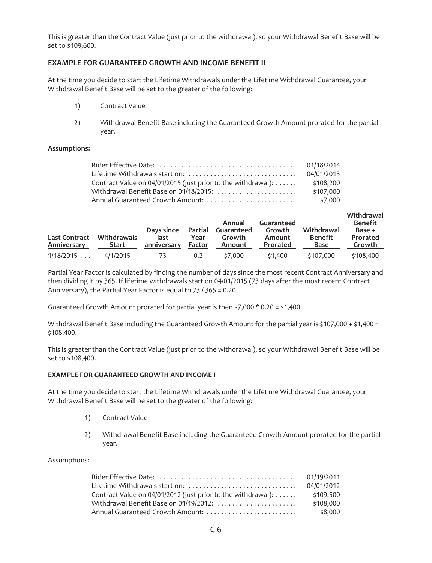This is greater than the Contract Value (just prior to the withdrawal), so your Withdrawal Benefit Base will be set to \$109,600.

# **EXAMPLE FOR GUARANTEED GROWTH AND INCOME BENEFIT II**

At the time you decide to start the Lifetime Withdrawals under the Lifetime Withdrawal Guarantee, your Withdrawal Benefit Base will be set to the greater of the following:

- 1) Contract Value
- 2) Withdrawal Benefit Base including the Guaranteed Growth Amount prorated for the partial year.

# **Assumptions:**

|                                                                      | 01/18/2014 |
|----------------------------------------------------------------------|------------|
| Lifetime Withdrawals start on:                                       | 04/01/2015 |
| Contract Value on 04/01/2015 (just prior to the withdrawal): $\dots$ | \$108,200  |
| Withdrawal Benefit Base on 01/18/2015:                               | \$107,000  |
| Annual Guaranteed Growth Amount:                                     | \$7,000    |

| <b>Last Contract</b><br>Anniversary | <b>Withdrawals</b><br>Start | Days since<br>last<br>anniversary | Partial<br>Year<br>Factor | Annual<br>Guaranteed<br>Growth<br>Amount | Guaranteed<br>Growth<br>Amount<br>Prorated | Withdrawal<br>Benefit<br>Base | Withdrawal<br><b>Benefit</b><br>Base +<br>Prorated<br>Growth |
|-------------------------------------|-----------------------------|-----------------------------------|---------------------------|------------------------------------------|--------------------------------------------|-------------------------------|--------------------------------------------------------------|
| 1/18/2015                           | 4/1/2015                    | 73                                | 0.2                       | \$7,000                                  | \$1.400                                    | \$107,000                     | \$108,400                                                    |

Partial Year Factor is calculated by finding the number of days since the most recent Contract Anniversary and then dividing it by 365. If lifetime withdrawals start on 04/01/2015 (73 days after the most recent Contract Anniversary), the Partial Year Factor is equal to 73 / 365 = 0.20

Guaranteed Growth Amount prorated for partial year is then \$7,000 \* 0.20 = \$1,400

Withdrawal Benefit Base including the Guaranteed Growth Amount for the partial year is \$107,000 + \$1,400 = \$108,400.

This is greater than the Contract Value (just prior to the withdrawal), so your Withdrawal Benefit Base will be set to \$108,400.

## **EXAMPLE FOR GUARANTEED GROWTH AND INCOME I**

At the time you decide to start the Lifetime Withdrawals under the Lifetime Withdrawal Guarantee, your Withdrawal Benefit Base will be set to the greater of the following:

- 1) Contract Value
- 2) Withdrawal Benefit Base including the Guaranteed Growth Amount prorated for the partial year.

|                                                              | 04/01/2012 |
|--------------------------------------------------------------|------------|
| Contract Value on 04/01/2012 (just prior to the withdrawal): | \$109.500  |
| Withdrawal Benefit Base on 01/19/2012:                       | \$108,000  |
| Annual Guaranteed Growth Amount:                             | \$8,000    |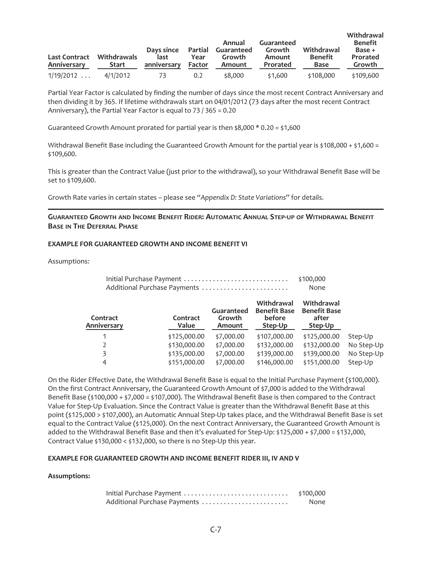| <b>Last Contract</b><br>Anniversary | <b>Withdrawals</b><br><b>Start</b> | Days since<br>last<br>anniversary | Partial<br>Year<br>Factor | Annual<br>Guaranteed<br>Growth<br>Amount | Guaranteed<br>Growth<br>Amount<br>Prorated | Withdrawal<br><b>Benefit</b><br>Base | Withdrawal<br><b>Benefit</b><br>Base +<br>Prorated<br>Growth |
|-------------------------------------|------------------------------------|-----------------------------------|---------------------------|------------------------------------------|--------------------------------------------|--------------------------------------|--------------------------------------------------------------|
| 1/19/2012                           | 4/1/2012                           | 73                                | 0.2                       | \$8,000                                  | \$1.600                                    | \$108,000                            | \$109,600                                                    |

Partial Year Factor is calculated by finding the number of days since the most recent Contract Anniversary and then dividing it by 365. If lifetime withdrawals start on 04/01/2012 (73 days after the most recent Contract Anniversary), the Partial Year Factor is equal to 73 / 365 = 0.20

Guaranteed Growth Amount prorated for partial year is then  $$8,000 * 0.20 = $1,600$ 

Withdrawal Benefit Base including the Guaranteed Growth Amount for the partial year is \$108,000 + \$1,600 = \$109,600.

This is greater than the Contract Value (just prior to the withdrawal), so your Withdrawal Benefit Base will be set to \$109,600.

Growth Rate varies in certain states – please see "*Appendix D: State Variations*" for details.

# **GUARANTEED GROWTH AND INCOME BENEFIT RIDER: AUTOMATIC ANNUAL STEP-UP OF WITHDRAWAL BENEFIT BASE IN THE DEFERRAL PHASE**

## **EXAMPLE FOR GUARANTEED GROWTH AND INCOME BENEFIT VI**

Assumptions:

| Initial Purchase Payment     | \$100,000 |
|------------------------------|-----------|
| Additional Purchase Payments | None      |

| Contract<br>Anniversary | Contract<br>Value | Guaranteed<br>Growth<br>Amount | Withdrawal<br><b>Benefit Base</b><br>before<br>Step-Up | Withdrawal<br><b>Benefit Base</b><br>after<br>Step-Up |            |
|-------------------------|-------------------|--------------------------------|--------------------------------------------------------|-------------------------------------------------------|------------|
|                         | \$125,000.00      | \$7,000.00                     | \$107,000.00                                           | \$125,000.00                                          | Step-Up    |
|                         | \$130,000.00      | \$7,000.00                     | \$132,000.00                                           | \$132,000.00                                          | No Step-Up |
| 3                       | \$135,000.00      | \$7,000.00                     | \$139,000.00                                           | \$139,000.00                                          | No Step-Up |
| 4                       | \$151,000.00      | \$7,000.00                     | \$146,000.00                                           | \$151,000.00                                          | Step-Up    |

On the Rider Effective Date, the Withdrawal Benefit Base is equal to the Initial Purchase Payment (\$100,000). On the first Contract Anniversary, the Guaranteed Growth Amount of \$7,000 is added to the Withdrawal Benefit Base (\$100,000 + \$7,000 = \$107,000). The Withdrawal Benefit Base is then compared to the Contract Value for Step-Up Evaluation. Since the Contract Value is greater than the Withdrawal Benefit Base at this point (\$125,000 > \$107,000), an Automatic Annual Step-Up takes place, and the Withdrawal Benefit Base is set equal to the Contract Value (\$125,000). On the next Contract Anniversary, the Guaranteed Growth Amount is added to the Withdrawal Benefit Base and then it's evaluated for Step-Up: \$125,000 + \$7,000 = \$132,000, Contract Value \$130,000 < \$132,000, so there is no Step-Up this year.

## **EXAMPLE FOR GUARANTEED GROWTH AND INCOME BENEFIT RIDER III, IV AND V**

| Initial Purchase Payment     | \$100,000 |
|------------------------------|-----------|
| Additional Purchase Payments | None      |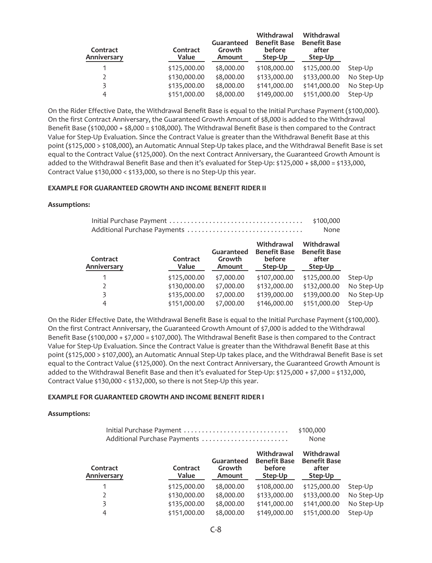| Contract<br>Anniversary | Contract<br>Value | Guaranteed<br>Growth<br>Amount | Withdrawal<br><b>Benefit Base</b><br>before<br>Step-Up | Withdrawal<br><b>Benefit Base</b><br>after<br>Step-Up |            |
|-------------------------|-------------------|--------------------------------|--------------------------------------------------------|-------------------------------------------------------|------------|
|                         | \$125,000.00      | \$8,000.00                     | \$108,000.00                                           | \$125,000.00                                          | Step-Up    |
|                         | \$130,000.00      | \$8,000.00                     | \$133,000.00                                           | \$133,000.00                                          | No Step-Up |
|                         | \$135,000.00      | \$8,000.00                     | \$141,000.00                                           | \$141,000.00                                          | No Step-Up |
| 4                       | \$151,000.00      | \$8,000.00                     | \$149,000.00                                           | \$151,000.00                                          | Step-Up    |
|                         |                   |                                |                                                        |                                                       |            |

On the Rider Effective Date, the Withdrawal Benefit Base is equal to the Initial Purchase Payment (\$100,000). On the first Contract Anniversary, the Guaranteed Growth Amount of \$8,000 is added to the Withdrawal Benefit Base (\$100,000 + \$8,000 = \$108,000). The Withdrawal Benefit Base is then compared to the Contract Value for Step-Up Evaluation. Since the Contract Value is greater than the Withdrawal Benefit Base at this point (\$125,000 > \$108,000), an Automatic Annual Step-Up takes place, and the Withdrawal Benefit Base is set equal to the Contract Value (\$125,000). On the next Contract Anniversary, the Guaranteed Growth Amount is added to the Withdrawal Benefit Base and then it's evaluated for Step-Up: \$125,000 + \$8,000 = \$133,000, Contract Value \$130,000 < \$133,000, so there is no Step-Up this year.

## **EXAMPLE FOR GUARANTEED GROWTH AND INCOME BENEFIT RIDER II**

#### **Assumptions:**

| \$100,000 |
|-----------|
| None      |

| Contract<br>Anniversary | Contract<br>Value | Guaranteed<br>Growth<br>Amount | Withdrawal<br><b>Benefit Base</b><br>before<br>Step-Up | Withdrawal<br><b>Benefit Base</b><br>after<br>Step-Up |            |
|-------------------------|-------------------|--------------------------------|--------------------------------------------------------|-------------------------------------------------------|------------|
|                         | \$125,000.00      | \$7,000.00                     | \$107,000.00                                           | \$125,000.00                                          | Step-Up    |
| 2                       | \$130,000.00      | \$7,000.00                     | \$132,000.00                                           | \$132,000.00                                          | No Step-Up |
| 3                       | \$135,000.00      | \$7,000.00                     | \$139,000.00                                           | \$139,000.00                                          | No Step-Up |
| 4                       | \$151,000.00      | \$7,000.00                     | \$146,000.00                                           | \$151,000.00                                          | Step-Up    |

On the Rider Effective Date, the Withdrawal Benefit Base is equal to the Initial Purchase Payment (\$100,000). On the first Contract Anniversary, the Guaranteed Growth Amount of \$7,000 is added to the Withdrawal Benefit Base (\$100,000 + \$7,000 = \$107,000). The Withdrawal Benefit Base is then compared to the Contract Value for Step-Up Evaluation. Since the Contract Value is greater than the Withdrawal Benefit Base at this point (\$125,000 > \$107,000), an Automatic Annual Step-Up takes place, and the Withdrawal Benefit Base is set equal to the Contract Value (\$125,000). On the next Contract Anniversary, the Guaranteed Growth Amount is added to the Withdrawal Benefit Base and then it's evaluated for Step-Up: \$125,000 + \$7,000 = \$132,000, Contract Value \$130,000 < \$132,000, so there is not Step-Up this year.

#### **EXAMPLE FOR GUARANTEED GROWTH AND INCOME BENEFIT RIDER I**

|                         | Initial Purchase Payment<br>Additional Purchase Payments |                                |                                                        | \$100,000<br>None                                     |            |
|-------------------------|----------------------------------------------------------|--------------------------------|--------------------------------------------------------|-------------------------------------------------------|------------|
| Contract<br>Anniversary | Contract<br>Value                                        | Guaranteed<br>Growth<br>Amount | Withdrawal<br><b>Benefit Base</b><br>before<br>Step-Up | Withdrawal<br><b>Benefit Base</b><br>after<br>Step-Up |            |
|                         | \$125,000.00                                             | \$8,000.00                     | \$108,000.00                                           | \$125,000.00                                          | Step-Up    |
| C                       | \$130,000.00                                             | \$8,000.00                     | \$133,000.00                                           | \$133,000.00                                          | No Step-Up |
| 3                       | \$135,000.00                                             | \$8,000.00                     | \$141,000.00                                           | \$141,000.00                                          | No Step-Up |
| 4                       | \$151,000.00                                             | \$8,000.00                     | \$149,000.00                                           | \$151,000.00                                          | Step-Up    |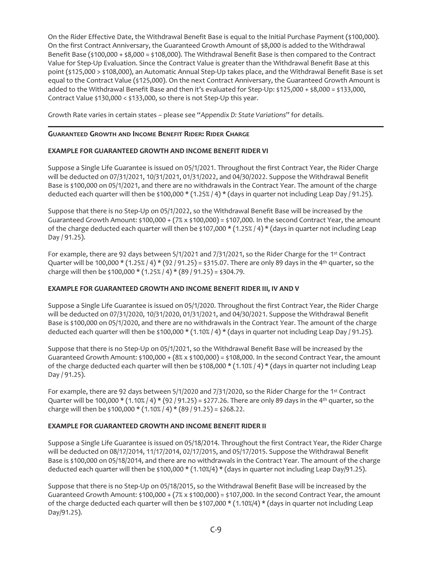On the Rider Effective Date, the Withdrawal Benefit Base is equal to the Initial Purchase Payment (\$100,000). On the first Contract Anniversary, the Guaranteed Growth Amount of \$8,000 is added to the Withdrawal Benefit Base (\$100,000 + \$8,000 = \$108,000). The Withdrawal Benefit Base is then compared to the Contract Value for Step-Up Evaluation. Since the Contract Value is greater than the Withdrawal Benefit Base at this point (\$125,000 > \$108,000), an Automatic Annual Step-Up takes place, and the Withdrawal Benefit Base is set equal to the Contract Value (\$125,000). On the next Contract Anniversary, the Guaranteed Growth Amount is added to the Withdrawal Benefit Base and then it's evaluated for Step-Up: \$125,000 + \$8,000 = \$133,000, Contract Value \$130,000 < \$133,000, so there is not Step-Up this year.

Growth Rate varies in certain states – please see "*Appendix D: State Variations*" for details.

# **GUARANTEED GROWTH AND INCOME BENEFIT RIDER: RIDER CHARGE**

# **EXAMPLE FOR GUARANTEED GROWTH AND INCOME BENEFIT RIDER VI**

Suppose a Single Life Guarantee is issued on 05/1/2021. Throughout the first Contract Year, the Rider Charge will be deducted on 07/31/2021, 10/31/2021, 01/31/2022, and 04/30/2022. Suppose the Withdrawal Benefit Base is \$100,000 on 05/1/2021, and there are no withdrawals in the Contract Year. The amount of the charge deducted each quarter will then be \$100,000 \* (1.25% / 4) \* (days in quarter not including Leap Day / 91.25).

Suppose that there is no Step-Up on 05/1/2022, so the Withdrawal Benefit Base will be increased by the Guaranteed Growth Amount:  $$100,000 + (7% \times $100,000) = $107,000$ . In the second Contract Year, the amount of the charge deducted each quarter will then be \$107,000  $*(1.25\%)$  4)  $*(days$  in quarter not including Leap Day / 91.25).

For example, there are 92 days between 5/1/2021 and 7/31/2021, so the Rider Charge for the 1st Contract Quarter will be 100,000  $*$  (1.25% / 4)  $*$  (92 / 91.25) = \$315.07. There are only 89 days in the 4<sup>th</sup> quarter, so the charge will then be \$100,000  $*(1.25\frac{8}{4})*(89/91.25) = $304.79$ .

# **EXAMPLE FOR GUARANTEED GROWTH AND INCOME BENEFIT RIDER III, IV AND V**

Suppose a Single Life Guarantee is issued on 05/1/2020. Throughout the first Contract Year, the Rider Charge will be deducted on 07/31/2020, 10/31/2020, 01/31/2021, and 04/30/2021. Suppose the Withdrawal Benefit Base is \$100,000 on 05/1/2020, and there are no withdrawals in the Contract Year. The amount of the charge deducted each quarter will then be \$100,000 \* (1.10% / 4) \* (days in quarter not including Leap Day / 91.25).

Suppose that there is no Step-Up on 05/1/2021, so the Withdrawal Benefit Base will be increased by the Guaranteed Growth Amount: \$100,000 +  $(8\% \times $100,000) = $108,000$ . In the second Contract Year, the amount of the charge deducted each quarter will then be \$108,000  $*(1.10\%/4) *$  (days in quarter not including Leap Day / 91.25).

For example, there are 92 days between 5/1/2020 and 7/31/2020, so the Rider Charge for the 1st Contract Quarter will be 100,000  $*$  (1.10% / 4)  $*$  (92 / 91.25) = \$277.26. There are only 89 days in the 4<sup>th</sup> quarter, so the charge will then be \$100,000  $*(1.10\%/4) * (89/91.25) = $268.22$ .

## **EXAMPLE FOR GUARANTEED GROWTH AND INCOME BENEFIT RIDER II**

Suppose a Single Life Guarantee is issued on 05/18/2014. Throughout the first Contract Year, the Rider Charge will be deducted on 08/17/2014, 11/17/2014, 02/17/2015, and 05/17/2015. Suppose the Withdrawal Benefit Base is \$100,000 on 05/18/2014, and there are no withdrawals in the Contract Year. The amount of the charge deducted each quarter will then be \$100,000 \* (1.10%/4) \* (days in quarter not including Leap Day/91.25).

Suppose that there is no Step-Up on 05/18/2015, so the Withdrawal Benefit Base will be increased by the Guaranteed Growth Amount: \$100,000 + (7% x \$100,000) = \$107,000. In the second Contract Year, the amount of the charge deducted each quarter will then be \$107,000  $*(1.10\%/4) *$  (days in quarter not including Leap Day/91.25).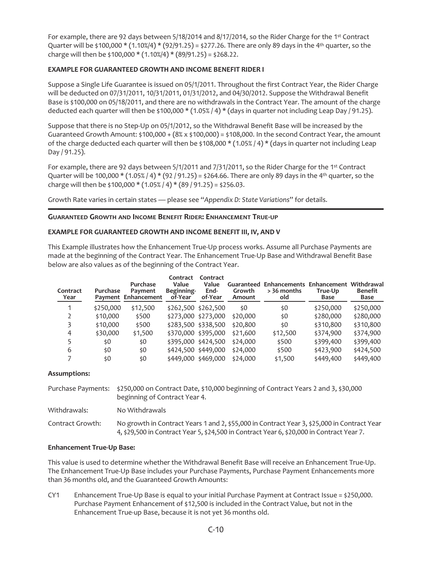For example, there are 92 days between 5/18/2014 and 8/17/2014, so the Rider Charge for the 1st Contract Quarter will be \$100,000 \* (1.10%/4) \* (92/91.25) = \$277.26. There are only 89 days in the 4<sup>th</sup> quarter, so the charge will then be  $$100,000 * (1.10\% / 4) * (89/91.25) = $268.22$ .

# **EXAMPLE FOR GUARANTEED GROWTH AND INCOME BENEFIT RIDER I**

Suppose a Single Life Guarantee is issued on 05/1/2011. Throughout the first Contract Year, the Rider Charge will be deducted on 07/31/2011, 10/31/2011, 01/31/2012, and 04/30/2012. Suppose the Withdrawal Benefit Base is \$100,000 on 05/18/2011, and there are no withdrawals in the Contract Year. The amount of the charge deducted each quarter will then be \$100,000 \* (1.05% / 4) \* (days in quarter not including Leap Day / 91.25).

Suppose that there is no Step-Up on 05/1/2012, so the Withdrawal Benefit Base will be increased by the Guaranteed Growth Amount:  $$100,000 + (8% \times $100,000) = $108,000$ . In the second Contract Year, the amount of the charge deducted each quarter will then be \$108,000 \* (1.05% / 4) \* (days in quarter not including Leap Day / 91.25).

For example, there are 92 days between 5/1/2011 and 7/31/2011, so the Rider Charge for the 1st Contract Quarter will be 100,000  $*(1.05\frac{8}{4} + (92/91.25) = $264.66$ . There are only 89 days in the 4<sup>th</sup> quarter, so the charge will then be \$100,000  $*(1.05\frac{8}{4})*(89/91.25) = $256.03$ .

Growth Rate varies in certain states — please see "*Appendix D: State Variations*" for details.

# **GUARANTEED GROWTH AND INCOME BENEFIT RIDER: ENHANCEMENT TRUE-UP**

# **EXAMPLE FOR GUARANTEED GROWTH AND INCOME BENEFIT III, IV, AND V**

This Example illustrates how the Enhancement True-Up process works. Assume all Purchase Payments are made at the beginning of the Contract Year. The Enhancement True-Up Base and Withdrawal Benefit Base below are also values as of the beginning of the Contract Year.

| Contract<br>Year | Purchase  | Purchase<br>Payment<br>Payment Enhancement | Contract<br>Value<br>Beginning-<br>of-Year | Contract<br>Value<br>End-<br>of-Year | Growth<br>Amount | Guaranteed Enhancements Enhancement Withdrawal<br>> 36 months<br>old | True-Up<br>Base | <b>Benefit</b><br>Base |
|------------------|-----------|--------------------------------------------|--------------------------------------------|--------------------------------------|------------------|----------------------------------------------------------------------|-----------------|------------------------|
| 1                | \$250,000 | \$12,500                                   | \$262,500 \$262,500                        |                                      | \$0              | \$0                                                                  | \$250,000       | \$250,000              |
|                  | \$10,000  | \$500                                      | \$273,000 \$273,000                        |                                      | \$20,000         | \$0                                                                  | \$280,000       | \$280,000              |
|                  | \$10,000  | \$500                                      | \$283,500 \$338,500                        |                                      | \$20,800         | \$0                                                                  | \$310,800       | \$310,800              |
| 4                | \$30,000  | \$1,500                                    | \$370,000 \$395,000                        |                                      | \$21,600         | \$12,500                                                             | \$374,900       | \$374,900              |
|                  | \$0       | \$0                                        | \$395,000 \$424,500                        |                                      | \$24,000         | \$500                                                                | \$399,400       | \$399,400              |
| 6                | \$0       | \$0                                        | \$424,500 \$449,000                        |                                      | \$24,000         | \$500                                                                | \$423,900       | \$424,500              |
|                  | \$0       | \$0                                        | \$449,000 \$469,000                        |                                      | \$24,000         | \$1,500                                                              | \$449,400       | \$449,400              |

## **Assumptions:**

|                  | Purchase Payments: \$250,000 on Contract Date, \$10,000 beginning of Contract Years 2 and 3, \$30,000<br>beginning of Contract Year 4.                                                   |
|------------------|------------------------------------------------------------------------------------------------------------------------------------------------------------------------------------------|
| Withdrawals:     | No Withdrawals                                                                                                                                                                           |
| Contract Growth: | No growth in Contract Years 1 and 2, \$55,000 in Contract Year 3, \$25,000 in Contract Year<br>4, \$29,500 in Contract Year 5, \$24,500 in Contract Year 6, \$20,000 in Contract Year 7. |

## **Enhancement True-Up Base:**

This value is used to determine whether the Withdrawal Benefit Base will receive an Enhancement True-Up. The Enhancement True-Up Base includes your Purchase Payments, Purchase Payment Enhancements more than 36 months old, and the Guaranteed Growth Amounts:

CY1 Enhancement True-Up Base is equal to your initial Purchase Payment at Contract Issue = \$250,000. Purchase Payment Enhancement of \$12,500 is included in the Contract Value, but not in the Enhancement True-up Base, because it is not yet 36 months old.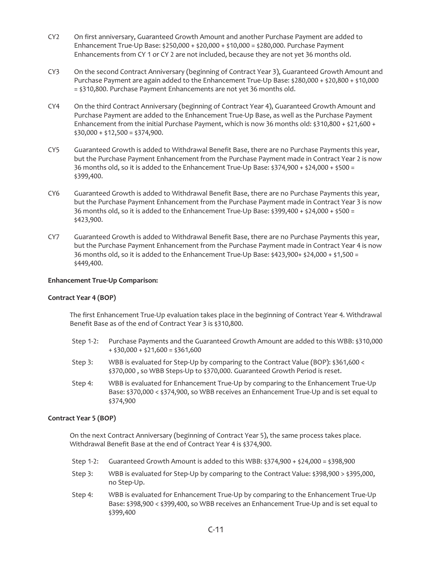- CY2 On first anniversary, Guaranteed Growth Amount and another Purchase Payment are added to Enhancement True-Up Base: \$250,000 + \$20,000 + \$10,000 = \$280,000. Purchase Payment Enhancements from CY 1 or CY 2 are not included, because they are not yet 36 months old.
- CY3 On the second Contract Anniversary (beginning of Contract Year 3), Guaranteed Growth Amount and Purchase Payment are again added to the Enhancement True-Up Base: \$280,000 + \$20,800 + \$10,000 = \$310,800. Purchase Payment Enhancements are not yet 36 months old.
- CY4 On the third Contract Anniversary (beginning of Contract Year 4), Guaranteed Growth Amount and Purchase Payment are added to the Enhancement True-Up Base, as well as the Purchase Payment Enhancement from the initial Purchase Payment, which is now 36 months old:  $$310,800 + $21,600 +$  $$30,000 + $12,500 = $374,900.$
- CY5 Guaranteed Growth is added to Withdrawal Benefit Base, there are no Purchase Payments this year, but the Purchase Payment Enhancement from the Purchase Payment made in Contract Year 2 is now 36 months old, so it is added to the Enhancement True-Up Base: \$374,900 + \$24,000 + \$500 = \$399,400.
- CY6 Guaranteed Growth is added to Withdrawal Benefit Base, there are no Purchase Payments this year, but the Purchase Payment Enhancement from the Purchase Payment made in Contract Year 3 is now 36 months old, so it is added to the Enhancement True-Up Base: \$399,400 + \$24,000 + \$500 = \$423,900.
- CY7 Guaranteed Growth is added to Withdrawal Benefit Base, there are no Purchase Payments this year, but the Purchase Payment Enhancement from the Purchase Payment made in Contract Year 4 is now 36 months old, so it is added to the Enhancement True-Up Base: \$423,900+ \$24,000 + \$1,500 = \$449,400.

# **Enhancement True-Up Comparison:**

## **Contract Year 4 (BOP)**

The first Enhancement True-Up evaluation takes place in the beginning of Contract Year 4. Withdrawal Benefit Base as of the end of Contract Year 3 is \$310,800.

- Step 1-2: Purchase Payments and the Guaranteed Growth Amount are added to this WBB: \$310,000  $+$  \$30,000 + \$21,600 = \$361,600
- Step 3: WBB is evaluated for Step-Up by comparing to the Contract Value (BOP): \$361,600 < \$370,000 , so WBB Steps-Up to \$370,000. Guaranteed Growth Period is reset.
- Step 4: WBB is evaluated for Enhancement True-Up by comparing to the Enhancement True-Up Base: \$370,000 < \$374,900, so WBB receives an Enhancement True-Up and is set equal to \$374,900

## **Contract Year 5 (BOP)**

On the next Contract Anniversary (beginning of Contract Year 5), the same process takes place. Withdrawal Benefit Base at the end of Contract Year 4 is \$374,900.

- Step 1-2: Guaranteed Growth Amount is added to this WBB:  $$374,900 + $24,000 = $398,900$
- Step 3: WBB is evaluated for Step-Up by comparing to the Contract Value: \$398,900 > \$395,000, no Step-Up.
- Step 4: WBB is evaluated for Enhancement True-Up by comparing to the Enhancement True-Up Base: \$398,900 < \$399,400, so WBB receives an Enhancement True-Up and is set equal to \$399,400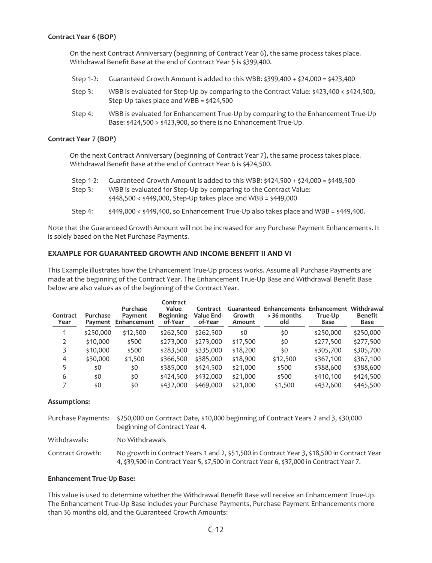## **Contract Year 6 (BOP)**

On the next Contract Anniversary (beginning of Contract Year 6), the same process takes place. Withdrawal Benefit Base at the end of Contract Year 5 is \$399,400.

- Step 1-2: Guaranteed Growth Amount is added to this WBB:  $$399,400 + $24,000 = $423,400$
- Step 3: WBB is evaluated for Step-Up by comparing to the Contract Value: \$423,400 < \$424,500, Step-Up takes place and WBB = \$424,500
- Step 4: WBB is evaluated for Enhancement True-Up by comparing to the Enhancement True-Up Base: \$424,500 > \$423,900, so there is no Enhancement True-Up.

#### **Contract Year 7 (BOP)**

On the next Contract Anniversary (beginning of Contract Year 7), the same process takes place. Withdrawal Benefit Base at the end of Contract Year 6 is \$424,500.

- Step 1-2: Guaranteed Growth Amount is added to this WBB:  $\frac{2424}{500}$  +  $\frac{24000}{500}$  =  $\frac{2448}{500}$ Step 3: WBB is evaluated for Step-Up by comparing to the Contract Value: \$448,500 < \$449,000, Step-Up takes place and WBB = \$449,000
- Step 4:  $\sharp$ 449,000 <  $\xi$ 449,400, so Enhancement True-Up also takes place and WBB =  $\xi$ 449,400.

Note that the Guaranteed Growth Amount will not be increased for any Purchase Payment Enhancements. It is solely based on the Net Purchase Payments.

# **EXAMPLE FOR GUARANTEED GROWTH AND INCOME BENEFIT II AND VI**

This Example illustrates how the Enhancement True-Up process works. Assume all Purchase Payments are made at the beginning of the Contract Year. The Enhancement True-Up Base and Withdrawal Benefit Base below are also values as of the beginning of the Contract Year.

| Contract<br>Year | Purchase<br>Payment | Purchase<br>Payment<br>Enhancement | Contract<br>Value<br>Beginning-<br>of-Year | Contract<br>Value End-<br>of-Year | Guaranteed<br>Growth<br>Amount | Enhancements Enhancement Withdrawal<br>> 36 months<br>old | True-Up<br>Base | <b>Benefit</b><br>Base |
|------------------|---------------------|------------------------------------|--------------------------------------------|-----------------------------------|--------------------------------|-----------------------------------------------------------|-----------------|------------------------|
|                  | \$250,000           | \$12,500                           | \$262,500                                  | \$262,500                         | \$0                            | \$0                                                       | \$250,000       | \$250,000              |
|                  | \$10,000            | \$500                              | \$273,000                                  | \$273,000                         | \$17,500                       | \$0                                                       | \$277,500       | \$277,500              |
| 3                | \$10,000            | \$500                              | \$283,500                                  | \$335,000                         | \$18,200                       | \$0                                                       | \$305,700       | \$305,700              |
| 4                | \$30,000            | \$1,500                            | \$366,500                                  | \$385,000                         | \$18,900                       | \$12,500                                                  | \$367,100       | \$367,100              |
| 5                | \$0                 | \$0                                | \$385,000                                  | \$424,500                         | \$21,000                       | \$500                                                     | \$388,600       | \$388,600              |
| 6                | \$0                 | \$0                                | \$424,500                                  | \$432,000                         | \$21,000                       | \$500                                                     | \$410,100       | \$424,500              |
|                  | \$0                 | \$0                                | \$432,000                                  | \$469,000                         | \$21,000                       | \$1,500                                                   | \$432,600       | \$445,500              |

#### **Assumptions:**

|                  | Purchase Payments: \$250,000 on Contract Date, \$10,000 beginning of Contract Years 2 and 3, \$30,000<br>beginning of Contract Year 4.                                                  |
|------------------|-----------------------------------------------------------------------------------------------------------------------------------------------------------------------------------------|
| Withdrawals:     | No Withdrawals                                                                                                                                                                          |
| Contract Growth: | No growth in Contract Years 1 and 2, \$51,500 in Contract Year 3, \$18,500 in Contract Year<br>4, \$39,500 in Contract Year 5, \$7,500 in Contract Year 6, \$37,000 in Contract Year 7. |

## **Enhancement True-Up Base:**

This value is used to determine whether the Withdrawal Benefit Base will receive an Enhancement True-Up. The Enhancement True-Up Base includes your Purchase Payments, Purchase Payment Enhancements more than 36 months old, and the Guaranteed Growth Amounts: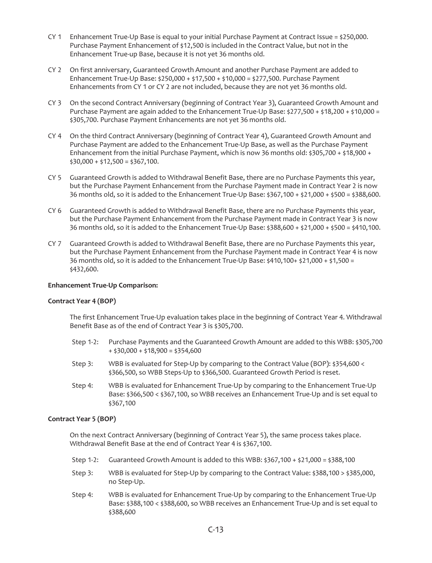- CY 1 Enhancement True-Up Base is equal to your initial Purchase Payment at Contract Issue =  $\frac{1}{2}250,000$ . Purchase Payment Enhancement of \$12,500 is included in the Contract Value, but not in the Enhancement True-up Base, because it is not yet 36 months old.
- CY 2 On first anniversary, Guaranteed Growth Amount and another Purchase Payment are added to Enhancement True-Up Base: \$250,000 + \$17,500 + \$10,000 = \$277,500. Purchase Payment Enhancements from CY 1 or CY 2 are not included, because they are not yet 36 months old.
- CY 3 On the second Contract Anniversary (beginning of Contract Year 3), Guaranteed Growth Amount and Purchase Payment are again added to the Enhancement True-Up Base: \$277,500 + \$18,200 + \$10,000 = \$305,700. Purchase Payment Enhancements are not yet 36 months old.
- CY 4 On the third Contract Anniversary (beginning of Contract Year 4), Guaranteed Growth Amount and Purchase Payment are added to the Enhancement True-Up Base, as well as the Purchase Payment Enhancement from the initial Purchase Payment, which is now 36 months old:  $$305,700 + $18,900 +$  $$30,000 + $12,500 = $367,100.$
- CY 5 Guaranteed Growth is added to Withdrawal Benefit Base, there are no Purchase Payments this year, but the Purchase Payment Enhancement from the Purchase Payment made in Contract Year 2 is now 36 months old, so it is added to the Enhancement True-Up Base: \$367,100 + \$21,000 + \$500 = \$388,600.
- CY 6 Guaranteed Growth is added to Withdrawal Benefit Base, there are no Purchase Payments this year, but the Purchase Payment Enhancement from the Purchase Payment made in Contract Year 3 is now 36 months old, so it is added to the Enhancement True-Up Base: \$388,600 + \$21,000 + \$500 = \$410,100.
- CY 7 Guaranteed Growth is added to Withdrawal Benefit Base, there are no Purchase Payments this year, but the Purchase Payment Enhancement from the Purchase Payment made in Contract Year 4 is now 36 months old, so it is added to the Enhancement True-Up Base: \$410,100+ \$21,000 + \$1,500 = \$432,600.

## **Enhancement True-Up Comparison:**

## **Contract Year 4 (BOP)**

The first Enhancement True-Up evaluation takes place in the beginning of Contract Year 4. Withdrawal Benefit Base as of the end of Contract Year 3 is \$305,700.

- Step 1-2: Purchase Payments and the Guaranteed Growth Amount are added to this WBB: \$305,700  $+$  \$30,000 + \$18,900 = \$354,600
- Step 3: WBB is evaluated for Step-Up by comparing to the Contract Value (BOP): \$354,600 < \$366,500, so WBB Steps-Up to \$366,500. Guaranteed Growth Period is reset.
- Step 4: WBB is evaluated for Enhancement True-Up by comparing to the Enhancement True-Up Base: \$366,500 < \$367,100, so WBB receives an Enhancement True-Up and is set equal to \$367,100

# **Contract Year 5 (BOP)**

On the next Contract Anniversary (beginning of Contract Year 5), the same process takes place. Withdrawal Benefit Base at the end of Contract Year 4 is \$367,100.

- Step 1-2: Guaranteed Growth Amount is added to this WBB:  $$367,100 + $21,000 = $388,100$
- Step 3: WBB is evaluated for Step-Up by comparing to the Contract Value: \$388,100 > \$385,000, no Step-Up.
- Step 4: WBB is evaluated for Enhancement True-Up by comparing to the Enhancement True-Up Base: \$388,100 < \$388,600, so WBB receives an Enhancement True-Up and is set equal to \$388,600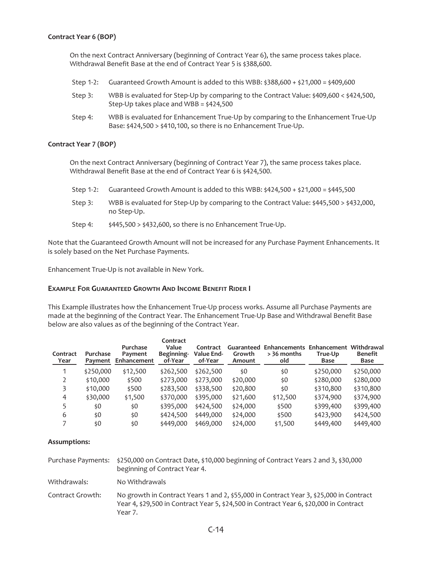## **Contract Year 6 (BOP)**

On the next Contract Anniversary (beginning of Contract Year 6), the same process takes place. Withdrawal Benefit Base at the end of Contract Year 5 is \$388,600.

Step 1-2: Guaranteed Growth Amount is added to this WBB:  $\frac{288}{600}$  +  $\frac{21}{000}$  =  $\frac{2409}{600}$ Step 3: WBB is evaluated for Step-Up by comparing to the Contract Value: \$409,600 < \$424,500, Step-Up takes place and WBB = \$424,500 Step 4: WBB is evaluated for Enhancement True-Up by comparing to the Enhancement True-Up Base: \$424,500 > \$410,100, so there is no Enhancement True-Up.

## **Contract Year 7 (BOP)**

On the next Contract Anniversary (beginning of Contract Year 7), the same process takes place. Withdrawal Benefit Base at the end of Contract Year 6 is \$424,500.

- Step 1-2: Guaranteed Growth Amount is added to this WBB:  $\frac{2424}{500}$  +  $\frac{21,000}{500}$  =  $\frac{2445}{500}$
- Step 3: WBB is evaluated for Step-Up by comparing to the Contract Value: \$445,500 > \$432,000, no Step-Up.
- Step 4:  $$445,500 > $432,600$ , so there is no Enhancement True-Up.

Note that the Guaranteed Growth Amount will not be increased for any Purchase Payment Enhancements. It is solely based on the Net Purchase Payments.

Enhancement True-Up is not available in New York.

# **EXAMPLE FOR GUARANTEED GROWTH AND INCOME BENEFIT RIDER I**

This Example illustrates how the Enhancement True-Up process works. Assume all Purchase Payments are made at the beginning of the Contract Year. The Enhancement True-Up Base and Withdrawal Benefit Base below are also values as of the beginning of the Contract Year.

| Contract<br>Year | Purchase<br>Payment | Purchase<br>Payment<br>Enhancement | Contract<br>Value<br>Beginning-<br>of-Year | Contract<br>Value End-<br>of-Year | Guaranteed<br>Growth<br>Amount | Enhancements Enhancement Withdrawal<br>> 36 months<br>old | True-Up<br>Base | <b>Benefit</b><br>Base |
|------------------|---------------------|------------------------------------|--------------------------------------------|-----------------------------------|--------------------------------|-----------------------------------------------------------|-----------------|------------------------|
| 1                | \$250,000           | \$12,500                           | \$262,500                                  | \$262,500                         | \$0                            | \$0                                                       | \$250,000       | \$250,000              |
|                  | \$10,000            | \$500                              | \$273,000                                  | \$273,000                         | \$20,000                       | \$0                                                       | \$280,000       | \$280,000              |
|                  | \$10,000            | \$500                              | \$283,500                                  | \$338,500                         | \$20,800                       | \$0                                                       | \$310,800       | \$310,800              |
| 4                | \$30,000            | \$1,500                            | \$370,000                                  | \$395,000                         | \$21,600                       | \$12,500                                                  | \$374,900       | \$374,900              |
|                  | \$0                 | \$0                                | \$395,000                                  | \$424,500                         | \$24,000                       | \$500                                                     | \$399,400       | \$399,400              |
| 6                | \$0                 | \$0                                | \$424,500                                  | \$449,000                         | \$24,000                       | \$500                                                     | \$423,900       | \$424,500              |
| 7                | \$0                 | \$0                                | \$449,000                                  | \$469,000                         | \$24,000                       | \$1,500                                                   | \$449,400       | \$449,400              |

## **Assumptions:**

Purchase Payments: \$250,000 on Contract Date, \$10,000 beginning of Contract Years 2 and 3, \$30,000 beginning of Contract Year 4.

Withdrawals: No Withdrawals

Contract Growth: No growth in Contract Years 1 and 2, \$55,000 in Contract Year 3, \$25,000 in Contract Year 4, \$29,500 in Contract Year 5, \$24,500 in Contract Year 6, \$20,000 in Contract Year 7.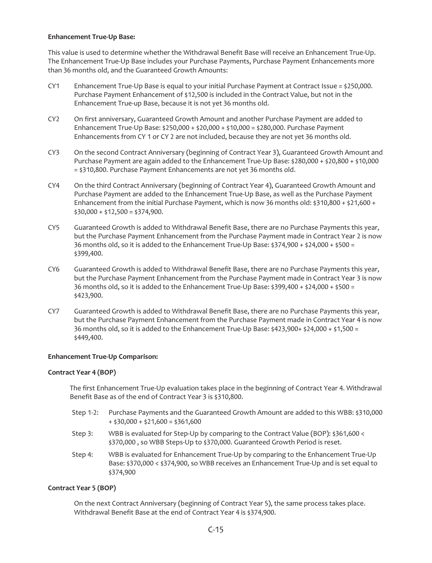## **Enhancement True-Up Base:**

This value is used to determine whether the Withdrawal Benefit Base will receive an Enhancement True-Up. The Enhancement True-Up Base includes your Purchase Payments, Purchase Payment Enhancements more than 36 months old, and the Guaranteed Growth Amounts:

- CY1 Enhancement True-Up Base is equal to your initial Purchase Payment at Contract Issue = \$250,000. Purchase Payment Enhancement of \$12,500 is included in the Contract Value, but not in the Enhancement True-up Base, because it is not yet 36 months old.
- CY2 On first anniversary, Guaranteed Growth Amount and another Purchase Payment are added to Enhancement True-Up Base: \$250,000 + \$20,000 + \$10,000 = \$280,000. Purchase Payment Enhancements from CY 1 or CY 2 are not included, because they are not yet 36 months old.
- CY3 On the second Contract Anniversary (beginning of Contract Year 3), Guaranteed Growth Amount and Purchase Payment are again added to the Enhancement True-Up Base: \$280,000 + \$20,800 + \$10,000 = \$310,800. Purchase Payment Enhancements are not yet 36 months old.
- CY4 On the third Contract Anniversary (beginning of Contract Year 4), Guaranteed Growth Amount and Purchase Payment are added to the Enhancement True-Up Base, as well as the Purchase Payment Enhancement from the initial Purchase Payment, which is now 36 months old:  $$310,800 + $21,600 +$  $$30,000 + $12,500 = $374,900.$
- CY5 Guaranteed Growth is added to Withdrawal Benefit Base, there are no Purchase Payments this year, but the Purchase Payment Enhancement from the Purchase Payment made in Contract Year 2 is now 36 months old, so it is added to the Enhancement True-Up Base:  $$374,900 + $24,000 + $500 =$ \$399,400.
- CY6 Guaranteed Growth is added to Withdrawal Benefit Base, there are no Purchase Payments this year, but the Purchase Payment Enhancement from the Purchase Payment made in Contract Year 3 is now 36 months old, so it is added to the Enhancement True-Up Base:  $$399,400 + $24,000 + $500 =$ \$423,900.
- CY7 Guaranteed Growth is added to Withdrawal Benefit Base, there are no Purchase Payments this year, but the Purchase Payment Enhancement from the Purchase Payment made in Contract Year 4 is now 36 months old, so it is added to the Enhancement True-Up Base: \$423,900+ \$24,000 + \$1,500 = \$449,400.

# **Enhancement True-Up Comparison:**

## **Contract Year 4 (BOP)**

The first Enhancement True-Up evaluation takes place in the beginning of Contract Year 4. Withdrawal Benefit Base as of the end of Contract Year 3 is \$310,800.

- Step 1-2: Purchase Payments and the Guaranteed Growth Amount are added to this WBB: \$310,000  $+$  \$30,000 + \$21,600 = \$361,600
- Step 3: WBB is evaluated for Step-Up by comparing to the Contract Value (BOP): \$361,600 < \$370,000 , so WBB Steps-Up to \$370,000. Guaranteed Growth Period is reset.
- Step 4: WBB is evaluated for Enhancement True-Up by comparing to the Enhancement True-Up Base: \$370,000 < \$374,900, so WBB receives an Enhancement True-Up and is set equal to \$374,900

## **Contract Year 5 (BOP)**

On the next Contract Anniversary (beginning of Contract Year 5), the same process takes place. Withdrawal Benefit Base at the end of Contract Year 4 is \$374,900.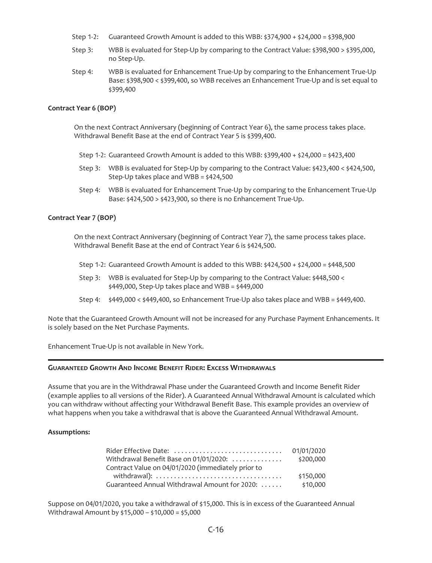- Step 1-2: Guaranteed Growth Amount is added to this WBB:  $$374,900 + $24,000 = $398,900$
- Step 3: WBB is evaluated for Step-Up by comparing to the Contract Value: \$398,900 > \$395,000, no Step-Up.
- Step 4: WBB is evaluated for Enhancement True-Up by comparing to the Enhancement True-Up Base: \$398,900 < \$399,400, so WBB receives an Enhancement True-Up and is set equal to \$399,400

### **Contract Year 6 (BOP)**

On the next Contract Anniversary (beginning of Contract Year 6), the same process takes place. Withdrawal Benefit Base at the end of Contract Year 5 is \$399,400.

- Step 1-2: Guaranteed Growth Amount is added to this WBB:  $$399,400 + $24,000 = $423,400$
- Step 3: WBB is evaluated for Step-Up by comparing to the Contract Value: \$423,400 < \$424,500, Step-Up takes place and WBB = \$424,500
- Step 4: WBB is evaluated for Enhancement True-Up by comparing to the Enhancement True-Up Base: \$424,500 > \$423,900, so there is no Enhancement True-Up.

## **Contract Year 7 (BOP)**

On the next Contract Anniversary (beginning of Contract Year 7), the same process takes place. Withdrawal Benefit Base at the end of Contract Year 6 is \$424,500.

- Step 1-2: Guaranteed Growth Amount is added to this WBB:  $\frac{2424}{500}$  +  $\frac{24000}{500}$  =  $\frac{2448}{500}$
- Step 3: WBB is evaluated for Step-Up by comparing to the Contract Value: \$448,500 <  $$449,000$ , Step-Up takes place and WBB =  $$449,000$
- Step 4:  $\frac{1}{449,000}$  <  $\frac{1}{49,400}$ , so Enhancement True-Up also takes place and WBB =  $\frac{1}{449,400}$ .

Note that the Guaranteed Growth Amount will not be increased for any Purchase Payment Enhancements. It is solely based on the Net Purchase Payments.

Enhancement True-Up is not available in New York.

# **GUARANTEED GROWTH AND INCOME BENEFIT RIDER: EXCESS WITHDRAWALS**

Assume that you are in the Withdrawal Phase under the Guaranteed Growth and Income Benefit Rider (example applies to all versions of the Rider). A Guaranteed Annual Withdrawal Amount is calculated which you can withdraw without affecting your Withdrawal Benefit Base. This example provides an overview of what happens when you take a withdrawal that is above the Guaranteed Annual Withdrawal Amount.

## **Assumptions:**

| Rider Effective Date:                              | 01/01/2020 |
|----------------------------------------------------|------------|
| Withdrawal Benefit Base on 01/01/2020:             | \$200,000  |
| Contract Value on 04/01/2020 (immediately prior to |            |
|                                                    | \$150,000  |
| Guaranteed Annual Withdrawal Amount for 2020:      | \$10,000   |

Suppose on 04/01/2020, you take a withdrawal of \$15,000. This is in excess of the Guaranteed Annual Withdrawal Amount by \$15,000 – \$10,000 = \$5,000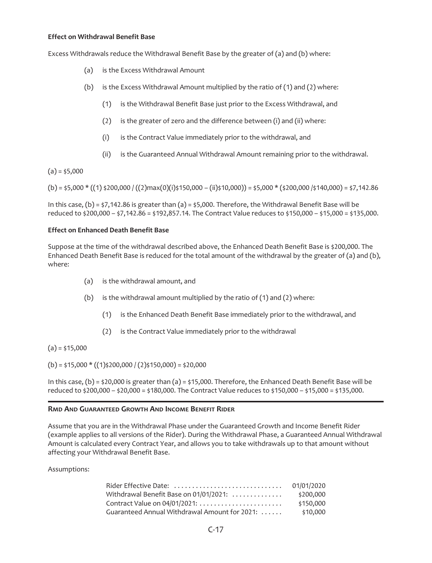## **Effect on Withdrawal Benefit Base**

Excess Withdrawals reduce the Withdrawal Benefit Base by the greater of (a) and (b) where:

- (a) is the Excess Withdrawal Amount
- (b) is the Excess Withdrawal Amount multiplied by the ratio of (1) and (2) where:
	- (1) is the Withdrawal Benefit Base just prior to the Excess Withdrawal, and
	- (2) is the greater of zero and the difference between (i) and (ii) where:
	- (i) is the Contract Value immediately prior to the withdrawal, and
	- (ii) is the Guaranteed Annual Withdrawal Amount remaining prior to the withdrawal.

 $(a) = $5,000$ 

 $(b) = 55,000 * ((1) *200,000 / ((2)max(0)$  $(i) *150,000 - (ii) *10,000) = 55,000 * (*200,000 /*140,000) = $7,142.86$ 

In this case,  $(b) = \frac{1}{2}$ , 142.86 is greater than (a) =  $\frac{1}{2}$ ,000. Therefore, the Withdrawal Benefit Base will be reduced to \$200,000 – \$7,142.86 = \$192,857.14. The Contract Value reduces to \$150,000 – \$15,000 = \$135,000.

## **Effect on Enhanced Death Benefit Base**

Suppose at the time of the withdrawal described above, the Enhanced Death Benefit Base is \$200,000. The Enhanced Death Benefit Base is reduced for the total amount of the withdrawal by the greater of (a) and (b), where:

- (a) is the withdrawal amount, and
- (b) is the withdrawal amount multiplied by the ratio of  $(1)$  and  $(2)$  where:
	- (1) is the Enhanced Death Benefit Base immediately prior to the withdrawal, and
	- (2) is the Contract Value immediately prior to the withdrawal

 $(a) = $15,000$ 

 $(b) = $15,000 * ((1) $200,000 / (2) $150,000 = $20,000$ 

In this case, (b) = \$20,000 is greater than (a) = \$15,000. Therefore, the Enhanced Death Benefit Base will be reduced to \$200,000 – \$20,000 = \$180,000. The Contract Value reduces to \$150,000 – \$15,000 = \$135,000.

# **RMD AND GUARANTEED GROWTH AND INCOME BENEFIT RIDER**

Assume that you are in the Withdrawal Phase under the Guaranteed Growth and Income Benefit Rider (example applies to all versions of the Rider). During the Withdrawal Phase, a Guaranteed Annual Withdrawal Amount is calculated every Contract Year, and allows you to take withdrawals up to that amount without affecting your Withdrawal Benefit Base.

| Rider Effective Date:                         | 01/01/2020 |
|-----------------------------------------------|------------|
| Withdrawal Benefit Base on 01/01/2021:        | \$200,000  |
| Contract Value on 04/01/2021:                 | \$150,000  |
| Guaranteed Annual Withdrawal Amount for 2021: | \$10,000   |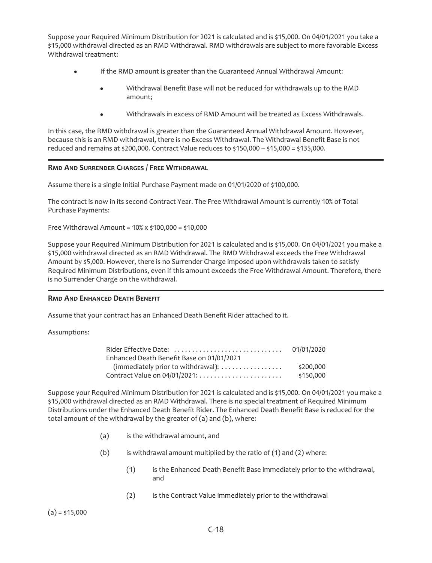Suppose your Required Minimum Distribution for 2021 is calculated and is \$15,000. On 04/01/2021 you take a \$15,000 withdrawal directed as an RMD Withdrawal. RMD withdrawals are subject to more favorable Excess Withdrawal treatment:

- If the RMD amount is greater than the Guaranteed Annual Withdrawal Amount:
	- Withdrawal Benefit Base will not be reduced for withdrawals up to the RMD amount;
	- Withdrawals in excess of RMD Amount will be treated as Excess Withdrawals.

In this case, the RMD withdrawal is greater than the Guaranteed Annual Withdrawal Amount. However, because this is an RMD withdrawal, there is no Excess Withdrawal. The Withdrawal Benefit Base is not reduced and remains at \$200,000. Contract Value reduces to \$150,000 – \$15,000 = \$135,000.

# **RMD AND SURRENDER CHARGES / FREE WITHDRAWAL**

Assume there is a single Initial Purchase Payment made on 01/01/2020 of \$100,000.

The contract is now in its second Contract Year. The Free Withdrawal Amount is currently 10% of Total Purchase Payments:

Free Withdrawal Amount =  $10\%$  x \$100,000 = \$10,000

Suppose your Required Minimum Distribution for 2021 is calculated and is \$15,000. On 04/01/2021 you make a \$15,000 withdrawal directed as an RMD Withdrawal. The RMD Withdrawal exceeds the Free Withdrawal Amount by \$5,000. However, there is no Surrender Charge imposed upon withdrawals taken to satisfy Required Minimum Distributions, even if this amount exceeds the Free Withdrawal Amount. Therefore, there is no Surrender Charge on the withdrawal.

## **RMD AND ENHANCED DEATH BENEFIT**

Assume that your contract has an Enhanced Death Benefit Rider attached to it.

Assumptions:

| Rider Effective Date:                     | 01/01/2020 |
|-------------------------------------------|------------|
| Enhanced Death Benefit Base on 01/01/2021 |            |
| (immediately prior to withdrawal):        | \$200,000  |
|                                           | \$150,000  |

Suppose your Required Minimum Distribution for 2021 is calculated and is \$15,000. On 04/01/2021 you make a \$15,000 withdrawal directed as an RMD Withdrawal. There is no special treatment of Required Minimum Distributions under the Enhanced Death Benefit Rider. The Enhanced Death Benefit Base is reduced for the total amount of the withdrawal by the greater of (a) and (b), where:

- (a) is the withdrawal amount, and
- (b) is withdrawal amount multiplied by the ratio of  $(1)$  and  $(2)$  where:
	- (1) is the Enhanced Death Benefit Base immediately prior to the withdrawal, and
	- (2) is the Contract Value immediately prior to the withdrawal

 $(a) = $15,000$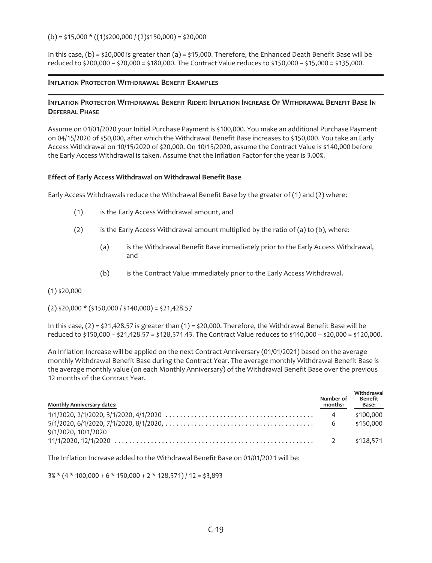$(b) = $15,000 * ((1) $200,000 / (2) $150,000 = $20,000$ 

In this case,  $(b) = $20,000$  is greater than  $(a) = $15,000$ . Therefore, the Enhanced Death Benefit Base will be reduced to \$200,000 – \$20,000 = \$180,000. The Contract Value reduces to \$150,000 – \$15,000 = \$135,000.

## **INFLATION PROTECTOR WITHDRAWAL BENEFIT EXAMPLES**

# **INFLATION PROTECTOR WITHDRAWAL BENEFIT RIDER: INFLATION INCREASE OF WITHDRAWAL BENEFIT BASE IN DEFERRAL PHASE**

Assume on 01/01/2020 your Initial Purchase Payment is \$100,000. You make an additional Purchase Payment on 04/15/2020 of \$50,000, after which the Withdrawal Benefit Base increases to \$150,000. You take an Early Access Withdrawal on 10/15/2020 of \$20,000. On 10/15/2020, assume the Contract Value is \$140,000 before the Early Access Withdrawal is taken. Assume that the Inflation Factor for the year is 3.00%.

# **Effect of Early Access Withdrawal on Withdrawal Benefit Base**

Early Access Withdrawals reduce the Withdrawal Benefit Base by the greater of (1) and (2) where:

- (1) is the Early Access Withdrawal amount, and
- (2) is the Early Access Withdrawal amount multiplied by the ratio of (a) to (b), where:
	- (a) is the Withdrawal Benefit Base immediately prior to the Early Access Withdrawal, and
	- (b) is the Contract Value immediately prior to the Early Access Withdrawal.

 $(1)$  \$20,000

 $(2)$  \$20,000 \* (\$150,000 / \$140,000) = \$21,428.57

In this case,  $(2) = \frac{1}{21,428.57}$  is greater than  $(1) = \frac{1}{20,000}$ . Therefore, the Withdrawal Benefit Base will be reduced to \$150,000 – \$21,428.57 = \$128,571.43. The Contract Value reduces to \$140,000 – \$20,000 = \$120,000.

An Inflation Increase will be applied on the next Contract Anniversary (01/01/2021) based on the average monthly Withdrawal Benefit Base during the Contract Year. The average monthly Withdrawal Benefit Base is the average monthly value (on each Monthly Anniversary) of the Withdrawal Benefit Base over the previous 12 months of the Contract Year.

| <b>Monthly Anniversary dates:</b>                                                                                                    | Number of<br>months: | Withdrawal<br>Benefit<br>Base: |
|--------------------------------------------------------------------------------------------------------------------------------------|----------------------|--------------------------------|
| $5/1/2020, 6/1/2020, 7/1/2020, 8/1/2020, \ldots, \ldots, \ldots, \ldots, \ldots, \ldots, \ldots, \ldots, \ldots, \qquad 6$ \$150,000 |                      | \$100,000                      |
| 9/1/2020, 10/1/2020                                                                                                                  |                      | \$128.571                      |

The Inflation Increase added to the Withdrawal Benefit Base on 01/01/2021 will be:

 $3\%*(4*100,000+6*150,000+2*128,571)/12=$ \$3,893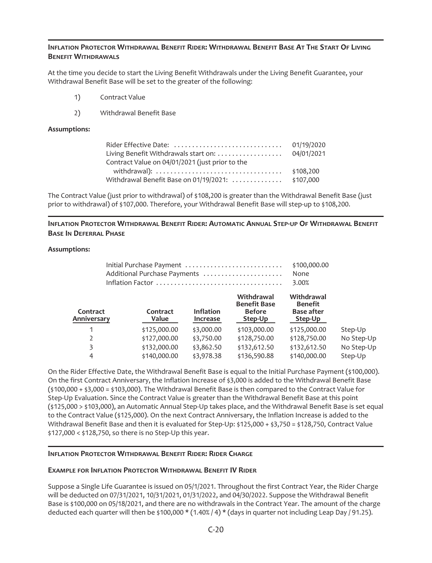# **INFLATION PROTECTOR WITHDRAWAL BENEFIT RIDER: WITHDRAWAL BENEFIT BASE AT THE START OF LIVING BENEFIT WITHDRAWALS**

At the time you decide to start the Living Benefit Withdrawals under the Living Benefit Guarantee, your Withdrawal Benefit Base will be set to the greater of the following:

- 1) Contract Value
- 2) Withdrawal Benefit Base

## **Assumptions:**

|                                                 | 01/19/2020 |
|-------------------------------------------------|------------|
| Living Benefit Withdrawals start on:            | 04/01/2021 |
| Contract Value on 04/01/2021 (just prior to the |            |
|                                                 | \$108,200  |
| Withdrawal Benefit Base on 01/19/2021:          | \$107.000  |

The Contract Value (just prior to withdrawal) of \$108,200 is greater than the Withdrawal Benefit Base (just prior to withdrawal) of \$107,000. Therefore, your Withdrawal Benefit Base will step-up to \$108,200.

# **INFLATION PROTECTOR WITHDRAWAL BENEFIT RIDER: AUTOMATIC ANNUAL STEP-UP OF WITHDRAWAL BENEFIT BASE IN DEFERRAL PHASE**

## **Assumptions:**

| Initial Purchase Payment<br>Additional Purchase Payments |  |                   |                                     |                                                               | \$100,000.00<br>None<br>3.00%                                |            |
|----------------------------------------------------------|--|-------------------|-------------------------------------|---------------------------------------------------------------|--------------------------------------------------------------|------------|
| Contract<br>Anniversary                                  |  | Contract<br>Value | <b>Inflation</b><br><b>Increase</b> | Withdrawal<br><b>Benefit Base</b><br><b>Before</b><br>Step-Up | Withdrawal<br><b>Benefit</b><br><b>Base after</b><br>Step-Up |            |
| 1                                                        |  | \$125,000.00      | \$3,000.00                          | \$103,000.00                                                  | \$125,000.00                                                 | Step-Up    |
| 2                                                        |  | \$127,000.00      | \$3,750.00                          | \$128,750.00                                                  | \$128,750.00                                                 | No Step-Up |
| 3                                                        |  | \$132,000.00      | \$3,862.50                          | \$132,612.50                                                  | \$132,612.50                                                 | No Step-Up |
| 4                                                        |  | \$140,000.00      | \$3,978.38                          | \$136,590.88                                                  | \$140,000.00                                                 | Step-Up    |

On the Rider Effective Date, the Withdrawal Benefit Base is equal to the Initial Purchase Payment (\$100,000). On the first Contract Anniversary, the Inflation Increase of \$3,000 is added to the Withdrawal Benefit Base (\$100,000 + \$3,000 = \$103,000). The Withdrawal Benefit Base is then compared to the Contract Value for Step-Up Evaluation. Since the Contract Value is greater than the Withdrawal Benefit Base at this point (\$125,000 > \$103,000), an Automatic Annual Step-Up takes place, and the Withdrawal Benefit Base is set equal to the Contract Value (\$125,000). On the next Contract Anniversary, the Inflation Increase is added to the Withdrawal Benefit Base and then it is evaluated for Step-Up: \$125,000 + \$3,750 = \$128,750, Contract Value \$127,000 < \$128,750, so there is no Step-Up this year.

# **INFLATION PROTECTOR WITHDRAWAL BENEFIT RIDER: RIDER CHARGE**

# **EXAMPLE FOR INFLATION PROTECTOR WITHDRAWAL BENEFIT IV RIDER**

Suppose a Single Life Guarantee is issued on 05/1/2021. Throughout the first Contract Year, the Rider Charge will be deducted on 07/31/2021, 10/31/2021, 01/31/2022, and 04/30/2022. Suppose the Withdrawal Benefit Base is \$100,000 on 05/18/2021, and there are no withdrawals in the Contract Year. The amount of the charge deducted each quarter will then be \$100,000 \* (1.40% / 4) \* (days in quarter not including Leap Day / 91.25).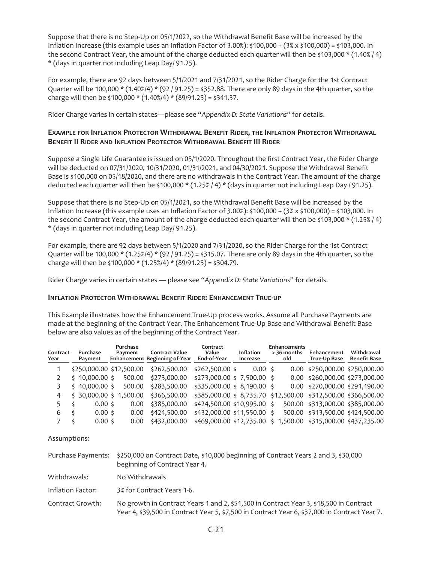Suppose that there is no Step-Up on 05/1/2022, so the Withdrawal Benefit Base will be increased by the Inflation Increase (this example uses an Inflation Factor of 3.00%): \$100,000 + (3% x \$100,000) = \$103,000. In the second Contract Year, the amount of the charge deducted each quarter will then be \$103,000 \* (1.40% / 4) \* (days in quarter not including Leap Day/ 91.25).

For example, there are 92 days between 5/1/2021 and 7/31/2021, so the Rider Charge for the 1st Contract Quarter will be 100,000  $*(1.40\%/4) * (92/91.25) = $352.88$ . There are only 89 days in the 4th quarter, so the charge will then be  $$100,000 * (1.40\% / 4) * (89/91.25) = $341.37$ .

Rider Charge varies in certain states—please see "*Appendix D: State Variations*" for details.

# **EXAMPLE FOR INFLATION PROTECTOR WITHDRAWAL BENEFIT RIDER, THE INFLATION PROTECTOR WITHDRAWAL BENEFIT II RIDER AND INFLATION PROTECTOR WITHDRAWAL BENEFIT III RIDER**

Suppose a Single Life Guarantee is issued on 05/1/2020. Throughout the first Contract Year, the Rider Charge will be deducted on 07/31/2020, 10/31/2020, 01/31/2021, and 04/30/2021. Suppose the Withdrawal Benefit Base is \$100,000 on 05/18/2020, and there are no withdrawals in the Contract Year. The amount of the charge deducted each quarter will then be \$100,000 \* (1.25% / 4) \* (days in quarter not including Leap Day / 91.25).

Suppose that there is no Step-Up on 05/1/2021, so the Withdrawal Benefit Base will be increased by the Inflation Increase (this example uses an Inflation Factor of 3.00%): \$100,000 + (3% x \$100,000) = \$103,000. In the second Contract Year, the amount of the charge deducted each quarter will then be \$103,000 \* (1.25% / 4) \* (days in quarter not including Leap Day/ 91.25).

For example, there are 92 days between 5/1/2020 and 7/31/2020, so the Rider Charge for the 1st Contract Quarter will be 100,000  $* (1.25\%/4) * (92/91.25) = $315.07$ . There are only 89 days in the 4th quarter, so the charge will then be  $$100,000 * (1.25)/4$  (89/91.25) = \$304.79.

Rider Charge varies in certain states — please see "*Appendix D: State Variations*" for details.

## **INFLATION PROTECTOR WITHDRAWAL BENEFIT RIDER: ENHANCEMENT TRUE-UP**

This Example illustrates how the Enhancement True-Up process works. Assume all Purchase Payments are made at the beginning of the Contract Year. The Enhancement True-Up Base and Withdrawal Benefit Base below are also values as of the beginning of the Contract Year.

| Contract<br>Year | Purchase<br>Payment       | Purchase<br>Payment | <b>Contract Value</b><br>Enhancement Beginning-of-Year | Contract<br>Value<br>End-of-Year            | <b>Inflation</b><br>Increase | <b>Enhancements</b><br>> 36 months<br>old                     | Enhancement<br>True-Up Base             | Withdrawal<br><b>Benefit Base</b> |
|------------------|---------------------------|---------------------|--------------------------------------------------------|---------------------------------------------|------------------------------|---------------------------------------------------------------|-----------------------------------------|-----------------------------------|
|                  | \$250,000.00 \$12,500.00  |                     | \$262,500.00                                           | $$262,500.00$$ \$                           | $0.00 \pm$                   |                                                               | 0.00 \$250,000.00 \$250,000.00          |                                   |
|                  | $$10,000.00$ \$           | 500.00              | \$273,000.00                                           | $$273,000.00 \text{ } $7,500.00 \text{ } $$ |                              |                                                               | 0.00 \$260,000.00 \$273,000.00          |                                   |
|                  | $$10,000.00$ \$           | 500.00              | \$283,500.00                                           | $$335,000.00 \text{ } $8,190.00 \text{ } $$ |                              |                                                               | 0.00 \$270,000.00 \$291,190.00          |                                   |
| 4                | $$30,000.00$$ \$ 1,500.00 |                     | \$366,500.00                                           |                                             |                              | \$385,000.00 \$8,735.70 \$12,500.00 \$312,500.00 \$366,500.00 |                                         |                                   |
|                  | $0.00 \;$ \$              | 0.00                | \$385,000.00                                           | $$424,500.00$ \$10,995.00 \$                |                              |                                                               | 500.00 \$313,000.00 \$385,000.00        |                                   |
| 6                | $0.00 \;$ \$              | 0.00                | \$424,500.00                                           | \$432,000.00 \$11,550.00 \$                 |                              |                                                               | 500.00 \$313,500.00 \$424,500.00        |                                   |
| 7                | $0.00 \;$ \$<br>ς         | 0.00                | \$432,000.00                                           | \$469,000.00 \$12,735.00                    |                              |                                                               | $$1,500.00$ $$315,000.00$ $$437,235.00$ |                                   |

|                   | Purchase Payments: \$250,000 on Contract Date, \$10,000 beginning of Contract Years 2 and 3, \$30,000<br>beginning of Contract Year 4.                                                  |
|-------------------|-----------------------------------------------------------------------------------------------------------------------------------------------------------------------------------------|
| Withdrawals:      | No Withdrawals                                                                                                                                                                          |
| Inflation Factor: | 3% for Contract Years 1-6.                                                                                                                                                              |
| Contract Growth:  | No growth in Contract Years 1 and 2, \$51,500 in Contract Year 3, \$18,500 in Contract<br>Year 4, \$39,500 in Contract Year 5, \$7,500 in Contract Year 6, \$37,000 in Contract Year 7. |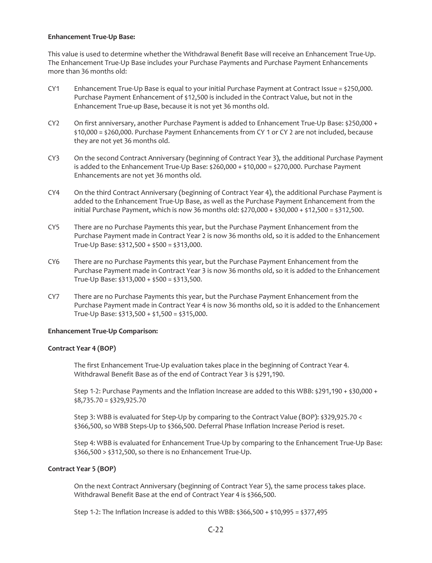## **Enhancement True-Up Base:**

This value is used to determine whether the Withdrawal Benefit Base will receive an Enhancement True-Up. The Enhancement True-Up Base includes your Purchase Payments and Purchase Payment Enhancements more than 36 months old:

- CY1 Enhancement True-Up Base is equal to your initial Purchase Payment at Contract Issue =  $$250,000$ . Purchase Payment Enhancement of \$12,500 is included in the Contract Value, but not in the Enhancement True-up Base, because it is not yet 36 months old.
- CY2 On first anniversary, another Purchase Payment is added to Enhancement True-Up Base: \$250,000 + \$10,000 = \$260,000. Purchase Payment Enhancements from CY 1 or CY 2 are not included, because they are not yet 36 months old.
- CY3 On the second Contract Anniversary (beginning of Contract Year 3), the additional Purchase Payment is added to the Enhancement True-Up Base:  $$260,000 + $10,000 = $270,000$ . Purchase Payment Enhancements are not yet 36 months old.
- CY4 On the third Contract Anniversary (beginning of Contract Year 4), the additional Purchase Payment is added to the Enhancement True-Up Base, as well as the Purchase Payment Enhancement from the initial Purchase Payment, which is now 36 months old:  $\frac{1}{270,000 + \frac{1}{530,000 + \frac{1}{510,00}}$  = \$312,500.
- CY5 There are no Purchase Payments this year, but the Purchase Payment Enhancement from the Purchase Payment made in Contract Year 2 is now 36 months old, so it is added to the Enhancement True-Up Base: \$312,500 + \$500 = \$313,000.
- CY6 There are no Purchase Payments this year, but the Purchase Payment Enhancement from the Purchase Payment made in Contract Year 3 is now 36 months old, so it is added to the Enhancement True-Up Base: \$313,000 + \$500 = \$313,500.
- CY7 There are no Purchase Payments this year, but the Purchase Payment Enhancement from the Purchase Payment made in Contract Year 4 is now 36 months old, so it is added to the Enhancement True-Up Base: \$313,500 + \$1,500 = \$315,000.

## **Enhancement True-Up Comparison:**

## **Contract Year 4 (BOP)**

The first Enhancement True-Up evaluation takes place in the beginning of Contract Year 4. Withdrawal Benefit Base as of the end of Contract Year 3 is \$291,190.

Step 1-2: Purchase Payments and the Inflation Increase are added to this WBB: \$291,190 + \$30,000 +  $$8,735.70 = $329,925.70$ 

Step 3: WBB is evaluated for Step-Up by comparing to the Contract Value (BOP): \$329,925.70 < \$366,500, so WBB Steps-Up to \$366,500. Deferral Phase Inflation Increase Period is reset.

Step 4: WBB is evaluated for Enhancement True-Up by comparing to the Enhancement True-Up Base: \$366,500 > \$312,500, so there is no Enhancement True-Up.

## **Contract Year 5 (BOP)**

On the next Contract Anniversary (beginning of Contract Year 5), the same process takes place. Withdrawal Benefit Base at the end of Contract Year 4 is \$366,500.

Step 1-2: The Inflation Increase is added to this WBB: \$366,500 + \$10,995 = \$377,495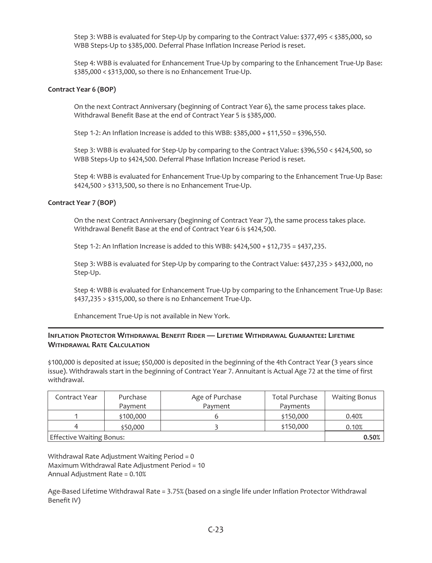Step 3: WBB is evaluated for Step-Up by comparing to the Contract Value: \$377,495 < \$385,000, so WBB Steps-Up to \$385,000. Deferral Phase Inflation Increase Period is reset.

Step 4: WBB is evaluated for Enhancement True-Up by comparing to the Enhancement True-Up Base: \$385,000 < \$313,000, so there is no Enhancement True-Up.

## **Contract Year 6 (BOP)**

On the next Contract Anniversary (beginning of Contract Year 6), the same process takes place. Withdrawal Benefit Base at the end of Contract Year 5 is \$385,000.

Step 1-2: An Inflation Increase is added to this WBB: \$385,000 + \$11,550 = \$396,550.

Step 3: WBB is evaluated for Step-Up by comparing to the Contract Value: \$396,550 < \$424,500, so WBB Steps-Up to \$424,500. Deferral Phase Inflation Increase Period is reset.

Step 4: WBB is evaluated for Enhancement True-Up by comparing to the Enhancement True-Up Base: \$424,500 > \$313,500, so there is no Enhancement True-Up.

### **Contract Year 7 (BOP)**

On the next Contract Anniversary (beginning of Contract Year 7), the same process takes place. Withdrawal Benefit Base at the end of Contract Year 6 is \$424,500.

Step 1-2: An Inflation Increase is added to this WBB: \$424,500 + \$12,735 = \$437,235.

Step 3: WBB is evaluated for Step-Up by comparing to the Contract Value: \$437,235 > \$432,000, no Step-Up.

Step 4: WBB is evaluated for Enhancement True-Up by comparing to the Enhancement True-Up Base: \$437,235 > \$315,000, so there is no Enhancement True-Up.

Enhancement True-Up is not available in New York.

# **INFLATION PROTECTOR WITHDRAWAL BENEFIT RIDER — LIFETIME WITHDRAWAL GUARANTEE: LIFETIME WITHDRAWAL RATE CALCULATION**

\$100,000 is deposited at issue; \$50,000 is deposited in the beginning of the 4th Contract Year (3 years since issue). Withdrawals start in the beginning of Contract Year 7. Annuitant is Actual Age 72 at the time of first withdrawal.

| Contract Year            | Purchase  | Age of Purchase | <b>Total Purchase</b> | <b>Waiting Bonus</b> |
|--------------------------|-----------|-----------------|-----------------------|----------------------|
|                          | Payment   | Payment         | Payments              |                      |
|                          | \$100,000 |                 | \$150,000             | 0.40%                |
| 4                        | \$50,000  |                 | \$150,000             | 0.10%                |
| Effective Waiting Bonus: | 0.50%     |                 |                       |                      |

Withdrawal Rate Adjustment Waiting Period = 0 Maximum Withdrawal Rate Adjustment Period = 10 Annual Adjustment Rate = 0.10%

Age-Based Lifetime Withdrawal Rate = 3.75% (based on a single life under Inflation Protector Withdrawal Benefit IV)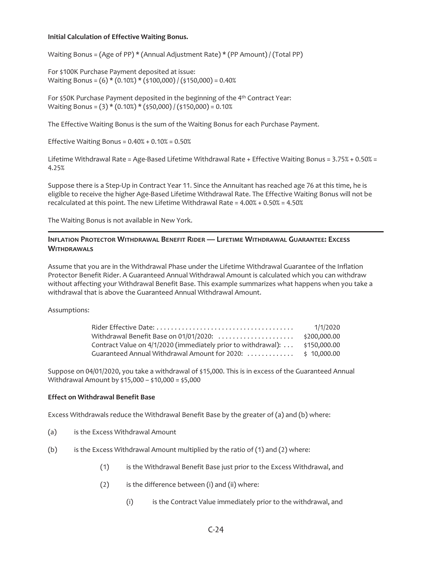## **Initial Calculation of Effective Waiting Bonus.**

Waiting Bonus = (Age of PP)  $*($  Annual Adjustment Rate)  $*($  PP Amount) / (Total PP)

For \$100K Purchase Payment deposited at issue: Waiting Bonus = (6) \* (0.10%) \* (\$100,000) / (\$150,000) = 0.40%

For \$50K Purchase Payment deposited in the beginning of the 4th Contract Year: Waiting Bonus = (3) \* (0.10%) \* (\$50,000) / (\$150,000) = 0.10%

The Effective Waiting Bonus is the sum of the Waiting Bonus for each Purchase Payment.

Effective Waiting Bonus =  $0.40% + 0.10% = 0.50%$ 

Lifetime Withdrawal Rate = Age-Based Lifetime Withdrawal Rate + Effective Waiting Bonus = 3.75% + 0.50% = 4.25%

Suppose there is a Step-Up in Contract Year 11. Since the Annuitant has reached age 76 at this time, he is eligible to receive the higher Age-Based Lifetime Withdrawal Rate. The Effective Waiting Bonus will not be recalculated at this point. The new Lifetime Withdrawal Rate = 4.00% + 0.50% = 4.50%

The Waiting Bonus is not available in New York.

# **INFLATION PROTECTOR WITHDRAWAL BENEFIT RIDER — LIFETIME WITHDRAWAL GUARANTEE: EXCESS WITHDRAWALS**

Assume that you are in the Withdrawal Phase under the Lifetime Withdrawal Guarantee of the Inflation Protector Benefit Rider. A Guaranteed Annual Withdrawal Amount is calculated which you can withdraw without affecting your Withdrawal Benefit Base. This example summarizes what happens when you take a withdrawal that is above the Guaranteed Annual Withdrawal Amount.

Assumptions:

|                                                               | 1/1/2020     |
|---------------------------------------------------------------|--------------|
| Withdrawal Benefit Base on 01/01/2020:                        | \$200.000.00 |
| Contract Value on 4/1/2020 (immediately prior to withdrawal): | \$150.000.00 |
| Guaranteed Annual Withdrawal Amount for 2020:  \$ 10,000.00   |              |

Suppose on 04/01/2020, you take a withdrawal of \$15,000. This is in excess of the Guaranteed Annual Withdrawal Amount by \$15,000 – \$10,000 = \$5,000

## **Effect on Withdrawal Benefit Base**

Excess Withdrawals reduce the Withdrawal Benefit Base by the greater of (a) and (b) where:

- (a) is the Excess Withdrawal Amount
- (b) is the Excess Withdrawal Amount multiplied by the ratio of (1) and (2) where:
	- (1) is the Withdrawal Benefit Base just prior to the Excess Withdrawal, and
	- $(2)$  is the difference between  $(i)$  and  $(ii)$  where:
		- (i) is the Contract Value immediately prior to the withdrawal, and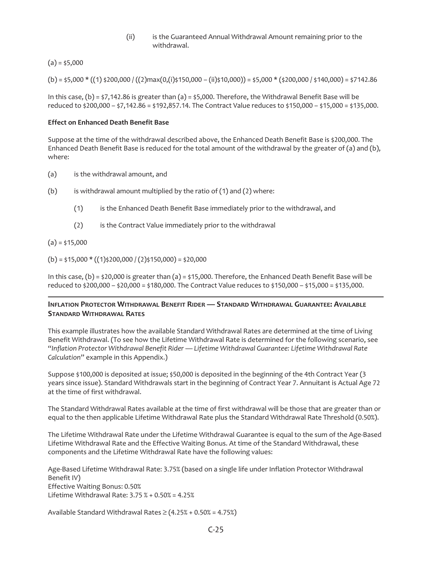(ii) is the Guaranteed Annual Withdrawal Amount remaining prior to the withdrawal.

 $(a) = $5,000$ 

 $(b) = 55,000 * ((1) *200,000 / ((2)max(0,1) *150,000 - (ii) *10,000)) = 55,000 * (*200,000 / *140,000) = $7142.86$ 

In this case,  $(b) = \frac{1}{2}7,142.86$  is greater than (a) =  $\frac{1}{2}5,000$ . Therefore, the Withdrawal Benefit Base will be reduced to \$200,000 – \$7,142.86 = \$192,857.14. The Contract Value reduces to \$150,000 – \$15,000 = \$135,000.

#### **Effect on Enhanced Death Benefit Base**

Suppose at the time of the withdrawal described above, the Enhanced Death Benefit Base is \$200,000. The Enhanced Death Benefit Base is reduced for the total amount of the withdrawal by the greater of (a) and (b), where:

- (a) is the withdrawal amount, and
- (b) is withdrawal amount multiplied by the ratio of  $(1)$  and  $(2)$  where:
	- (1) is the Enhanced Death Benefit Base immediately prior to the withdrawal, and
	- (2) is the Contract Value immediately prior to the withdrawal

 $(a) = $15,000$ 

 $(b) = $15,000 * ((1) $200,000 / (2) $150,000 = $20,000$ 

In this case, (b) = \$20,000 is greater than (a) = \$15,000. Therefore, the Enhanced Death Benefit Base will be reduced to \$200,000 – \$20,000 = \$180,000. The Contract Value reduces to \$150,000 – \$15,000 = \$135,000.

### **INFLATION PROTECTOR WITHDRAWAL BENEFIT RIDER — STANDARD WITHDRAWAL GUARANTEE: AVAILABLE STANDARD WITHDRAWAL RATES**

This example illustrates how the available Standard Withdrawal Rates are determined at the time of Living Benefit Withdrawal. (To see how the Lifetime Withdrawal Rate is determined for the following scenario, see "*Inflation Protector Withdrawal Benefit Rider — Lifetime Withdrawal Guarantee: Lifetime Withdrawal Rate Calculation*" example in this Appendix.)

Suppose \$100,000 is deposited at issue; \$50,000 is deposited in the beginning of the 4th Contract Year (3 years since issue). Standard Withdrawals start in the beginning of Contract Year 7. Annuitant is Actual Age 72 at the time of first withdrawal.

The Standard Withdrawal Rates available at the time of first withdrawal will be those that are greater than or equal to the then applicable Lifetime Withdrawal Rate plus the Standard Withdrawal Rate Threshold (0.50%).

The Lifetime Withdrawal Rate under the Lifetime Withdrawal Guarantee is equal to the sum of the Age-Based Lifetime Withdrawal Rate and the Effective Waiting Bonus. At time of the Standard Withdrawal, these components and the Lifetime Withdrawal Rate have the following values:

Age-Based Lifetime Withdrawal Rate: 3.75% (based on a single life under Inflation Protector Withdrawal Benefit IV) Effective Waiting Bonus: 0.50% Lifetime Withdrawal Rate: 3.75 % + 0.50% = 4.25%

Available Standard Withdrawal Rates  $\geq$  (4.25% + 0.50% = 4.75%)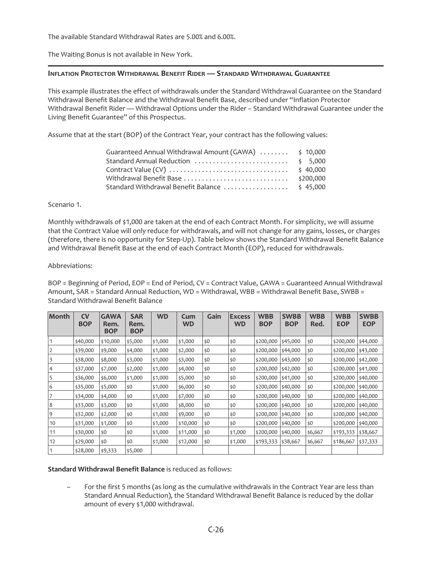The available Standard Withdrawal Rates are 5.00% and 6.00%.

The Waiting Bonus is not available in New York.

### **INFLATION PROTECTOR WITHDRAWAL BENEFIT RIDER — STANDARD WITHDRAWAL GUARANTEE**

This example illustrates the effect of withdrawals under the Standard Withdrawal Guarantee on the Standard Withdrawal Benefit Balance and the Withdrawal Benefit Base, described under "Inflation Protector Withdrawal Benefit Rider — Withdrawal Options under the Rider – Standard Withdrawal Guarantee under the Living Benefit Guarantee" of this Prospectus.

Assume that at the start (BOP) of the Contract Year, your contract has the following values:

| Guaranteed Annual Withdrawal Amount (GAWA)  \$ 10,000 |           |
|-------------------------------------------------------|-----------|
|                                                       |           |
|                                                       |           |
| Withdrawal Benefit Base                               | \$200.000 |
|                                                       |           |

#### Scenario 1.

Monthly withdrawals of \$1,000 are taken at the end of each Contract Month. For simplicity, we will assume that the Contract Value will only reduce for withdrawals, and will not change for any gains, losses, or charges (therefore, there is no opportunity for Step-Up). Table below shows the Standard Withdrawal Benefit Balance and Withdrawal Benefit Base at the end of each Contract Month (EOP), reduced for withdrawals.

### Abbreviations:

BOP = Beginning of Period, EOP = End of Period, CV = Contract Value, GAWA = Guaranteed Annual Withdrawal Amount, SAR = Standard Annual Reduction, WD = Withdrawal, WBB = Withdrawal Benefit Base, SWBB = Standard Withdrawal Benefit Balance

| Month | <b>CV</b><br><b>BOP</b> | <b>GAWA</b><br>Rem. | <b>SAR</b><br>Rem. | <b>WD</b> | Cum<br><b>WD</b> | Gain | <b>Excess</b><br><b>WD</b> | <b>WBB</b><br><b>BOP</b> | <b>SWBB</b><br><b>BOP</b> | <b>WBB</b><br>Red. | <b>WBB</b><br><b>EOP</b> | <b>SWBB</b><br><b>EOP</b> |
|-------|-------------------------|---------------------|--------------------|-----------|------------------|------|----------------------------|--------------------------|---------------------------|--------------------|--------------------------|---------------------------|
|       |                         | <b>BOP</b>          | <b>BOP</b>         |           |                  |      |                            |                          |                           |                    |                          |                           |
|       | \$40,000                | \$10,000            | \$5,000            | \$1,000   | \$1,000          | \$0  | \$0                        | \$200,000                | \$45,000                  | \$0                | \$200,000                | \$44,000                  |
| 2     | \$39,000                | \$9,000             | \$4,000            | \$1,000   | \$2,000          | \$0  | \$0                        | \$200,000                | \$44,000                  | \$0                | \$200,000                | \$43,000                  |
| 3     | \$38,000                | \$8,000             | \$3,000            | \$1,000   | \$3,000          | \$0  | \$0                        | \$200,000                | \$43,000                  | \$0                | \$200,000                | \$42,000                  |
| 4     | \$37,000                | \$7,000             | \$2,000            | \$1,000   | \$4,000          | \$0  | \$0                        | \$200,000                | \$42,000                  | \$0                | \$200,000                | \$41,000                  |
| 5     | \$36,000                | \$6,000             | \$1,000            | \$1,000   | \$5,000          | \$0  | \$0                        | \$200,000                | \$41,000                  | $ $ \$0            | \$200,000                | \$40,000                  |
| 6     | \$35,000                | \$5,000             | \$0                | \$1,000   | \$6,000          | \$0  | \$0                        | \$200,000                | \$40,000                  | \$0                | \$200,000                | \$40,000                  |
|       | \$34,000                | \$4,000             | \$0                | \$1,000   | \$7,000          | \$0  | \$0                        | \$200,000                | \$40,000                  | \$0                | \$200,000                | \$40,000                  |
| 8     | \$33,000                | \$3,000             | \$0                | \$1,000   | \$8,000          | \$0  | \$0                        | \$200,000                | \$40,000                  | \$0                | \$200,000                | \$40,000                  |
| 9     | \$32,000                | \$2,000             | \$0                | \$1,000   | \$9,000          | \$0  | \$0                        | \$200,000                | \$40,000                  | \$0                | \$200,000                | \$40,000                  |
| 10    | \$31,000                | \$1,000             | \$0                | \$1,000   | \$10,000         | \$0  | \$0                        | \$200,000                | \$40,000                  | ∣\$0               | \$200,000                | \$40,000                  |
| 11    | \$30,000                | \$0                 | \$0                | \$1,000   | \$11,000         | \$0  | \$1,000                    | \$200,000                | \$40,000                  | \$6,667            | \$193,333                | \$38,667                  |
| 12    | \$29,000                | \$0                 | \$0                | \$1,000   | \$12,000         | \$0  | \$1,000                    | \$193,333                | \$38,667                  | \$6,667            | \$186,667                | \$37,333                  |
|       | \$28,000                | \$9,333             | \$5,000            |           |                  |      |                            |                          |                           |                    |                          |                           |

**Standard Withdrawal Benefit Balance** is reduced as follows:

For the first 5 months (as long as the cumulative withdrawals in the Contract Year are less than Standard Annual Reduction), the Standard Withdrawal Benefit Balance is reduced by the dollar amount of every \$1,000 withdrawal.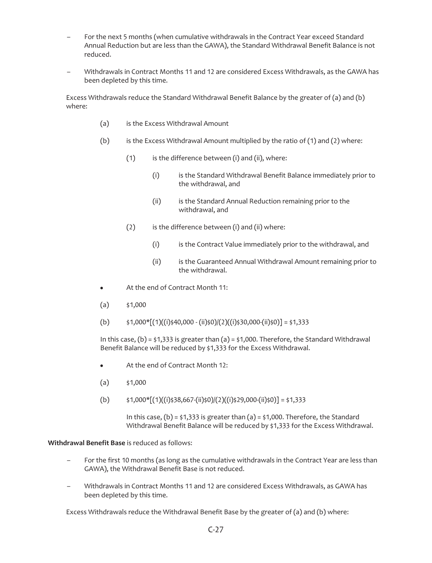- For the next 5 months (when cumulative withdrawals in the Contract Year exceed Standard Annual Reduction but are less than the GAWA), the Standard Withdrawal Benefit Balance is not reduced.
- Withdrawals in Contract Months 11 and 12 are considered Excess Withdrawals, as the GAWA has been depleted by this time.

Excess Withdrawals reduce the Standard Withdrawal Benefit Balance by the greater of (a) and (b) where:

- (a) is the Excess Withdrawal Amount
- (b) is the Excess Withdrawal Amount multiplied by the ratio of (1) and (2) where:
	- $(1)$  is the difference between (i) and (ii), where:
		- (i) is the Standard Withdrawal Benefit Balance immediately prior to the withdrawal, and
		- (ii) is the Standard Annual Reduction remaining prior to the withdrawal, and
	- $(2)$  is the difference between (i) and (ii) where:
		- (i) is the Contract Value immediately prior to the withdrawal, and
		- (ii) is the Guaranteed Annual Withdrawal Amount remaining prior to the withdrawal.
- At the end of Contract Month 11:
- $(a)$  \$1,000
- (b)  $\sharp$ 1,000\* $[(1)((i)\sharp40,000 (ii)\sharp0)/((i)\sharp30,000 (ii)\sharp0)] = \sharp1,333$

In this case,  $(b)$  = \$1,333 is greater than  $(a)$  = \$1,000. Therefore, the Standard Withdrawal Benefit Balance will be reduced by \$1,333 for the Excess Withdrawal.

- At the end of Contract Month 12:
- $(a)$  \$1,000
- (b)  $\sharp$ 1,000\*[(1)((i)\the 38,667-(ii)\the 0)((2)((i)\the 29,000-(ii)\the 0)] = \the 41,333

In this case,  $(b) = 1,333$  is greater than  $(a) = 1,000$ . Therefore, the Standard Withdrawal Benefit Balance will be reduced by \$1,333 for the Excess Withdrawal.

#### **Withdrawal Benefit Base** is reduced as follows:

- For the first 10 months (as long as the cumulative withdrawals in the Contract Year are less than GAWA), the Withdrawal Benefit Base is not reduced.
- Withdrawals in Contract Months 11 and 12 are considered Excess Withdrawals, as GAWA has been depleted by this time.

Excess Withdrawals reduce the Withdrawal Benefit Base by the greater of (a) and (b) where: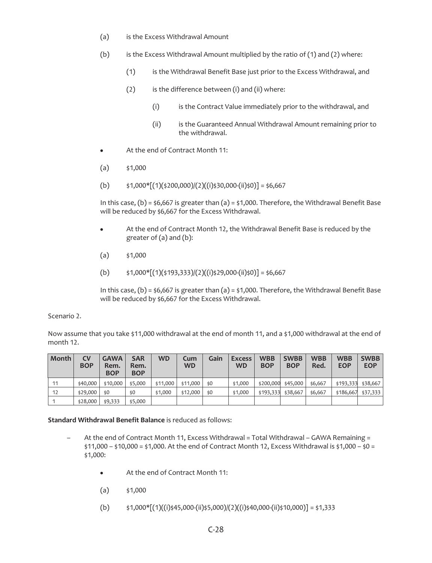- (a) is the Excess Withdrawal Amount
- (b) is the Excess Withdrawal Amount multiplied by the ratio of  $(1)$  and  $(2)$  where:
	- (1) is the Withdrawal Benefit Base just prior to the Excess Withdrawal, and
	- $(2)$  is the difference between  $(i)$  and  $(ii)$  where:
		- (i) is the Contract Value immediately prior to the withdrawal, and
		- (ii) is the Guaranteed Annual Withdrawal Amount remaining prior to the withdrawal.
- At the end of Contract Month 11:
- $(a)$  \$1,000
- (b)  $\sharp$ 1,000\* $[(1)(\sharp 200,000)/(2)((i)\sharp 30,000-(ii)\sharp 0)] = \sharp$ 6,667

In this case,  $(b) = 56,667$  is greater than  $(a) = 51,000$ . Therefore, the Withdrawal Benefit Base will be reduced by \$6,667 for the Excess Withdrawal.

- At the end of Contract Month 12, the Withdrawal Benefit Base is reduced by the greater of (a) and (b):
- $(a)$  \$1,000
- (b)  $\sharp$ 1,000\*[(1)( $\xi$ 193,333)/(2)((i) $\xi$ 29,000-(ii) $\xi$ 0)] =  $\xi$ 6,667

In this case,  $(b) = 56,667$  is greater than  $(a) = 51,000$ . Therefore, the Withdrawal Benefit Base will be reduced by \$6,667 for the Excess Withdrawal.

Scenario 2.

Now assume that you take \$11,000 withdrawal at the end of month 11, and a \$1,000 withdrawal at the end of month 12.

| Month | CV<br><b>BOP</b> | <b>GAWA</b><br>Rem.<br><b>BOP</b> | <b>SAR</b><br>Rem.<br><b>BOP</b> | <b>WD</b> | Cum<br><b>WD</b> | Gain | <b>Excess</b><br><b>WD</b> | <b>WBB</b><br><b>BOP</b> | <b>SWBB</b><br><b>BOP</b> | <b>WBB</b><br>Red. | <b>WBB</b><br><b>EOP</b> | <b>SWBB</b><br><b>EOP</b> |
|-------|------------------|-----------------------------------|----------------------------------|-----------|------------------|------|----------------------------|--------------------------|---------------------------|--------------------|--------------------------|---------------------------|
| 11    | \$40,000         | \$10,000                          | \$5,000                          | \$11,000  | \$11,000         | \$0  | \$1,000                    | \$200,000                | \$45,000                  | \$6,667            | \$193,333                | \$38,667                  |
| 12    | \$29,000         | \$0                               | \$0                              | \$1,000   | \$12,000         | \$0  | \$1,000                    | \$193,333                | \$38,667                  | \$6,667            | \$186,667                | \$37,333                  |
|       | \$28,000         | \$9,333                           | \$5,000                          |           |                  |      |                            |                          |                           |                    |                          |                           |

**Standard Withdrawal Benefit Balance** is reduced as follows:

- At the end of Contract Month 11, Excess Withdrawal = Total Withdrawal GAWA Remaining =  $$11,000 - $10,000 = $1,000$ . At the end of Contract Month 12, Excess Withdrawal is  $$1,000 - $0 = $1,000$ \$1,000:
	- At the end of Contract Month 11:
	- $(a)$  \$1,000
	- (b)  $\sharp$ 1,000\*[(1)((i)\$45,000-(ii)\$5,000)/(2)((i)\$40,000-(ii)\$10,000)] = \$1,333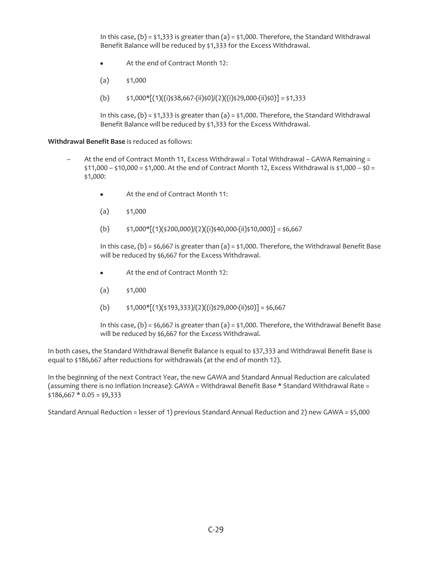In this case, (b) =  $\frac{1}{5}$ 1,333 is greater than (a) =  $\frac{1}{5}$ 1,000. Therefore, the Standard Withdrawal Benefit Balance will be reduced by \$1,333 for the Excess Withdrawal.

- $\bullet$  At the end of Contract Month 12:
- $(a)$  \$1,000
- (b)  $\sharp$ 1,000\*[(1)((i)\;38,667-(ii)\;60)|(2)((i)\;29,000-(ii)\;0)] = \;1,333

In this case,  $(b)$  = \$1,333 is greater than  $(a)$  = \$1,000. Therefore, the Standard Withdrawal Benefit Balance will be reduced by \$1,333 for the Excess Withdrawal.

**Withdrawal Benefit Base** is reduced as follows:

- At the end of Contract Month 11, Excess Withdrawal = Total Withdrawal GAWA Remaining =  $$11,000 - $10,000 = $1,000$ . At the end of Contract Month 12, Excess Withdrawal is  $$1,000 - $0 = $1,000 - $0$ \$1,000:
	- $\bullet$  At the end of Contract Month 11:
	- $(a)$  \$1,000
	- (b)  $\sharp$ 1,000\*[(1)( $\xi$ 200,000)/(2)((i) $\xi$ 40,000-(ii) $\xi$ 10,000)] =  $\xi$ 6,667

In this case,  $(b) = 56,667$  is greater than  $(a) = 51,000$ . Therefore, the Withdrawal Benefit Base will be reduced by \$6,667 for the Excess Withdrawal.

- $\bullet$  At the end of Contract Month 12:
- $(a)$  \$1,000
- (b)  $\sharp$ 1,000\*[(1)( $\xi$ 193,333)/(2)((i) $\xi$ 29,000-(ii) $\xi$ 0)] =  $\xi$ 6,667

In this case,  $(b) = $6,667$  is greater than  $(a) = $1,000$ . Therefore, the Withdrawal Benefit Base will be reduced by \$6,667 for the Excess Withdrawal.

In both cases, the Standard Withdrawal Benefit Balance is equal to \$37,333 and Withdrawal Benefit Base is equal to \$186,667 after reductions for withdrawals (at the end of month 12).

In the beginning of the next Contract Year, the new GAWA and Standard Annual Reduction are calculated (assuming there is no Inflation Increase): GAWA = Withdrawal Benefit Base \* Standard Withdrawal Rate =  $$186,667 * 0.05 = $9,333$ 

Standard Annual Reduction = lesser of 1) previous Standard Annual Reduction and 2) new GAWA = \$5,000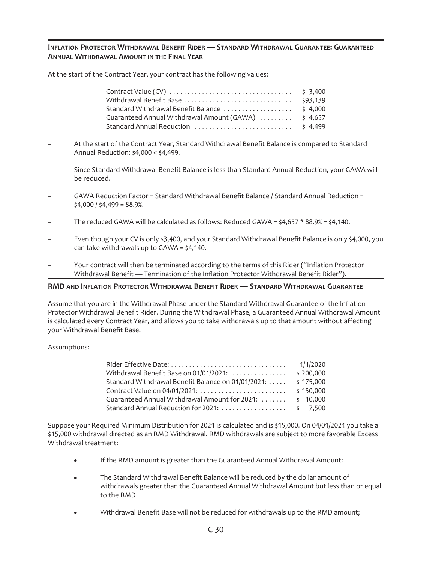## **INFLATION PROTECTOR WITHDRAWAL BENEFIT RIDER — STANDARD WITHDRAWAL GUARANTEE: GUARANTEED ANNUAL WITHDRAWAL AMOUNT IN THE FINAL YEAR**

At the start of the Contract Year, your contract has the following values:

| Withdrawal Benefit Base                              | \$93,139 |
|------------------------------------------------------|----------|
|                                                      |          |
| Guaranteed Annual Withdrawal Amount (GAWA)  \$ 4,657 |          |
|                                                      |          |

- At the start of the Contract Year, Standard Withdrawal Benefit Balance is compared to Standard Annual Reduction: \$4,000 < \$4,499.
- Since Standard Withdrawal Benefit Balance is less than Standard Annual Reduction, your GAWA will be reduced.
- GAWA Reduction Factor = Standard Withdrawal Benefit Balance / Standard Annual Reduction =  $$4,000 / $4,499 = 88.9%$ .
- The reduced GAWA will be calculated as follows: Reduced GAWA =  $\frac{1}{4}$ ,657 \* 88.9% =  $\frac{1}{4}$ ,140.
- Even though your CV is only \$3,400, and your Standard Withdrawal Benefit Balance is only \$4,000, you can take withdrawals up to  $GAWA = \frac{2}{3}4,140$ .
- Your contract will then be terminated according to the terms of this Rider ("Inflation Protector Withdrawal Benefit — Termination of the Inflation Protector Withdrawal Benefit Rider").

## **RMD AND INFLATION PROTECTOR WITHDRAWAL BENEFIT RIDER — STANDARD WITHDRAWAL GUARANTEE**

Assume that you are in the Withdrawal Phase under the Standard Withdrawal Guarantee of the Inflation Protector Withdrawal Benefit Rider. During the Withdrawal Phase, a Guaranteed Annual Withdrawal Amount is calculated every Contract Year, and allows you to take withdrawals up to that amount without affecting your Withdrawal Benefit Base.

#### Assumptions:

|                                                    | 1/1/2020           |
|----------------------------------------------------|--------------------|
| Withdrawal Benefit Base on 01/01/2021:             | \$200,000          |
| Standard Withdrawal Benefit Balance on 01/01/2021: | \$175,000          |
| Contract Value on 04/01/2021:                      | \$150,000          |
| Guaranteed Annual Withdrawal Amount for 2021:      | \$10,000           |
| Standard Annual Reduction for 2021:                | $\frac{1}{2}$ ,500 |

Suppose your Required Minimum Distribution for 2021 is calculated and is \$15,000. On 04/01/2021 you take a \$15,000 withdrawal directed as an RMD Withdrawal. RMD withdrawals are subject to more favorable Excess Withdrawal treatment:

- If the RMD amount is greater than the Guaranteed Annual Withdrawal Amount:
- The Standard Withdrawal Benefit Balance will be reduced by the dollar amount of withdrawals greater than the Guaranteed Annual Withdrawal Amount but less than or equal to the RMD
- Withdrawal Benefit Base will not be reduced for withdrawals up to the RMD amount;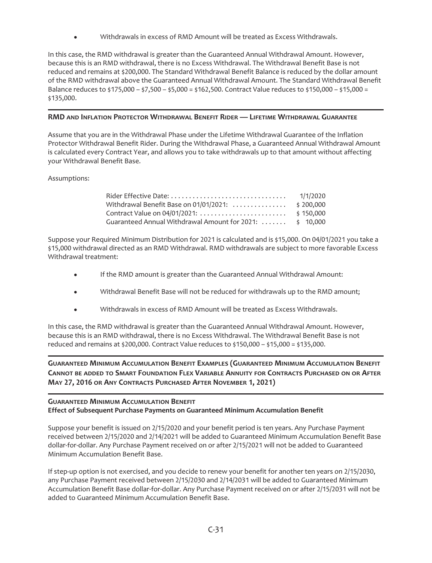Withdrawals in excess of RMD Amount will be treated as Excess Withdrawals.

In this case, the RMD withdrawal is greater than the Guaranteed Annual Withdrawal Amount. However, because this is an RMD withdrawal, there is no Excess Withdrawal. The Withdrawal Benefit Base is not reduced and remains at \$200,000. The Standard Withdrawal Benefit Balance is reduced by the dollar amount of the RMD withdrawal above the Guaranteed Annual Withdrawal Amount. The Standard Withdrawal Benefit Balance reduces to \$175,000 – \$7,500 – \$5,000 = \$162,500. Contract Value reduces to \$150,000 – \$15,000 = \$135,000.

## **RMD AND INFLATION PROTECTOR WITHDRAWAL BENEFIT RIDER — LIFETIME WITHDRAWAL GUARANTEE**

Assume that you are in the Withdrawal Phase under the Lifetime Withdrawal Guarantee of the Inflation Protector Withdrawal Benefit Rider. During the Withdrawal Phase, a Guaranteed Annual Withdrawal Amount is calculated every Contract Year, and allows you to take withdrawals up to that amount without affecting your Withdrawal Benefit Base.

## Assumptions:

|                                                          | 1/1/2020  |
|----------------------------------------------------------|-----------|
| Withdrawal Benefit Base on 01/01/2021:                   | \$200.000 |
|                                                          | \$150,000 |
| Guaranteed Annual Withdrawal Amount for 2021:  \$ 10,000 |           |

Suppose your Required Minimum Distribution for 2021 is calculated and is \$15,000. On 04/01/2021 you take a \$15,000 withdrawal directed as an RMD Withdrawal. RMD withdrawals are subject to more favorable Excess Withdrawal treatment:

- If the RMD amount is greater than the Guaranteed Annual Withdrawal Amount:
- Withdrawal Benefit Base will not be reduced for withdrawals up to the RMD amount;
- Withdrawals in excess of RMD Amount will be treated as Excess Withdrawals.

In this case, the RMD withdrawal is greater than the Guaranteed Annual Withdrawal Amount. However, because this is an RMD withdrawal, there is no Excess Withdrawal. The Withdrawal Benefit Base is not reduced and remains at \$200,000. Contract Value reduces to \$150,000 – \$15,000 = \$135,000.

**GUARANTEED MINIMUM ACCUMULATION BENEFIT EXAMPLES (GUARANTEED MINIMUM ACCUMULATION BENEFIT CANNOT BE ADDED TO SMART FOUNDATION FLEX VARIABLE ANNUITY FOR CONTRACTS PURCHASED ON OR AFTER MAY 27, 2016 OR ANY CONTRACTS PURCHASED AFTER NOVEMBER 1, 2021)**

## **GUARANTEED MINIMUM ACCUMULATION BENEFIT Effect of Subsequent Purchase Payments on Guaranteed Minimum Accumulation Benefit**

Suppose your benefit is issued on 2/15/2020 and your benefit period is ten years. Any Purchase Payment received between 2/15/2020 and 2/14/2021 will be added to Guaranteed Minimum Accumulation Benefit Base dollar-for-dollar. Any Purchase Payment received on or after 2/15/2021 will not be added to Guaranteed Minimum Accumulation Benefit Base.

If step-up option is not exercised, and you decide to renew your benefit for another ten years on 2/15/2030, any Purchase Payment received between 2/15/2030 and 2/14/2031 will be added to Guaranteed Minimum Accumulation Benefit Base dollar-for-dollar. Any Purchase Payment received on or after 2/15/2031 will not be added to Guaranteed Minimum Accumulation Benefit Base.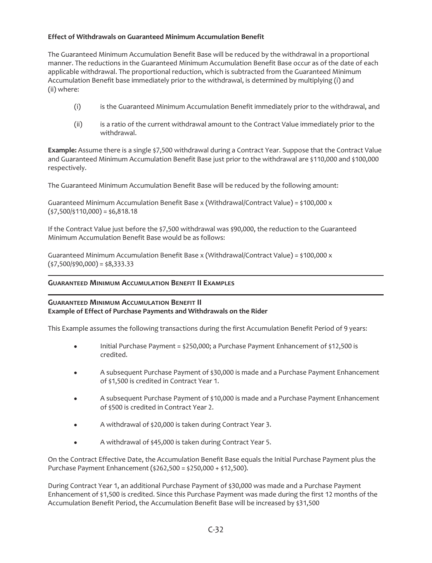## **Effect of Withdrawals on Guaranteed Minimum Accumulation Benefit**

The Guaranteed Minimum Accumulation Benefit Base will be reduced by the withdrawal in a proportional manner. The reductions in the Guaranteed Minimum Accumulation Benefit Base occur as of the date of each applicable withdrawal. The proportional reduction, which is subtracted from the Guaranteed Minimum Accumulation Benefit base immediately prior to the withdrawal, is determined by multiplying (i) and (ii) where:

- (i) is the Guaranteed Minimum Accumulation Benefit immediately prior to the withdrawal, and
- (ii) is a ratio of the current withdrawal amount to the Contract Value immediately prior to the withdrawal.

**Example:** Assume there is a single \$7,500 withdrawal during a Contract Year. Suppose that the Contract Value and Guaranteed Minimum Accumulation Benefit Base just prior to the withdrawal are \$110,000 and \$100,000 respectively.

The Guaranteed Minimum Accumulation Benefit Base will be reduced by the following amount:

Guaranteed Minimum Accumulation Benefit Base x (Withdrawal/Contract Value) =  $$100,000 \times $$  $($ \$7,500/\$110,000) = \$6,818.18

If the Contract Value just before the \$7,500 withdrawal was \$90,000, the reduction to the Guaranteed Minimum Accumulation Benefit Base would be as follows:

Guaranteed Minimum Accumulation Benefit Base x (Withdrawal/Contract Value) = \$100,000 x  $($ \$7,500/\$90,000) = \$8,333.33

## **GUARANTEED MINIMUM ACCUMULATION BENEFIT II EXAMPLES**

#### **GUARANTEED MINIMUM ACCUMULATION BENEFIT II Example of Effect of Purchase Payments and Withdrawals on the Rider**

This Example assumes the following transactions during the first Accumulation Benefit Period of 9 years:

- $\bullet$  Initial Purchase Payment = \$250,000; a Purchase Payment Enhancement of \$12,500 is credited.
- A subsequent Purchase Payment of \$30,000 is made and a Purchase Payment Enhancement of \$1,500 is credited in Contract Year 1.
- A subsequent Purchase Payment of \$10,000 is made and a Purchase Payment Enhancement of \$500 is credited in Contract Year 2.
- A withdrawal of \$20,000 is taken during Contract Year 3.
- A withdrawal of \$45,000 is taken during Contract Year 5.

On the Contract Effective Date, the Accumulation Benefit Base equals the Initial Purchase Payment plus the Purchase Payment Enhancement (\$262,500 = \$250,000 + \$12,500).

During Contract Year 1, an additional Purchase Payment of \$30,000 was made and a Purchase Payment Enhancement of \$1,500 is credited. Since this Purchase Payment was made during the first 12 months of the Accumulation Benefit Period, the Accumulation Benefit Base will be increased by \$31,500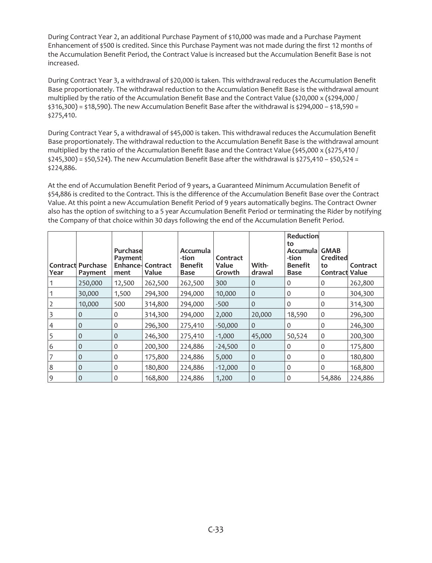During Contract Year 2, an additional Purchase Payment of \$10,000 was made and a Purchase Payment Enhancement of \$500 is credited. Since this Purchase Payment was not made during the first 12 months of the Accumulation Benefit Period, the Contract Value is increased but the Accumulation Benefit Base is not increased.

During Contract Year 3, a withdrawal of \$20,000 is taken. This withdrawal reduces the Accumulation Benefit Base proportionately. The withdrawal reduction to the Accumulation Benefit Base is the withdrawal amount multiplied by the ratio of the Accumulation Benefit Base and the Contract Value (\$20,000 x (\$294,000 /  $$316,300$  =  $$18,590$ . The new Accumulation Benefit Base after the withdrawal is  $$294,000 - $18,590 =$ \$275,410.

During Contract Year 5, a withdrawal of \$45,000 is taken. This withdrawal reduces the Accumulation Benefit Base proportionately. The withdrawal reduction to the Accumulation Benefit Base is the withdrawal amount multiplied by the ratio of the Accumulation Benefit Base and the Contract Value (\$45,000 x (\$275,410 /  $$245,300$  =  $$50,524$ ). The new Accumulation Benefit Base after the withdrawal is  $$275,410 - $50,524 =$ \$224,886.

At the end of Accumulation Benefit Period of 9 years, a Guaranteed Minimum Accumulation Benefit of \$54,886 is credited to the Contract. This is the difference of the Accumulation Benefit Base over the Contract Value. At this point a new Accumulation Benefit Period of 9 years automatically begins. The Contract Owner also has the option of switching to a 5 year Accumulation Benefit Period or terminating the Rider by notifying the Company of that choice within 30 days following the end of the Accumulation Benefit Period.

| Year           | <b>Contract Purchase</b><br>Payment | Purchase<br>Payment<br>Enhance-<br>ment | Contract<br>Value | <b>Accumula</b><br>-tion<br><b>Benefit</b><br><b>Base</b> | Contract<br>Value<br>Growth | With-<br>drawal | Reduction<br>to<br>Accumulal<br>-tion<br><b>Benefit</b><br><b>Base</b> | <b>GMAB</b><br>Credited<br>to<br><b>Contract Value</b> | Contract |
|----------------|-------------------------------------|-----------------------------------------|-------------------|-----------------------------------------------------------|-----------------------------|-----------------|------------------------------------------------------------------------|--------------------------------------------------------|----------|
|                | 250,000                             | 12,500                                  | 262,500           | 262,500                                                   | 300                         | $\overline{0}$  | 0                                                                      | 0                                                      | 262,800  |
|                | 30,000                              | 1,500                                   | 294,300           | 294,000                                                   | 10,000                      | $\mathbf{0}$    | 0                                                                      | $\mathbf 0$                                            | 304,300  |
|                | 10,000                              | 500                                     | 314,800           | 294,000                                                   | $-500$                      | $\mathbf{0}$    | 0                                                                      | $\mathbf 0$                                            | 314,300  |
|                | $\mathbf{0}$                        | 0                                       | 314,300           | 294,000                                                   | 2,000                       | 20,000          | 18,590                                                                 | $\mathbf 0$                                            | 296,300  |
| 4              | $\mathbf{0}$                        | 0                                       | 296,300           | 275,410                                                   | $-50,000$                   | $\Omega$        | $\Omega$                                                               | 0                                                      | 246,300  |
|                | $\mathbf{0}$                        | 0                                       | 246,300           | 275,410                                                   | $-1,000$                    | 45,000          | 50,524                                                                 | $\mathbf 0$                                            | 200,300  |
| 6              | $\mathbf{0}$                        | 0                                       | 200,300           | 224,886                                                   | $-24,500$                   | $\overline{0}$  | 0                                                                      | 0                                                      | 175,800  |
|                | $\mathbf{0}$                        | 0                                       | 175,800           | 224,886                                                   | 5,000                       | $\overline{0}$  | $\Omega$                                                               | $\Omega$                                               | 180,800  |
| 8              | $\mathbf{0}$                        | 0                                       | 180,800           | 224,886                                                   | $-12,000$                   | $\mathbf{0}$    | 0                                                                      | $\Omega$                                               | 168,800  |
| $\overline{9}$ | $\Omega$                            | 0                                       | 168,800           | 224,886                                                   | 1,200                       | $\mathbf{0}$    | 0                                                                      | 54,886                                                 | 224,886  |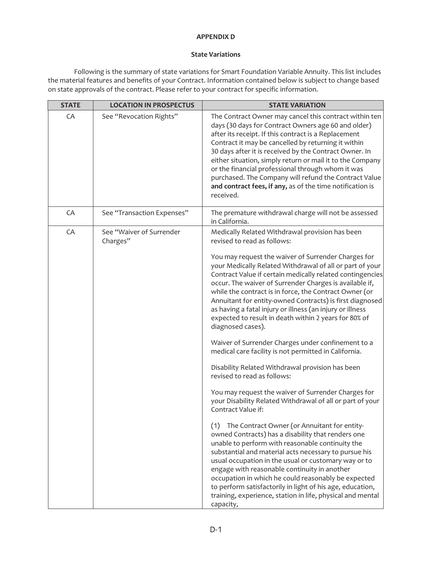## **APPENDIX D**

### **State Variations**

Following is the summary of state variations for Smart Foundation Variable Annuity. This list includes the material features and benefits of your Contract. Information contained below is subject to change based on state approvals of the contract. Please refer to your contract for specific information.

| <b>STATE</b> | <b>LOCATION IN PROSPECTUS</b>        | <b>STATE VARIATION</b>                                                                                                                                                                                                                                                                                                                                                                                                                                                                                                                                                                                                                                                                                                                                                                                                                                                                                                                                                                                                                                                                                                                                                                                                                                                                                                                                                                                                                                               |
|--------------|--------------------------------------|----------------------------------------------------------------------------------------------------------------------------------------------------------------------------------------------------------------------------------------------------------------------------------------------------------------------------------------------------------------------------------------------------------------------------------------------------------------------------------------------------------------------------------------------------------------------------------------------------------------------------------------------------------------------------------------------------------------------------------------------------------------------------------------------------------------------------------------------------------------------------------------------------------------------------------------------------------------------------------------------------------------------------------------------------------------------------------------------------------------------------------------------------------------------------------------------------------------------------------------------------------------------------------------------------------------------------------------------------------------------------------------------------------------------------------------------------------------------|
| CA           | See "Revocation Rights"              | The Contract Owner may cancel this contract within ten<br>days (30 days for Contract Owners age 60 and older)<br>after its receipt. If this contract is a Replacement<br>Contract it may be cancelled by returning it within<br>30 days after it is received by the Contract Owner. In<br>either situation, simply return or mail it to the Company<br>or the financial professional through whom it was<br>purchased. The Company will refund the Contract Value<br>and contract fees, if any, as of the time notification is<br>received.                                                                                                                                                                                                                                                                                                                                                                                                                                                                                                                                                                                                                                                                                                                                                                                                                                                                                                                          |
| CA           | See "Transaction Expenses"           | The premature withdrawal charge will not be assessed<br>in California.                                                                                                                                                                                                                                                                                                                                                                                                                                                                                                                                                                                                                                                                                                                                                                                                                                                                                                                                                                                                                                                                                                                                                                                                                                                                                                                                                                                               |
| CA           | See "Waiver of Surrender<br>Charges" | Medically Related Withdrawal provision has been<br>revised to read as follows:<br>You may request the waiver of Surrender Charges for<br>your Medically Related Withdrawal of all or part of your<br>Contract Value if certain medically related contingencies<br>occur. The waiver of Surrender Charges is available if,<br>while the contract is in force, the Contract Owner (or<br>Annuitant for entity-owned Contracts) is first diagnosed<br>as having a fatal injury or illness (an injury or illness<br>expected to result in death within 2 years for 80% of<br>diagnosed cases).<br>Waiver of Surrender Charges under confinement to a<br>medical care facility is not permitted in California.<br>Disability Related Withdrawal provision has been<br>revised to read as follows:<br>You may request the waiver of Surrender Charges for<br>your Disability Related Withdrawal of all or part of your<br>Contract Value if:<br>(1) The Contract Owner (or Annuitant for entity-<br>owned Contracts) has a disability that renders one<br>unable to perform with reasonable continuity the<br>substantial and material acts necessary to pursue his<br>usual occupation in the usual or customary way or to<br>engage with reasonable continuity in another<br>occupation in which he could reasonably be expected<br>to perform satisfactorily in light of his age, education,<br>training, experience, station in life, physical and mental<br>capacity, |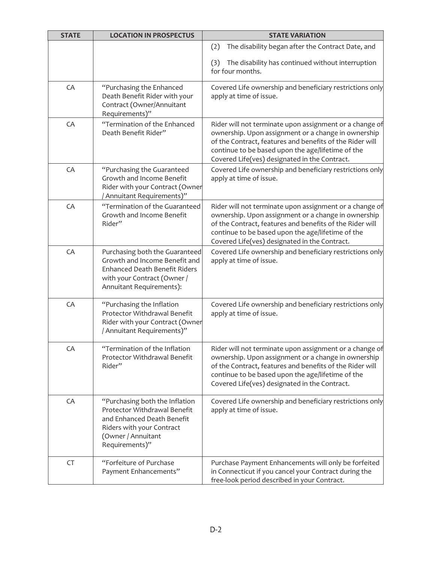| <b>STATE</b> | <b>LOCATION IN PROSPECTUS</b>                                                                                                                                      | <b>STATE VARIATION</b>                                                                                                                                                                                                                                                           |
|--------------|--------------------------------------------------------------------------------------------------------------------------------------------------------------------|----------------------------------------------------------------------------------------------------------------------------------------------------------------------------------------------------------------------------------------------------------------------------------|
|              |                                                                                                                                                                    | The disability began after the Contract Date, and<br>(2)                                                                                                                                                                                                                         |
|              |                                                                                                                                                                    | (3) The disability has continued without interruption<br>for four months.                                                                                                                                                                                                        |
| CA           | "Purchasing the Enhanced<br>Death Benefit Rider with your<br>Contract (Owner/Annuitant<br>Requirements)"                                                           | Covered Life ownership and beneficiary restrictions only<br>apply at time of issue.                                                                                                                                                                                              |
| CA           | "Termination of the Enhanced<br>Death Benefit Rider"                                                                                                               | Rider will not terminate upon assignment or a change of<br>ownership. Upon assignment or a change in ownership<br>of the Contract, features and benefits of the Rider will<br>continue to be based upon the age/lifetime of the<br>Covered Life(ves) designated in the Contract. |
| CA           | "Purchasing the Guaranteed<br>Growth and Income Benefit<br>Rider with your Contract (Owner<br>/ Annuitant Requirements)"                                           | Covered Life ownership and beneficiary restrictions only<br>apply at time of issue.                                                                                                                                                                                              |
| CA           | "Termination of the Guaranteed<br>Growth and Income Benefit<br>Rider"                                                                                              | Rider will not terminate upon assignment or a change of<br>ownership. Upon assignment or a change in ownership<br>of the Contract, features and benefits of the Rider will<br>continue to be based upon the age/lifetime of the<br>Covered Life(ves) designated in the Contract. |
| CA           | Purchasing both the Guaranteed<br>Growth and Income Benefit and<br><b>Enhanced Death Benefit Riders</b><br>with your Contract (Owner /<br>Annuitant Requirements): | Covered Life ownership and beneficiary restrictions only<br>apply at time of issue.                                                                                                                                                                                              |
| CA           | "Purchasing the Inflation<br>Protector Withdrawal Benefit<br>Rider with your Contract (Owner<br>/ Annuitant Requirements)"                                         | Covered Life ownership and beneficiary restrictions only<br>apply at time of issue.                                                                                                                                                                                              |
| CA           | "Termination of the Inflation<br>Protector Withdrawal Benefit<br>Rider"                                                                                            | Rider will not terminate upon assignment or a change of<br>ownership. Upon assignment or a change in ownership<br>of the Contract, features and benefits of the Rider will<br>continue to be based upon the age/lifetime of the<br>Covered Life(ves) designated in the Contract. |
| CA           | "Purchasing both the Inflation<br>Protector Withdrawal Benefit<br>and Enhanced Death Benefit<br>Riders with your Contract<br>(Owner / Annuitant<br>Requirements)"  | Covered Life ownership and beneficiary restrictions only<br>apply at time of issue.                                                                                                                                                                                              |
| CT           | "Forfeiture of Purchase<br>Payment Enhancements"                                                                                                                   | Purchase Payment Enhancements will only be forfeited<br>in Connecticut if you cancel your Contract during the<br>free-look period described in your Contract.                                                                                                                    |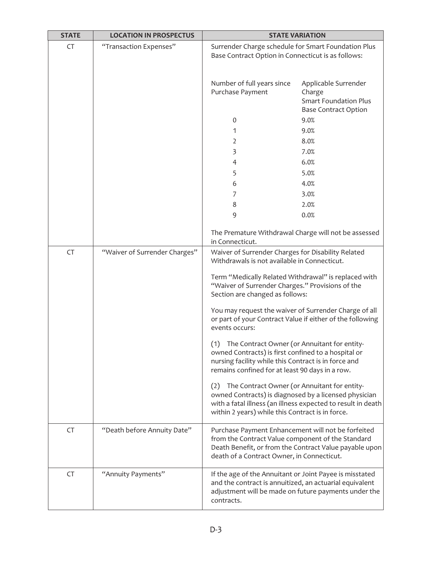| <b>STATE</b> | <b>LOCATION IN PROSPECTUS</b> | <b>STATE VARIATION</b>                                                                                                                                                                                                |                                                                                               |  |  |
|--------------|-------------------------------|-----------------------------------------------------------------------------------------------------------------------------------------------------------------------------------------------------------------------|-----------------------------------------------------------------------------------------------|--|--|
| <b>CT</b>    | "Transaction Expenses"        | Surrender Charge schedule for Smart Foundation Plus<br>Base Contract Option in Connecticut is as follows:                                                                                                             |                                                                                               |  |  |
|              |                               | Number of full years since<br>Purchase Payment                                                                                                                                                                        | Applicable Surrender<br>Charge<br><b>Smart Foundation Plus</b><br><b>Base Contract Option</b> |  |  |
|              |                               | $\mathbf 0$                                                                                                                                                                                                           | 9.0%                                                                                          |  |  |
|              |                               | 1                                                                                                                                                                                                                     | 9.0%                                                                                          |  |  |
|              |                               | 2                                                                                                                                                                                                                     | 8.0%                                                                                          |  |  |
|              |                               | 3                                                                                                                                                                                                                     | 7.0%                                                                                          |  |  |
|              |                               | 4                                                                                                                                                                                                                     | 6.0%                                                                                          |  |  |
|              |                               | 5                                                                                                                                                                                                                     | 5.0%                                                                                          |  |  |
|              |                               | 6                                                                                                                                                                                                                     | 4.0%                                                                                          |  |  |
|              |                               | 7                                                                                                                                                                                                                     | 3.0%                                                                                          |  |  |
|              |                               | 8                                                                                                                                                                                                                     | 2.0%                                                                                          |  |  |
|              |                               | 9                                                                                                                                                                                                                     | 0.0%                                                                                          |  |  |
|              |                               | The Premature Withdrawal Charge will not be assessed<br>in Connecticut.                                                                                                                                               |                                                                                               |  |  |
| CT           | "Waiver of Surrender Charges" | Waiver of Surrender Charges for Disability Related<br>Withdrawals is not available in Connecticut.                                                                                                                    |                                                                                               |  |  |
|              |                               | Term "Medically Related Withdrawal" is replaced with<br>"Waiver of Surrender Charges." Provisions of the<br>Section are changed as follows:                                                                           |                                                                                               |  |  |
|              |                               | You may request the waiver of Surrender Charge of all<br>or part of your Contract Value if either of the following<br>events occurs:                                                                                  |                                                                                               |  |  |
|              |                               | The Contract Owner (or Annuitant for entity-<br>(1)<br>owned Contracts) is first confined to a hospital or<br>nursing facility while this Contract is in force and<br>remains confined for at least 90 days in a row. |                                                                                               |  |  |
|              |                               | The Contract Owner (or Annuitant for entity-<br>(2)<br>owned Contracts) is diagnosed by a licensed physician<br>within 2 years) while this Contract is in force.                                                      | with a fatal illness (an illness expected to result in death                                  |  |  |
| CT           | "Death before Annuity Date"   | Purchase Payment Enhancement will not be forfeited<br>from the Contract Value component of the Standard<br>death of a Contract Owner, in Connecticut.                                                                 | Death Benefit, or from the Contract Value payable upon                                        |  |  |
| CT           | "Annuity Payments"            | If the age of the Annuitant or Joint Payee is misstated<br>and the contract is annuitized, an actuarial equivalent<br>contracts.                                                                                      | adjustment will be made on future payments under the                                          |  |  |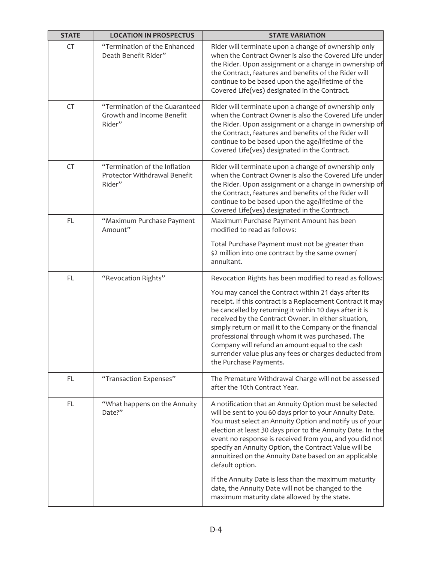| <b>STATE</b> | <b>LOCATION IN PROSPECTUS</b>                                           | <b>STATE VARIATION</b>                                                                                                                                                                                                                                                                                                                                                                                                                                                                                                                                    |
|--------------|-------------------------------------------------------------------------|-----------------------------------------------------------------------------------------------------------------------------------------------------------------------------------------------------------------------------------------------------------------------------------------------------------------------------------------------------------------------------------------------------------------------------------------------------------------------------------------------------------------------------------------------------------|
| CT           | "Termination of the Enhanced<br>Death Benefit Rider"                    | Rider will terminate upon a change of ownership only<br>when the Contract Owner is also the Covered Life under<br>the Rider. Upon assignment or a change in ownership of<br>the Contract, features and benefits of the Rider will<br>continue to be based upon the age/lifetime of the<br>Covered Life(ves) designated in the Contract.                                                                                                                                                                                                                   |
| CT           | "Termination of the Guaranteed<br>Growth and Income Benefit<br>Rider"   | Rider will terminate upon a change of ownership only<br>when the Contract Owner is also the Covered Life under<br>the Rider. Upon assignment or a change in ownership of<br>the Contract, features and benefits of the Rider will<br>continue to be based upon the age/lifetime of the<br>Covered Life(ves) designated in the Contract.                                                                                                                                                                                                                   |
| CT           | "Termination of the Inflation<br>Protector Withdrawal Benefit<br>Rider" | Rider will terminate upon a change of ownership only<br>when the Contract Owner is also the Covered Life under<br>the Rider. Upon assignment or a change in ownership of<br>the Contract, features and benefits of the Rider will<br>continue to be based upon the age/lifetime of the<br>Covered Life(ves) designated in the Contract.                                                                                                                                                                                                                   |
| FL.          | "Maximum Purchase Payment<br>Amount"                                    | Maximum Purchase Payment Amount has been<br>modified to read as follows:                                                                                                                                                                                                                                                                                                                                                                                                                                                                                  |
|              |                                                                         | Total Purchase Payment must not be greater than<br>\$2 million into one contract by the same owner/<br>annuitant.                                                                                                                                                                                                                                                                                                                                                                                                                                         |
| FL           | "Revocation Rights"                                                     | Revocation Rights has been modified to read as follows:                                                                                                                                                                                                                                                                                                                                                                                                                                                                                                   |
|              |                                                                         | You may cancel the Contract within 21 days after its<br>receipt. If this contract is a Replacement Contract it may<br>be cancelled by returning it within 10 days after it is<br>received by the Contract Owner. In either situation,<br>simply return or mail it to the Company or the financial<br>professional through whom it was purchased. The<br>Company will refund an amount equal to the cash<br>surrender value plus any fees or charges deducted from<br>the Purchase Payments.                                                               |
| FL.          | "Transaction Expenses"                                                  | The Premature Withdrawal Charge will not be assessed<br>after the 10th Contract Year.                                                                                                                                                                                                                                                                                                                                                                                                                                                                     |
| FL.          | "What happens on the Annuity<br>Date?"                                  | A notification that an Annuity Option must be selected<br>will be sent to you 60 days prior to your Annuity Date.<br>You must select an Annuity Option and notify us of your<br>election at least 30 days prior to the Annuity Date. In the<br>event no response is received from you, and you did not<br>specify an Annuity Option, the Contract Value will be<br>annuitized on the Annuity Date based on an applicable<br>default option.<br>If the Annuity Date is less than the maximum maturity<br>date, the Annuity Date will not be changed to the |
|              |                                                                         | maximum maturity date allowed by the state.                                                                                                                                                                                                                                                                                                                                                                                                                                                                                                               |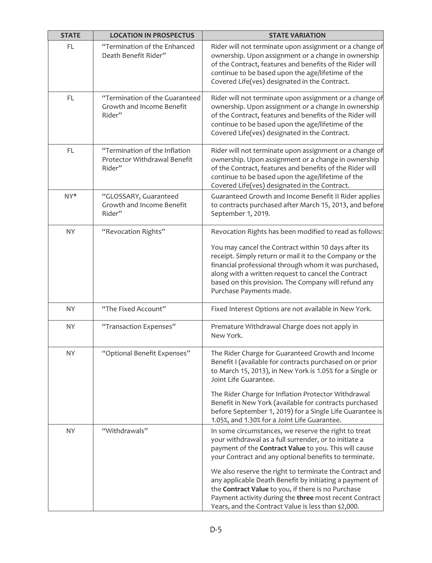| <b>STATE</b> | <b>LOCATION IN PROSPECTUS</b>                                           | <b>STATE VARIATION</b>                                                                                                                                                                                                                                                                                                                                                                                                                                                                                                       |
|--------------|-------------------------------------------------------------------------|------------------------------------------------------------------------------------------------------------------------------------------------------------------------------------------------------------------------------------------------------------------------------------------------------------------------------------------------------------------------------------------------------------------------------------------------------------------------------------------------------------------------------|
| FL           | "Termination of the Enhanced<br>Death Benefit Rider"                    | Rider will not terminate upon assignment or a change of<br>ownership. Upon assignment or a change in ownership<br>of the Contract, features and benefits of the Rider will<br>continue to be based upon the age/lifetime of the<br>Covered Life(ves) designated in the Contract.                                                                                                                                                                                                                                             |
| <b>FL</b>    | "Termination of the Guaranteed<br>Growth and Income Benefit<br>Rider"   | Rider will not terminate upon assignment or a change of<br>ownership. Upon assignment or a change in ownership<br>of the Contract, features and benefits of the Rider will<br>continue to be based upon the age/lifetime of the<br>Covered Life(ves) designated in the Contract.                                                                                                                                                                                                                                             |
| <b>FL</b>    | "Termination of the Inflation<br>Protector Withdrawal Benefit<br>Rider" | Rider will not terminate upon assignment or a change of<br>ownership. Upon assignment or a change in ownership<br>of the Contract, features and benefits of the Rider will<br>continue to be based upon the age/lifetime of the<br>Covered Life(ves) designated in the Contract.                                                                                                                                                                                                                                             |
| NY*          | "GLOSSARY, Guaranteed<br>Growth and Income Benefit<br>Rider"            | Guaranteed Growth and Income Benefit II Rider applies<br>to contracts purchased after March 15, 2013, and before<br>September 1, 2019.                                                                                                                                                                                                                                                                                                                                                                                       |
| <b>NY</b>    | "Revocation Rights"                                                     | Revocation Rights has been modified to read as follows:<br>You may cancel the Contract within 10 days after its<br>receipt. Simply return or mail it to the Company or the<br>financial professional through whom it was purchased,<br>along with a written request to cancel the Contract<br>based on this provision. The Company will refund any<br>Purchase Payments made.                                                                                                                                                |
| <b>NY</b>    | "The Fixed Account"                                                     | Fixed Interest Options are not available in New York.                                                                                                                                                                                                                                                                                                                                                                                                                                                                        |
| <b>NY</b>    | "Transaction Expenses"                                                  | Premature Withdrawal Charge does not apply in<br>New York.                                                                                                                                                                                                                                                                                                                                                                                                                                                                   |
| NY.          | "Optional Benefit Expenses"                                             | The Rider Charge for Guaranteed Growth and Income<br>Benefit I (available for contracts purchased on or prior<br>to March 15, 2013), in New York is 1.05% for a Single or<br>Joint Life Guarantee.<br>The Rider Charge for Inflation Protector Withdrawal<br>Benefit in New York (available for contracts purchased<br>before September 1, 2019) for a Single Life Guarantee is<br>1.05%, and 1.30% for a Joint Life Guarantee.                                                                                              |
| <b>NY</b>    | "Withdrawals"                                                           | In some circumstances, we reserve the right to treat<br>your withdrawal as a full surrender, or to initiate a<br>payment of the Contract Value to you. This will cause<br>your Contract and any optional benefits to terminate.<br>We also reserve the right to terminate the Contract and<br>any applicable Death Benefit by initiating a payment of<br>the Contract Value to you, if there is no Purchase<br>Payment activity during the three most recent Contract<br>Years, and the Contract Value is less than \$2,000. |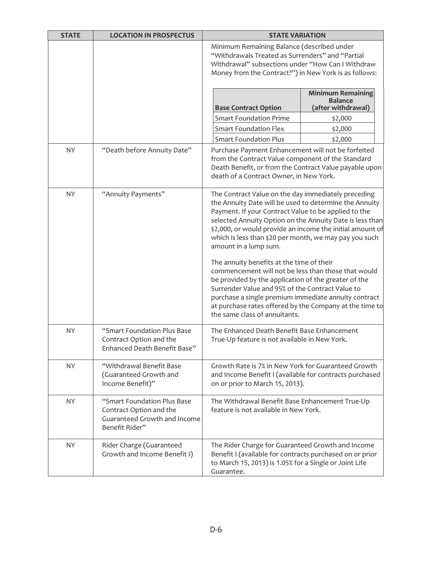| <b>STATE</b> | <b>LOCATION IN PROSPECTUS</b>                                                                            | <b>STATE VARIATION</b>                                                                                                                                                                                                                                                                                                                                                                                                                                                                                                                                                                            |                                                                  |  |
|--------------|----------------------------------------------------------------------------------------------------------|---------------------------------------------------------------------------------------------------------------------------------------------------------------------------------------------------------------------------------------------------------------------------------------------------------------------------------------------------------------------------------------------------------------------------------------------------------------------------------------------------------------------------------------------------------------------------------------------------|------------------------------------------------------------------|--|
|              |                                                                                                          | Minimum Remaining Balance (described under<br>"Withdrawals Treated as Surrenders" and "Partial<br>Withdrawal" subsections under "How Can I Withdraw<br>Money from the Contract?") in New York is as follows:                                                                                                                                                                                                                                                                                                                                                                                      |                                                                  |  |
|              |                                                                                                          | <b>Base Contract Option</b>                                                                                                                                                                                                                                                                                                                                                                                                                                                                                                                                                                       | <b>Minimum Remaining</b><br><b>Balance</b><br>(after withdrawal) |  |
|              |                                                                                                          | <b>Smart Foundation Prime</b>                                                                                                                                                                                                                                                                                                                                                                                                                                                                                                                                                                     | \$2,000                                                          |  |
|              |                                                                                                          | <b>Smart Foundation Flex</b>                                                                                                                                                                                                                                                                                                                                                                                                                                                                                                                                                                      | \$2,000                                                          |  |
|              |                                                                                                          | <b>Smart Foundation Plus</b>                                                                                                                                                                                                                                                                                                                                                                                                                                                                                                                                                                      | \$2,000                                                          |  |
| <b>NY</b>    | "Death before Annuity Date"                                                                              | Purchase Payment Enhancement will not be forfeited<br>from the Contract Value component of the Standard<br>Death Benefit, or from the Contract Value payable upon<br>death of a Contract Owner, in New York.                                                                                                                                                                                                                                                                                                                                                                                      |                                                                  |  |
| <b>NY</b>    | "Annuity Payments"                                                                                       | The Contract Value on the day immediately preceding<br>the Annuity Date will be used to determine the Annuity<br>Payment. If your Contract Value to be applied to the<br>selected Annuity Option on the Annuity Date is less than<br>\$2,000, or would provide an income the initial amount of<br>which is less than \$20 per month, we may pay you such<br>amount in a lump sum.<br>The annuity benefits at the time of their<br>commencement will not be less than those that would<br>be provided by the application of the greater of the<br>Surrender Value and 95% of the Contract Value to |                                                                  |  |
|              |                                                                                                          | purchase a single premium immediate annuity contract<br>at purchase rates offered by the Company at the time to<br>the same class of annuitants.                                                                                                                                                                                                                                                                                                                                                                                                                                                  |                                                                  |  |
| <b>NY</b>    | "Smart Foundation Plus Base<br>Contract Option and the<br>Enhanced Death Benefit Base"                   | The Enhanced Death Benefit Base Enhancement<br>True-Up feature is not available in New York.                                                                                                                                                                                                                                                                                                                                                                                                                                                                                                      |                                                                  |  |
| NY.          | "Withdrawal Benefit Base<br>(Guaranteed Growth and<br>Income Benefit)"                                   | Growth Rate is 7% in New York for Guaranteed Growth<br>and Income Benefit I (available for contracts purchased<br>on or prior to March 15, 2013).                                                                                                                                                                                                                                                                                                                                                                                                                                                 |                                                                  |  |
| <b>NY</b>    | "Smart Foundation Plus Base<br>Contract Option and the<br>Guaranteed Growth and Income<br>Benefit Rider" | The Withdrawal Benefit Base Enhancement True-Up<br>feature is not available in New York.                                                                                                                                                                                                                                                                                                                                                                                                                                                                                                          |                                                                  |  |
| <b>NY</b>    | Rider Charge (Guaranteed<br>Growth and Income Benefit I)                                                 | The Rider Charge for Guaranteed Growth and Income<br>Benefit I (available for contracts purchased on or prior<br>to March 15, 2013) is 1.05% for a Single or Joint Life<br>Guarantee.                                                                                                                                                                                                                                                                                                                                                                                                             |                                                                  |  |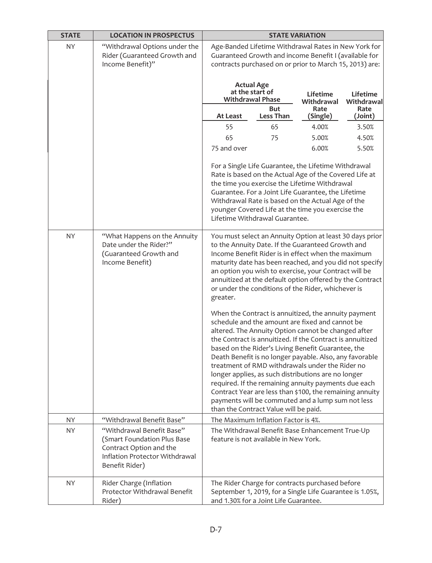| <b>STATE</b> | <b>LOCATION IN PROSPECTUS</b>                                                                                                           | <b>STATE VARIATION</b>                                                                                                                                                                                                                                                                                                                                                                                                |                                                                                                                                                                                                                                                                                                                                                                                                                                                                                                                                                                                                                                                                          |                  |                 |
|--------------|-----------------------------------------------------------------------------------------------------------------------------------------|-----------------------------------------------------------------------------------------------------------------------------------------------------------------------------------------------------------------------------------------------------------------------------------------------------------------------------------------------------------------------------------------------------------------------|--------------------------------------------------------------------------------------------------------------------------------------------------------------------------------------------------------------------------------------------------------------------------------------------------------------------------------------------------------------------------------------------------------------------------------------------------------------------------------------------------------------------------------------------------------------------------------------------------------------------------------------------------------------------------|------------------|-----------------|
| <b>NY</b>    | "Withdrawal Options under the<br>Rider (Guaranteed Growth and<br>Income Benefit)"                                                       | Age-Banded Lifetime Withdrawal Rates in New York for<br>Guaranteed Growth and income Benefit I (available for<br>contracts purchased on or prior to March 15, 2013) are:                                                                                                                                                                                                                                              |                                                                                                                                                                                                                                                                                                                                                                                                                                                                                                                                                                                                                                                                          |                  |                 |
|              |                                                                                                                                         | <b>Actual Age</b><br>at the start of<br>Lifetime<br>Lifetime<br><b>Withdrawal Phase</b><br>Withdrawal                                                                                                                                                                                                                                                                                                                 |                                                                                                                                                                                                                                                                                                                                                                                                                                                                                                                                                                                                                                                                          | Withdrawal       |                 |
|              |                                                                                                                                         | <b>At Least</b>                                                                                                                                                                                                                                                                                                                                                                                                       | But<br><b>Less Than</b>                                                                                                                                                                                                                                                                                                                                                                                                                                                                                                                                                                                                                                                  | Rate<br>(Single) | Rate<br>(Joint) |
|              |                                                                                                                                         | 55                                                                                                                                                                                                                                                                                                                                                                                                                    | 65                                                                                                                                                                                                                                                                                                                                                                                                                                                                                                                                                                                                                                                                       | 4.00%            | 3.50%           |
|              |                                                                                                                                         | 65                                                                                                                                                                                                                                                                                                                                                                                                                    | 75                                                                                                                                                                                                                                                                                                                                                                                                                                                                                                                                                                                                                                                                       | 5.00%            | 4.50%           |
|              |                                                                                                                                         | 75 and over                                                                                                                                                                                                                                                                                                                                                                                                           |                                                                                                                                                                                                                                                                                                                                                                                                                                                                                                                                                                                                                                                                          | 6.00%            | 5.50%           |
|              |                                                                                                                                         |                                                                                                                                                                                                                                                                                                                                                                                                                       | For a Single Life Guarantee, the Lifetime Withdrawal<br>Rate is based on the Actual Age of the Covered Life at<br>the time you exercise the Lifetime Withdrawal<br>Guarantee. For a Joint Life Guarantee, the Lifetime<br>Withdrawal Rate is based on the Actual Age of the<br>younger Covered Life at the time you exercise the<br>Lifetime Withdrawal Guarantee.                                                                                                                                                                                                                                                                                                       |                  |                 |
| NY.          | "What Happens on the Annuity<br>Date under the Rider?"<br>(Guaranteed Growth and<br>Income Benefit)                                     | You must select an Annuity Option at least 30 days prior<br>to the Annuity Date. If the Guaranteed Growth and<br>Income Benefit Rider is in effect when the maximum<br>maturity date has been reached, and you did not specify<br>an option you wish to exercise, your Contract will be<br>annuitized at the default option offered by the Contract<br>or under the conditions of the Rider, whichever is<br>greater. |                                                                                                                                                                                                                                                                                                                                                                                                                                                                                                                                                                                                                                                                          |                  |                 |
|              |                                                                                                                                         |                                                                                                                                                                                                                                                                                                                                                                                                                       | When the Contract is annuitized, the annuity payment<br>schedule and the amount are fixed and cannot be<br>altered. The Annuity Option cannot be changed after<br>the Contract is annuitized. If the Contract is annuitized<br>based on the Rider's Living Benefit Guarantee, the<br>Death Benefit is no longer payable. Also, any favorable<br>treatment of RMD withdrawals under the Rider no<br>longer applies, as such distributions are no longer<br>required. If the remaining annuity payments due each<br>Contract Year are less than \$100, the remaining annuity<br>payments will be commuted and a lump sum not less<br>than the Contract Value will be paid. |                  |                 |
| <b>NY</b>    | "Withdrawal Benefit Base"                                                                                                               |                                                                                                                                                                                                                                                                                                                                                                                                                       | The Maximum Inflation Factor is 4%.                                                                                                                                                                                                                                                                                                                                                                                                                                                                                                                                                                                                                                      |                  |                 |
| NY.          | "Withdrawal Benefit Base"<br>(Smart Foundation Plus Base<br>Contract Option and the<br>Inflation Protector Withdrawal<br>Benefit Rider) |                                                                                                                                                                                                                                                                                                                                                                                                                       | The Withdrawal Benefit Base Enhancement True-Up<br>feature is not available in New York.                                                                                                                                                                                                                                                                                                                                                                                                                                                                                                                                                                                 |                  |                 |
| NY.          | Rider Charge (Inflation<br>Protector Withdrawal Benefit<br>Rider)                                                                       |                                                                                                                                                                                                                                                                                                                                                                                                                       | The Rider Charge for contracts purchased before<br>September 1, 2019, for a Single Life Guarantee is 1.05%,<br>and 1.30% for a Joint Life Guarantee.                                                                                                                                                                                                                                                                                                                                                                                                                                                                                                                     |                  |                 |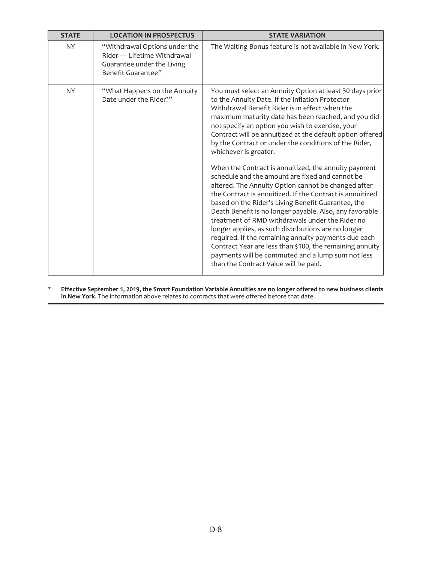| <b>STATE</b> | <b>LOCATION IN PROSPECTUS</b>                                                                                    | <b>STATE VARIATION</b>                                                                                                                                                                                                                                                                                                                                                                                                                                                                                                                                                                                                                                                                                                                                                                                                                                                                                                                                                                                                                                                                              |
|--------------|------------------------------------------------------------------------------------------------------------------|-----------------------------------------------------------------------------------------------------------------------------------------------------------------------------------------------------------------------------------------------------------------------------------------------------------------------------------------------------------------------------------------------------------------------------------------------------------------------------------------------------------------------------------------------------------------------------------------------------------------------------------------------------------------------------------------------------------------------------------------------------------------------------------------------------------------------------------------------------------------------------------------------------------------------------------------------------------------------------------------------------------------------------------------------------------------------------------------------------|
| <b>NY</b>    | "Withdrawal Options under the<br>Rider — Lifetime Withdrawal<br>Guarantee under the Living<br>Benefit Guarantee" | The Waiting Bonus feature is not available in New York.                                                                                                                                                                                                                                                                                                                                                                                                                                                                                                                                                                                                                                                                                                                                                                                                                                                                                                                                                                                                                                             |
| <b>NY</b>    | "What Happens on the Annuity<br>Date under the Rider?"                                                           | You must select an Annuity Option at least 30 days prior<br>to the Annuity Date. If the Inflation Protector<br>Withdrawal Benefit Rider is in effect when the<br>maximum maturity date has been reached, and you did<br>not specify an option you wish to exercise, your<br>Contract will be annuitized at the default option offered<br>by the Contract or under the conditions of the Rider,<br>whichever is greater.<br>When the Contract is annuitized, the annuity payment<br>schedule and the amount are fixed and cannot be<br>altered. The Annuity Option cannot be changed after<br>the Contract is annuitized. If the Contract is annuitized<br>based on the Rider's Living Benefit Guarantee, the<br>Death Benefit is no longer payable. Also, any favorable<br>treatment of RMD withdrawals under the Rider no<br>longer applies, as such distributions are no longer<br>required. If the remaining annuity payments due each<br>Contract Year are less than \$100, the remaining annuity<br>payments will be commuted and a lump sum not less<br>than the Contract Value will be paid. |

\* **Effective September 1, 2019, the Smart Foundation Variable Annuities are no longer offered to new business clients in New York.** The information above relates to contracts that were offered before that date.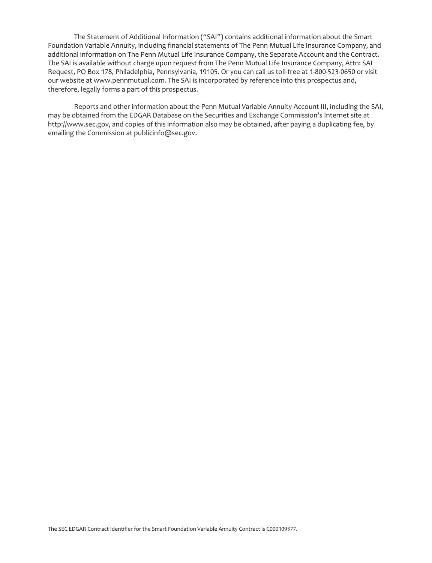The Statement of Additional Information ("SAI") contains additional information about the Smart Foundation Variable Annuity, including financial statements of The Penn Mutual Life Insurance Company, and additional information on The Penn Mutual Life Insurance Company, the Separate Account and the Contract. The SAI is available without charge upon request from The Penn Mutual Life Insurance Company, Attn: SAI Request, PO Box 178, Philadelphia, Pennsylvania, 19105. Or you can call us toll-free at 1-800-523-0650 or visit our website at www.pennmutual.com. The SAI is incorporated by reference into this prospectus and, therefore, legally forms a part of this prospectus.

Reports and other information about the Penn Mutual Variable Annuity Account III, including the SAI, may be obtained from the EDGAR Database on the Securities and Exchange Commission's Internet site at http://www.sec.gov, and copies of this information also may be obtained, after paying a duplicating fee, by emailing the Commission at publicinfo@sec.gov.